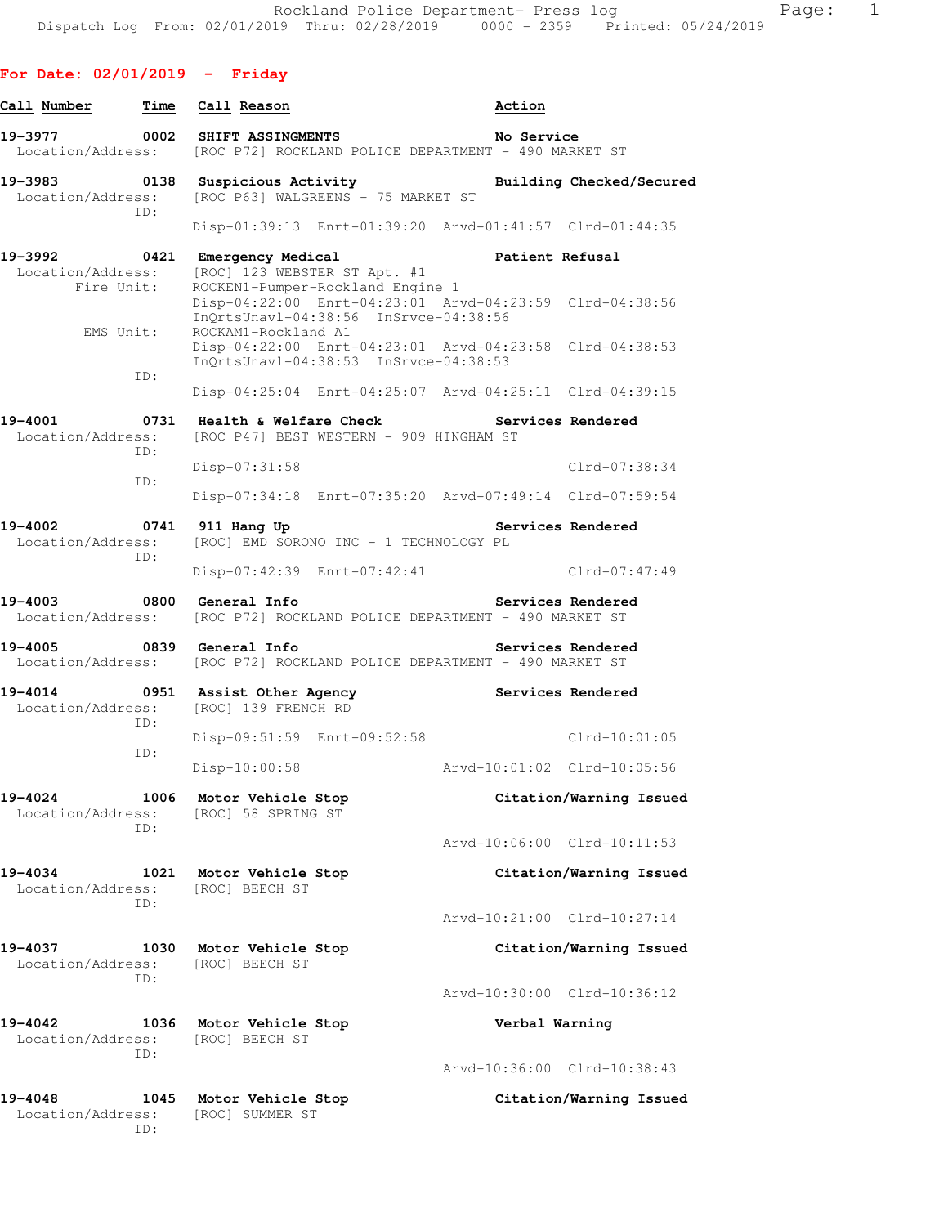**For Date: 02/01/2019 - Friday**

| Call Number                                        | Time | Call Reason                                                                                                             | Action            |                             |
|----------------------------------------------------|------|-------------------------------------------------------------------------------------------------------------------------|-------------------|-----------------------------|
| 19–3977<br>Location/Address:                       | 0002 | <b>SHIFT ASSINGMENTS</b><br>[ROC P72] ROCKLAND POLICE DEPARTMENT - 490 MARKET ST                                        | No Service        |                             |
| 19–3983                                            | 0138 | Suspicious Activity<br>Location/Address: [ROC P63] WALGREENS - 75 MARKET ST                                             |                   | Building Checked/Secured    |
| ID:                                                |      | Disp-01:39:13 Enrt-01:39:20 Arvd-01:41:57 Clrd-01:44:35                                                                 |                   |                             |
| 19-3992<br>0421<br>Location/Address:<br>Fire Unit: |      | Emergency Medical<br>[ROC] 123 WEBSTER ST Apt. #1<br>ROCKEN1-Pumper-Rockland Engine 1                                   |                   | <b>Patient Refusal</b>      |
| EMS Unit:                                          |      | Disp-04:22:00 Enrt-04:23:01 Arvd-04:23:59 Clrd-04:38:56<br>InQrtsUnavl-04:38:56 InSrvce-04:38:56<br>ROCKAM1-Rockland A1 |                   |                             |
| ID:                                                |      | Disp-04:22:00 Enrt-04:23:01 Arvd-04:23:58 Clrd-04:38:53<br>InQrtsUnavl-04:38:53 InSrvce-04:38:53                        |                   |                             |
|                                                    |      | Disp-04:25:04 Enrt-04:25:07 Arvd-04:25:11 Clrd-04:39:15                                                                 |                   |                             |
| 19-4001<br>Location/Address:<br>TD:                |      | 0731 Health & Welfare Check<br>[ROC P47] BEST WESTERN - 909 HINGHAM ST                                                  | Services Rendered |                             |
| ID:                                                |      | $Disp-07:31:58$                                                                                                         |                   | Clrd-07:38:34               |
|                                                    |      | Disp-07:34:18 Enrt-07:35:20 Arvd-07:49:14 Clrd-07:59:54                                                                 |                   |                             |
| 19-4002<br>Location/Address:<br>ID:                | 0741 | 911 Hang Up<br>[ROC] EMD SORONO INC - 1 TECHNOLOGY PL                                                                   |                   | Services Rendered           |
|                                                    |      | Disp-07:42:39 Enrt-07:42:41                                                                                             |                   | $Clrd-07:47:49$             |
| 19-4003                                            | 0800 | General Info<br>Location/Address: [ROC P72] ROCKLAND POLICE DEPARTMENT - 490 MARKET ST                                  |                   | Services Rendered           |
|                                                    |      | Location/Address: [ROC P72] ROCKLAND POLICE DEPARTMENT - 490 MARKET ST                                                  |                   | Services Rendered           |
| 19-4014<br>Location/Address:<br>ID:                |      | 0951 Assist Other Agency<br>[ROC] 139 FRENCH RD                                                                         |                   | Services Rendered           |
| ID:                                                |      | Disp-09:51:59 Enrt-09:52:58                                                                                             |                   | $Clrd-10:01:05$             |
|                                                    |      | Disp-10:00:58                                                                                                           |                   |                             |
| 19-4024<br>Location/Address:<br>TD:                | 1006 | Motor Vehicle Stop<br>[ROC] 58 SPRING ST                                                                                |                   | Citation/Warning Issued     |
|                                                    |      |                                                                                                                         |                   | Arvd-10:06:00 Clrd-10:11:53 |
| 19-4034<br>Location/Address:<br>TD:                | 1021 | Motor Vehicle Stop<br>[ROC] BEECH ST                                                                                    |                   | Citation/Warning Issued     |
|                                                    |      |                                                                                                                         |                   | Arvd-10:21:00 Clrd-10:27:14 |
| 19-4037<br>Location/Address:<br>TD:                | 1030 | Motor Vehicle Stop<br>[ROC] BEECH ST                                                                                    |                   | Citation/Warning Issued     |
|                                                    |      |                                                                                                                         |                   | Arvd-10:30:00 Clrd-10:36:12 |
| 19-4042<br>Location/Address:<br>TD:                | 1036 | Motor Vehicle Stop<br>[ROC] BEECH ST                                                                                    |                   | Verbal Warning              |
|                                                    |      |                                                                                                                         |                   | Arvd-10:36:00 Clrd-10:38:43 |
| 19-4048<br>Location/Address:<br>ID:                | 1045 | Motor Vehicle Stop<br>[ROC] SUMMER ST                                                                                   |                   | Citation/Warning Issued     |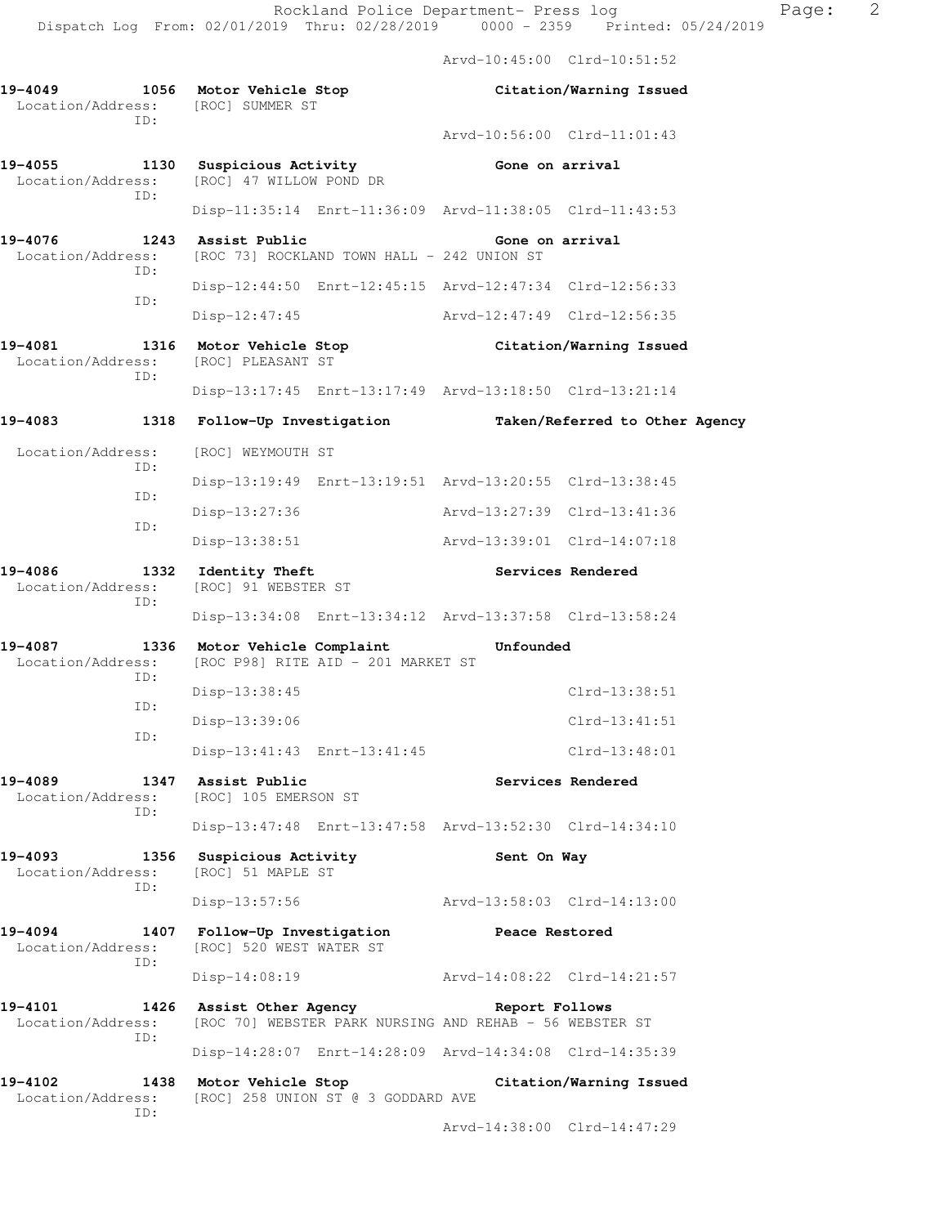Arvd-10:45:00 Clrd-10:51:52

**19-4049 1056 Motor Vehicle Stop Citation/Warning Issued**  Location/Address: [ROC] SUMMER ST ID: Arvd-10:56:00 Clrd-11:01:43 **19-4055 1130 Suspicious Activity Gone on arrival**  Location/Address: [ROC] 47 WILLOW POND DR ID: Disp-11:35:14 Enrt-11:36:09 Arvd-11:38:05 Clrd-11:43:53 **19-4076 1243 Assist Public Gone on arrival**  Location/Address: [ROC 73] ROCKLAND TOWN HALL - 242 UNION ST ID: Disp-12:44:50 Enrt-12:45:15 Arvd-12:47:34 Clrd-12:56:33 ID: Disp-12:47:45 Arvd-12:47:49 Clrd-12:56:35 **19-4081 1316 Motor Vehicle Stop Citation/Warning Issued**  Location/Address: [ROC] PLEASANT ST ID: Disp-13:17:45 Enrt-13:17:49 Arvd-13:18:50 Clrd-13:21:14 **19-4083 1318 Follow-Up Investigation Taken/Referred to Other Agency**  Location/Address: [ROC] WEYMOUTH ST ID: Disp-13:19:49 Enrt-13:19:51 Arvd-13:20:55 Clrd-13:38:45 ID: Disp-13:27:36 Arvd-13:27:39 Clrd-13:41:36 ID: Disp-13:38:51 Arvd-13:39:01 Clrd-14:07:18 19-4086 **1332** Identity Theft **1899 Services Rendered**  Location/Address: [ROC] 91 WEBSTER ST ID: Disp-13:34:08 Enrt-13:34:12 Arvd-13:37:58 Clrd-13:58:24 **19-4087 1336 Motor Vehicle Complaint Unfounded**  Location/Address: [ROC P98] RITE AID - 201 MARKET ST ID: Disp-13:38:45 Clrd-13:38:51 ID: Disp-13:39:06 Clrd-13:41:51 ID: Disp-13:41:43 Enrt-13:41:45 Clrd-13:48:01 **19-4089 1347 Assist Public Services Rendered**  Location/Address: [ROC] 105 EMERSON ST ID: Disp-13:47:48 Enrt-13:47:58 Arvd-13:52:30 Clrd-14:34:10 19-4093 1356 Suspicious Activity **19-4093** Sent On Way Location/Address: [ROC] 51 MAPLE ST ID: Disp-13:57:56 Arvd-13:58:03 Clrd-14:13:00 **19-4094 1407 Follow-Up Investigation Peace Restored**  Location/Address: [ROC] 520 WEST WATER ST ID: Disp-14:08:19 Arvd-14:08:22 Clrd-14:21:57 **19-4101 1426 Assist Other Agency Report Follows**  Location/Address: [ROC 70] WEBSTER PARK NURSING AND REHAB - 56 WEBSTER ST ID: Disp-14:28:07 Enrt-14:28:09 Arvd-14:34:08 Clrd-14:35:39 **19-4102 1438 Motor Vehicle Stop Citation/Warning Issued**  Location/Address: [ROC] 258 UNION ST @ 3 GODDARD AVE ID:

Arvd-14:38:00 Clrd-14:47:29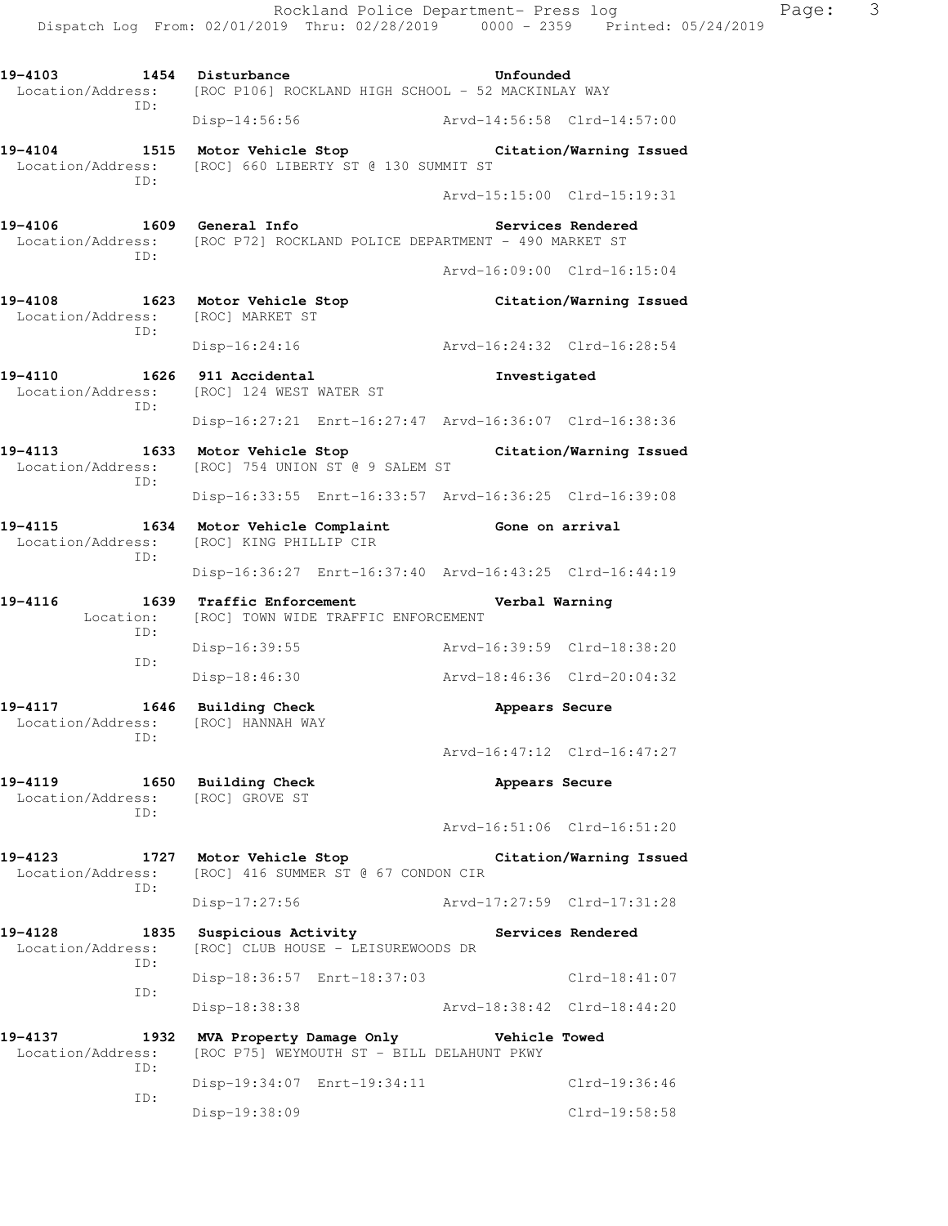Dispatch Log From: 02/01/2019 Thru: 02/28/2019 0000 - 2359 Printed: 05/24/2019 19-4103 1454 Disturbance **19-4103** Unfounded Location/Address: [ROC P106] ROCKLAND HIGH SCHOOL - 52 MACKINLAY WAY ID: Disp-14:56:56 Arvd-14:56:58 Clrd-14:57:00 **19-4104 1515 Motor Vehicle Stop Citation/Warning Issued**  Location/Address: [ROC] 660 LIBERTY ST @ 130 SUMMIT ST ID: Arvd-15:15:00 Clrd-15:19:31 **19-4106 1609 General Info Services Rendered**  Location/Address: [ROC P72] ROCKLAND POLICE DEPARTMENT - 490 MARKET ST ID: Arvd-16:09:00 Clrd-16:15:04 **19-4108 1623 Motor Vehicle Stop Citation/Warning Issued**  Location/Address: [ROC] MARKET ST ID: Disp-16:24:16 Arvd-16:24:32 Clrd-16:28:54 **19-4110 1626 911 Accidental Investigated**  Location/Address: [ROC] 124 WEST WATER ST ID: Disp-16:27:21 Enrt-16:27:47 Arvd-16:36:07 Clrd-16:38:36 **19-4113 1633 Motor Vehicle Stop Citation/Warning Issued**  Location/Address: [ROC] 754 UNION ST @ 9 SALEM ST ID: Disp-16:33:55 Enrt-16:33:57 Arvd-16:36:25 Clrd-16:39:08 **19-4115 1634 Motor Vehicle Complaint Gone on arrival**  Location/Address: [ROC] KING PHILLIP CIR ID: Disp-16:36:27 Enrt-16:37:40 Arvd-16:43:25 Clrd-16:44:19 **19-4116 1639 Traffic Enforcement Verbal Warning**  Location: [ROC] TOWN WIDE TRAFFIC ENFORCEMENT ID: Disp-16:39:55 Arvd-16:39:59 Clrd-18:38:20 ID: Disp-18:46:30 Arvd-18:46:36 Clrd-20:04:32 19-4117 1646 Building Check **Appears Secure**  Location/Address: [ROC] HANNAH WAY ID: Arvd-16:47:12 Clrd-16:47:27 **19-4119 1650 Building Check Appears Secure**  Location/Address: [ROC] GROVE ST ID: Arvd-16:51:06 Clrd-16:51:20 **19-4123 1727 Motor Vehicle Stop Citation/Warning Issued**  Location/Address: [ROC] 416 SUMMER ST @ 67 CONDON CIR ID: Disp-17:27:56 Arvd-17:27:59 Clrd-17:31:28 19-4128 1835 Suspicious Activity **185 Services Rendered**  Location/Address: [ROC] CLUB HOUSE - LEISUREWOODS DR ID: Disp-18:36:57 Enrt-18:37:03 Clrd-18:41:07 ID: Disp-18:38:38 Arvd-18:38:42 Clrd-18:44:20 **19-4137 1932 MVA Property Damage Only Vehicle Towed**  Location/Address: [ROC P75] WEYMOUTH ST - BILL DELAHUNT PKWY ID: Disp-19:34:07 Enrt-19:34:11 Clrd-19:36:46 ID: Disp-19:38:09 Clrd-19:58:58

Rockland Police Department- Press log Paqe: 3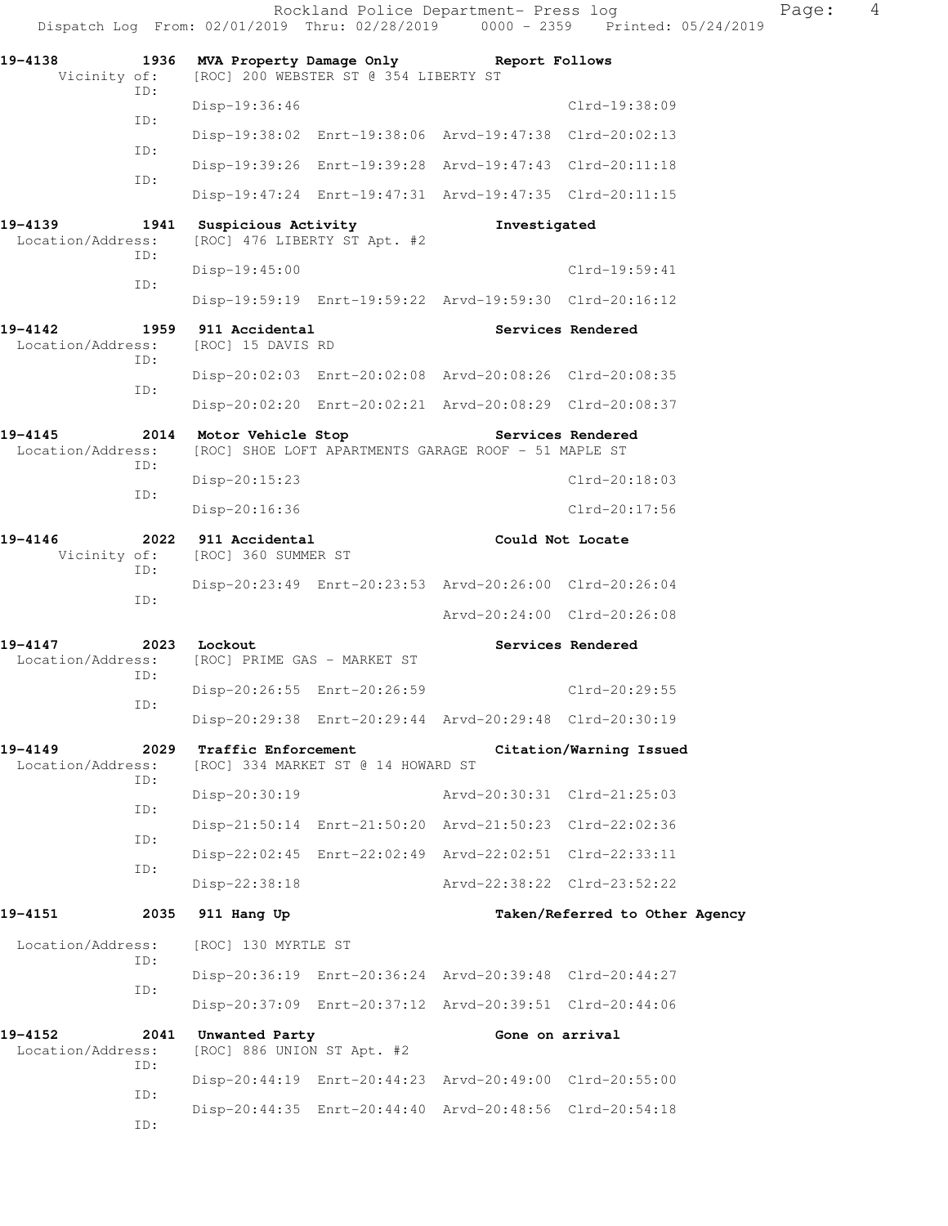Dispatch Log From: 02/01/2019 Thru: 02/28/2019 0000 - 2359 Printed: 05/24/2019 **19-4138 1936 MVA Property Damage Only Report Follows**  Vicinity of: [ROC] 200 WEBSTER ST @ 354 LIBERTY ST ID: Disp-19:36:46 Clrd-19:38:09 ID: Disp-19:38:02 Enrt-19:38:06 Arvd-19:47:38 Clrd-20:02:13 ID: Disp-19:39:26 Enrt-19:39:28 Arvd-19:47:43 Clrd-20:11:18 ID: Disp-19:47:24 Enrt-19:47:31 Arvd-19:47:35 Clrd-20:11:15 **19-4139 1941 Suspicious Activity Investigated**  Location/Address: [ROC] 476 LIBERTY ST Apt. #2 ID: Disp-19:45:00 Clrd-19:59:41 ID: Disp-19:59:19 Enrt-19:59:22 Arvd-19:59:30 Clrd-20:16:12 **19-4142 1959 911 Accidental Services Rendered**  Location/Address: [ROC] 15 DAVIS RD ID: Disp-20:02:03 Enrt-20:02:08 Arvd-20:08:26 Clrd-20:08:35 ID: Disp-20:02:20 Enrt-20:02:21 Arvd-20:08:29 Clrd-20:08:37 19-4145 2014 Motor Vehicle Stop **Services Rendered**  Location/Address: [ROC] SHOE LOFT APARTMENTS GARAGE ROOF - 51 MAPLE ST ID: Disp-20:15:23 Clrd-20:18:03 ID: Disp-20:16:36 Clrd-20:17:56 **19-4146** 2022 911 Accidental Could Not Locate Vicinity of: [ROC] 360 SUMMER ST [ROC] 360 SUMMER ST ID: Disp-20:23:49 Enrt-20:23:53 Arvd-20:26:00 Clrd-20:26:04 ID: Arvd-20:24:00 Clrd-20:26:08 **19-4147 2023 Lockout Services Rendered**  Location/Address: [ROC] PRIME GAS - MARKET ST ID: Disp-20:26:55 Enrt-20:26:59 Clrd-20:29:55 ID: Disp-20:29:38 Enrt-20:29:44 Arvd-20:29:48 Clrd-20:30:19 **19-4149 2029 Traffic Enforcement Citation/Warning Issued**  Location/Address: [ROC] 334 MARKET ST @ 14 HOWARD ST ID: Disp-20:30:19 Arvd-20:30:31 Clrd-21:25:03 ID: Disp-21:50:14 Enrt-21:50:20 Arvd-21:50:23 Clrd-22:02:36 ID: Disp-22:02:45 Enrt-22:02:49 Arvd-22:02:51 Clrd-22:33:11 ID: Disp-22:38:18 Arvd-22:38:22 Clrd-23:52:22 **19-4151 2035 911 Hang Up Taken/Referred to Other Agency**  Location/Address: [ROC] 130 MYRTLE ST ID: Disp-20:36:19 Enrt-20:36:24 Arvd-20:39:48 Clrd-20:44:27 ID: Disp-20:37:09 Enrt-20:37:12 Arvd-20:39:51 Clrd-20:44:06 **19-4152 2041 Unwanted Party Gone on arrival**  Location/Address: [ROC] 886 UNION ST Apt. #2 ID: Disp-20:44:19 Enrt-20:44:23 Arvd-20:49:00 Clrd-20:55:00 ID: Disp-20:44:35 Enrt-20:44:40 Arvd-20:48:56 Clrd-20:54:18 ID:

Rockland Police Department- Press log Nage: 4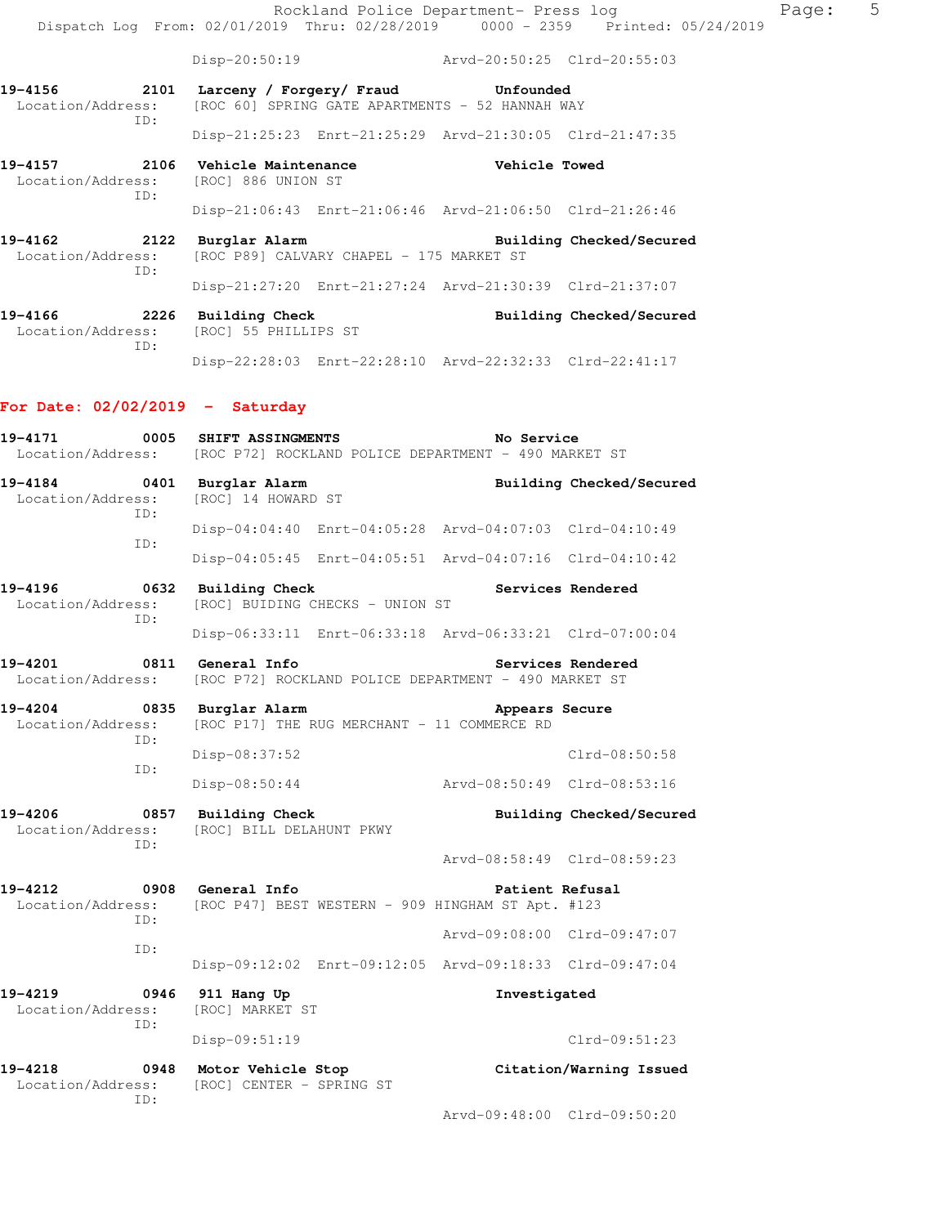Rockland Police Department- Press log Paqe: 5 Dispatch Log From: 02/01/2019 Thru: 02/28/2019 0000 - 2359 Printed: 05/24/2019

Disp-20:50:19 Arvd-20:50:25 Clrd-20:55:03

- **19-4156 2101 Larceny / Forgery/ Fraud Unfounded**  Location/Address: [ROC 60] SPRING GATE APARTMENTS - 52 HANNAH WAY ID: Disp-21:25:23 Enrt-21:25:29 Arvd-21:30:05 Clrd-21:47:35
- **19-4157 2106 Vehicle Maintenance Vehicle Towed**  Location/Address: [ROC] 886 UNION ST ID: Disp-21:06:43 Enrt-21:06:46 Arvd-21:06:50 Clrd-21:26:46
- **19-4162 2122 Burglar Alarm Building Checked/Secured**  Location/Address: [ROC P89] CALVARY CHAPEL - 175 MARKET ST ID: Disp-21:27:20 Enrt-21:27:24 Arvd-21:30:39 Clrd-21:37:07
- **19-4166 2226 Building Check Building Checked/Secured**  Location/Address: [ROC] 55 PHILLIPS ST ID: Disp-22:28:03 Enrt-22:28:10 Arvd-22:32:33 Clrd-22:41:17

#### **For Date: 02/02/2019 - Saturday**

**19-4171 0005 SHIFT ASSINGMENTS No Service**  Location/Address: [ROC P72] ROCKLAND POLICE DEPARTMENT - 490 MARKET ST **19-4184 0401 Burglar Alarm Building Checked/Secured**  Location/Address: [ROC] 14 HOWARD ST ID: Disp-04:04:40 Enrt-04:05:28 Arvd-04:07:03 Clrd-04:10:49 ID: Disp-04:05:45 Enrt-04:05:51 Arvd-04:07:16 Clrd-04:10:42 **19-4196 0632 Building Check Services Rendered**  Location/Address: [ROC] BUIDING CHECKS - UNION ST ID: Disp-06:33:11 Enrt-06:33:18 Arvd-06:33:21 Clrd-07:00:04 19-4201 **0811** General Info **1999** Services Rendered Location/Address: [ROC P72] ROCKLAND POLICE DEPARTMENT - 490 MARKET ST **19-4204 0835 Burglar Alarm Appears Secure**  Location/Address: [ROC P17] THE RUG MERCHANT - 11 COMMERCE RD ID: Disp-08:37:52 Clrd-08:50:58 ID: Disp-08:50:44 Arvd-08:50:49 Clrd-08:53:16 **19-4206 0857 Building Check Building Checked/Secured**  Location/Address: [ROC] BILL DELAHUNT PKWY ID: Arvd-08:58:49 Clrd-08:59:23 19-4212 **0908** General Info **1998** Patient Refusal Location/Address: [ROC P47] BEST WESTERN - 909 HINGHAM ST Apt. #123 ID: Arvd-09:08:00 Clrd-09:47:07 ID: Disp-09:12:02 Enrt-09:12:05 Arvd-09:18:33 Clrd-09:47:04 **19-4219 0946 911 Hang Up Investigated**  Location/Address: [ROC] MARKET ST ID: Disp-09:51:19 Clrd-09:51:23 **19-4218 0948 Motor Vehicle Stop Citation/Warning Issued**  Location/Address: [ROC] CENTER - SPRING ST ID: Arvd-09:48:00 Clrd-09:50:20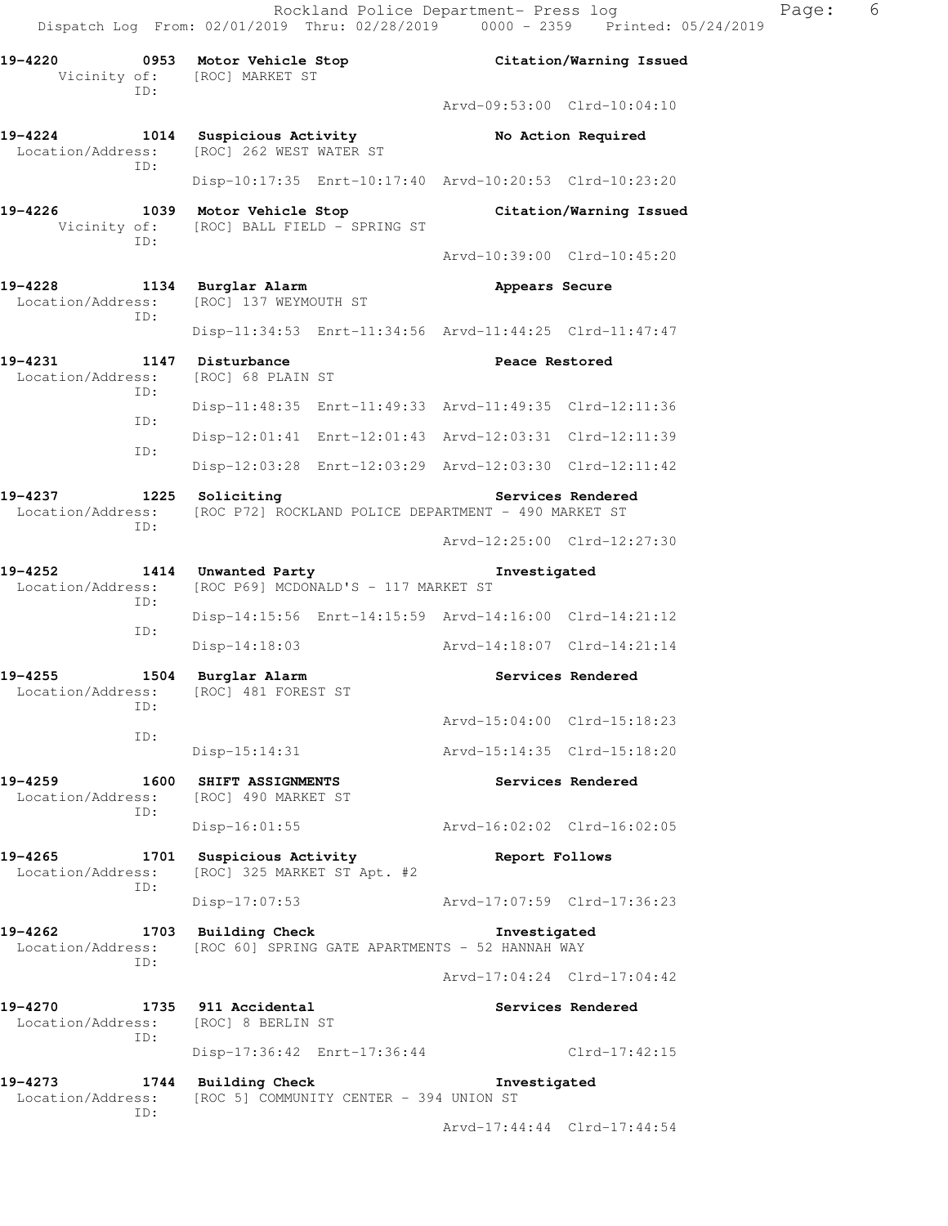**19-4220 0953 Motor Vehicle Stop Citation/Warning Issued**  Vicinity of: [ROC] MARKET ST ID: Arvd-09:53:00 Clrd-10:04:10 **19-4224 1014 Suspicious Activity No Action Required**  Location/Address: [ROC] 262 WEST WATER ST ID: Disp-10:17:35 Enrt-10:17:40 Arvd-10:20:53 Clrd-10:23:20 **19-4226 1039 Motor Vehicle Stop Citation/Warning Issued**  Vicinity of: [ROC] BALL FIELD - SPRING ST ID: Arvd-10:39:00 Clrd-10:45:20 **19-4228 1134 Burglar Alarm Appears Secure**  Location/Address: [ROC] 137 WEYMOUTH ST ID: Disp-11:34:53 Enrt-11:34:56 Arvd-11:44:25 Clrd-11:47:47 19-4231 1147 Disturbance **Peace Restored**  Location/Address: [ROC] 68 PLAIN ST ID: Disp-11:48:35 Enrt-11:49:33 Arvd-11:49:35 Clrd-12:11:36 ID: Disp-12:01:41 Enrt-12:01:43 Arvd-12:03:31 Clrd-12:11:39 ID: Disp-12:03:28 Enrt-12:03:29 Arvd-12:03:30 Clrd-12:11:42 19-4237 1225 Soliciting **19-4237** Services Rendered Location/Address: [ROC P72] ROCKLAND POLICE DEPARTMENT - 490 MARKET ST ID: Arvd-12:25:00 Clrd-12:27:30 **19-4252 1414 Unwanted Party Investigated**  Location/Address: [ROC P69] MCDONALD'S - 117 MARKET ST ID: Disp-14:15:56 Enrt-14:15:59 Arvd-14:16:00 Clrd-14:21:12 ID: Disp-14:18:03 Arvd-14:18:07 Clrd-14:21:14 **19-4255 1504 Burglar Alarm Services Rendered**  Location/Address: [ROC] 481 FOREST ST ID: Arvd-15:04:00 Clrd-15:18:23 ID: Disp-15:14:31 Arvd-15:14:35 Clrd-15:18:20 **19-4259 1600 SHIFT ASSIGNMENTS Services Rendered**  Location/Address: [ROC] 490 MARKET ST ID: Disp-16:01:55 Arvd-16:02:02 Clrd-16:02:05 **19-4265 1701 Suspicious Activity Report Follows**  Location/Address: [ROC] 325 MARKET ST Apt. #2 ID: Disp-17:07:53 Arvd-17:07:59 Clrd-17:36:23 **19-4262 1703 Building Check Investigated**  Location/Address: [ROC 60] SPRING GATE APARTMENTS - 52 HANNAH WAY ID: Arvd-17:04:24 Clrd-17:04:42 19-4270 1735 911 Accidental **19-4270** Services Rendered Location/Address: [ROC] 8 BERLIN ST ID: Disp-17:36:42 Enrt-17:36:44 Clrd-17:42:15 **19-4273 1744 Building Check Investigated**  Location/Address: [ROC 5] COMMUNITY CENTER - 394 UNION ST ID: Arvd-17:44:44 Clrd-17:44:54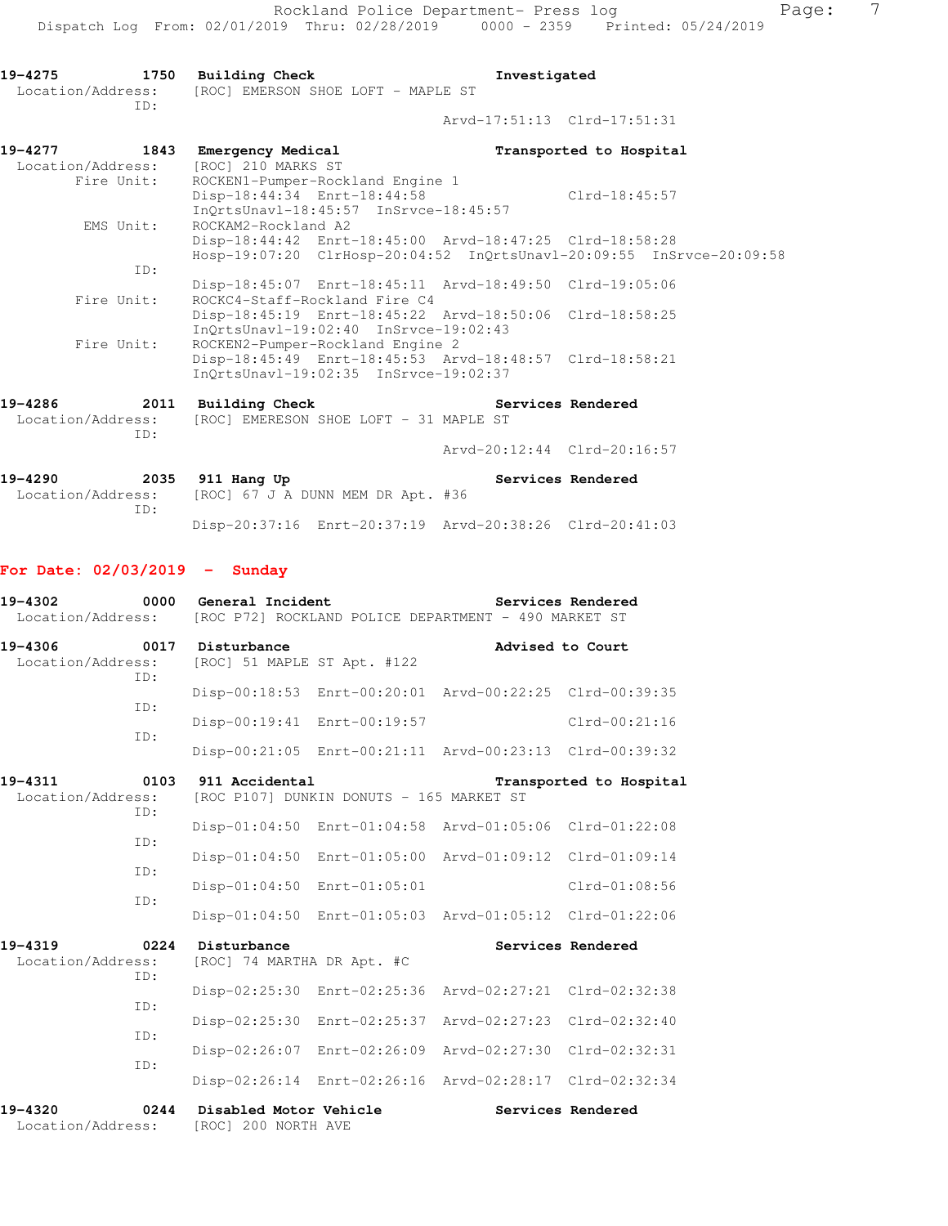**19-4275 1750 Building Check Investigated**  Location/Address: [ROC] EMERSON SHOE LOFT - MAPLE ST ID: Arvd-17:51:13 Clrd-17:51:31 **19-4277 1843 Emergency Medical Transported to Hospital**  Location/Address: [ROC] 210 MARKS ST Fire Unit: ROCKEN1-Pumper-Rockland Engine 1 Disp-18:44:34 Enrt-18:44:58 Clrd-18:45:57 InQrtsUnavl-18:45:57 InSrvce-18:45:57

 EMS Unit: ROCKAM2-Rockland A2 Disp-18:44:42 Enrt-18:45:00 Arvd-18:47:25 Clrd-18:58:28 Hosp-19:07:20 ClrHosp-20:04:52 InQrtsUnavl-20:09:55 InSrvce-20:09:58 ID: Disp-18:45:07 Enrt-18:45:11 Arvd-18:49:50 Clrd-19:05:06 Fire Unit: ROCKC4-Staff-Rockland Fire C4 Disp-18:45:19 Enrt-18:45:22 Arvd-18:50:06 Clrd-18:58:25 InQrtsUnavl-19:02:40 InSrvce-19:02:43<br>Fire Unit: ROCKEN2-Pumper-Rockland Engine 2 ROCKEN2-Pumper-Rockland Engine 2 Disp-18:45:49 Enrt-18:45:53 Arvd-18:48:57 Clrd-18:58:21 InQrtsUnavl-19:02:35 InSrvce-19:02:37

**19-4286 2011 Building Check Services Rendered**  Location/Address: [ROC] EMERESON SHOE LOFT - 31 MAPLE ST ID: Arvd-20:12:44 Clrd-20:16:57

19-4290 **2035** 911 Hang Up **Services Rendered**  Location/Address: [ROC] 67 J A DUNN MEM DR Apt. #36 ID: Disp-20:37:16 Enrt-20:37:19 Arvd-20:38:26 Clrd-20:41:03

## **For Date: 02/03/2019 - Sunday**

| 19-4302<br>Location/Address: | 0000        | General Incident                                                                      |               | [ROC P72] ROCKLAND POLICE DEPARTMENT - 490 MARKET ST    | Services Rendered |  |
|------------------------------|-------------|---------------------------------------------------------------------------------------|---------------|---------------------------------------------------------|-------------------|--|
| 19-4306<br>Location/Address: | 0017<br>ID: | Disturbance<br>[ROC] 51 MAPLE ST Apt. #122                                            |               | Advised to Court                                        |                   |  |
|                              | ID:         |                                                                                       |               | Disp-00:18:53 Enrt-00:20:01 Arvd-00:22:25 Clrd-00:39:35 |                   |  |
|                              | TD:         | Disp-00:19:41 Enrt-00:19:57                                                           |               |                                                         | $Clrd-00:21:16$   |  |
|                              |             |                                                                                       |               | Disp-00:21:05 Enrt-00:21:11 Arvd-00:23:13 Clrd-00:39:32 |                   |  |
| 19-4311<br>Location/Address: | 0103<br>ID: | 911 Accidental<br>Transported to Hospital<br>[ROC P107] DUNKIN DONUTS - 165 MARKET ST |               |                                                         |                   |  |
|                              |             | $Disp-01:04:50$                                                                       |               | Enrt-01:04:58 Arvd-01:05:06 Clrd-01:22:08               |                   |  |
|                              | ID:         | $Disp-01:04:50$                                                                       |               | Enrt-01:05:00 Arvd-01:09:12 Clrd-01:09:14               |                   |  |
|                              | ID:         | $Disp-01:04:50$                                                                       | Enrt-01:05:01 |                                                         | $Clrd-01:08:56$   |  |
|                              | ID:         |                                                                                       |               | Disp-01:04:50 Enrt-01:05:03 Arvd-01:05:12 Clrd-01:22:06 |                   |  |
| 19-4319<br>Location/Address: | 0224<br>ID: | Disturbance<br>[ROC] 74 MARTHA DR Apt. #C                                             |               |                                                         | Services Rendered |  |
|                              | ID:         | Disp-02:25:30                                                                         | Enrt-02:25:36 | Arvd-02:27:21 Clrd-02:32:38                             |                   |  |
|                              | TD:         | $Disp-02:25:30$                                                                       | Enrt-02:25:37 | Arvd-02:27:23                                           | $Clrd-02:32:40$   |  |
|                              |             | Disp-02:26:07                                                                         | Enrt-02:26:09 | Arvd-02:27:30                                           | Clrd-02:32:31     |  |
|                              | ID:         |                                                                                       |               | Disp-02:26:14 Enrt-02:26:16 Arvd-02:28:17 Clrd-02:32:34 |                   |  |
| 19-4320<br>Location/Address: | 0244        | Disabled Motor Vehicle<br>[ROC] 200 NORTH AVE                                         |               |                                                         | Services Rendered |  |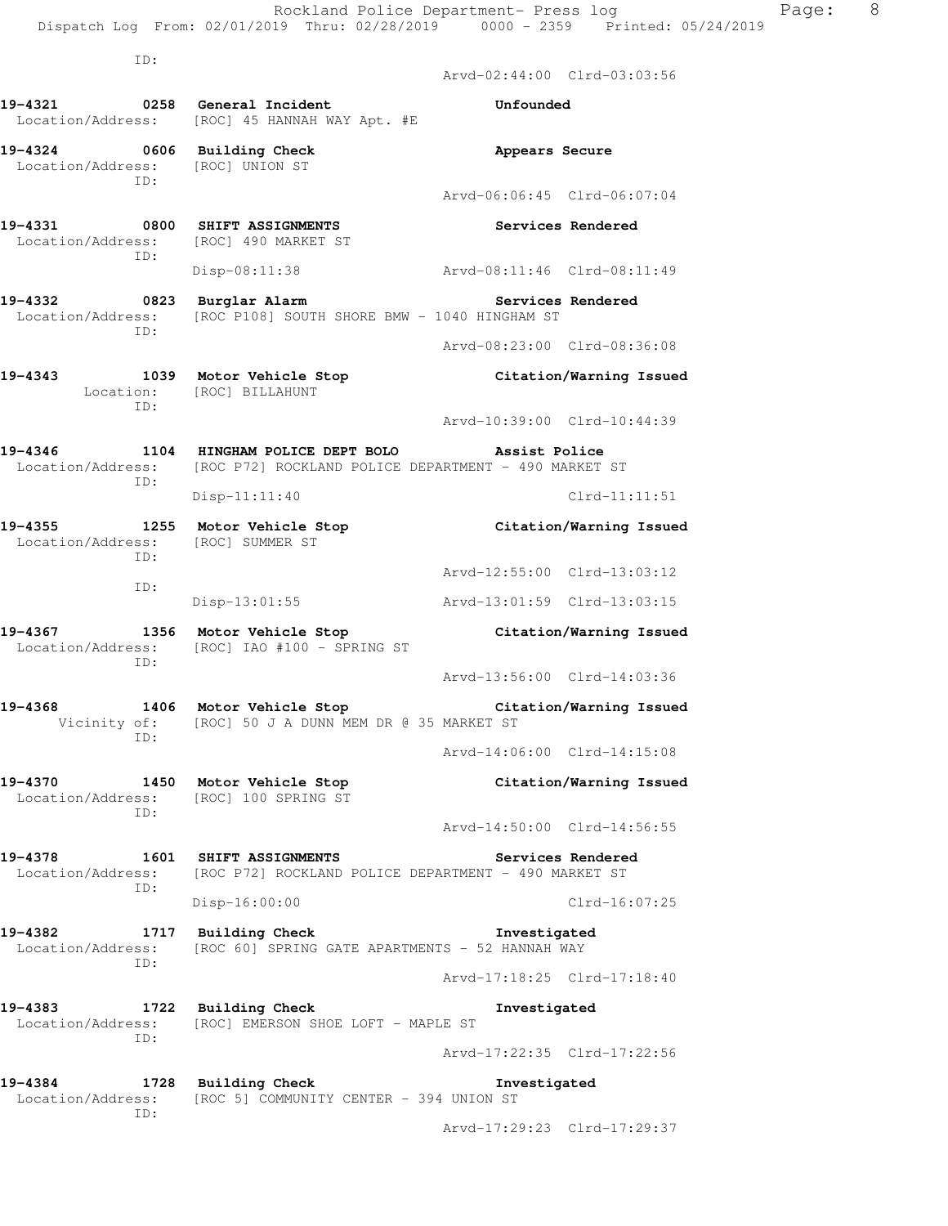Arvd-02:44:00 Clrd-03:03:56

ID:

ID:

**19-4321 0258 General Incident Unfounded**  Location/Address: [ROC] 45 HANNAH WAY Apt. #E **19-4324 0606 Building Check Appears Secure**  Location/Address: [ROC] UNION ST ID: Arvd-06:06:45 Clrd-06:07:04 **19-4331 0800 SHIFT ASSIGNMENTS Services Rendered**  Location/Address: [ROC] 490 MARKET ST ID: Disp-08:11:38 Arvd-08:11:46 Clrd-08:11:49 **19-4332 0823 Burglar Alarm Services Rendered**  Location/Address: [ROC P108] SOUTH SHORE BMW - 1040 HINGHAM ST ID: Arvd-08:23:00 Clrd-08:36:08 **19-4343 1039 Motor Vehicle Stop Citation/Warning Issued**  Location: [ROC] BILLAHUNT ID: Arvd-10:39:00 Clrd-10:44:39 **19-4346 1104 HINGHAM POLICE DEPT BOLO Assist Police**  Location/Address: [ROC P72] ROCKLAND POLICE DEPARTMENT - 490 MARKET ST ID: Disp-11:11:40 Clrd-11:11:51 **19-4355 1255 Motor Vehicle Stop Citation/Warning Issued**  Location/Address: [ROC] SUMMER ST ID: Arvd-12:55:00 Clrd-13:03:12 ID: Disp-13:01:55 Arvd-13:01:59 Clrd-13:03:15 **19-4367 1356 Motor Vehicle Stop Citation/Warning Issued**  Location/Address: [ROC] IAO #100 - SPRING ST ID: Arvd-13:56:00 Clrd-14:03:36 **19-4368 1406 Motor Vehicle Stop Citation/Warning Issued**  Vicinity of: [ROC] 50 J A DUNN MEM DR @ 35 MARKET ST ID: Arvd-14:06:00 Clrd-14:15:08 **19-4370 1450 Motor Vehicle Stop Citation/Warning Issued**  Location/Address: [ROC] 100 SPRING ST ID: Arvd-14:50:00 Clrd-14:56:55 **19-4378 1601 SHIFT ASSIGNMENTS Services Rendered**  Location/Address: [ROC P72] ROCKLAND POLICE DEPARTMENT - 490 MARKET ST ID: Disp-16:00:00 Clrd-16:07:25 **19-4382 1717 Building Check Investigated**  Location/Address: [ROC 60] SPRING GATE APARTMENTS - 52 HANNAH WAY ID: Arvd-17:18:25 Clrd-17:18:40 **19-4383 1722 Building Check Investigated**  Location/Address: [ROC] EMERSON SHOE LOFT - MAPLE ST ID: Arvd-17:22:35 Clrd-17:22:56 **19-4384 1728 Building Check Investigated**  Location/Address: [ROC 5] COMMUNITY CENTER - 394 UNION ST

Arvd-17:29:23 Clrd-17:29:37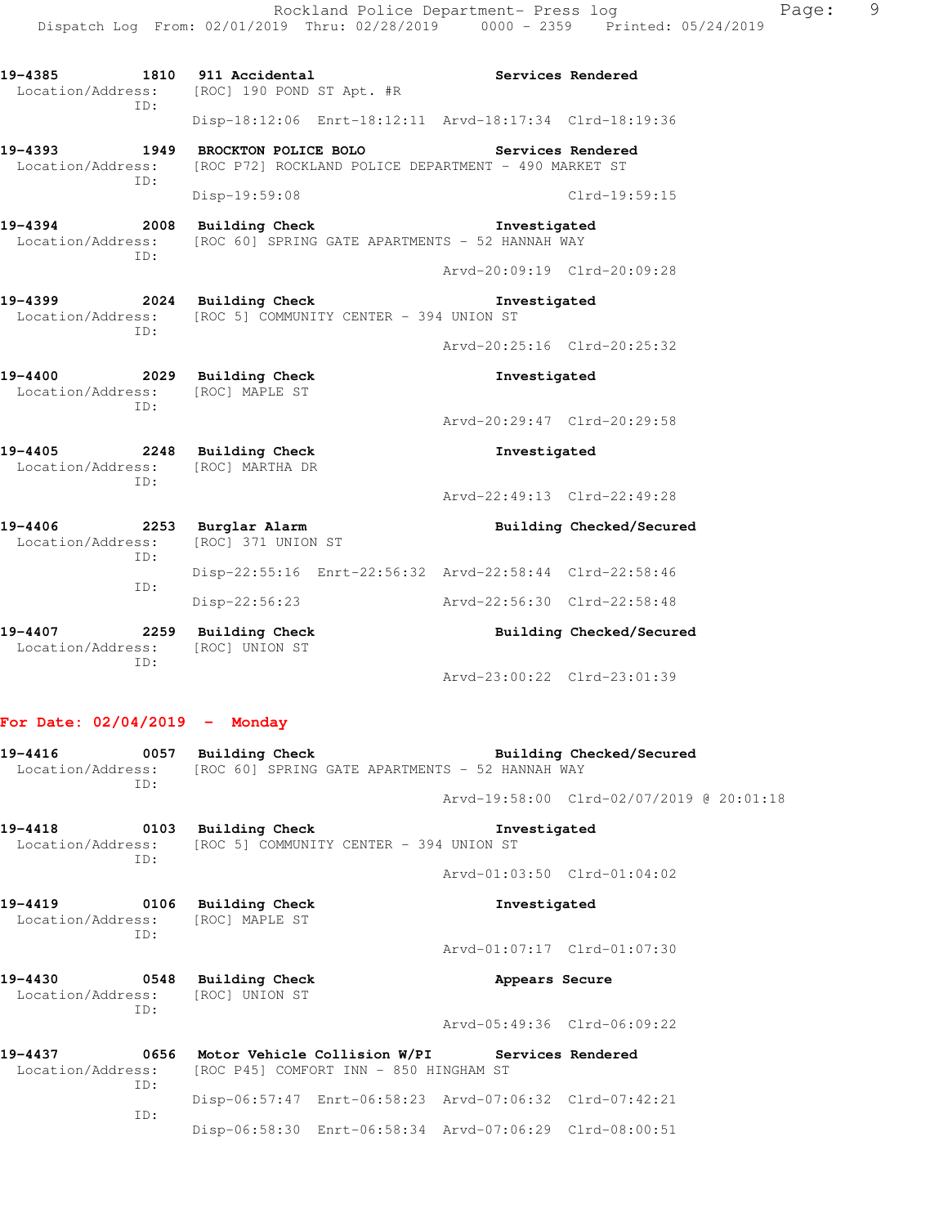Rockland Police Department- Press log Page: 9 Dispatch Log From: 02/01/2019 Thru: 02/28/2019 0000 - 2359 Printed: 05/24/2019 19-4385 1810 911 Accidental **19-4385** Services Rendered Location/Address: [ROC] 190 POND ST Apt. #R ID: Disp-18:12:06 Enrt-18:12:11 Arvd-18:17:34 Clrd-18:19:36 **19-4393 1949 BROCKTON POLICE BOLO Services Rendered**  Location/Address: [ROC P72] ROCKLAND POLICE DEPARTMENT - 490 MARKET ST ID: Disp-19:59:08 Clrd-19:59:15 **19-4394 2008 Building Check Investigated**  Location/Address: [ROC 60] SPRING GATE APARTMENTS - 52 HANNAH WAY ID: Arvd-20:09:19 Clrd-20:09:28 **19-4399 2024 Building Check Investigated**  Location/Address: [ROC 5] COMMUNITY CENTER - 394 UNION ST ID: Arvd-20:25:16 Clrd-20:25:32 **19-4400 2029 Building Check Investigated**  Location/Address: [ROC] MAPLE ST ID: Arvd-20:29:47 Clrd-20:29:58 **19-4405 2248 Building Check Investigated**  Location/Address: [ROC] MARTHA DR ID: Arvd-22:49:13 Clrd-22:49:28 **19-4406 2253 Burglar Alarm Building Checked/Secured**  Location/Address: [ROC] 371 UNION ST ID: Disp-22:55:16 Enrt-22:56:32 Arvd-22:58:44 Clrd-22:58:46 ID: Disp-22:56:23 Arvd-22:56:30 Clrd-22:58:48 19-4407 **2259** Building Check **Building Building Checked/Secured**  Location/Address: [ROC] UNION ST ID:

# Arvd-23:00:22 Clrd-23:01:39

#### **For Date: 02/04/2019 - Monday**

| 19-4416           | 0057 | Building Check | Building Checked/Secured                        |  |
|-------------------|------|----------------|-------------------------------------------------|--|
| Location/Address: |      |                | [ROC 60] SPRING GATE APARTMENTS - 52 HANNAH WAY |  |
|                   | TD:  |                |                                                 |  |
|                   |      |                | Arvd-19:58:00 Clrd-02/07/2019 @ 20:01:18        |  |
|                   |      |                |                                                 |  |

**19-4418 0103 Building Check Investigated**  Location/Address: [ROC 5] COMMUNITY CENTER - 394 UNION ST ID:

**19-4419 0106 Building Check Investigated**  Location/Address: [ROC] MAPLE ST ID: Arvd-01:07:17 Clrd-01:07:30

**19-4430 0548 Building Check Appears Secure**  Location/Address: [ROC] UNION ST ID:

Arvd-05:49:36 Clrd-06:09:22

Arvd-01:03:50 Clrd-01:04:02

| 19-4437 |     | 0656 Motor Vehicle Collision W/PI                        |                                                         | Services Rendered |
|---------|-----|----------------------------------------------------------|---------------------------------------------------------|-------------------|
|         |     | Location/Address: [ROC P45] COMFORT INN - 850 HINGHAM ST |                                                         |                   |
|         | TD: |                                                          |                                                         |                   |
|         |     |                                                          | Disp-06:57:47 Enrt-06:58:23 Arvd-07:06:32 Clrd-07:42:21 |                   |
|         | TD: |                                                          |                                                         |                   |
|         |     |                                                          | Disp-06:58:30 Enrt-06:58:34 Arvd-07:06:29 Clrd-08:00:51 |                   |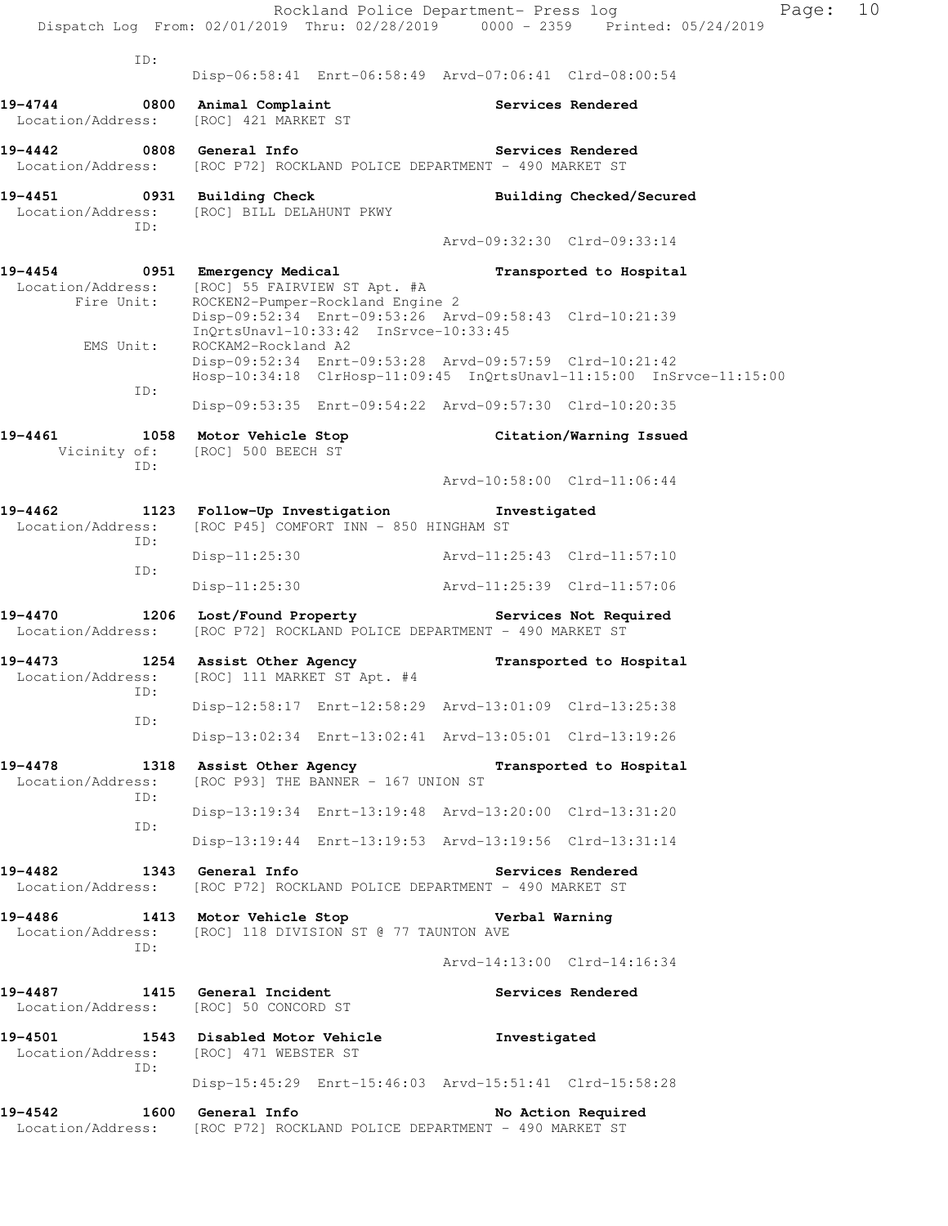|                                             | Rockland Police Department- Press log<br>Dispatch Log From: 02/01/2019 Thru: 02/28/2019 0000 - 2359 Printed: 05/24/2019 |                             | Page:                    | 10 |
|---------------------------------------------|-------------------------------------------------------------------------------------------------------------------------|-----------------------------|--------------------------|----|
| ID:                                         | Disp-06:58:41 Enrt-06:58:49 Arvd-07:06:41 Clrd-08:00:54                                                                 |                             |                          |    |
| 19-4744                                     | 0800 Animal Complaint                                                                                                   | Services Rendered           |                          |    |
| Location/Address:                           | [ROC] 421 MARKET ST                                                                                                     |                             |                          |    |
| 19-4442 0808 General Info                   | Location/Address: [ROC P72] ROCKLAND POLICE DEPARTMENT - 490 MARKET ST                                                  | <b>Services Rendered</b>    |                          |    |
| ID:                                         | 19-4451 0931 Building Check<br>Location/Address: [ROC] BILL DELAHUNT PKWY                                               |                             | Building Checked/Secured |    |
|                                             |                                                                                                                         | Arvd-09:32:30 Clrd-09:33:14 |                          |    |
|                                             | 19-4454 0951 Emergency Medical                                                                                          |                             | Transported to Hospital  |    |
| Fire Unit:                                  | Location/Address: [ROC] 55 FAIRVIEW ST Apt. #A<br>ROCKEN2-Pumper-Rockland Engine 2                                      |                             |                          |    |
|                                             | Disp-09:52:34 Enrt-09:53:26 Arvd-09:58:43 Clrd-10:21:39<br>InQrtsUnavl-10:33:42 InSrvce-10:33:45                        |                             |                          |    |
| EMS Unit:                                   | ROCKAM2-Rockland A2<br>Disp-09:52:34 Enrt-09:53:28 Arvd-09:57:59 Clrd-10:21:42                                          |                             |                          |    |
| ID:                                         | Hosp-10:34:18 ClrHosp-11:09:45 InQrtsUnavl-11:15:00 InSrvce-11:15:00                                                    |                             |                          |    |
|                                             | Disp-09:53:35 Enrt-09:54:22 Arvd-09:57:30 Clrd-10:20:35                                                                 |                             |                          |    |
| 19-4461                                     | 1058 Motor Vehicle Stop Citation/Warning Issued<br>Vicinity of: [ROC] 500 BEECH ST                                      |                             |                          |    |
| ID:                                         |                                                                                                                         | Arvd-10:58:00 Clrd-11:06:44 |                          |    |
| 19-4462<br>Location/Address:                | 1123 Follow-Up Investigation<br>[ROC P45] COMFORT INN - 850 HINGHAM ST                                                  | Investigated                |                          |    |
| ID:                                         | $Disp-11:25:30$                                                                                                         | Arvd-11:25:43 Clrd-11:57:10 |                          |    |
| ID:                                         | Disp-11:25:30                                                                                                           | Arvd-11:25:39 Clrd-11:57:06 |                          |    |
|                                             | 19-4470 1206 Lost/Found Property The Services Not Required                                                              |                             |                          |    |
| Location/Address:                           | [ROC P72] ROCKLAND POLICE DEPARTMENT - 490 MARKET ST                                                                    |                             |                          |    |
| 19-4473<br>ID:                              | 1254 Assist Other Agency<br>Location/Address: [ROC] 111 MARKET ST Apt. #4                                               |                             | Transported to Hospital  |    |
|                                             | Disp-12:58:17 Enrt-12:58:29 Arvd-13:01:09 Clrd-13:25:38                                                                 |                             |                          |    |
| ID:                                         | Disp-13:02:34 Enrt-13:02:41 Arvd-13:05:01 Clrd-13:19:26                                                                 |                             |                          |    |
| 19-4478<br>1318<br>Location/Address:<br>ID: | Assist Other Agency<br>[ROC P93] THE BANNER - 167 UNION ST                                                              |                             | Transported to Hospital  |    |
|                                             | Disp-13:19:34 Enrt-13:19:48 Arvd-13:20:00 Clrd-13:31:20                                                                 |                             |                          |    |
| ID:                                         | Disp-13:19:44 Enrt-13:19:53 Arvd-13:19:56 Clrd-13:31:14                                                                 |                             |                          |    |
| 19-4482<br>Location/Address:                | 1343 General Info<br>[ROC P72] ROCKLAND POLICE DEPARTMENT - 490 MARKET ST                                               | Services Rendered           |                          |    |
| 19-4486<br>Location/Address:<br>ID:         | 1413 Motor Vehicle Stop<br>[ROC] 118 DIVISION ST @ 77 TAUNTON AVE                                                       | Verbal Warning              |                          |    |
|                                             |                                                                                                                         | Arvd-14:13:00 Clrd-14:16:34 |                          |    |
| 19-4487<br>Location/Address:                | 1415 General Incident<br>[ROC] 50 CONCORD ST                                                                            | Services Rendered           |                          |    |
| Location/Address:                           | 19-4501 1543 Disabled Motor Vehicle<br>[ROC] 471 WEBSTER ST                                                             | Investigated                |                          |    |
| ID:                                         | Disp-15:45:29 Enrt-15:46:03 Arvd-15:51:41 Clrd-15:58:28                                                                 |                             |                          |    |
| 19-4542                                     | 1600 General Info<br>Location/Address: [ROC P72] ROCKLAND POLICE DEPARTMENT - 490 MARKET ST                             | No Action Required          |                          |    |
|                                             |                                                                                                                         |                             |                          |    |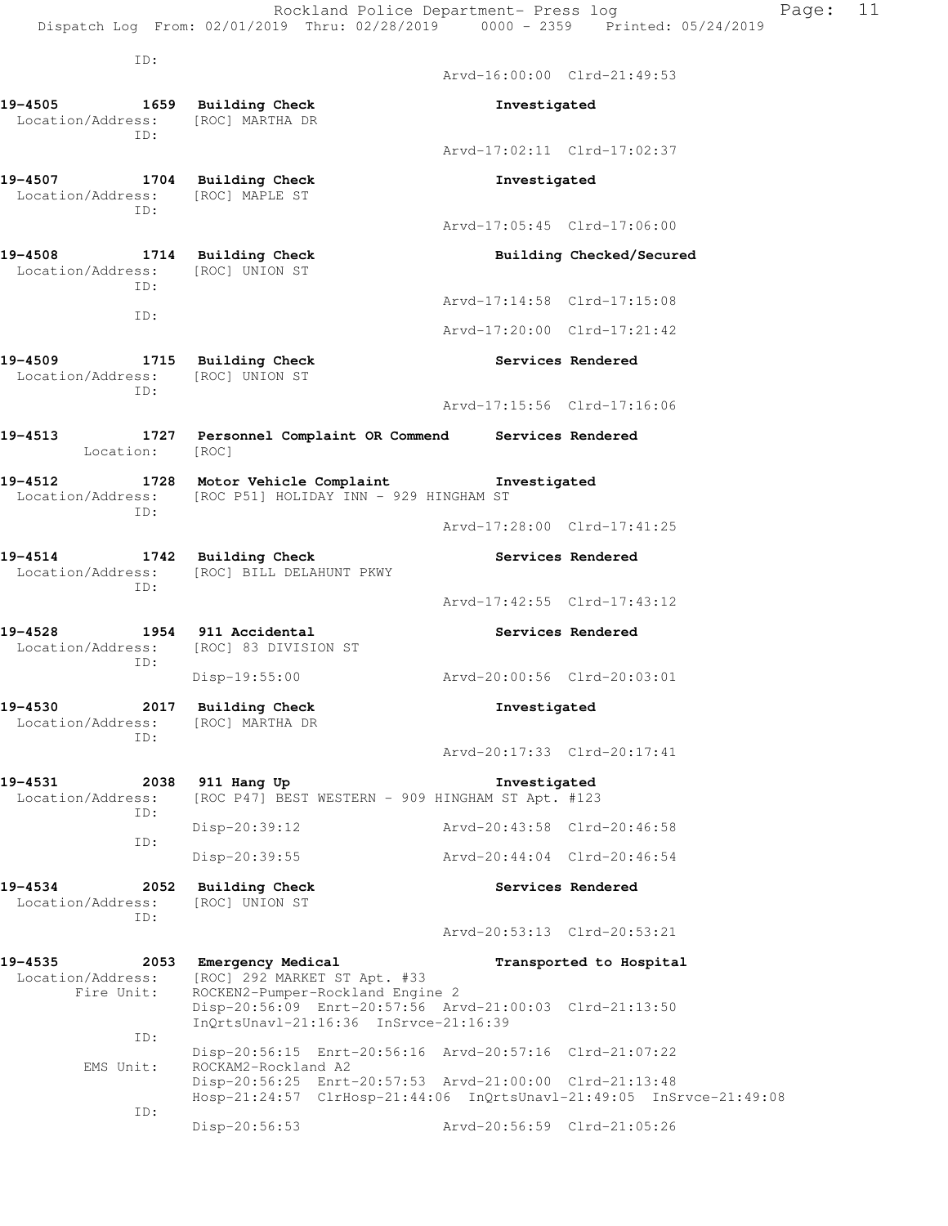- **19-4505 1659 Building Check Investigated**  Location/Address: [ROC] MARTHA DR ID:
- **19-4507 1704 Building Check Investigated**  Location/Address: [ROC] MAPLE ST ID:
- **19-4508 1714 Building Check Building Checked/Secured**  Location/Address: [ROC] UNION ST ID:
	- ID:
- **19-4509 1715 Building Check Services Rendered**  Location/Address: [ROC] UNION ST ID:
- 

ID:

ID:

ID:

 Location/Address: [ROC] MARTHA DR ID:

**19-4513 1727 Personnel Complaint OR Commend Services Rendered**  Location: [ROC]

Location/Address: [ROC] BILL DELAHUNT PKWY

Location/Address: [ROC] 83 DIVISION ST

- **19-4512 1728 Motor Vehicle Complaint Investigated**  Location/Address: [ROC P51] HOLIDAY INN - 929 HINGHAM ST ID:
	- Arvd-17:28:00 Clrd-17:41:25
- 19-4514 1742 Building Check **Services Rendered**

Arvd-16:00:00 Clrd-21:49:53

Arvd-17:02:11 Clrd-17:02:37

Arvd-17:05:45 Clrd-17:06:00

Arvd-17:14:58 Clrd-17:15:08

Arvd-17:20:00 Clrd-17:21:42

Arvd-17:15:56 Clrd-17:16:06

- Arvd-17:42:55 Clrd-17:43:12
- **19-4528 1954 911 Accidental Services Rendered** 
	- Disp-19:55:00 Arvd-20:00:56 Clrd-20:03:01
- **19-4530 2017 Building Check Investigated** 
	- Arvd-20:17:33 Clrd-20:17:41
- **19-4531 2038 911 Hang Up Investigated**  Location/Address: [ROC P47] BEST WESTERN - 909 HINGHAM ST Apt. #123 ID: Disp-20:39:12 Arvd-20:43:58 Clrd-20:46:58 ID: Disp-20:39:55 Arvd-20:44:04 Clrd-20:46:54
- **19-4534 2052 Building Check Services Rendered**  Location/Address: [ROC] UNION ST
	- Arvd-20:53:13 Clrd-20:53:21
- 19-4535 **2053** Emergency Medical **Example 19-4535**  Location/Address: [ROC] 292 MARKET ST Apt. #33 Fire Unit: ROCKEN2-Pumper-Rockland Engine 2 Disp-20:56:09 Enrt-20:57:56 Arvd-21:00:03 Clrd-21:13:50 InQrtsUnavl-21:16:36 InSrvce-21:16:39 ID: Disp-20:56:15 Enrt-20:56:16 Arvd-20:57:16 Clrd-21:07:22 EMS Unit: ROCKAM2-Rockland A2 Disp-20:56:25 Enrt-20:57:53 Arvd-21:00:00 Clrd-21:13:48 Hosp-21:24:57 ClrHosp-21:44:06 InQrtsUnavl-21:49:05 InSrvce-21:49:08 ID: Disp-20:56:53 Arvd-20:56:59 Clrd-21:05:26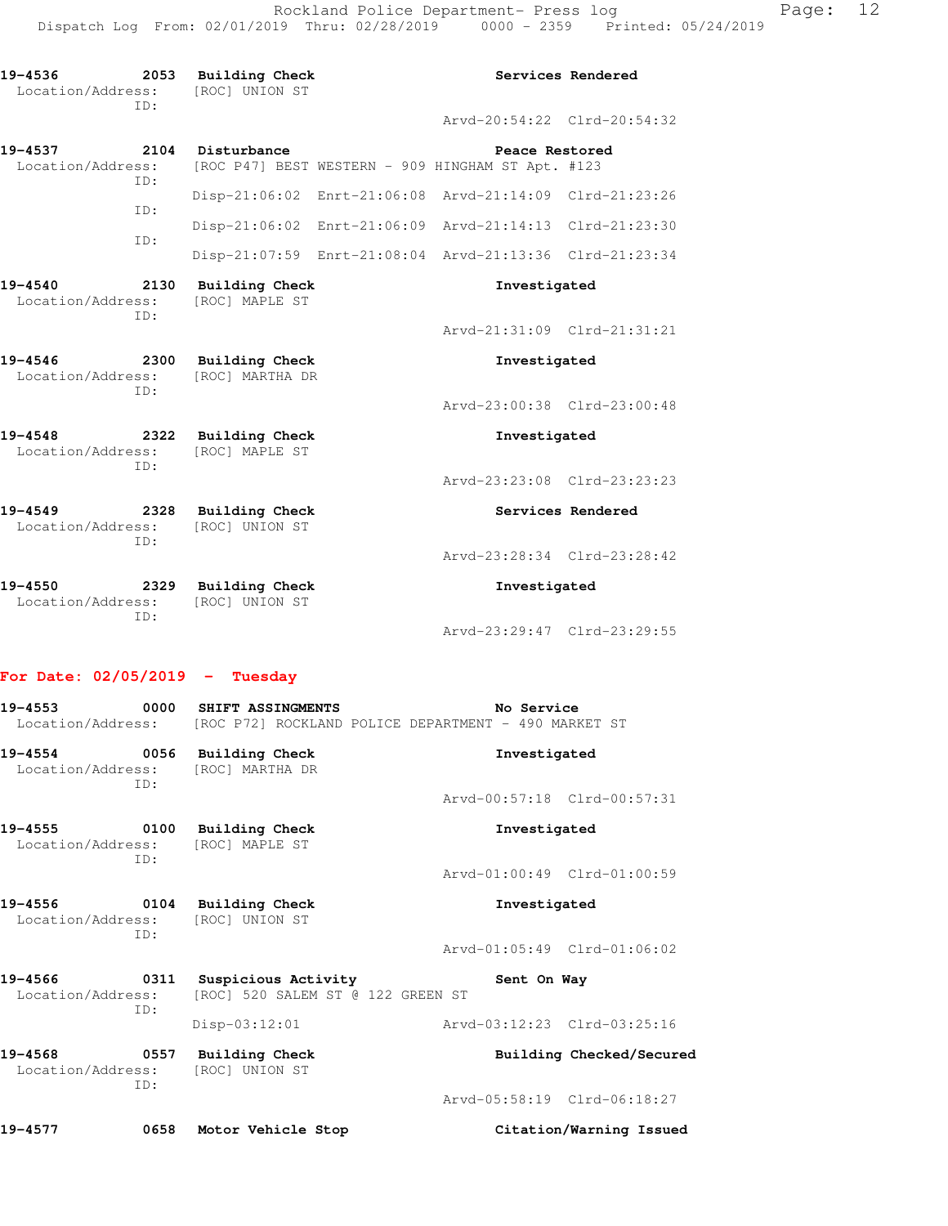| 19-4536<br>Location/Address:         | ID:         | 2053 Building Check<br>[ROC] UNION ST    |                                                                     | Services Rendered |
|--------------------------------------|-------------|------------------------------------------|---------------------------------------------------------------------|-------------------|
|                                      |             |                                          | Arvd-20:54:22 Clrd-20:54:32                                         |                   |
| 19-4537<br>Location/Address:         |             | 2104 Disturbance                         | Peace Restored<br>[ROC P47] BEST WESTERN - 909 HINGHAM ST Apt. #123 |                   |
|                                      | ID:<br>TD:  |                                          | Disp-21:06:02 Enrt-21:06:08 Arvd-21:14:09 Clrd-21:23:26             |                   |
|                                      | TD:         |                                          | Disp-21:06:02 Enrt-21:06:09 Arvd-21:14:13 Clrd-21:23:30             |                   |
|                                      |             |                                          | Disp-21:07:59 Enrt-21:08:04 Arvd-21:13:36 Clrd-21:23:34             |                   |
| 19-4540<br>Location/Address:         | 2130<br>TD: | Building Check<br>[ROC] MAPLE ST         | Investigated                                                        |                   |
|                                      |             |                                          | Arvd-21:31:09 Clrd-21:31:21                                         |                   |
| 19-4546<br>2300<br>Location/Address: | ID:         | <b>Building Check</b><br>[ROC] MARTHA DR | Investigated                                                        |                   |
|                                      |             |                                          |                                                                     |                   |
|                                      |             |                                          | Arvd-23:00:38 Clrd-23:00:48                                         |                   |
| 19-4548<br>2322<br>Location/Address: |             | Building Check<br>[ROC] MAPLE ST         | Investigated                                                        |                   |
|                                      | TD:         |                                          | Arvd-23:23:08 Clrd-23:23:23                                         |                   |
| 19-4549<br>Location/Address:         |             | 2328 Building Check<br>[ROC] UNION ST    |                                                                     | Services Rendered |
|                                      | ID:         |                                          | Arvd-23:28:34 Clrd-23:28:42                                         |                   |
| 19-4550<br>2329<br>Location/Address: | ID:         | <b>Building Check</b><br>[ROC] UNION ST  | Investigated                                                        |                   |

## **For Date: 02/05/2019 - Tuesday**

| 19-4553 2001                                                            | 0000 SHIFT ASSINGMENTS                                        | No Service<br>Location/Address: [ROC P72] ROCKLAND POLICE DEPARTMENT - 490 MARKET ST |
|-------------------------------------------------------------------------|---------------------------------------------------------------|--------------------------------------------------------------------------------------|
| 19-4554 0056 Building Check<br>Location/Address: [ROC] MARTHA DR<br>TD: |                                                               | Investigated                                                                         |
|                                                                         |                                                               | Arvd-00:57:18 Clrd-00:57:31                                                          |
| 19-4555 0100<br>Location/Address: [ROC] MAPLE ST<br>ID:                 | Building Check                                                | Investigated                                                                         |
|                                                                         |                                                               | Arvd-01:00:49 Clrd-01:00:59                                                          |
| 19-4556 0104 Building Check<br>Location/Address: [ROC] UNION ST<br>TD:  |                                                               | Investigated                                                                         |
|                                                                         |                                                               | Arvd-01:05:49 Clrd-01:06:02                                                          |
| 19-4566<br>Location/Address:<br>TD:                                     | 0311 Suspicious Activity<br>[ROC] 520 SALEM ST @ 122 GREEN ST | Sent On Way                                                                          |
|                                                                         | $Disp-03:12:01$                                               | Arvd-03:12:23 Clrd-03:25:16                                                          |
| 19-4568 0557 Building Check<br>Location/Address: [ROC] UNION ST<br>ID:  |                                                               | Building Checked/Secured                                                             |
|                                                                         |                                                               | Arvd-05:58:19 Clrd-06:18:27                                                          |
| 19-4577<br>0658                                                         | Motor Vehicle Stop                                            | Citation/Warning Issued                                                              |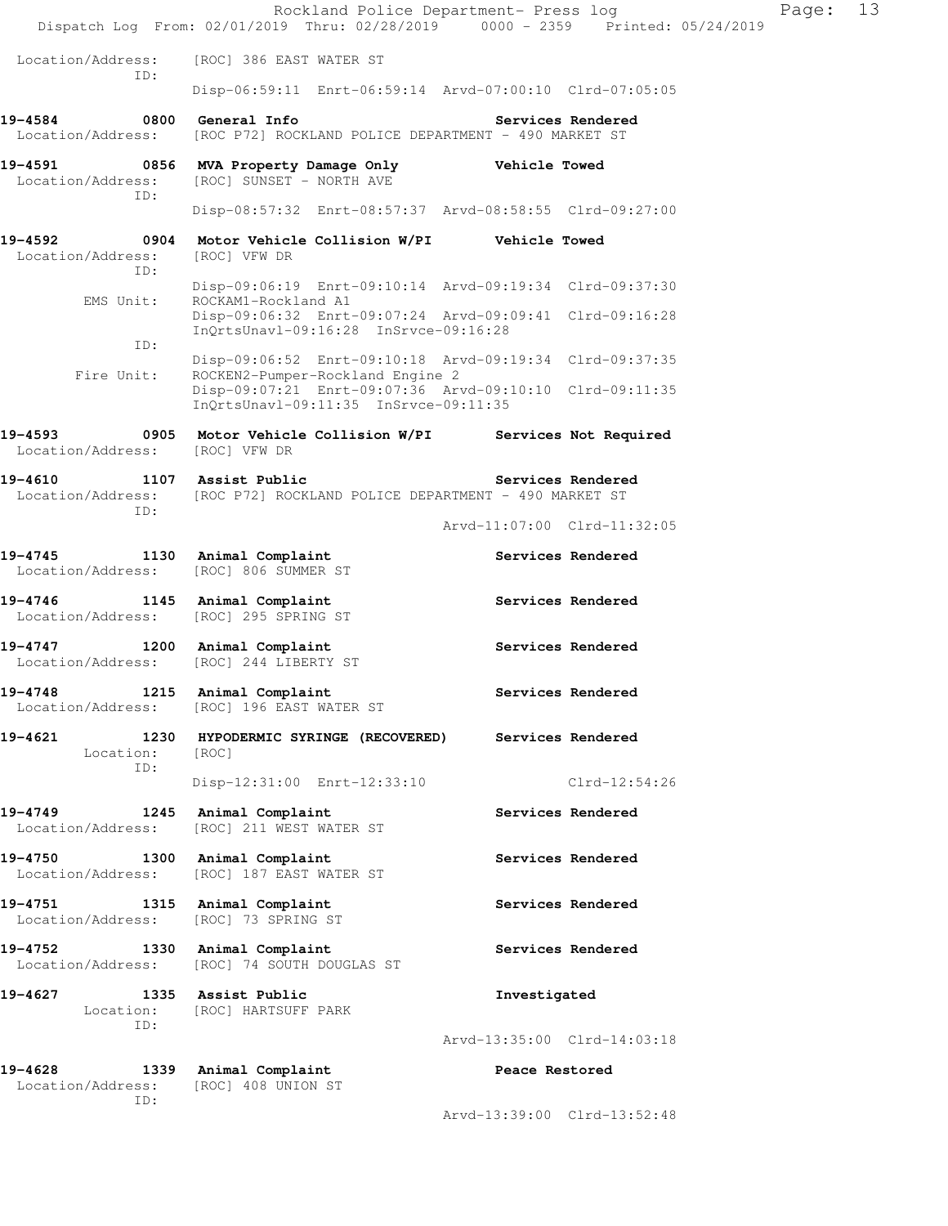|                                                   | Rockland Police Department- Press log<br>Dispatch Log From: 02/01/2019 Thru: 02/28/2019 0000 - 2359 Printed: 05/24/2019 |                             |                   | Page: | 13 |
|---------------------------------------------------|-------------------------------------------------------------------------------------------------------------------------|-----------------------------|-------------------|-------|----|
| Location/Address:                                 | [ROC] 386 EAST WATER ST                                                                                                 |                             |                   |       |    |
| ID:                                               | Disp-06:59:11 Enrt-06:59:14 Arvd-07:00:10 Clrd-07:05:05                                                                 |                             |                   |       |    |
| 19-4584<br>Location/Address:                      | 0800 General Info<br>[ROC P72] ROCKLAND POLICE DEPARTMENT - 490 MARKET ST                                               |                             | Services Rendered |       |    |
| 19-4591<br>0856<br>Location/Address:              | MVA Property Damage Only<br>[ROC] SUNSET - NORTH AVE                                                                    | <b>Vehicle Towed</b>        |                   |       |    |
| ID:                                               | Disp-08:57:32 Enrt-08:57:37 Arvd-08:58:55 Clrd-09:27:00                                                                 |                             |                   |       |    |
| 19-4592<br>Location/Address:<br>ID:               | 0904 Motor Vehicle Collision W/PI Vehicle Towed<br>[ROC] VFW DR                                                         |                             |                   |       |    |
| EMS Unit:                                         | Disp-09:06:19 Enrt-09:10:14 Arvd-09:19:34 Clrd-09:37:30<br>ROCKAM1-Rockland A1                                          |                             |                   |       |    |
| ID:                                               | Disp-09:06:32 Enrt-09:07:24 Arvd-09:09:41 Clrd-09:16:28<br>InOrtsUnavl-09:16:28 InSrvce-09:16:28                        |                             |                   |       |    |
| Fire Unit:                                        | Disp-09:06:52 Enrt-09:10:18 Arvd-09:19:34 Clrd-09:37:35<br>ROCKEN2-Pumper-Rockland Engine 2                             |                             |                   |       |    |
|                                                   | Disp-09:07:21 Enrt-09:07:36 Arvd-09:10:10 Clrd-09:11:35<br>InQrtsUnavl-09:11:35 InSrvce-09:11:35                        |                             |                   |       |    |
| 19-4593<br>Location/Address:                      | 0905 Motor Vehicle Collision W/PI Services Not Required<br>[ROC] VFW DR                                                 |                             |                   |       |    |
| 19-4610<br>Location/Address:<br>ID:               | 1107 Assist Public<br>[ROC P72] ROCKLAND POLICE DEPARTMENT - 490 MARKET ST                                              |                             | Services Rendered |       |    |
|                                                   |                                                                                                                         | Arvd-11:07:00 Clrd-11:32:05 |                   |       |    |
| 19-4745<br>Location/Address:                      | 1130 Animal Complaint<br>[ROC] 806 SUMMER ST                                                                            |                             | Services Rendered |       |    |
| $19 - 4746$<br>Location/Address:                  | 1145 Animal Complaint<br>[ROC] 295 SPRING ST                                                                            |                             | Services Rendered |       |    |
| 19-4747<br>Location/Address: [ROC] 244 LIBERTY ST | 1200 Animal Complaint                                                                                                   |                             | Services Rendered |       |    |
| 19-4748<br>1215<br>Location/Address:              | Animal Complaint<br>[ROC] 196 EAST WATER ST                                                                             |                             | Services Rendered |       |    |
| 19-4621<br>Location:                              | 1230 HYPODERMIC SYRINGE (RECOVERED)<br>[ROC]                                                                            |                             | Services Rendered |       |    |
| ID:                                               | Disp-12:31:00 Enrt-12:33:10                                                                                             |                             | $Clrd-12:54:26$   |       |    |
| 19-4749<br>1245<br>Location/Address:              | Animal Complaint<br>[ROC] 211 WEST WATER ST                                                                             |                             | Services Rendered |       |    |
| 19-4750<br>1300<br>Location/Address:              | Animal Complaint<br>[ROC] 187 EAST WATER ST                                                                             |                             | Services Rendered |       |    |
| 19-4751<br>1315<br>Location/Address:              | Animal Complaint<br>[ROC] 73 SPRING ST                                                                                  |                             | Services Rendered |       |    |
| 19-4752<br>Location/Address:                      | 1330 Animal Complaint<br>[ROC] 74 SOUTH DOUGLAS ST                                                                      |                             | Services Rendered |       |    |
| 19-4627<br>Location:                              | 1335 Assist Public<br>[ROC] HARTSUFF PARK                                                                               | Investigated                |                   |       |    |
| ID:                                               |                                                                                                                         | Arvd-13:35:00 Clrd-14:03:18 |                   |       |    |
| 19-4628<br>Location/Address:                      | 1339 Animal Complaint<br>[ROC] 408 UNION ST                                                                             | Peace Restored              |                   |       |    |
| ID:                                               |                                                                                                                         | Arvd-13:39:00 Clrd-13:52:48 |                   |       |    |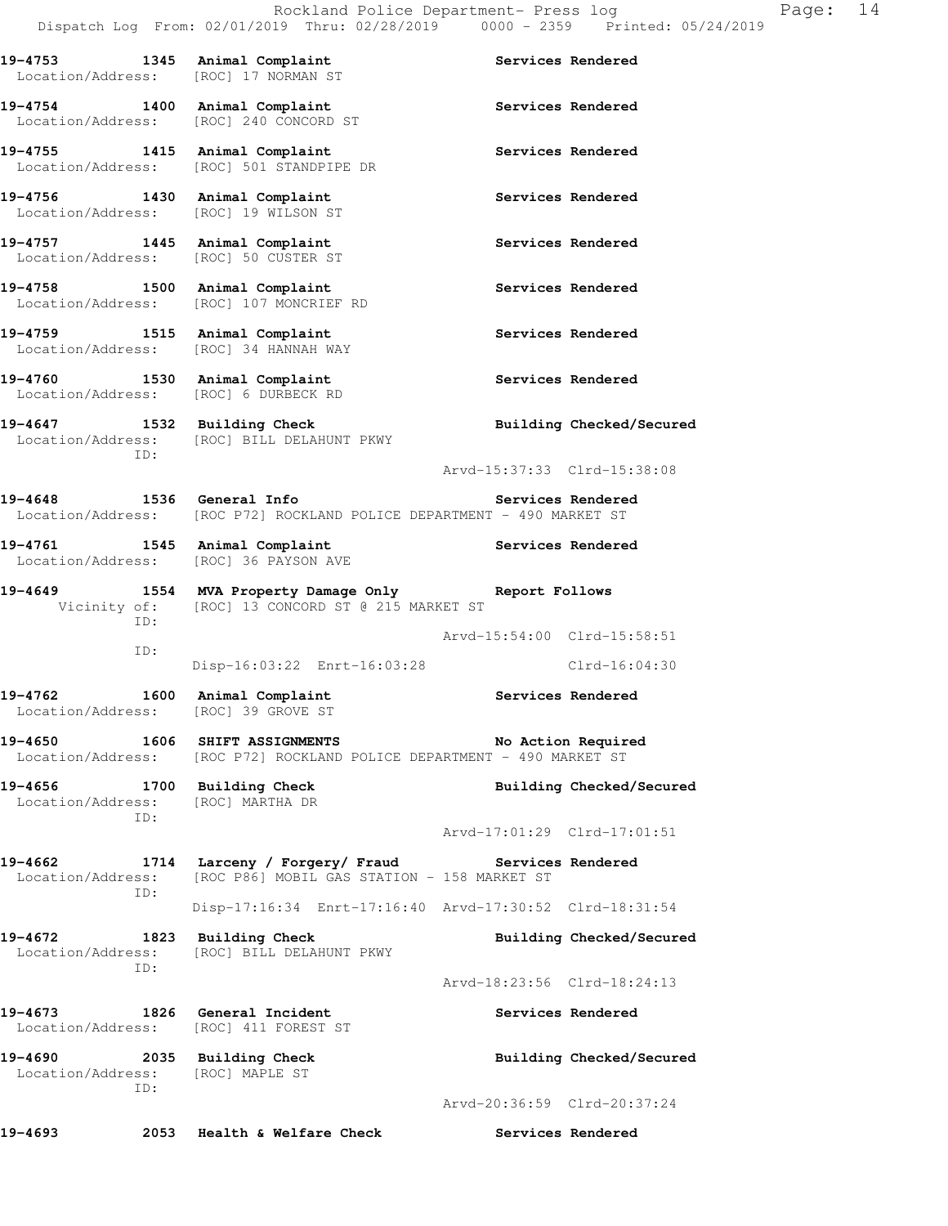**19-4753 1345 Animal Complaint Services Rendered**  Location/Address: [ROC] 17 NORMAN ST 19-4754 1400 Animal Complaint **19-4754** Services Rendered Location/Address: [ROC] 240 CONCORD ST 19-4755 1415 Animal Complaint **Services Rendered**  Location/Address: [ROC] 501 STANDPIPE DR **19-4756 1430 Animal Complaint Services Rendered**  Location/Address: [ROC] 19 WILSON ST 19-4757 **1445** Animal Complaint **Services Rendered** Location/Address: [ROC] 50 CUSTER ST 19-4758 1500 Animal Complaint **19-4758** Services Rendered Location/Address: [ROC] 107 MONCRIEF RD 19-4759 1515 Animal Complaint **1896 1897 1898** Services Rendered Location/Address: [ROC] 34 HANNAH WAY 19-4760 1530 Animal Complaint **19-4760** Services Rendered Location/Address: [ROC] 6 DURBECK RD **19-4647 1532 Building Check Building Checked/Secured**  Location/Address: [ROC] BILL DELAHUNT PKWY ID: Arvd-15:37:33 Clrd-15:38:08 **19-4648 1536 General Info Services Rendered**  Location/Address: [ROC P72] ROCKLAND POLICE DEPARTMENT - 490 MARKET ST 19-4761 1545 Animal Complaint **19-4761** Services Rendered Location/Address: [ROC] 36 PAYSON AVE **19-4649 1554 MVA Property Damage Only Report Follows**  Vicinity of: [ROC] 13 CONCORD ST @ 215 MARKET ST ID: Arvd-15:54:00 Clrd-15:58:51 ID: Disp-16:03:22 Enrt-16:03:28 Clrd-16:04:30 19-4762 1600 Animal Complaint **19-4762** Services Rendered Location/Address: [ROC] 39 GROVE ST **19-4650 1606 SHIFT ASSIGNMENTS No Action Required**  Location/Address: [ROC P72] ROCKLAND POLICE DEPARTMENT - 490 MARKET ST **19-4656 1700 Building Check Building Checked/Secured**  Location/Address: [ROC] MARTHA DR ID: Arvd-17:01:29 Clrd-17:01:51 **19-4662 1714 Larceny / Forgery/ Fraud Services Rendered**  Location/Address: [ROC P86] MOBIL GAS STATION - 158 MARKET ST ID: Disp-17:16:34 Enrt-17:16:40 Arvd-17:30:52 Clrd-18:31:54 19-4672 1823 Building Check **Building Checked/Secured**  Location/Address: [ROC] BILL DELAHUNT PKWY ID: Arvd-18:23:56 Clrd-18:24:13 **19-4673 1826 General Incident Services Rendered**  Location/Address: [ROC] 411 FOREST ST

**19-4690 2035 Building Check Building Checked/Secured**  Location/Address: [ROC] MAPLE ST ID: Arvd-20:36:59 Clrd-20:37:24

**19-4693 2053 Health & Welfare Check Services Rendered**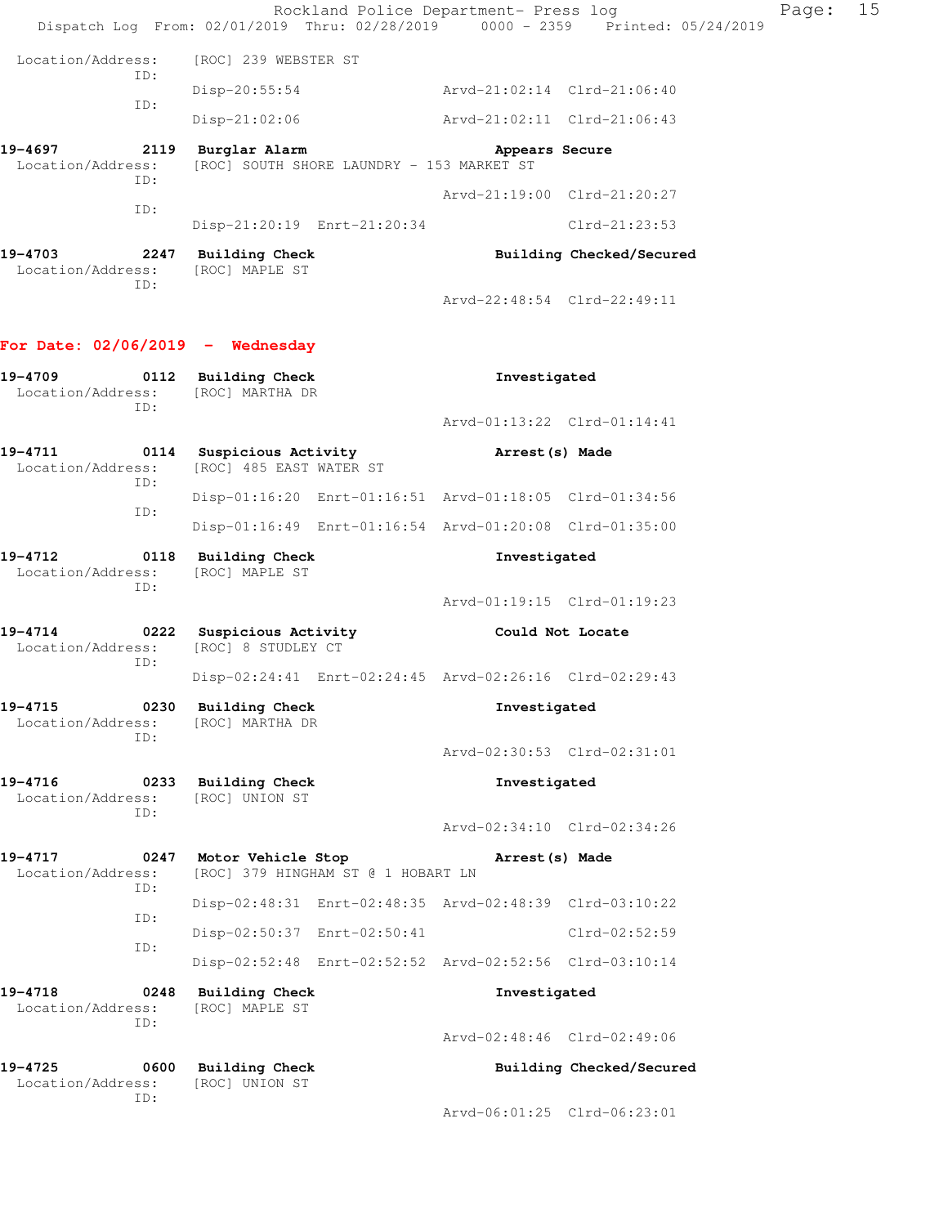|                                                                                                              |      |                                                |                                           | Rockland Police Department- Press log                   | Dispatch Log From: 02/01/2019 Thru: 02/28/2019 0000 - 2359 Printed: 05/24/2019 | Page: | 15 |
|--------------------------------------------------------------------------------------------------------------|------|------------------------------------------------|-------------------------------------------|---------------------------------------------------------|--------------------------------------------------------------------------------|-------|----|
| Location/Address:                                                                                            |      | [ROC] 239 WEBSTER ST                           |                                           |                                                         |                                                                                |       |    |
| ID:                                                                                                          |      | $Disp-20:55:54$                                |                                           | Arvd-21:02:14 Clrd-21:06:40                             |                                                                                |       |    |
| ID:                                                                                                          |      | Disp-21:02:06                                  |                                           | Arvd-21:02:11 Clrd-21:06:43                             |                                                                                |       |    |
| 19-4697<br>Location/Address:<br>ID:                                                                          |      | 2119 Burglar Alarm                             | [ROC] SOUTH SHORE LAUNDRY - 153 MARKET ST | Appears Secure                                          |                                                                                |       |    |
| ID:                                                                                                          |      |                                                |                                           | Arvd-21:19:00 Clrd-21:20:27                             |                                                                                |       |    |
|                                                                                                              |      | Disp-21:20:19 Enrt-21:20:34                    |                                           |                                                         | $Clrd-21:23:53$                                                                |       |    |
| 19-4703<br>Location/Address:<br>ID:                                                                          |      | 2247 Building Check<br>[ROC] MAPLE ST          |                                           |                                                         | Building Checked/Secured                                                       |       |    |
|                                                                                                              |      |                                                |                                           | Arvd-22:48:54 Clrd-22:49:11                             |                                                                                |       |    |
| For Date: $02/06/2019$ - Wednesday                                                                           |      |                                                |                                           |                                                         |                                                                                |       |    |
| 19-4709 0112 Building Check<br>Location/Address: [ROC] MARTHA DR<br>ID:                                      |      |                                                |                                           | Investigated                                            |                                                                                |       |    |
|                                                                                                              |      |                                                |                                           | Arvd-01:13:22 Clrd-01:14:41                             |                                                                                |       |    |
| 19-4711 		 0114 Suspicious Activity 					 Arrest(s) Made<br>Location/Address: [ROC] 485 EAST WATER ST<br>ID: |      |                                                |                                           |                                                         |                                                                                |       |    |
| ID:                                                                                                          |      |                                                |                                           | Disp-01:16:20 Enrt-01:16:51 Arvd-01:18:05 Clrd-01:34:56 |                                                                                |       |    |
|                                                                                                              |      |                                                |                                           | Disp-01:16:49 Enrt-01:16:54 Arvd-01:20:08 Clrd-01:35:00 |                                                                                |       |    |
| 19-4712<br>Location/Address:<br>ID:                                                                          |      | 0118 Building Check<br>[ROC] MAPLE ST          |                                           | Investigated                                            |                                                                                |       |    |
|                                                                                                              |      |                                                |                                           | Arvd-01:19:15 Clrd-01:19:23                             |                                                                                |       |    |
| 19-4714<br>Location/Address:<br>ID:                                                                          |      | 0222 Suspicious Activity<br>[ROC] 8 STUDLEY CT |                                           | Could Not Locate                                        |                                                                                |       |    |
|                                                                                                              |      |                                                |                                           | Disp-02:24:41 Enrt-02:24:45 Arvd-02:26:16 Clrd-02:29:43 |                                                                                |       |    |
| 19-4715<br>Location/Address:<br>ID:                                                                          | 0230 | <b>Building Check</b><br>[ROC] MARTHA DR       |                                           | Investigated                                            |                                                                                |       |    |
|                                                                                                              |      |                                                |                                           | Arvd-02:30:53 Clrd-02:31:01                             |                                                                                |       |    |
| 19-4716<br>Location/Address:<br>ID:                                                                          |      | 0233 Building Check<br>[ROC] UNION ST          |                                           | Investigated                                            |                                                                                |       |    |
|                                                                                                              |      |                                                |                                           | Arvd-02:34:10 Clrd-02:34:26                             |                                                                                |       |    |
| 19-4717<br>Location/Address:<br>ID:                                                                          | 0247 | Motor Vehicle Stop                             | [ROC] 379 HINGHAM ST @ 1 HOBART LN        | Arrest (s) Made                                         |                                                                                |       |    |
| ID:                                                                                                          |      |                                                |                                           | Disp-02:48:31 Enrt-02:48:35 Arvd-02:48:39 Clrd-03:10:22 |                                                                                |       |    |
| ID:                                                                                                          |      | Disp-02:50:37 Enrt-02:50:41                    |                                           |                                                         | Clrd-02:52:59                                                                  |       |    |
|                                                                                                              |      |                                                |                                           | Disp-02:52:48 Enrt-02:52:52 Arvd-02:52:56 Clrd-03:10:14 |                                                                                |       |    |
| 19-4718<br>Location/Address:<br>ID:                                                                          | 0248 | <b>Building Check</b><br>[ROC] MAPLE ST        |                                           | Investigated                                            |                                                                                |       |    |
|                                                                                                              |      |                                                |                                           | Arvd-02:48:46 Clrd-02:49:06                             |                                                                                |       |    |
| 19-4725<br>Location/Address:<br>ID:                                                                          |      | 0600 Building Check<br>[ROC] UNION ST          |                                           |                                                         | Building Checked/Secured                                                       |       |    |
|                                                                                                              |      |                                                |                                           | Arvd-06:01:25 Clrd-06:23:01                             |                                                                                |       |    |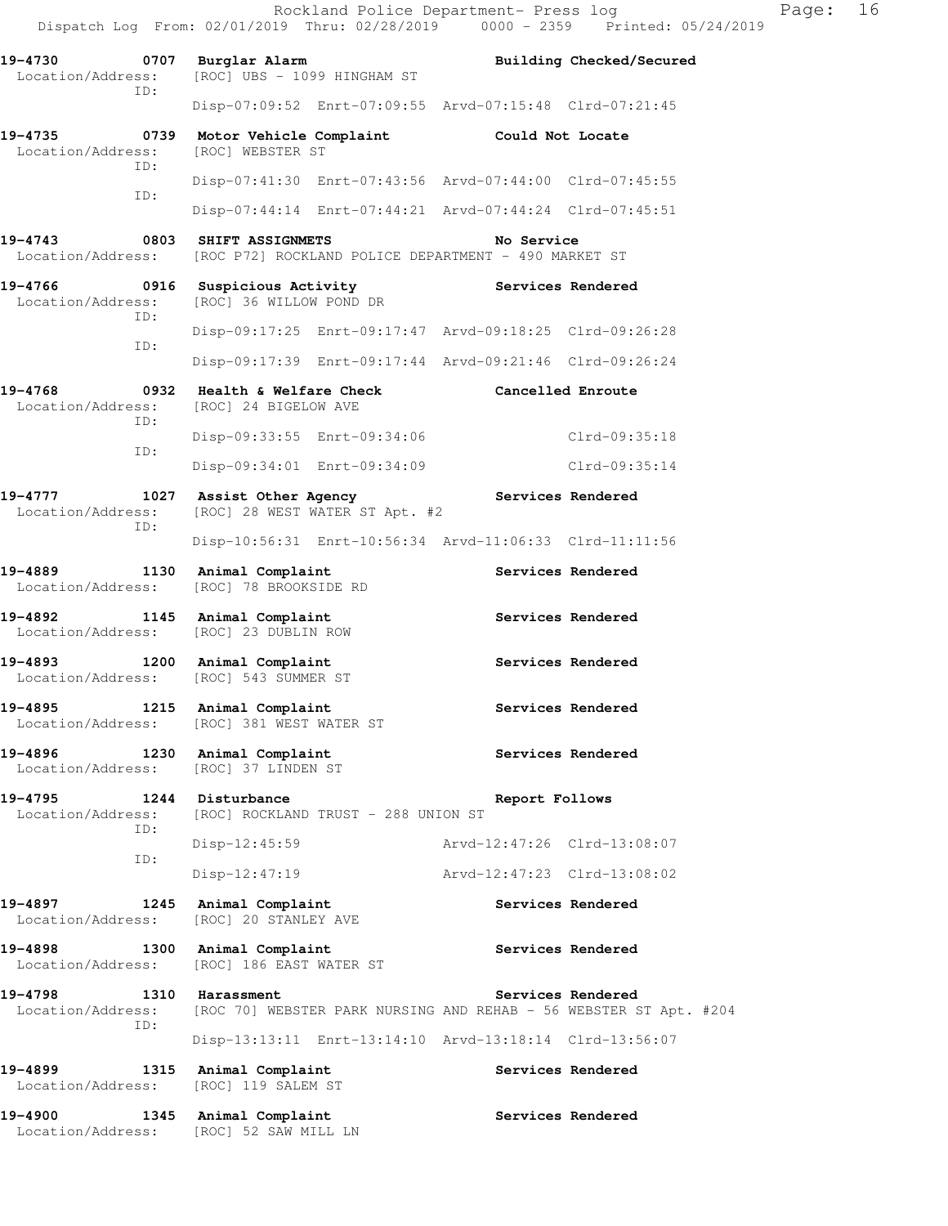|                              |      |                                                                        |                                     |                                                                                      | Rockland Police Department- Press log<br>Dispatch Log From: 02/01/2019 Thru: 02/28/2019 0000 - 2359 Printed: 05/24/2019 | Page: | 16 |
|------------------------------|------|------------------------------------------------------------------------|-------------------------------------|--------------------------------------------------------------------------------------|-------------------------------------------------------------------------------------------------------------------------|-------|----|
| Location/Address:            |      | 19-4730 0707 Burglar Alarm<br>[ROC] UBS - 1099 HINGHAM ST              |                                     |                                                                                      | Building Checked/Secured                                                                                                |       |    |
|                              | ID:  |                                                                        |                                     | Disp-07:09:52 Enrt-07:09:55 Arvd-07:15:48 Clrd-07:21:45                              |                                                                                                                         |       |    |
| Location/Address:            | ID:  | [ROC] WEBSTER ST                                                       |                                     | 19-4735 0739 Motor Vehicle Complaint Could Not Locate                                |                                                                                                                         |       |    |
|                              | ID:  |                                                                        |                                     | Disp-07:41:30 Enrt-07:43:56 Arvd-07:44:00 Clrd-07:45:55                              |                                                                                                                         |       |    |
|                              |      |                                                                        |                                     | Disp-07:44:14 Enrt-07:44:21 Arvd-07:44:24 Clrd-07:45:51                              |                                                                                                                         |       |    |
|                              |      | 19-4743 0803 SHIFT ASSIGNMETS                                          |                                     | No Service<br>Location/Address: [ROC P72] ROCKLAND POLICE DEPARTMENT - 490 MARKET ST |                                                                                                                         |       |    |
| Location/Address:            |      | [ROC] 36 WILLOW POND DR                                                |                                     |                                                                                      |                                                                                                                         |       |    |
|                              | ID:  |                                                                        |                                     | Disp-09:17:25 Enrt-09:17:47 Arvd-09:18:25 Clrd-09:26:28                              |                                                                                                                         |       |    |
|                              | ID:  |                                                                        |                                     | Disp-09:17:39 Enrt-09:17:44 Arvd-09:21:46 Clrd-09:26:24                              |                                                                                                                         |       |    |
| Location/Address:            | ID:  | [ROC] 24 BIGELOW AVE                                                   |                                     | 19-4768       0932   Health & Welfare Check         Cancelled Enroute                |                                                                                                                         |       |    |
|                              | ID:  |                                                                        | Disp-09:33:55 Enrt-09:34:06         |                                                                                      | Clrd-09:35:18                                                                                                           |       |    |
|                              |      |                                                                        | Disp-09:34:01 Enrt-09:34:09         |                                                                                      | Clrd-09:35:14                                                                                                           |       |    |
| 19-4777<br>Location/Address: | ID:  | 1027 Assist Other Agency<br>[ROC] 28 WEST WATER ST Apt. #2             |                                     | Services Rendered                                                                    |                                                                                                                         |       |    |
|                              |      |                                                                        |                                     | Disp-10:56:31 Enrt-10:56:34 Arvd-11:06:33 Clrd-11:11:56                              |                                                                                                                         |       |    |
| 19-4889<br>Location/Address: |      | 1130 Animal Complaint<br>[ROC] 78 BROOKSIDE RD                         |                                     |                                                                                      | Services Rendered                                                                                                       |       |    |
| 19-4892<br>Location/Address: |      | 1145 Animal Complaint<br>[ROC] 23 DUBLIN ROW                           |                                     |                                                                                      | Services Rendered                                                                                                       |       |    |
|                              |      | 19-4893 1200 Animal Complaint<br>Location/Address: [ROC] 543 SUMMER ST |                                     |                                                                                      | Services Rendered                                                                                                       |       |    |
| 19-4895<br>Location/Address: |      | 1215 Animal Complaint<br>[ROC] 381 WEST WATER ST                       |                                     |                                                                                      | Services Rendered                                                                                                       |       |    |
| 19-4896<br>Location/Address: |      | 1230 Animal Complaint<br>[ROC] 37 LINDEN ST                            |                                     |                                                                                      | Services Rendered                                                                                                       |       |    |
| 19-4795<br>Location/Address: |      | 1244 Disturbance                                                       | [ROC] ROCKLAND TRUST - 288 UNION ST | Report Follows                                                                       |                                                                                                                         |       |    |
|                              | ID:  | $Disp-12:45:59$                                                        |                                     | Arvd-12:47:26 Clrd-13:08:07                                                          |                                                                                                                         |       |    |
|                              | ID:  | $Disp-12:47:19$                                                        |                                     | Arvd-12:47:23 Clrd-13:08:02                                                          |                                                                                                                         |       |    |
| 19-4897<br>Location/Address: |      | 1245 Animal Complaint<br>[ROC] 20 STANLEY AVE                          |                                     |                                                                                      | Services Rendered                                                                                                       |       |    |
| 19-4898<br>Location/Address: |      | 1300 Animal Complaint<br>[ROC] 186 EAST WATER ST                       |                                     |                                                                                      | Services Rendered                                                                                                       |       |    |
| 19-4798<br>Location/Address: | ID:  | 1310 Harassment                                                        |                                     |                                                                                      | Services Rendered<br>[ROC 70] WEBSTER PARK NURSING AND REHAB - 56 WEBSTER ST Apt. #204                                  |       |    |
|                              |      |                                                                        |                                     | Disp-13:13:11 Enrt-13:14:10 Arvd-13:18:14 Clrd-13:56:07                              |                                                                                                                         |       |    |
| 19-4899<br>Location/Address: | 1315 | Animal Complaint<br>[ROC] 119 SALEM ST                                 |                                     |                                                                                      | Services Rendered                                                                                                       |       |    |
| 19-4900                      |      | 1345 Animal Complaint                                                  |                                     |                                                                                      | Services Rendered                                                                                                       |       |    |

Location/Address: [ROC] 52 SAW MILL LN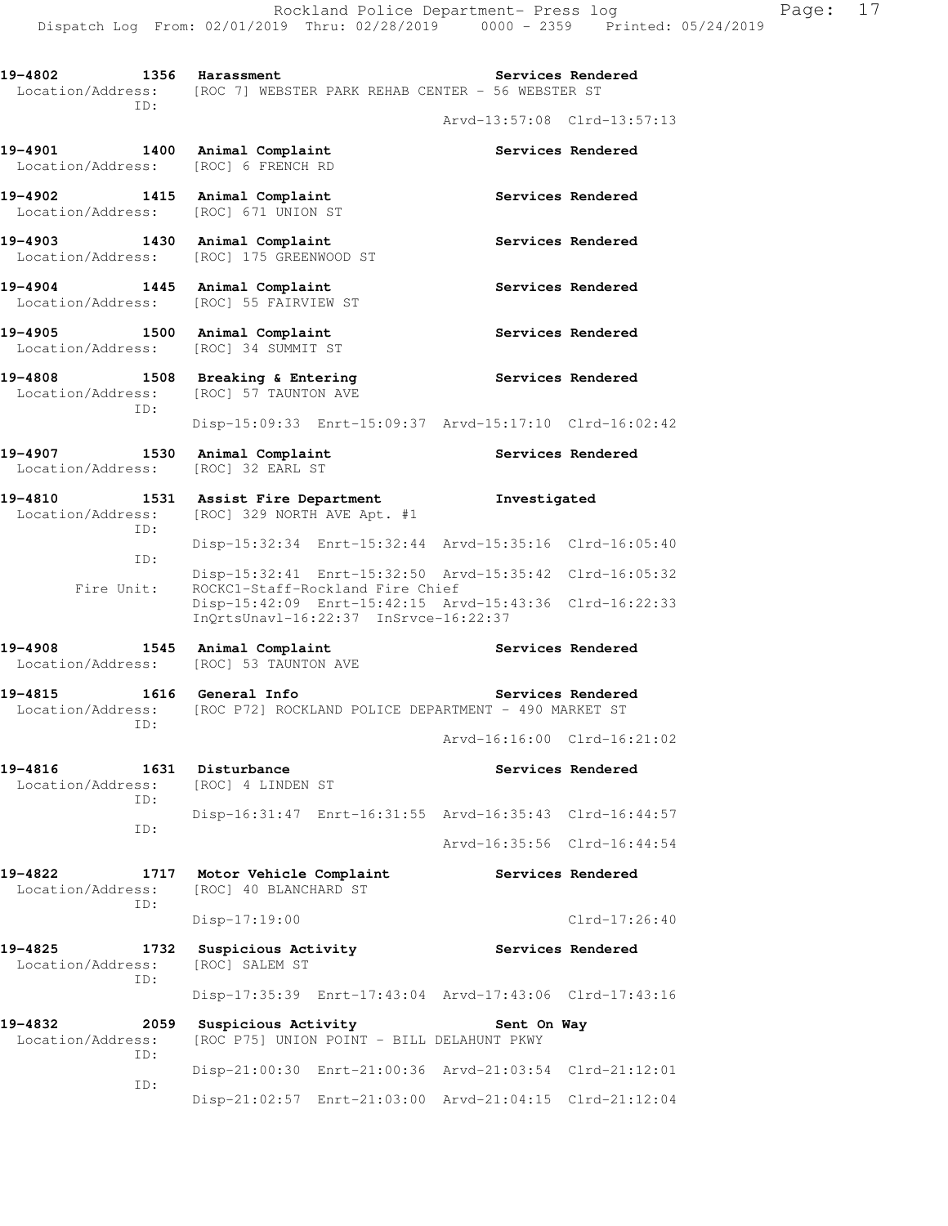19-4802 1356 Harassment **19-4802** Services Rendered Location/Address: [ROC 7] WEBSTER PARK REHAB CENTER - 56 WEBSTER ST ID: Arvd-13:57:08 Clrd-13:57:13 **19-4901 1400 Animal Complaint Services Rendered**  Location/Address: [ROC] 6 FRENCH RD 19-4902 1415 Animal Complaint **19-4902** Services Rendered Location/Address: [ROC] 671 UNION ST 19-4903 1430 Animal Complaint **19-4903** Services Rendered Location/Address: [ROC] 175 GREENWOOD ST 19-4904 **1445** Animal Complaint **1495** Services Rendered Location/Address: [ROC] 55 FAIRVIEW ST 19-4905 1500 Animal Complaint **1500 Services Rendered**  Location/Address: [ROC] 34 SUMMIT ST **19-4808 1508 Breaking & Entering Services Rendered**  Location/Address: [ROC] 57 TAUNTON AVE ID: Disp-15:09:33 Enrt-15:09:37 Arvd-15:17:10 Clrd-16:02:42 19-4907 **1530** Animal Complaint **19-4907** Services Rendered Location/Address: [ROC] 32 EARL ST **19-4810 1531 Assist Fire Department Investigated**  Location/Address: [ROC] 329 NORTH AVE Apt. #1 ID: Disp-15:32:34 Enrt-15:32:44 Arvd-15:35:16 Clrd-16:05:40 ID: Disp-15:32:41 Enrt-15:32:50 Arvd-15:35:42 Clrd-16:05:32 Fire Unit: ROCKC1-Staff-Rockland Fire Chief Disp-15:42:09 Enrt-15:42:15 Arvd-15:43:36 Clrd-16:22:33 InQrtsUnavl-16:22:37 InSrvce-16:22:37 19-4908 1545 Animal Complaint **19-4908** Services Rendered Location/Address: [ROC] 53 TAUNTON AVE **19-4815 1616 General Info Services Rendered**  Location/Address: [ROC P72] ROCKLAND POLICE DEPARTMENT - 490 MARKET ST ID: Arvd-16:16:00 Clrd-16:21:02 **19-4816 1631 Disturbance Services Rendered**  Location/Address: [ROC] 4 LINDEN ST ID: Disp-16:31:47 Enrt-16:31:55 Arvd-16:35:43 Clrd-16:44:57 ID: Arvd-16:35:56 Clrd-16:44:54 **19-4822 1717 Motor Vehicle Complaint Services Rendered**  Location/Address: [ROC] 40 BLANCHARD ST ID: Disp-17:19:00 Clrd-17:26:40 **19-4825 1732 Suspicious Activity Services Rendered**  Location/Address: [ROC] SALEM ST ID: Disp-17:35:39 Enrt-17:43:04 Arvd-17:43:06 Clrd-17:43:16 **19-4832 2059 Suspicious Activity Sent On Way**  Location/Address: [ROC P75] UNION POINT - BILL DELAHUNT PKWY ID: Disp-21:00:30 Enrt-21:00:36 Arvd-21:03:54 Clrd-21:12:01 ID: Disp-21:02:57 Enrt-21:03:00 Arvd-21:04:15 Clrd-21:12:04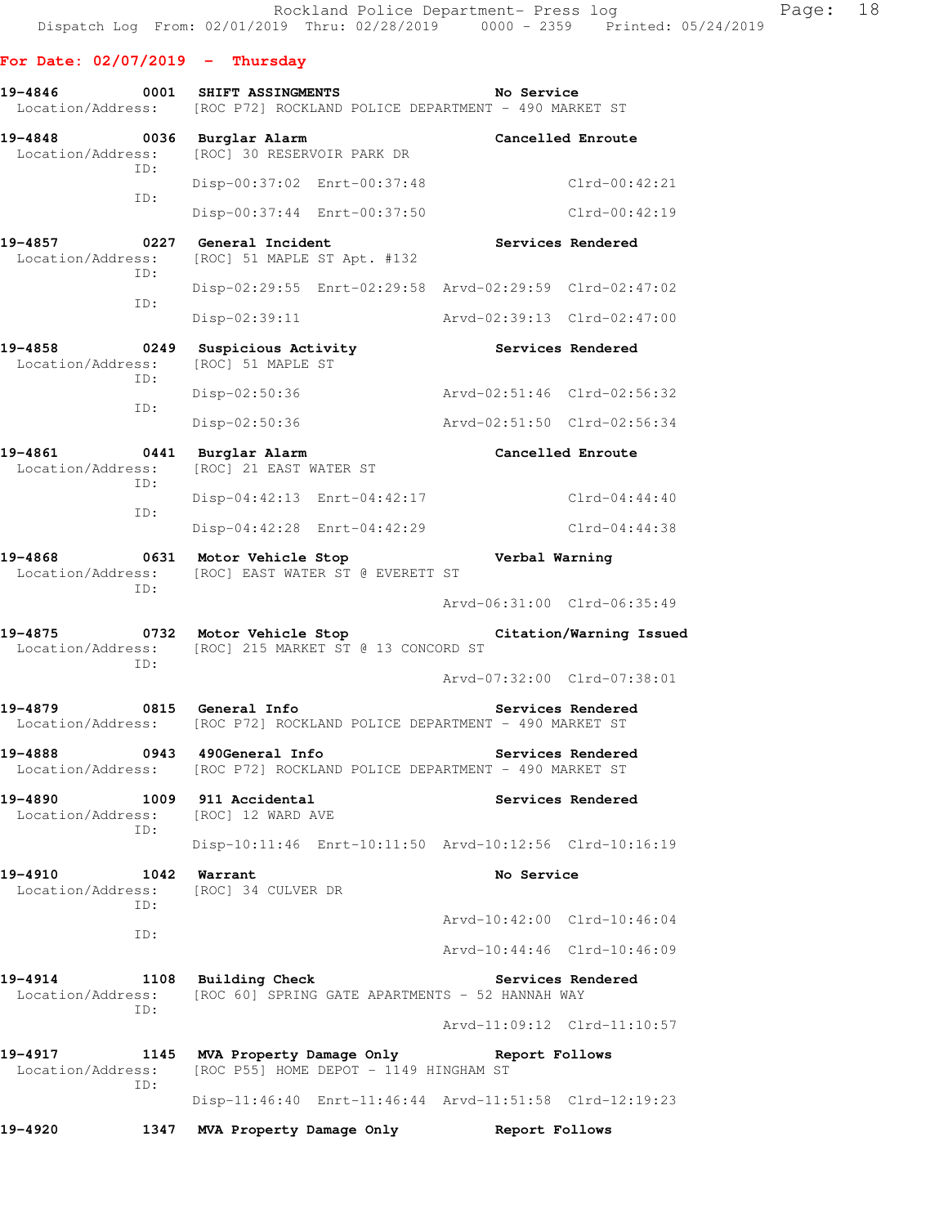### **For Date: 02/07/2019 - Thursday**

**19-4846 0001 SHIFT ASSINGMENTS No Service**  Location/Address: [ROC P72] ROCKLAND POLICE DEPARTMENT - 490 MARKET ST

- **19-4848 0036 Burglar Alarm Cancelled Enroute**  Location/Address: [ROC] 30 RESERVOIR PARK DR ID: Disp-00:37:02 Enrt-00:37:48 Clrd-00:42:21 ID: Disp-00:37:44 Enrt-00:37:50 Clrd-00:42:19 19-4857 **0227** General Incident **Constructs** Services Rendered Location/Address: [ROC] 51 MAPLE ST Apt. #132 ID: Disp-02:29:55 Enrt-02:29:58 Arvd-02:29:59 Clrd-02:47:02 ID: Disp-02:39:11 Arvd-02:39:13 Clrd-02:47:00 19-4858 **0249** Suspicious Activity **Services Rendered** Location/Address: [ROC] 51 MAPLE ST
	- ID: Disp-02:50:36 Arvd-02:51:46 Clrd-02:56:32 ID: Disp-02:50:36 Arvd-02:51:50 Clrd-02:56:34
- **19-4861 0441 Burglar Alarm Cancelled Enroute**  Location/Address: [ROC] 21 EAST WATER ST ID: Disp-04:42:13 Enrt-04:42:17 Clrd-04:44:40 ID: Disp-04:42:28 Enrt-04:42:29 Clrd-04:44:38
- **19-4868 0631 Motor Vehicle Stop Verbal Warning**  Location/Address: [ROC] EAST WATER ST @ EVERETT ST ID:

Arvd-06:31:00 Clrd-06:35:49

Arvd-07:32:00 Clrd-07:38:01

**19-4875 0732 Motor Vehicle Stop Citation/Warning Issued**  Location/Address: [ROC] 215 MARKET ST @ 13 CONCORD ST ID:

**19-4879 0815 General Info Services Rendered**  Location/Address: [ROC P72] ROCKLAND POLICE DEPARTMENT - 490 MARKET ST

**19-4888 0943 490General Info Services Rendered**  Location/Address: [ROC P72] ROCKLAND POLICE DEPARTMENT - 490 MARKET ST

19-4890 1009 911 Accidental **Services Rendered Services Rendered Integral Services Rendered** Location/Address: ID: Disp-10:11:46 Enrt-10:11:50 Arvd-10:12:56 Clrd-10:16:19

19-4910 **1042** Warrant **No Service**  Location/Address: [ROC] 34 CULVER DR ID: Arvd-10:42:00 Clrd-10:46:04 ID:

Arvd-10:44:46 Clrd-10:46:09

**19-4914 1108 Building Check Services Rendered**  Location/Address: [ROC 60] SPRING GATE APARTMENTS - 52 HANNAH WAY ID: Arvd-11:09:12 Clrd-11:10:57

**19-4917 1145 MVA Property Damage Only Report Follows**  Location/Address: [ROC P55] HOME DEPOT - 1149 HINGHAM ST ID: Disp-11:46:40 Enrt-11:46:44 Arvd-11:51:58 Clrd-12:19:23

**19-4920 1347 MVA Property Damage Only Report Follows**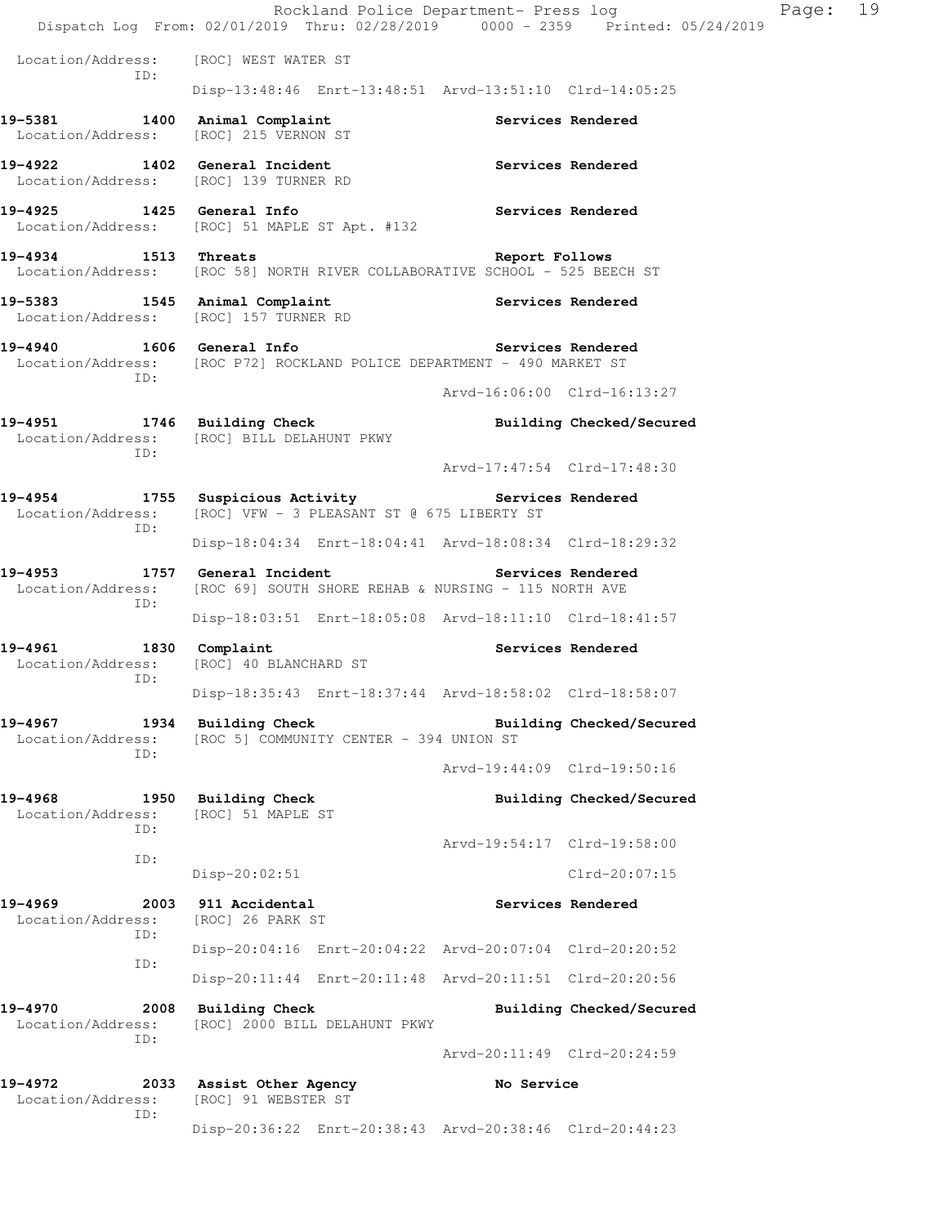|                                                                        | Rockland Police Department- Press log<br>Dispatch Log From: 02/01/2019 Thru: 02/28/2019 0000 - 2359 Printed: 05/24/2019 |                             |                          | 19<br>Page: |
|------------------------------------------------------------------------|-------------------------------------------------------------------------------------------------------------------------|-----------------------------|--------------------------|-------------|
| Location/Address:                                                      | [ROC] WEST WATER ST                                                                                                     |                             |                          |             |
| ID:                                                                    | Disp-13:48:46 Enrt-13:48:51 Arvd-13:51:10 Clrd-14:05:25                                                                 |                             |                          |             |
| 19-5381 1400 Animal Complaint<br>Location/Address:                     | [ROC] 215 VERNON ST                                                                                                     |                             | Services Rendered        |             |
| 19-4922 1402 General Incident                                          | Location/Address: [ROC] 139 TURNER RD                                                                                   |                             | Services Rendered        |             |
| 19-4925 1425 General Info                                              | Location/Address: [ROC] 51 MAPLE ST Apt. #132                                                                           |                             | Services Rendered        |             |
| 19-4934<br>1513 Threats                                                | Location/Address: [ROC 58] NORTH RIVER COLLABORATIVE SCHOOL - 525 BEECH ST                                              | Report Follows              |                          |             |
| 19-5383 1545 Animal Complaint<br>Location/Address: [ROC] 157 TURNER RD |                                                                                                                         | Services Rendered           |                          |             |
| 19-4940<br>ID:                                                         | 1606 General Info<br>Location/Address: [ROC P72] ROCKLAND POLICE DEPARTMENT - 490 MARKET ST                             |                             | Services Rendered        |             |
|                                                                        |                                                                                                                         | Arvd-16:06:00 Clrd-16:13:27 |                          |             |
| 19-4951<br>ID:                                                         | 1746 Building Check<br>Location/Address: [ROC] BILL DELAHUNT PKWY                                                       |                             | Building Checked/Secured |             |
|                                                                        |                                                                                                                         | Arvd-17:47:54 Clrd-17:48:30 |                          |             |
| 19-4954<br>Location/Address:<br>ID:                                    | 1755 Suspicious Activity<br>[ROC] VFW - 3 PLEASANT ST @ 675 LIBERTY ST                                                  |                             | Services Rendered        |             |
|                                                                        | Disp-18:04:34 Enrt-18:04:41 Arvd-18:08:34 Clrd-18:29:32                                                                 |                             |                          |             |
| 19-4953<br>Location/Address:<br>ID:                                    | 1757 General Incident<br>[ROC 69] SOUTH SHORE REHAB & NURSING - 115 NORTH AVE                                           |                             | Services Rendered        |             |
|                                                                        | Disp-18:03:51 Enrt-18:05:08 Arvd-18:11:10 Clrd-18:41:57                                                                 |                             |                          |             |
| $19 - 4961$<br>Location/Address:<br>ID:                                | 1830 Complaint<br>[ROC] 40 BLANCHARD ST                                                                                 |                             | Services Rendered        |             |
|                                                                        | Disp-18:35:43 Enrt-18:37:44 Arvd-18:58:02 Clrd-18:58:07                                                                 |                             |                          |             |
| 19-4967<br>Location/Address:<br>ID:                                    | 1934 Building Check<br>[ROC 5] COMMUNITY CENTER - 394 UNION ST                                                          |                             | Building Checked/Secured |             |
|                                                                        |                                                                                                                         | Arvd-19:44:09 Clrd-19:50:16 |                          |             |
| 19-4968<br>Location/Address:<br>ID:                                    | 1950 Building Check<br>[ROC] 51 MAPLE ST                                                                                |                             | Building Checked/Secured |             |
| ID:                                                                    |                                                                                                                         | Arvd-19:54:17 Clrd-19:58:00 |                          |             |
|                                                                        | $Disp-20:02:51$                                                                                                         |                             | Clrd-20:07:15            |             |
| 19-4969<br>Location/Address:<br>ID:                                    | 2003 911 Accidental<br>[ROC] 26 PARK ST                                                                                 |                             | Services Rendered        |             |
| ID:                                                                    | Disp-20:04:16 Enrt-20:04:22 Arvd-20:07:04 Clrd-20:20:52                                                                 |                             |                          |             |
|                                                                        | Disp-20:11:44 Enrt-20:11:48 Arvd-20:11:51 Clrd-20:20:56                                                                 |                             |                          |             |
| 19-4970<br>2008<br>Location/Address:<br>ID:                            | Building Check<br>[ROC] 2000 BILL DELAHUNT PKWY                                                                         |                             | Building Checked/Secured |             |
|                                                                        |                                                                                                                         | Arvd-20:11:49 Clrd-20:24:59 |                          |             |
| 19-4972<br>Location/Address:<br>ID:                                    | 2033 Assist Other Agency<br>[ROC] 91 WEBSTER ST                                                                         | No Service                  |                          |             |
|                                                                        | Disp-20:36:22 Enrt-20:38:43 Arvd-20:38:46 Clrd-20:44:23                                                                 |                             |                          |             |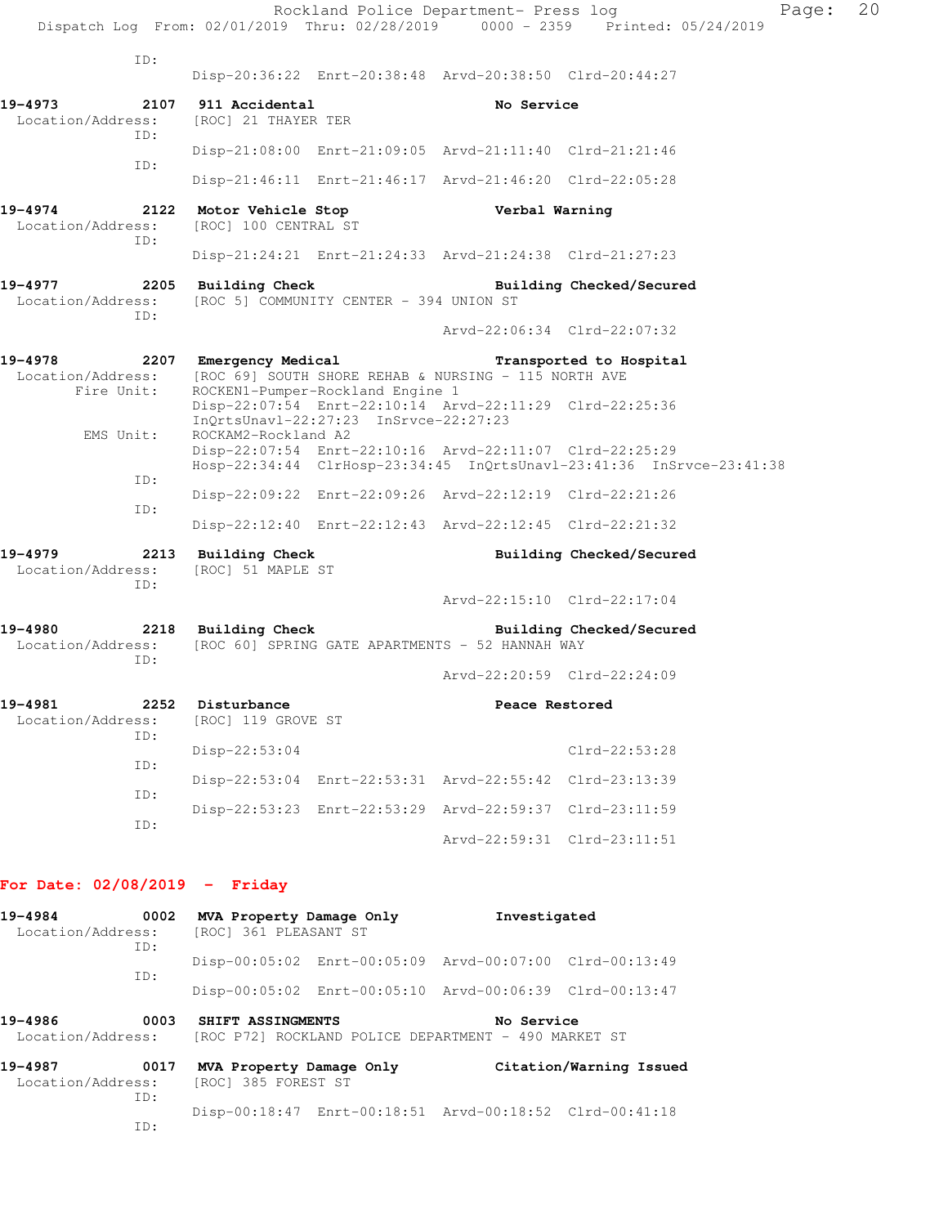|                                             |                                                   |                                         | Rockland Police Department- Press log                              | Dispatch Log From: 02/01/2019 Thru: 02/28/2019 0000 - 2359 Printed: 05/24/2019 | Page: | 20 |
|---------------------------------------------|---------------------------------------------------|-----------------------------------------|--------------------------------------------------------------------|--------------------------------------------------------------------------------|-------|----|
| ID:                                         |                                                   |                                         |                                                                    |                                                                                |       |    |
|                                             |                                                   |                                         | Disp-20:36:22 Enrt-20:38:48 Arvd-20:38:50 Clrd-20:44:27            |                                                                                |       |    |
| 19-4973<br>2107<br>Location/Address:<br>ID: | 911 Accidental<br>[ROC] 21 THAYER TER             |                                         | No Service                                                         |                                                                                |       |    |
|                                             |                                                   |                                         | Disp-21:08:00 Enrt-21:09:05 Arvd-21:11:40 Clrd-21:21:46            |                                                                                |       |    |
| ID:                                         |                                                   |                                         | Disp-21:46:11 Enrt-21:46:17 Arvd-21:46:20 Clrd-22:05:28            |                                                                                |       |    |
| 19-4974<br>Location/Address:<br>ID:         | 2122 Motor Vehicle Stop<br>[ROC] 100 CENTRAL ST   |                                         | Verbal Warning                                                     |                                                                                |       |    |
|                                             |                                                   |                                         | Disp-21:24:21 Enrt-21:24:33 Arvd-21:24:38 Clrd-21:27:23            |                                                                                |       |    |
| 19-4977<br>Location/Address:<br>ID:         | 2205 Building Check                               | [ROC 5] COMMUNITY CENTER - 394 UNION ST |                                                                    | Building Checked/Secured                                                       |       |    |
|                                             |                                                   |                                         |                                                                    | Arvd-22:06:34 Clrd-22:07:32                                                    |       |    |
| 19-4978<br>Location/Address:<br>Fire Unit:  | 2207 Emergency Medical                            | ROCKEN1-Pumper-Rockland Engine 1        | [ROC 69] SOUTH SHORE REHAB & NURSING - 115 NORTH AVE               | Transported to Hospital                                                        |       |    |
| EMS Unit:                                   | ROCKAM2-Rockland A2                               | InOrtsUnav1-22:27:23 InSrvce-22:27:23   | Disp-22:07:54 Enrt-22:10:14 Arvd-22:11:29 Clrd-22:25:36            |                                                                                |       |    |
| ID:                                         |                                                   |                                         | Disp-22:07:54 Enrt-22:10:16 Arvd-22:11:07 Clrd-22:25:29            | Hosp-22:34:44 ClrHosp-23:34:45 InQrtsUnavl-23:41:36 InSrvce-23:41:38           |       |    |
| ID:                                         |                                                   |                                         | Disp-22:09:22 Enrt-22:09:26 Arvd-22:12:19 Clrd-22:21:26            |                                                                                |       |    |
|                                             |                                                   |                                         | Disp-22:12:40 Enrt-22:12:43 Arvd-22:12:45 Clrd-22:21:32            |                                                                                |       |    |
| 19-4979<br>2213<br>Location/Address:<br>ID: | <b>Building Check</b><br>[ROC] 51 MAPLE ST        |                                         |                                                                    | Building Checked/Secured                                                       |       |    |
|                                             |                                                   |                                         |                                                                    | Arvd-22:15:10 Clrd-22:17:04                                                    |       |    |
| 19-4980<br>Location/Address:<br>ID:         |                                                   |                                         | [ROC 60] SPRING GATE APARTMENTS - 52 HANNAH WAY                    | 2218 Building Check Building Checked/Secured                                   |       |    |
|                                             |                                                   |                                         |                                                                    | Arvd-22:20:59 Clrd-22:24:09                                                    |       |    |
| 19-4981<br>2252<br>Location/Address:<br>TD: | Disturbance<br>[ROC] 119 GROVE ST                 |                                         | Peace Restored                                                     |                                                                                |       |    |
| ID:                                         | $Disp-22:53:04$                                   |                                         |                                                                    | $Clrd-22:53:28$                                                                |       |    |
| ID:                                         |                                                   |                                         | Disp-22:53:04 Enrt-22:53:31 Arvd-22:55:42 Clrd-23:13:39            |                                                                                |       |    |
| ID:                                         |                                                   |                                         | Disp-22:53:23 Enrt-22:53:29 Arvd-22:59:37 Clrd-23:11:59            |                                                                                |       |    |
|                                             |                                                   |                                         |                                                                    | Arvd-22:59:31 Clrd-23:11:51                                                    |       |    |
| For Date: $02/08/2019$ - Friday             |                                                   |                                         |                                                                    |                                                                                |       |    |
| 19-4984<br>0002<br>Location/Address:<br>ID: | MVA Property Damage Only<br>[ROC] 361 PLEASANT ST |                                         | Investigated                                                       |                                                                                |       |    |
|                                             |                                                   |                                         | Disp-00:05:02 Enrt-00:05:09 Arvd-00:07:00 Clrd-00:13:49            |                                                                                |       |    |
| ID:                                         |                                                   |                                         | Disp-00:05:02 Enrt-00:05:10 Arvd-00:06:39 Clrd-00:13:47            |                                                                                |       |    |
| 19-4986<br>0003<br>Location/Address:        | SHIFT ASSINGMENTS                                 |                                         | No Service<br>[ROC P72] ROCKLAND POLICE DEPARTMENT - 490 MARKET ST |                                                                                |       |    |
| 19-4987<br>0017<br>Location/Address:<br>ID: | [ROC] 385 FOREST ST                               |                                         |                                                                    | MVA Property Damage Only Citation/Warning Issued                               |       |    |
| ID:                                         |                                                   |                                         | Disp-00:18:47 Enrt-00:18:51 Arvd-00:18:52 Clrd-00:41:18            |                                                                                |       |    |
|                                             |                                                   |                                         |                                                                    |                                                                                |       |    |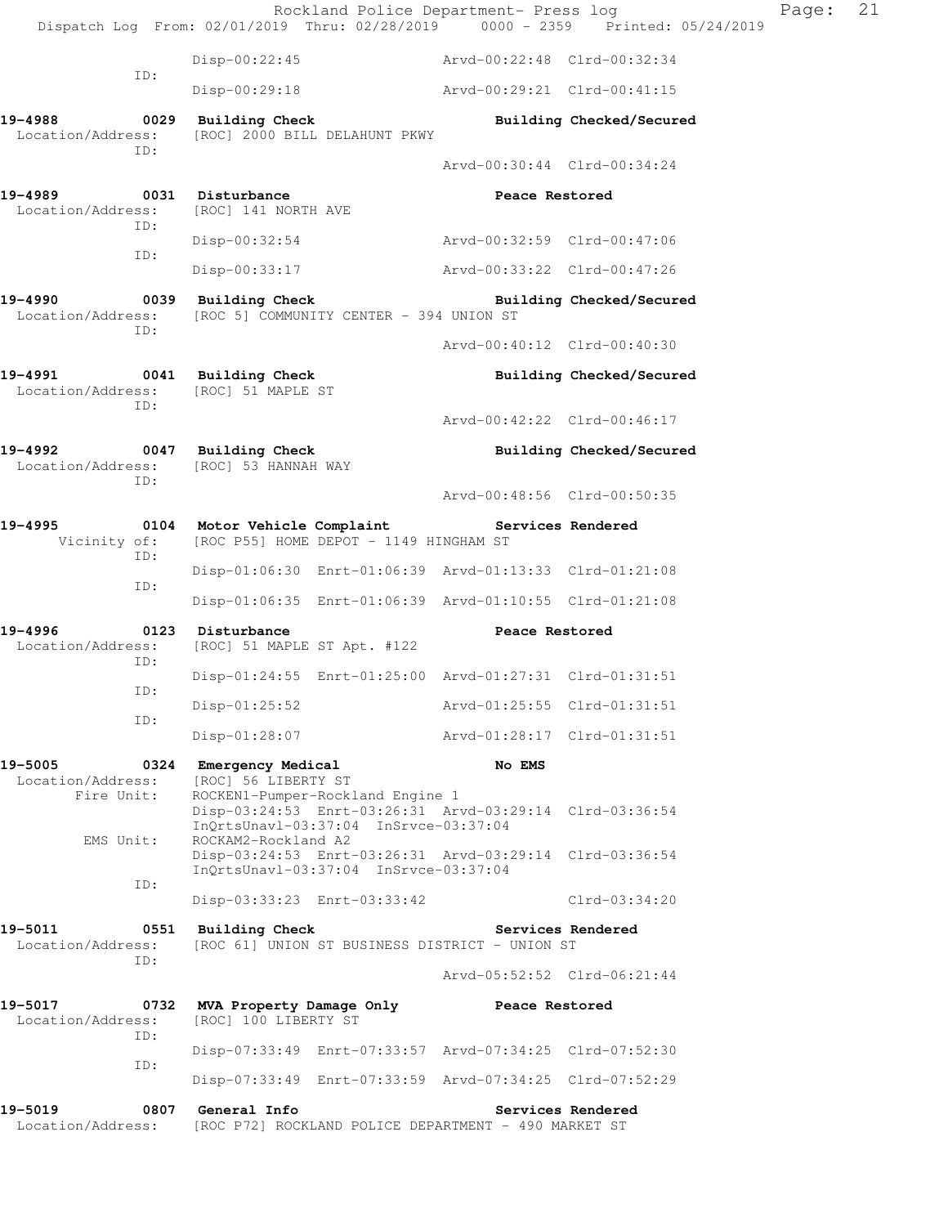|                                                                             |                                                                                   | Rockland Police Department- Press log                                         | Dispatch Log From: 02/01/2019 Thru: 02/28/2019 0000 - 2359 Printed: 05/24/2019 | Page: | 21 |
|-----------------------------------------------------------------------------|-----------------------------------------------------------------------------------|-------------------------------------------------------------------------------|--------------------------------------------------------------------------------|-------|----|
|                                                                             | $Disp-00:22:45$                                                                   | Arvd-00:22:48 Clrd-00:32:34                                                   |                                                                                |       |    |
| ID:                                                                         | $Disp-00:29:18$                                                                   | Arvd-00:29:21 Clrd-00:41:15                                                   |                                                                                |       |    |
| Location/Address:<br>ID:                                                    | 19-4988 0029 Building Check<br>[ROC] 2000 BILL DELAHUNT PKWY                      |                                                                               | Building Checked/Secured                                                       |       |    |
|                                                                             |                                                                                   | Arvd-00:30:44 Clrd-00:34:24                                                   |                                                                                |       |    |
| 19-4989<br>Location/Address:<br>ID:                                         | 0031 Disturbance<br>[ROC] 141 NORTH AVE                                           | Peace Restored                                                                |                                                                                |       |    |
| ID:                                                                         | Disp-00:32:54                                                                     | Arvd-00:32:59 Clrd-00:47:06                                                   |                                                                                |       |    |
|                                                                             | Disp-00:33:17                                                                     | Arvd-00:33:22 Clrd-00:47:26                                                   |                                                                                |       |    |
| 19-4990<br>ID:                                                              | 0039 Building Check<br>Location/Address: [ROC 5] COMMUNITY CENTER - 394 UNION ST  |                                                                               | Building Checked/Secured                                                       |       |    |
|                                                                             |                                                                                   | Arvd-00:40:12 Clrd-00:40:30                                                   |                                                                                |       |    |
| 19-4991 0041 Building Check<br>Location/Address: [ROC] 51 MAPLE ST<br>ID:   |                                                                                   |                                                                               | Building Checked/Secured                                                       |       |    |
|                                                                             |                                                                                   | Arvd-00:42:22 Clrd-00:46:17                                                   |                                                                                |       |    |
| 19-4992 0047 Building Check<br>Location/Address: [ROC] 53 HANNAH WAY<br>ID: |                                                                                   |                                                                               | Building Checked/Secured                                                       |       |    |
|                                                                             |                                                                                   | Arvd-00:48:56 Clrd-00:50:35                                                   |                                                                                |       |    |
| 19-4995<br>Vicinity of:<br>ID:                                              | 0104 Motor Vehicle Complaint<br>[ROC P55] HOME DEPOT - 1149 HINGHAM ST            |                                                                               | Services Rendered                                                              |       |    |
| ID:                                                                         |                                                                                   | Disp-01:06:30 Enrt-01:06:39 Arvd-01:13:33 Clrd-01:21:08                       |                                                                                |       |    |
|                                                                             |                                                                                   | Disp-01:06:35 Enrt-01:06:39 Arvd-01:10:55 Clrd-01:21:08                       |                                                                                |       |    |
| 19-4996<br>Location/Address:<br>ID:                                         | 0123 Disturbance<br>[ROC] 51 MAPLE ST Apt. #122                                   | Peace Restored                                                                |                                                                                |       |    |
| ID:                                                                         |                                                                                   | Disp-01:24:55 Enrt-01:25:00 Arvd-01:27:31 Clrd-01:31:51                       |                                                                                |       |    |
| ID:                                                                         | $Disp-01:25:52$                                                                   | Arvd-01:25:55 Clrd-01:31:51                                                   |                                                                                |       |    |
|                                                                             | $Disp-01:28:07$                                                                   | Arvd-01:28:17 Clrd-01:31:51                                                   |                                                                                |       |    |
| 19-5005<br>Location/Address:<br>Fire Unit:                                  | 0324 Emergency Medical<br>[ROC] 56 LIBERTY ST<br>ROCKEN1-Pumper-Rockland Engine 1 | No EMS<br>Disp-03:24:53 Enrt-03:26:31 Arvd-03:29:14 Clrd-03:36:54             |                                                                                |       |    |
| EMS Unit:                                                                   | InQrtsUnavl-03:37:04 InSrvce-03:37:04<br>ROCKAM2-Rockland A2                      | Disp-03:24:53 Enrt-03:26:31 Arvd-03:29:14 Clrd-03:36:54                       |                                                                                |       |    |
| ID:                                                                         | InQrtsUnavl-03:37:04 InSrvce-03:37:04<br>Disp-03:33:23 Enrt-03:33:42              |                                                                               | Clrd-03:34:20                                                                  |       |    |
| 19-5011<br>0551                                                             | Building Check                                                                    |                                                                               | Services Rendered                                                              |       |    |
| Location/Address:<br>ID:                                                    |                                                                                   | [ROC 61] UNION ST BUSINESS DISTRICT - UNION ST<br>Arvd-05:52:52 Clrd-06:21:44 |                                                                                |       |    |
| 19-5017<br>0732<br>Location/Address:                                        | MVA Property Damage Only<br>[ROC] 100 LIBERTY ST                                  | Peace Restored                                                                |                                                                                |       |    |
| ID:                                                                         |                                                                                   | Disp-07:33:49 Enrt-07:33:57 Arvd-07:34:25 Clrd-07:52:30                       |                                                                                |       |    |
| ID:                                                                         |                                                                                   | Disp-07:33:49 Enrt-07:33:59 Arvd-07:34:25 Clrd-07:52:29                       |                                                                                |       |    |
| 19-5019<br>0807                                                             | General Info                                                                      |                                                                               | Services Rendered                                                              |       |    |
| Location/Address:                                                           |                                                                                   | [ROC P72] ROCKLAND POLICE DEPARTMENT - 490 MARKET ST                          |                                                                                |       |    |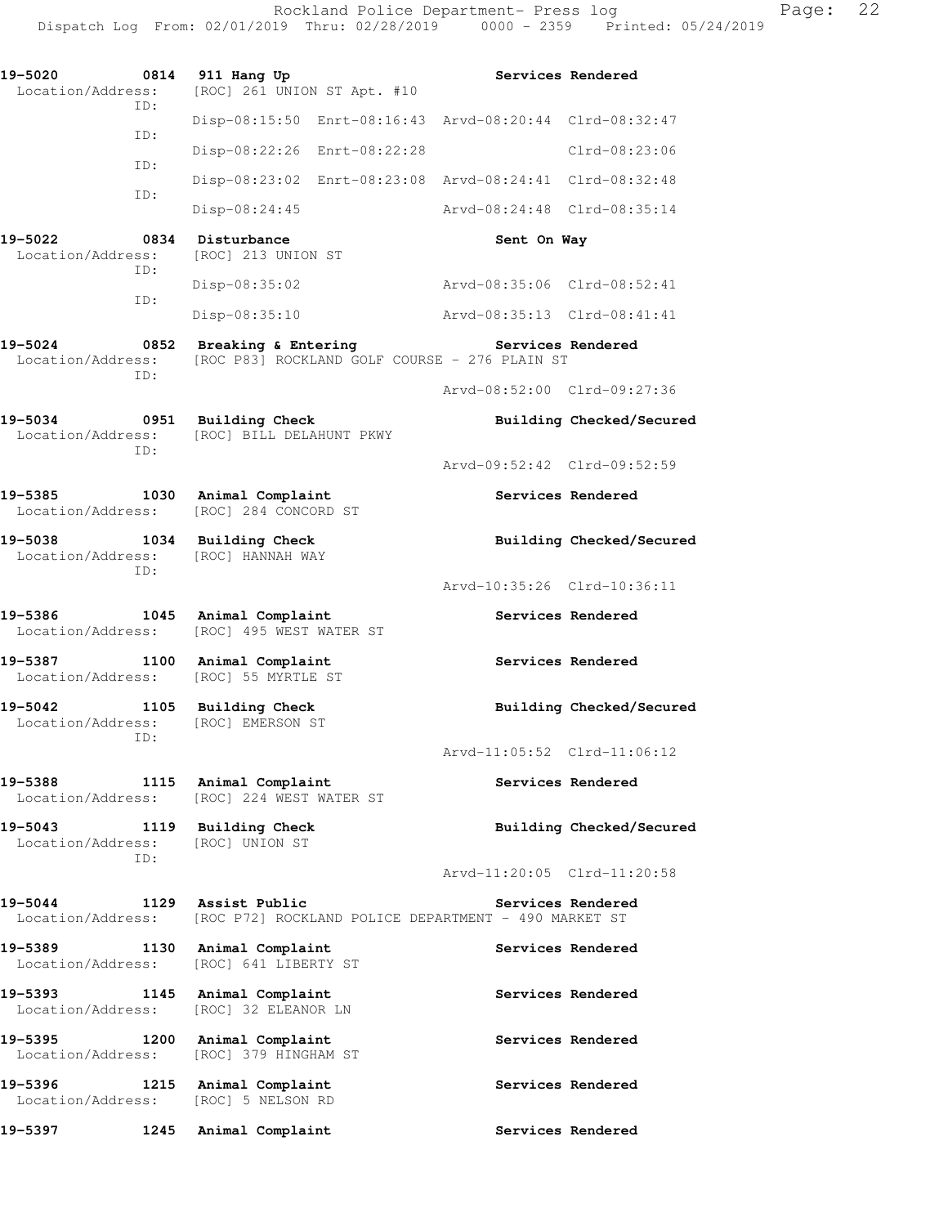| 19-5020<br>0814                                         | 911 Hang Up                                                                                  |                             | Services Rendered        |
|---------------------------------------------------------|----------------------------------------------------------------------------------------------|-----------------------------|--------------------------|
| Location/Address:<br>ID:                                | [ROC] 261 UNION ST Apt. #10                                                                  |                             |                          |
| ID:                                                     | Disp-08:15:50 Enrt-08:16:43 Arvd-08:20:44 Clrd-08:32:47                                      |                             |                          |
|                                                         | Disp-08:22:26 Enrt-08:22:28                                                                  |                             | $Clrd-08:23:06$          |
| ID:                                                     | Disp-08:23:02 Enrt-08:23:08 Arvd-08:24:41 Clrd-08:32:48                                      |                             |                          |
| ID:                                                     | Disp-08:24:45                                                                                | Arvd-08:24:48 Clrd-08:35:14 |                          |
| 19-5022<br>0834                                         | Disturbance                                                                                  | Sent On Way                 |                          |
| Location/Address:<br>ID:                                | [ROC] 213 UNION ST                                                                           |                             |                          |
| ID:                                                     | Disp-08:35:02                                                                                | Arvd-08:35:06 Clrd-08:52:41 |                          |
|                                                         | Disp-08:35:10                                                                                | Arvd-08:35:13 Clrd-08:41:41 |                          |
| 19-5024<br>0852<br>Location/Address:<br>ID:             | Breaking & Entering<br>[ROC P83] ROCKLAND GOLF COURSE - 276 PLAIN ST                         | Services Rendered           |                          |
|                                                         |                                                                                              | Arvd-08:52:00 Clrd-09:27:36 |                          |
| 19-5034<br>0951<br>Location/Address:<br>ID:             | <b>Building Check</b><br>[ROC] BILL DELAHUNT PKWY                                            |                             | Building Checked/Secured |
|                                                         |                                                                                              | Arvd-09:52:42 Clrd-09:52:59 |                          |
| 19-5385<br>1030<br>Location/Address:                    | Animal Complaint<br>[ROC] 284 CONCORD ST                                                     |                             | Services Rendered        |
| 19-5038 1034 Building Check<br>Location/Address:<br>ID: | [ROC] HANNAH WAY                                                                             |                             | Building Checked/Secured |
|                                                         |                                                                                              | Arvd-10:35:26 Clrd-10:36:11 |                          |
| 19-5386 1045<br>Location/Address:                       | Animal Complaint<br>[ROC] 495 WEST WATER ST                                                  |                             | Services Rendered        |
| 19-5387<br>1100<br>Location/Address:                    | Animal Complaint<br>[ROC] 55 MYRTLE ST                                                       |                             | Services Rendered        |
| 19-5042<br>1105<br>Location/Address:<br>ID:             | <b>Building Check</b><br>[ROC] EMERSON ST                                                    |                             | Building Checked/Secured |
|                                                         |                                                                                              | Arvd-11:05:52 Clrd-11:06:12 |                          |
| 19-5388<br>Location/Address:                            | 1115 Animal Complaint<br>[ROC] 224 WEST WATER ST                                             |                             | Services Rendered        |
| 19-5043 1119 Building Check<br>Location/Address:        | [ROC] UNION ST                                                                               |                             | Building Checked/Secured |
| ID:                                                     |                                                                                              | Arvd-11:20:05 Clrd-11:20:58 |                          |
| 19-5044                                                 | 1129 Assist Public<br>Location/Address: [ROC P72] ROCKLAND POLICE DEPARTMENT - 490 MARKET ST |                             | Services Rendered        |
| 19-5389<br>Location/Address:                            | 1130 Animal Complaint<br>[ROC] 641 LIBERTY ST                                                |                             | Services Rendered        |
| 19-5393 1145 Animal Complaint<br>Location/Address:      | [ROC] 32 ELEANOR LN                                                                          |                             | Services Rendered        |
| 19-5395<br>1200<br>Location/Address:                    | Animal Complaint<br>[ROC] 379 HINGHAM ST                                                     |                             | Services Rendered        |
| 19-5396 1215<br>Location/Address:                       | Animal Complaint<br>[ROC] 5 NELSON RD                                                        |                             | Services Rendered        |
| 19–5397<br>1245                                         | Animal Complaint                                                                             |                             | Services Rendered        |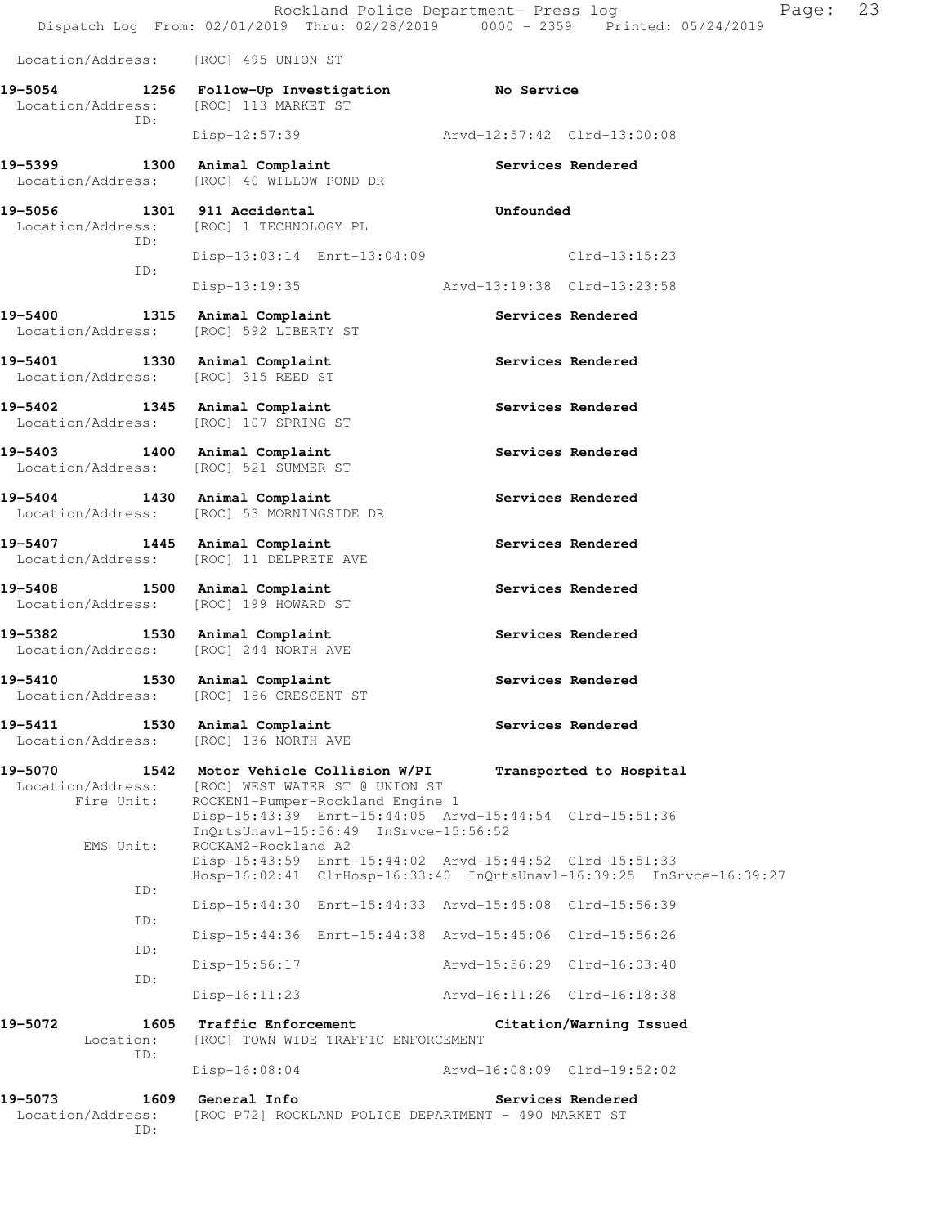Rockland Police Department- Press log Fage: 23 Dispatch Log From: 02/01/2019 Thru: 02/28/2019 0000 - 2359 Printed: 05/24/2019 Location/Address: [ROC] 495 UNION ST **19-5054 1256 Follow-Up Investigation No Service**  Location/Address: [ROC] 113 MARKET ST ID: Disp-12:57:39 Arvd-12:57:42 Clrd-13:00:08 19-5399 1300 Animal Complaint **19-5399** Services Rendered Location/Address: [ROC] 40 WILLOW POND DR **19-5056 1301 911 Accidental Unfounded**  Location/Address: [ROC] 1 TECHNOLOGY PL ID: Disp-13:03:14 Enrt-13:04:09 Clrd-13:15:23 ID: Disp-13:19:35 Arvd-13:19:38 Clrd-13:23:58 19-5400 1315 Animal Complaint **120 Services Rendered**  Location/Address: [ROC] 592 LIBERTY ST **19-5401 1330 Animal Complaint Services Rendered**  Location/Address: [ROC] 315 REED ST 19-5402 1345 Animal Complaint **120 Services Rendered** Location/Address: [ROC] 107 SPRING ST **19-5403 1400 Animal Complaint Services Rendered**  Location/Address: [ROC] 521 SUMMER ST 19-5404 1430 Animal Complaint **19-5404** Services Rendered Location/Address: [ROC] 53 MORNINGSIDE DR **19-5407 1445 Animal Complaint Services Rendered**  Location/Address: [ROC] 11 DELPRETE AVE 19-5408 1500 Animal Complaint **19-5408** Services Rendered Location/Address: [ROC] 199 HOWARD ST 19-5382 1530 Animal Complaint **19-5382** Services Rendered Location/Address: [ROC] 244 NORTH AVE 19-5410 1530 Animal Complaint **19-5410** Services Rendered Location/Address: [ROC] 186 CRESCENT ST 19-5411 1530 Animal Complaint **19-5411** Services Rendered Location/Address: [ROC] 136 NORTH AVE **19-5070 1542 Motor Vehicle Collision W/PI Transported to Hospital**  Location/Address: [ROC] WEST WATER ST @ UNION ST<br>Fire Unit: ROCKEN1-Pumper-Rockland Engine ROCKEN1-Pumper-Rockland Engine 1 Disp-15:43:39 Enrt-15:44:05 Arvd-15:44:54 Clrd-15:51:36 InQrtsUnavl-15:56:49 InSrvce-15:56:52<br>EMS Unit: ROCKAM2-Rockland A2 ROCKAM2-Rockland A2 Disp-15:43:59 Enrt-15:44:02 Arvd-15:44:52 Clrd-15:51:33 Hosp-16:02:41 ClrHosp-16:33:40 InQrtsUnavl-16:39:25 InSrvce-16:39:27 ID: Disp-15:44:30 Enrt-15:44:33 Arvd-15:45:08 Clrd-15:56:39 ID: Disp-15:44:36 Enrt-15:44:38 Arvd-15:45:06 Clrd-15:56:26 ID: Disp-15:56:17 Arvd-15:56:29 Clrd-16:03:40 ID: Disp-16:11:23 Arvd-16:11:26 Clrd-16:18:38 **19-5072 1605 Traffic Enforcement Citation/Warning Issued**  Location: [ROC] TOWN WIDE TRAFFIC ENFORCEMENT ID: Disp-16:08:04 Arvd-16:08:09 Clrd-19:52:02 **19-5073 1609 General Info Services Rendered**  Location/Address: [ROC P72] ROCKLAND POLICE DEPARTMENT - 490 MARKET ST ID: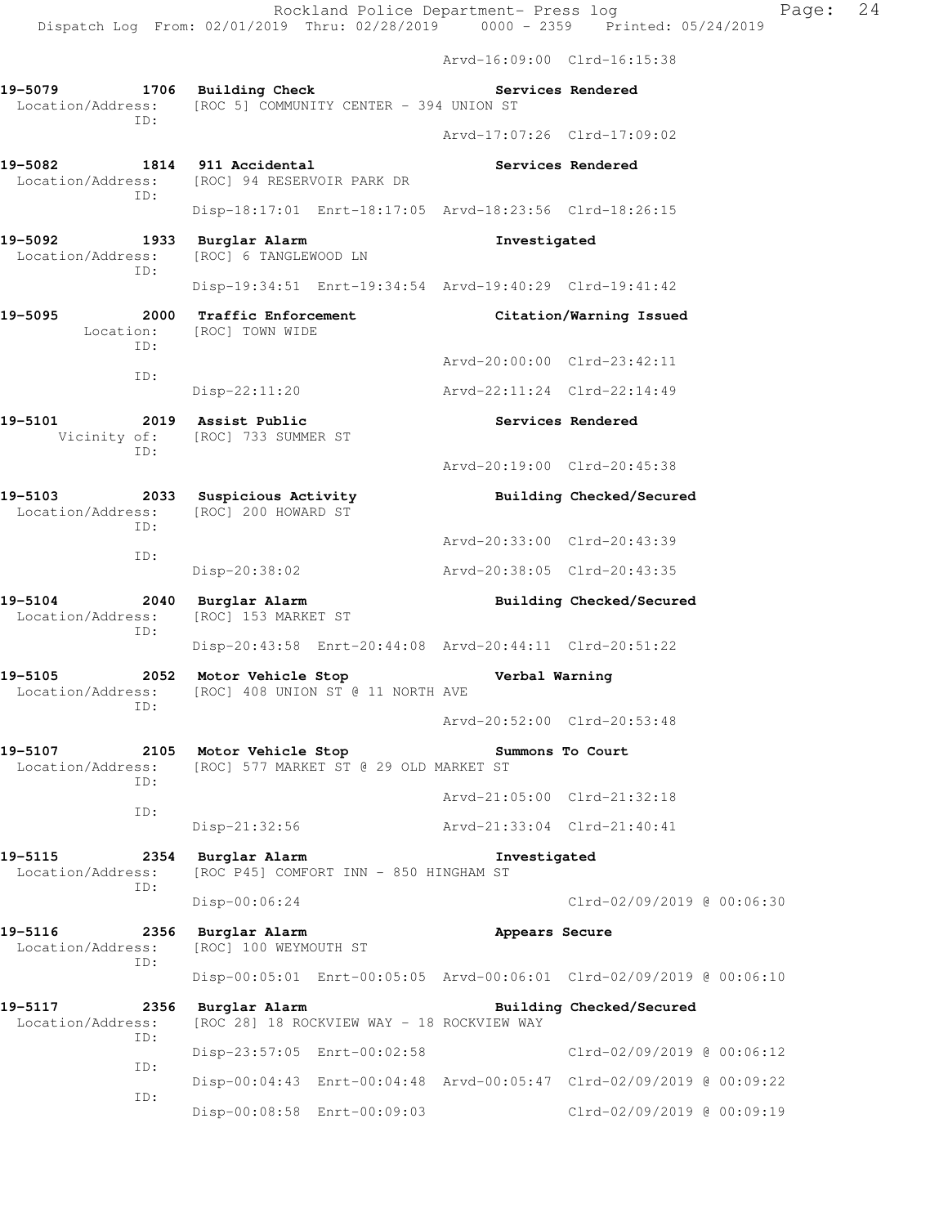Arvd-16:09:00 Clrd-16:15:38

Arvd-20:19:00 Clrd-20:45:38

| 19-5079 |     | 1706 Building Check<br>Location/Address: [ROC 5] COMMUNITY CENTER - 394 UNION ST |                             | Services Rendered |
|---------|-----|----------------------------------------------------------------------------------|-----------------------------|-------------------|
|         | TD: |                                                                                  | Arvd-17:07:26 Clrd-17:09:02 |                   |

- **19-5082 1814 911 Accidental Services Rendered**  Location/Address: [ROC] 94 RESERVOIR PARK DR ID: Disp-18:17:01 Enrt-18:17:05 Arvd-18:23:56 Clrd-18:26:15
- **19-5092 1933 Burglar Alarm Investigated**  Location/Address: [ROC] 6 TANGLEWOOD LN ID:
	- Disp-19:34:51 Enrt-19:34:54 Arvd-19:40:29 Clrd-19:41:42 **19-5095 2000 Traffic Enforcement Citation/Warning Issued**  Location: [ROC] TOWN WIDE ID: Arvd-20:00:00 Clrd-23:42:11 ID: Disp-22:11:20 Arvd-22:11:24 Clrd-22:14:49
- **19-5101 2019 Assist Public Services Rendered**  Vicinity of: [ROC] 733 SUMMER ST ID:
- **19-5103 2033 Suspicious Activity Building Checked/Secured**  Location/Address: [ROC] 200 HOWARD ST ID: Arvd-20:33:00 Clrd-20:43:39 ID: Disp-20:38:02 Arvd-20:38:05 Clrd-20:43:35
- **19-5104 2040 Burglar Alarm Building Checked/Secured**  Location/Address: [ROC] 153 MARKET ST ID: Disp-20:43:58 Enrt-20:44:08 Arvd-20:44:11 Clrd-20:51:22
- **19-5105 2052 Motor Vehicle Stop Verbal Warning**  Location/Address: [ROC] 408 UNION ST @ 11 NORTH AVE ID:
- Arvd-20:52:00 Clrd-20:53:48 **19-5107 2105 Motor Vehicle Stop Summons To Court**  Location/Address: [ROC] 577 MARKET ST @ 29 OLD MARKET ST
- ID: Arvd-21:05:00 Clrd-21:32:18 ID: Disp-21:32:56 Arvd-21:33:04 Clrd-21:40:41
- **19-5115 2354 Burglar Alarm Investigated**  Location/Address: [ROC P45] COMFORT INN - 850 HINGHAM ST ID: Disp-00:06:24 Clrd-02/09/2019 @ 00:06:30
- **19-5116 2356 Burglar Alarm Appears Secure**  Location/Address: [ROC] 100 WEYMOUTH ST ID: Disp-00:05:01 Enrt-00:05:05 Arvd-00:06:01 Clrd-02/09/2019 @ 00:06:10
- 19-5117 **2356** Burglar Alarm **Building Checked/Secured** Location/Address: [ROC 28] 18 ROCKVIEW WAY - 18 ROCKVIEW WAY ID: Disp-23:57:05 Enrt-00:02:58 Clrd-02/09/2019 @ 00:06:12 ID: Disp-00:04:43 Enrt-00:04:48 Arvd-00:05:47 Clrd-02/09/2019 @ 00:09:22 ID: Disp-00:08:58 Enrt-00:09:03 Clrd-02/09/2019 @ 00:09:19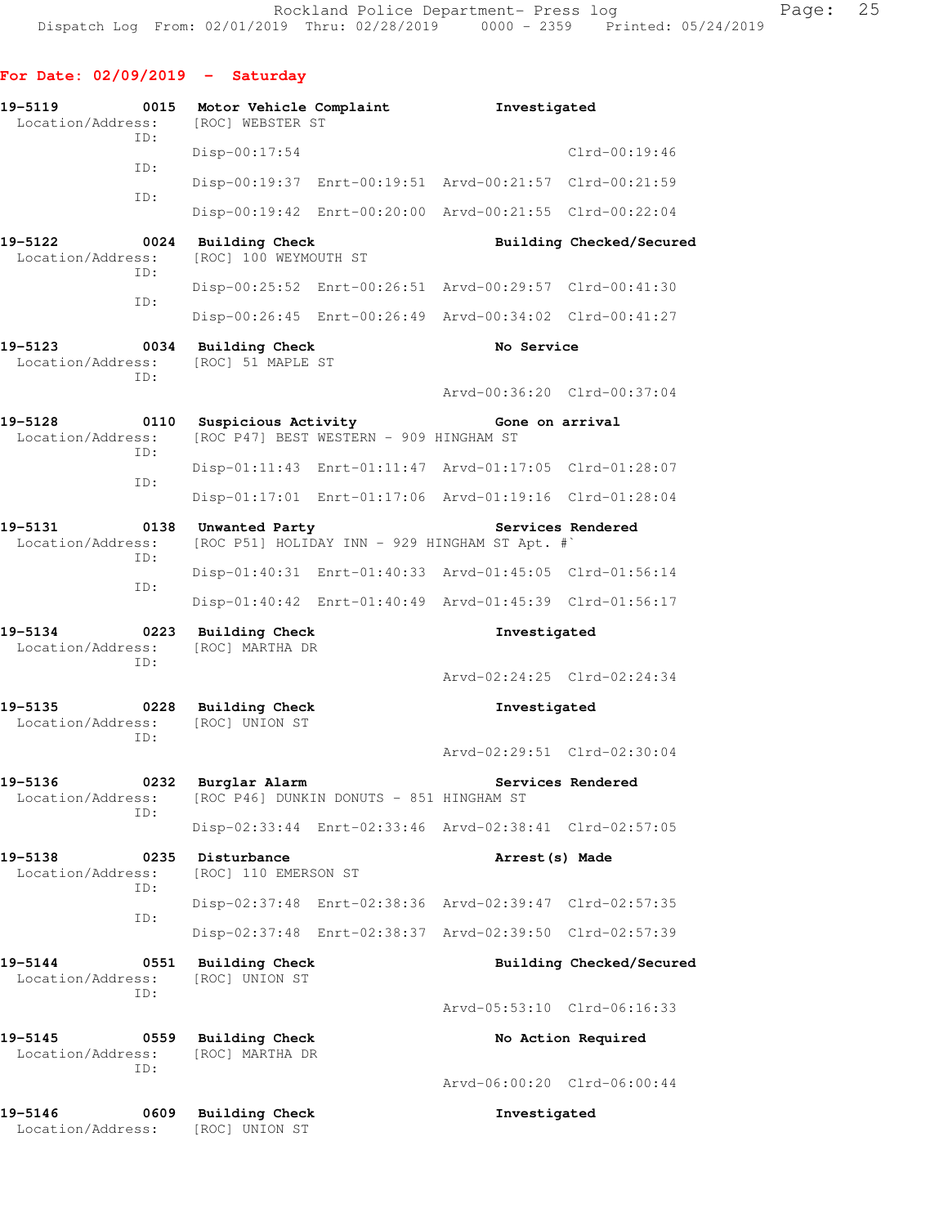**For Date: 02/09/2019 - Saturday**

| 19-5119<br>Location/Address:     | 0015        | Motor Vehicle Complaint<br>[ROC] WEBSTER ST                                           |  | Investigated                                            |                          |  |
|----------------------------------|-------------|---------------------------------------------------------------------------------------|--|---------------------------------------------------------|--------------------------|--|
|                                  | ID:         | Disp-00:17:54                                                                         |  |                                                         | $Clrd-00:19:46$          |  |
|                                  | ID:         |                                                                                       |  | Disp-00:19:37 Enrt-00:19:51 Arvd-00:21:57 Clrd-00:21:59 |                          |  |
|                                  | ID:         |                                                                                       |  | Disp-00:19:42 Enrt-00:20:00 Arvd-00:21:55 Clrd-00:22:04 |                          |  |
| 19-5122<br>Location/Address:     | 0024        | <b>Building Check</b><br>[ROC] 100 WEYMOUTH ST                                        |  |                                                         | Building Checked/Secured |  |
|                                  | ID:         |                                                                                       |  | Disp-00:25:52 Enrt-00:26:51 Arvd-00:29:57 Clrd-00:41:30 |                          |  |
|                                  | ID:         |                                                                                       |  | Disp-00:26:45 Enrt-00:26:49 Arvd-00:34:02 Clrd-00:41:27 |                          |  |
| 19-5123<br>Location/Address:     | 0034<br>ID: | <b>Building Check</b><br>[ROC] 51 MAPLE ST                                            |  | No Service                                              |                          |  |
|                                  |             |                                                                                       |  | Arvd-00:36:20 Clrd-00:37:04                             |                          |  |
| 19-5128<br>Location/Address:     | 0110<br>ID: | Suspicious Activity<br>[ROC P47] BEST WESTERN - 909 HINGHAM ST                        |  | Gone on arrival                                         |                          |  |
|                                  | ID:         |                                                                                       |  | Disp-01:11:43 Enrt-01:11:47 Arvd-01:17:05 Clrd-01:28:07 |                          |  |
|                                  |             |                                                                                       |  | Disp-01:17:01 Enrt-01:17:06 Arvd-01:19:16 Clrd-01:28:04 |                          |  |
| 19-5131<br>Location/Address:     | 0138<br>ID: | Services Rendered<br>Unwanted Party<br>[ROC P51] HOLIDAY INN - 929 HINGHAM ST Apt. #` |  |                                                         |                          |  |
|                                  | ID:         |                                                                                       |  | Disp-01:40:31 Enrt-01:40:33 Arvd-01:45:05 Clrd-01:56:14 |                          |  |
|                                  |             |                                                                                       |  | Disp-01:40:42 Enrt-01:40:49 Arvd-01:45:39 Clrd-01:56:17 |                          |  |
| 19-5134<br>Location/Address:     | 0223        | Building Check                                                                        |  | Investigated                                            |                          |  |
|                                  |             | [ROC] MARTHA DR                                                                       |  |                                                         |                          |  |
|                                  | ID:         |                                                                                       |  | Arvd-02:24:25 Clrd-02:24:34                             |                          |  |
| 19-5135<br>Location/Address:     | 0228<br>ID: | <b>Building Check</b><br>[ROC] UNION ST                                               |  | Investigated                                            |                          |  |
|                                  |             |                                                                                       |  | Arvd-02:29:51 Clrd-02:30:04                             |                          |  |
| 19-5136<br>Location/Address:     | 0232        | Burglar Alarm<br>[ROC P46] DUNKIN DONUTS - 851 HINGHAM ST                             |  |                                                         | Services Rendered        |  |
|                                  | ID:         |                                                                                       |  | Disp-02:33:44 Enrt-02:33:46 Arvd-02:38:41 Clrd-02:57:05 |                          |  |
| 19-5138<br>Location/Address:     | 0235        | Disturbance<br>[ROC] 110 EMERSON ST                                                   |  | Arrest (s) Made                                         |                          |  |
|                                  | ID:         |                                                                                       |  | Disp-02:37:48 Enrt-02:38:36 Arvd-02:39:47 Clrd-02:57:35 |                          |  |
|                                  | ID:         |                                                                                       |  | Disp-02:37:48 Enrt-02:38:37 Arvd-02:39:50 Clrd-02:57:39 |                          |  |
| $19 - 5144$<br>Location/Address: | 0551        | <b>Building Check</b><br>[ROC] UNION ST                                               |  |                                                         | Building Checked/Secured |  |
|                                  | ID:         |                                                                                       |  | Arvd-05:53:10 Clrd-06:16:33                             |                          |  |
| 19-5145<br>Location/Address:     | 0559<br>ID: | <b>Building Check</b><br>[ROC] MARTHA DR                                              |  |                                                         | No Action Required       |  |
|                                  |             |                                                                                       |  | Arvd-06:00:20 Clrd-06:00:44                             |                          |  |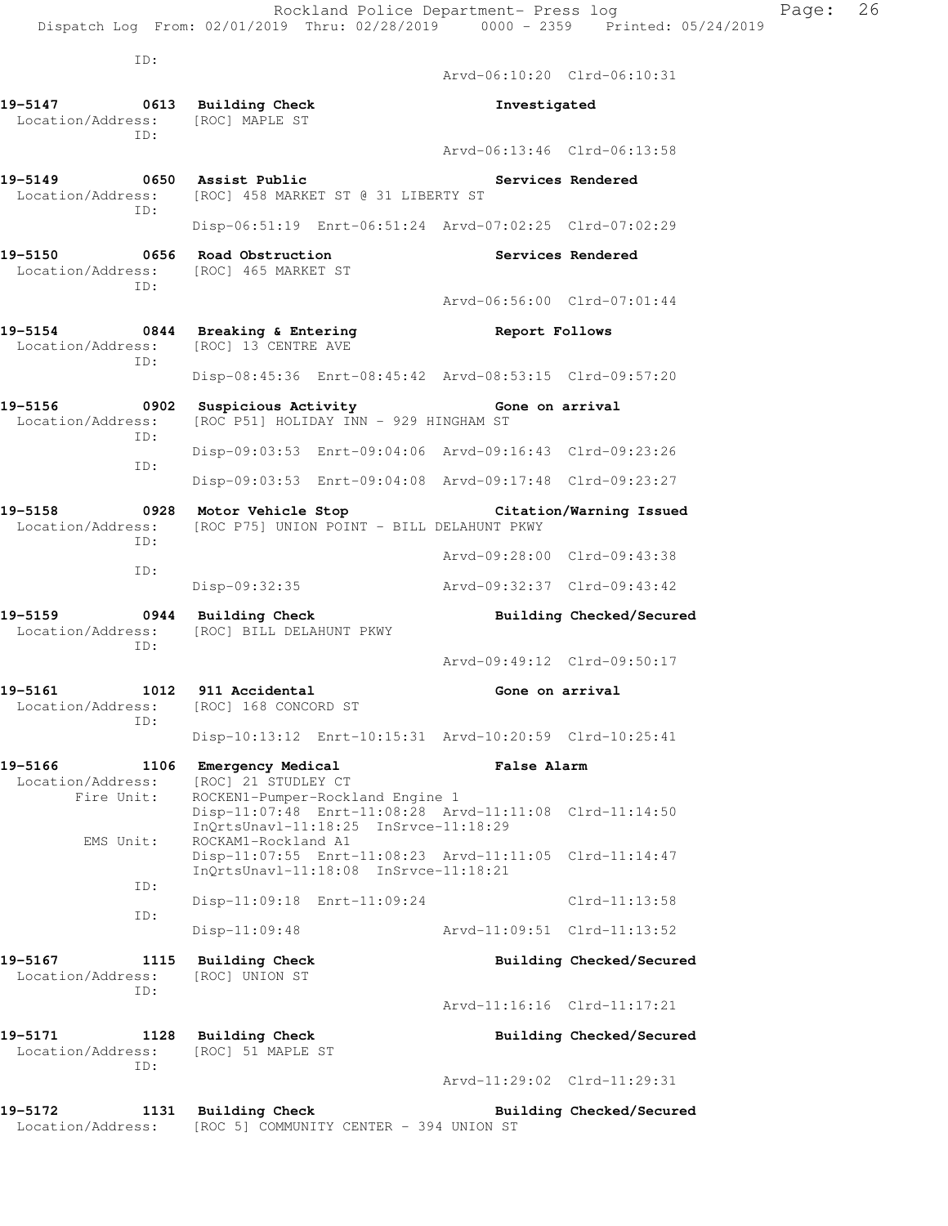ID:

 Arvd-06:10:20 Clrd-06:10:31 **19-5147 0613 Building Check Investigated**  Location/Address: [ROC] MAPLE ST ID: Arvd-06:13:46 Clrd-06:13:58 19-5149 **0650** Assist Public **Communist Constructs Rendered**  Location/Address: [ROC] 458 MARKET ST @ 31 LIBERTY ST ID: Disp-06:51:19 Enrt-06:51:24 Arvd-07:02:25 Clrd-07:02:29 19-5150 **0656** Road Obstruction **Services Rendered**  Location/Address: [ROC] 465 MARKET ST ID: Arvd-06:56:00 Clrd-07:01:44 **19-5154 0844 Breaking & Entering Report Follows**  Location/Address: [ROC] 13 CENTRE AVE ID: Disp-08:45:36 Enrt-08:45:42 Arvd-08:53:15 Clrd-09:57:20 **19-5156 0902 Suspicious Activity Gone on arrival**  Location/Address: [ROC P51] HOLIDAY INN - 929 HINGHAM ST ID: Disp-09:03:53 Enrt-09:04:06 Arvd-09:16:43 Clrd-09:23:26 ID: Disp-09:03:53 Enrt-09:04:08 Arvd-09:17:48 Clrd-09:23:27 **19-5158 0928 Motor Vehicle Stop Citation/Warning Issued**  Location/Address: [ROC P75] UNION POINT - BILL DELAHUNT PKWY ID: Arvd-09:28:00 Clrd-09:43:38 ID: Disp-09:32:35 Arvd-09:32:37 Clrd-09:43:42 **19-5159 0944 Building Check Building Checked/Secured**  Location/Address: [ROC] BILL DELAHUNT PKWY ID: Arvd-09:49:12 Clrd-09:50:17 **19-5161 1012 911 Accidental Gone on arrival**  Location/Address: [ROC] 168 CONCORD ST ID: Disp-10:13:12 Enrt-10:15:31 Arvd-10:20:59 Clrd-10:25:41 **19-5166 1106 Emergency Medical False Alarm**  Location/Address: [ROC] 21 STUDLEY CT Fire Unit: ROCKEN1-Pumper-Rockland Engine 1 Disp-11:07:48 Enrt-11:08:28 Arvd-11:11:08 Clrd-11:14:50 InQrtsUnavl-11:18:25 InSrvce-11:18:29<br>EMS Unit: ROCKAM1-Rockland A1 ROCKAM1-Rockland A1 Disp-11:07:55 Enrt-11:08:23 Arvd-11:11:05 Clrd-11:14:47 InQrtsUnavl-11:18:08 InSrvce-11:18:21 ID: Disp-11:09:18 Enrt-11:09:24 Clrd-11:13:58 ID: Disp-11:09:48 Arvd-11:09:51 Clrd-11:13:52 **19-5167 1115 Building Check Building Checked/Secured**  Location/Address: [ROC] UNION ST ID: Arvd-11:16:16 Clrd-11:17:21 **19-5171 1128 Building Check Building Checked/Secured**  Location/Address: [ROC] 51 MAPLE ST ID: Arvd-11:29:02 Clrd-11:29:31 **19-5172 1131 Building Check Building Checked/Secured**  Location/Address: [ROC 5] COMMUNITY CENTER - 394 UNION ST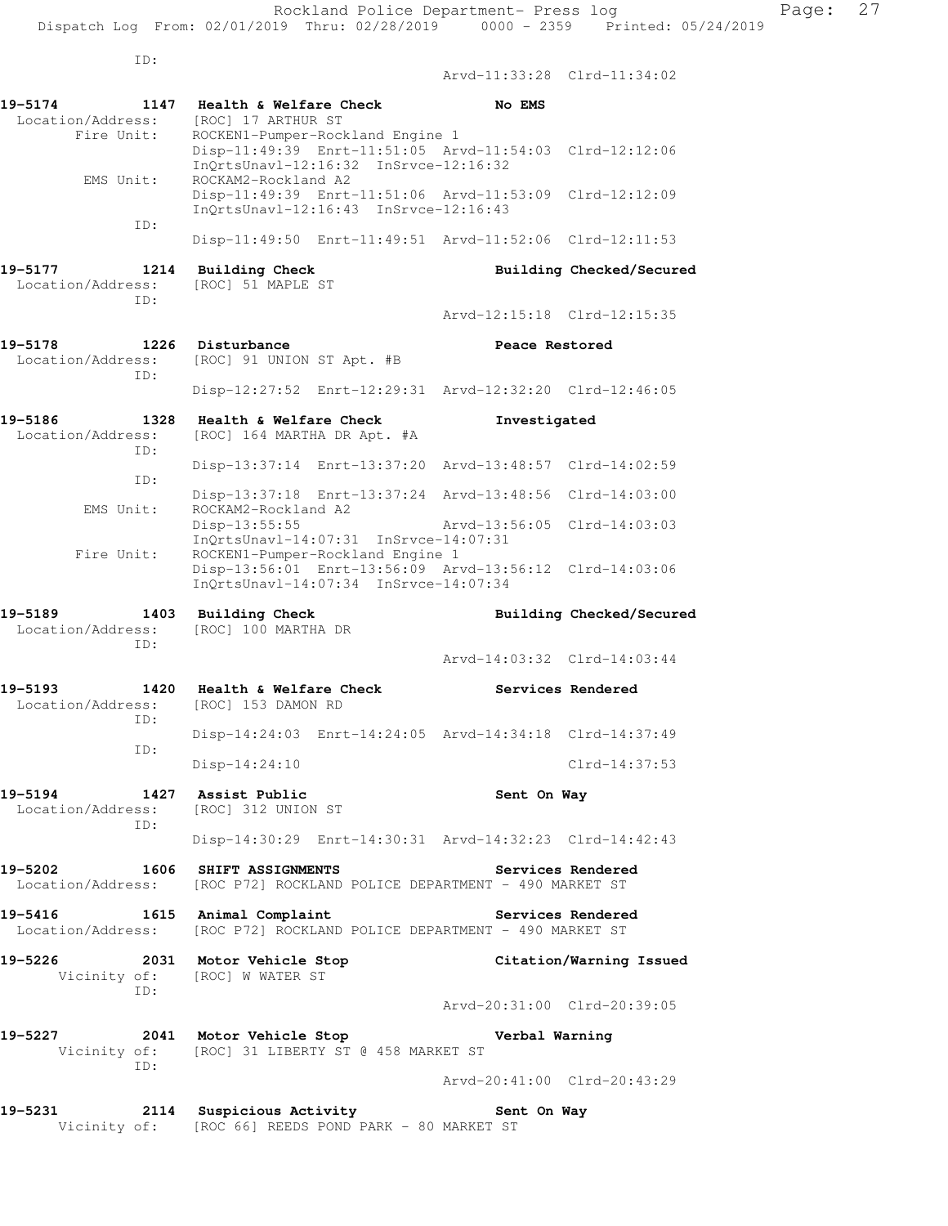ID: Arvd-11:33:28 Clrd-11:34:02 **19-5174 1147 Health & Welfare Check No EMS**  Location/Address: [ROC] 17 ARTHUR ST Fire Unit: ROCKEN1-Pumper-Rockland Engine 1 Disp-11:49:39 Enrt-11:51:05 Arvd-11:54:03 Clrd-12:12:06 InQrtsUnavl-12:16:32 InSrvce-12:16:32 EMS Unit: ROCKAM2-Rockland A2 Disp-11:49:39 Enrt-11:51:06 Arvd-11:53:09 Clrd-12:12:09 InQrtsUnavl-12:16:43 InSrvce-12:16:43 ID: Disp-11:49:50 Enrt-11:49:51 Arvd-11:52:06 Clrd-12:11:53 19-5177 1214 Building Check **Building Checked/Secured**  Location/Address: [ROC] 51 MAPLE ST ID: Arvd-12:15:18 Clrd-12:15:35 19-5178 1226 Disturbance **19-5178** Peace Restored Location/Address: [ROC] 91 UNION ST Apt. #B ID: Disp-12:27:52 Enrt-12:29:31 Arvd-12:32:20 Clrd-12:46:05 **19-5186 1328 Health & Welfare Check Investigated**  Location/Address: [ROC] 164 MARTHA DR Apt. #A ID: Disp-13:37:14 Enrt-13:37:20 Arvd-13:48:57 Clrd-14:02:59 ID: Disp-13:37:18 Enrt-13:37:24 Arvd-13:48:56 Clrd-14:03:00 EMS Unit: ROCKAM2-Rockland A2 Disp-13:55:55 Arvd-13:56:05 Clrd-14:03:03 InQrtsUnavl-14:07:31 InSrvce-14:07:31 Fire Unit: ROCKEN1-Pumper-Rockland Engine 1 Disp-13:56:01 Enrt-13:56:09 Arvd-13:56:12 Clrd-14:03:06 InQrtsUnavl-14:07:34 InSrvce-14:07:34 19-5189 1403 Building Check **Building Checked/Secured**  Location/Address: [ROC] 100 MARTHA DR ID: Arvd-14:03:32 Clrd-14:03:44 **19-5193 1420 Health & Welfare Check Services Rendered**  Location/Address: [ROC] 153 DAMON RD ID: Disp-14:24:03 Enrt-14:24:05 Arvd-14:34:18 Clrd-14:37:49 ID: Disp-14:24:10 Clrd-14:37:53 **19-5194 1427 Assist Public Sent On Way**  Location/Address: [ROC] 312 UNION ST ID: Disp-14:30:29 Enrt-14:30:31 Arvd-14:32:23 Clrd-14:42:43 **19-5202 1606 SHIFT ASSIGNMENTS Services Rendered**  Location/Address: [ROC P72] ROCKLAND POLICE DEPARTMENT - 490 MARKET ST **19-5416 1615 Animal Complaint Services Rendered**  Location/Address: [ROC P72] ROCKLAND POLICE DEPARTMENT - 490 MARKET ST **19-5226 2031 Motor Vehicle Stop Citation/Warning Issued**  Vicinity of: [ROC] W WATER ST ID: Arvd-20:31:00 Clrd-20:39:05 **19-5227 2041 Motor Vehicle Stop Verbal Warning**  Vicinity of: [ROC] 31 LIBERTY ST @ 458 MARKET ST ID: Arvd-20:41:00 Clrd-20:43:29 **19-5231 2114 Suspicious Activity Sent On Way**  Vicinity of: [ROC 66] REEDS POND PARK - 80 MARKET ST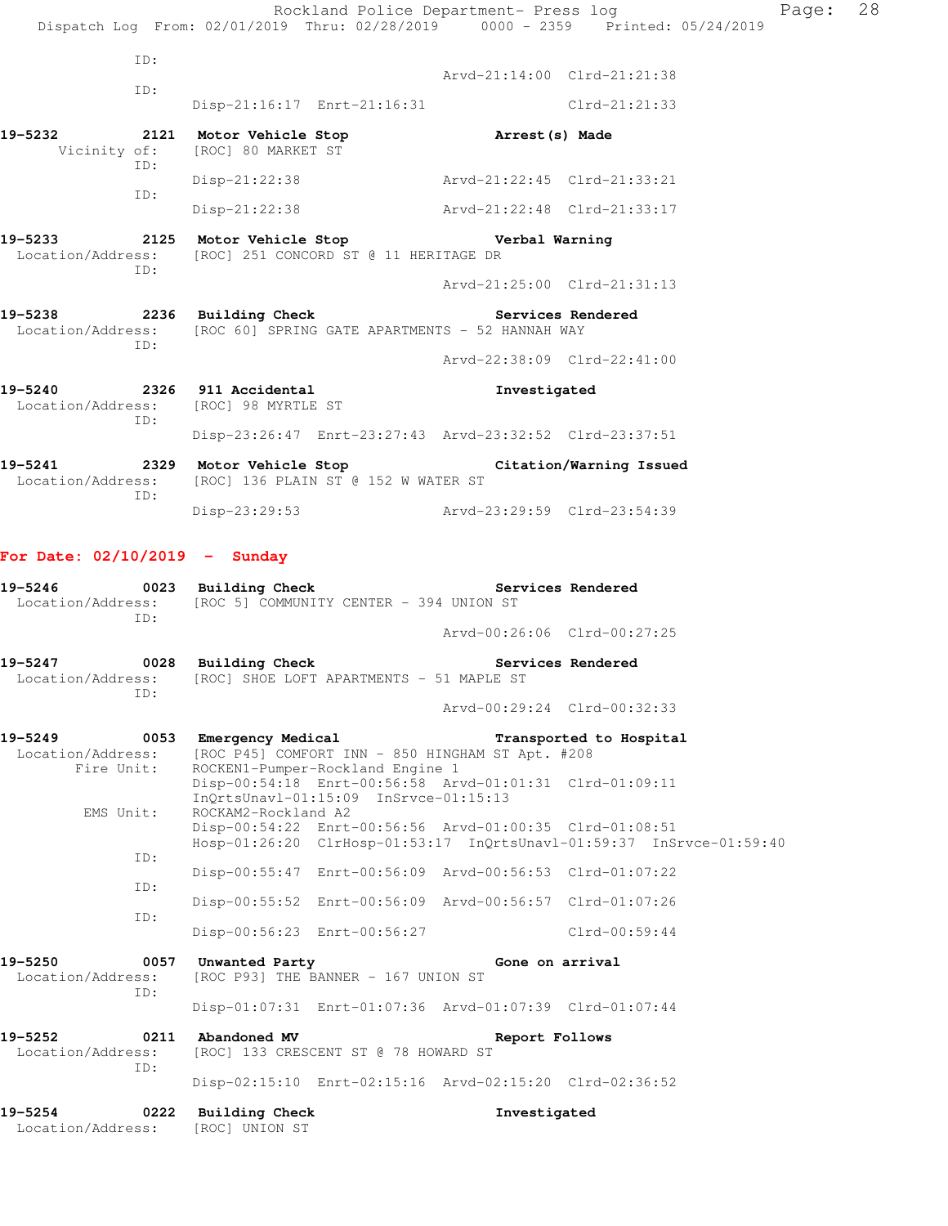|                                            |             | Dispatch Log From: 02/01/2019 Thru: 02/28/2019 0000 - 2359 Printed: 05/24/2019                                                  | Rockland Police Department- Press log |                             | Page: | 28 |
|--------------------------------------------|-------------|---------------------------------------------------------------------------------------------------------------------------------|---------------------------------------|-----------------------------|-------|----|
|                                            | ID:         |                                                                                                                                 |                                       |                             |       |    |
|                                            | ID:         |                                                                                                                                 | Arvd-21:14:00 Clrd-21:21:38           |                             |       |    |
|                                            |             | Disp-21:16:17 Enrt-21:16:31                                                                                                     |                                       | Clrd-21:21:33               |       |    |
| 19-5232<br>Vicinity of:                    | ID:         | 2121 Motor Vehicle Stop Natrest(s) Made<br>[ROC] 80 MARKET ST                                                                   |                                       |                             |       |    |
|                                            | ID:         | Disp-21:22:38 Arvd-21:22:45 Clrd-21:33:21                                                                                       |                                       |                             |       |    |
|                                            |             | Disp-21:22:38 Arvd-21:22:48 Clrd-21:33:17                                                                                       |                                       |                             |       |    |
|                                            | ID:         | Location/Address: [ROC] 251 CONCORD ST @ 11 HERITAGE DR                                                                         |                                       |                             |       |    |
|                                            |             |                                                                                                                                 | Arvd-21:25:00 Clrd-21:31:13           |                             |       |    |
|                                            | ID:         | 19-5238 			 2236 Building Check 			 Services Rendered<br>Location/Address: [ROC 60] SPRING GATE APARTMENTS - 52 HANNAH WAY      |                                       |                             |       |    |
|                                            |             |                                                                                                                                 | Arvd-22:38:09 Clrd-22:41:00           |                             |       |    |
|                                            | ID:         | 19-5240 2326 911 Accidental<br>Location/Address: [ROC] 98 MYRTLE ST                                                             | Investigated                          |                             |       |    |
|                                            |             | Disp-23:26:47 Enrt-23:27:43 Arvd-23:32:52 Clrd-23:37:51                                                                         |                                       |                             |       |    |
| Location/Address:                          | ID:         | 19-5241 2329 Motor Vehicle Stop Citation/Warning Issued<br>[ROC] 136 PLAIN ST @ 152 W WATER ST                                  |                                       |                             |       |    |
|                                            |             | Disp-23:29:53                                                                                                                   | Arvd-23:29:59 Clrd-23:54:39           |                             |       |    |
| For Date: $02/10/2019$ - Sunday<br>19-5246 | ID:         | 0023 Building Check<br>Location/Address: [ROC 5] COMMUNITY CENTER - 394 UNION ST                                                |                                       | Services Rendered           |       |    |
|                                            |             |                                                                                                                                 |                                       | Arvd-00:26:06 Clrd-00:27:25 |       |    |
| 19-5247                                    | ID:         | 0028 Building Check<br>Location/Address: [ROC] SHOE LOFT APARTMENTS - 51 MAPLE ST                                               |                                       | Services Rendered           |       |    |
|                                            |             |                                                                                                                                 |                                       | Arvd-00:29:24 Clrd-00:32:33 |       |    |
| 19-5249<br>Location/Address:<br>Fire Unit: |             | 0053 Emergency Medical<br>[ROC P45] COMFORT INN - 850 HINGHAM ST Apt. #208<br>ROCKEN1-Pumper-Rockland Engine 1                  |                                       | Transported to Hospital     |       |    |
| EMS Unit:                                  |             | Disp-00:54:18 Enrt-00:56:58 Arvd-01:01:31 Clrd-01:09:11<br>InOrtsUnavl-01:15:09 InSrvce-01:15:13<br>ROCKAM2-Rockland A2         |                                       |                             |       |    |
|                                            | ID:         | Disp-00:54:22 Enrt-00:56:56 Arvd-01:00:35 Clrd-01:08:51<br>Hosp-01:26:20 ClrHosp-01:53:17 InQrtsUnavl-01:59:37 InSrvce-01:59:40 |                                       |                             |       |    |
|                                            |             | Disp-00:55:47 Enrt-00:56:09 Arvd-00:56:53 Clrd-01:07:22                                                                         |                                       |                             |       |    |
|                                            | ID:         | Disp-00:55:52 Enrt-00:56:09 Arvd-00:56:57 Clrd-01:07:26                                                                         |                                       |                             |       |    |
|                                            | ID:         | Disp-00:56:23 Enrt-00:56:27                                                                                                     |                                       | $Clrd-00:59:44$             |       |    |
| 19-5250<br>Location/Address:               | 0057        | Unwanted Party<br>[ROC P93] THE BANNER - 167 UNION ST                                                                           | Gone on arrival                       |                             |       |    |
|                                            | ID:         | Disp-01:07:31 Enrt-01:07:36 Arvd-01:07:39 Clrd-01:07:44                                                                         |                                       |                             |       |    |
| 19–5252<br>Location/Address:               | 0211<br>ID: | Abandoned MV<br>[ROC] 133 CRESCENT ST @ 78 HOWARD ST                                                                            | Report Follows                        |                             |       |    |
|                                            |             | Disp-02:15:10 Enrt-02:15:16 Arvd-02:15:20 Clrd-02:36:52                                                                         |                                       |                             |       |    |
| 19-5254                                    | 0222        | <b>Building Check</b>                                                                                                           | Investigated                          |                             |       |    |

Location/Address: [ROC] UNION ST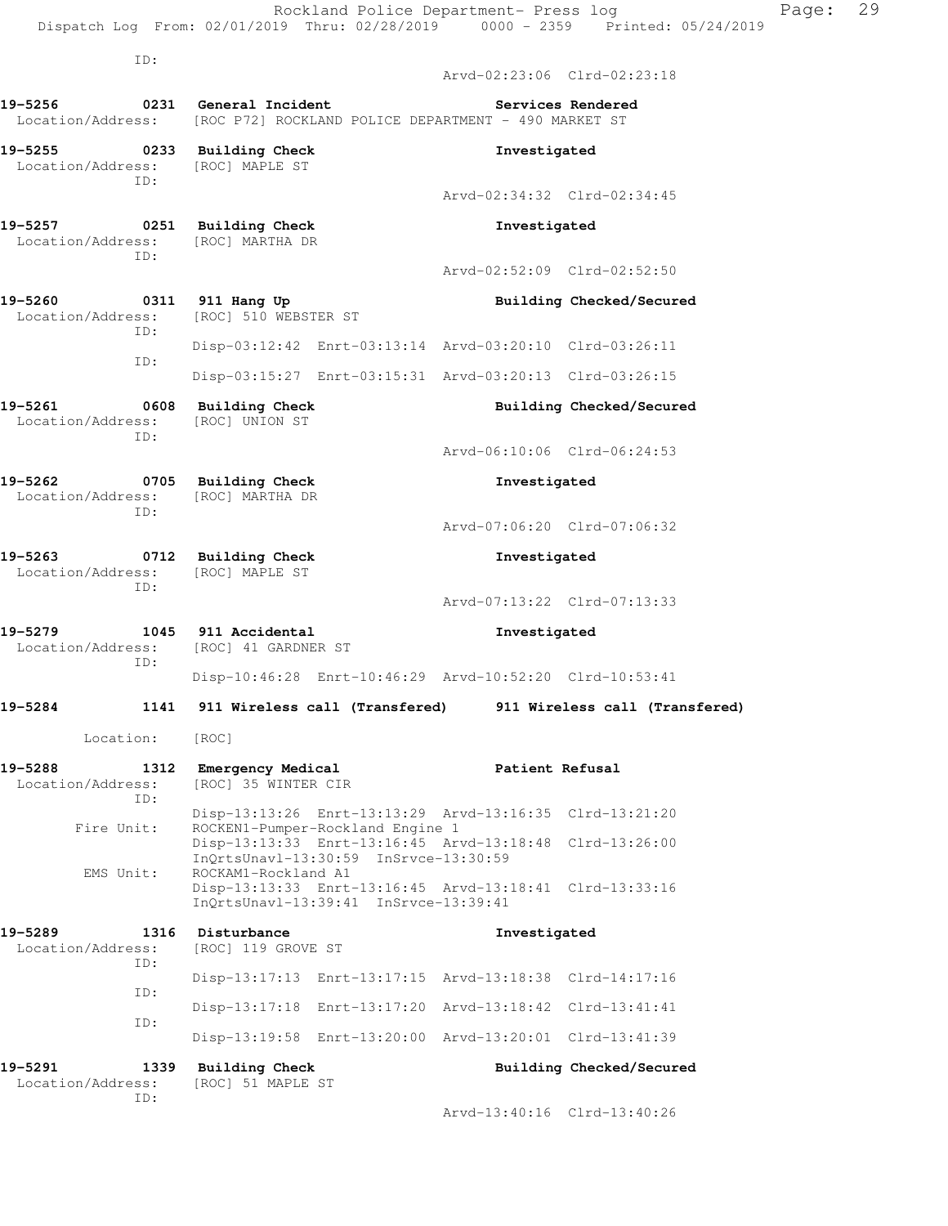|                                               | ID:         |                                                                                                           |                             |                          |
|-----------------------------------------------|-------------|-----------------------------------------------------------------------------------------------------------|-----------------------------|--------------------------|
|                                               |             |                                                                                                           | Arvd-02:23:06 Clrd-02:23:18 |                          |
| 19-5256                                       |             | 0231 General Incident<br>Location/Address: [ROC P72] ROCKLAND POLICE DEPARTMENT - 490 MARKET ST           |                             | Services Rendered        |
| Location/Address: [ROC] MAPLE ST              | ID:         | 19-5255 0233 Building Check                                                                               | Investigated                |                          |
|                                               |             |                                                                                                           | Arvd-02:34:32 Clrd-02:34:45 |                          |
|                                               | ID:         | 19-5257 0251 Building Check<br>Location/Address: [ROC] MARTHA DR                                          | Investigated                |                          |
|                                               |             |                                                                                                           | Arvd-02:52:09 Clrd-02:52:50 |                          |
| 19-5260 0311 911 Hang Up<br>Location/Address: | ID:         | [ROC] 510 WEBSTER ST                                                                                      |                             | Building Checked/Secured |
|                                               | ID:         | Disp-03:12:42 Enrt-03:13:14 Arvd-03:20:10 Clrd-03:26:11                                                   |                             |                          |
|                                               |             | Disp-03:15:27 Enrt-03:15:31 Arvd-03:20:13 Clrd-03:26:15                                                   |                             |                          |
|                                               | ID:         | 19-5261 0608 Building Check<br>Location/Address: [ROC] UNION ST                                           |                             | Building Checked/Secured |
|                                               |             |                                                                                                           | Arvd-06:10:06 Clrd-06:24:53 |                          |
|                                               | ID:         | 19-5262 0705 Building Check<br>Location/Address: [ROC] MARTHA DR                                          | Investigated                |                          |
|                                               |             | Arvd-07:06:20 Clrd-07:06:32                                                                               |                             |                          |
|                                               | ID:         | 19-5263 0712 Building Check<br>Location/Address: [ROC] MAPLE ST                                           | Investigated                |                          |
|                                               |             |                                                                                                           | Arvd-07:13:22 Clrd-07:13:33 |                          |
|                                               | ID:         | 19-5279 1045 911 Accidental<br>Location/Address: [ROC] 41 GARDNER ST                                      | Investigated                |                          |
|                                               |             | Disp-10:46:28 Enrt-10:46:29 Arvd-10:52:20 Clrd-10:53:41                                                   |                             |                          |
| 19-5284                                       |             | 1141 911 Wireless call (Transfered) 911 Wireless call (Transfered)                                        |                             |                          |
| Location: [ROC]                               |             |                                                                                                           |                             |                          |
| 19-5288<br>Location/Address:                  | 1312<br>TD: | Emergency Medical<br>[ROC] 35 WINTER CIR                                                                  | Patient Refusal             |                          |
| Fire Unit:                                    |             | Disp-13:13:26 Enrt-13:13:29 Arvd-13:16:35 Clrd-13:21:20<br>ROCKEN1-Pumper-Rockland Engine 1               |                             |                          |
| EMS Unit:                                     |             | Disp-13:13:33 Enrt-13:16:45 Arvd-13:18:48<br>InQrtsUnavl-13:30:59 InSrvce-13:30:59<br>ROCKAM1-Rockland A1 |                             | $Clrd-13:26:00$          |
|                                               |             | Disp-13:13:33 Enrt-13:16:45 Arvd-13:18:41 Clrd-13:33:16<br>InQrtsUnavl-13:39:41 InSrvce-13:39:41          |                             |                          |
| 19-5289<br>Location/Address:                  | 1316<br>ID: | Disturbance<br>[ROC] 119 GROVE ST                                                                         | Investigated                |                          |
|                                               | ID:         | Disp-13:17:13 Enrt-13:17:15 Arvd-13:18:38 Clrd-14:17:16                                                   |                             |                          |
|                                               | ID:         | Disp-13:17:18 Enrt-13:17:20 Arvd-13:18:42 Clrd-13:41:41                                                   |                             |                          |
|                                               |             | Disp-13:19:58 Enrt-13:20:00 Arvd-13:20:01 Clrd-13:41:39                                                   |                             |                          |
| 19-5291                                       | 1339        | <b>Building Check</b>                                                                                     |                             | Building Checked/Secured |

Dispatch Log From: 02/01/2019 Thru: 02/28/2019 0000 - 2359 Printed: 05/24/2019

 Location/Address: [ROC] 51 MAPLE ST ID:

Arvd-13:40:16 Clrd-13:40:26

Rockland Police Department- Press log entitled Page: 29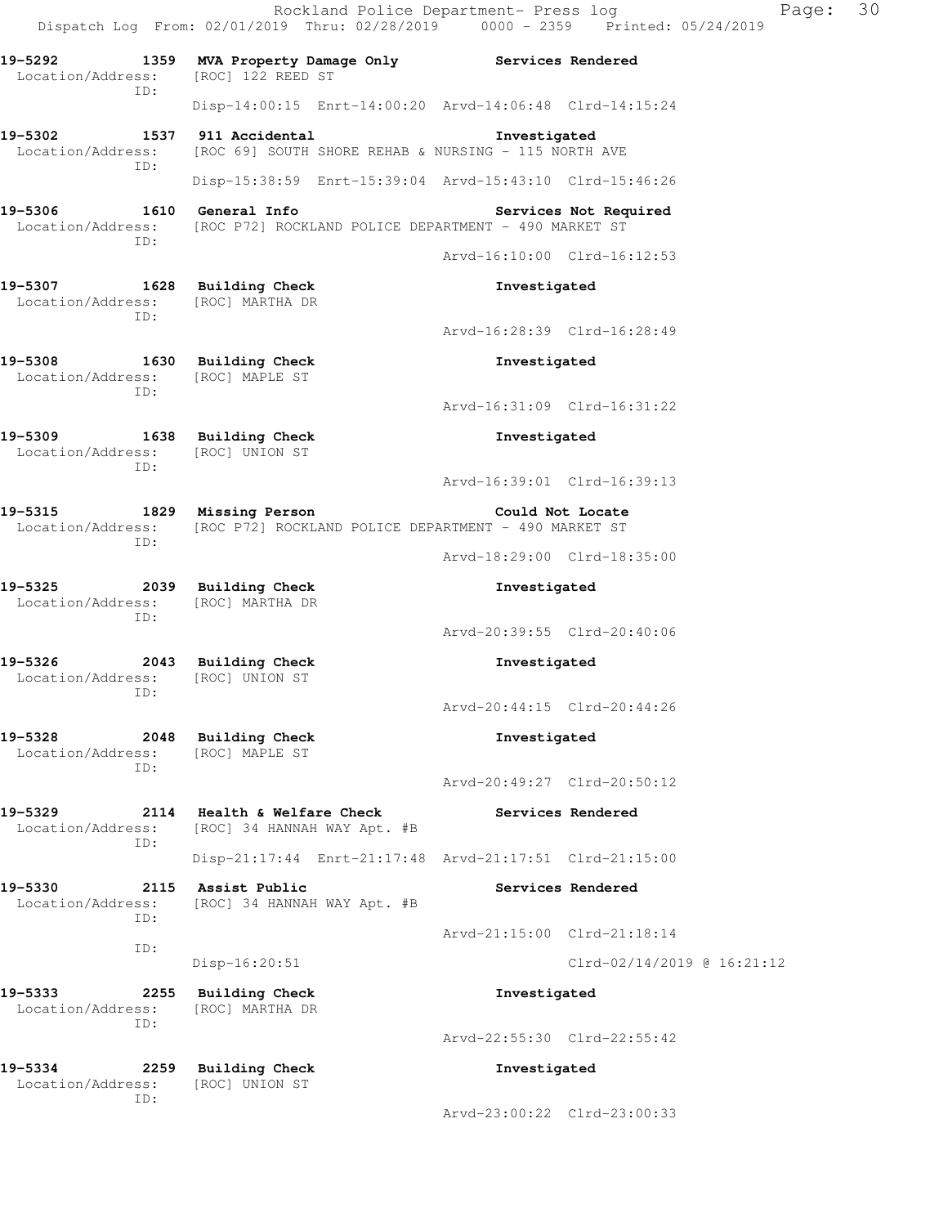Rockland Police Department- Press log Page: 30 Dispatch Log From: 02/01/2019 Thru: 02/28/2019 0000 - 2359 Printed: 05/24/2019 **19-5292 1359 MVA Property Damage Only Services Rendered**  Location/Address: [ROC] 122 REED ST ID: Disp-14:00:15 Enrt-14:00:20 Arvd-14:06:48 Clrd-14:15:24 **19-5302 1537 911 Accidental Investigated**  Location/Address: [ROC 69] SOUTH SHORE REHAB & NURSING - 115 NORTH AVE ID: Disp-15:38:59 Enrt-15:39:04 Arvd-15:43:10 Clrd-15:46:26 19-5306 1610 General Info **1999 Services Not Required**  Location/Address: [ROC P72] ROCKLAND POLICE DEPARTMENT - 490 MARKET ST ID: Arvd-16:10:00 Clrd-16:12:53 **19-5307 1628 Building Check Investigated**  Location/Address: [ROC] MARTHA DR ID: Arvd-16:28:39 Clrd-16:28:49 **19-5308 1630 Building Check Investigated**  Location/Address: [ROC] MAPLE ST ID: Arvd-16:31:09 Clrd-16:31:22 **19-5309 1638 Building Check Investigated**  Location/Address: [ROC] UNION ST ID: Arvd-16:39:01 Clrd-16:39:13 **19-5315 1829 Missing Person Could Not Locate**  Location/Address: [ROC P72] ROCKLAND POLICE DEPARTMENT - 490 MARKET ST ID: Arvd-18:29:00 Clrd-18:35:00 **19-5325 2039 Building Check Investigated**  Location/Address: [ROC] MARTHA DR ID: Arvd-20:39:55 Clrd-20:40:06 **19-5326 2043 Building Check Investigated**  Location/Address: [ROC] UNION ST ID: Arvd-20:44:15 Clrd-20:44:26 **19-5328 2048 Building Check Investigated**  Location/Address: [ROC] MAPLE ST ID: Arvd-20:49:27 Clrd-20:50:12 **19-5329 2114 Health & Welfare Check Services Rendered**  Location/Address: [ROC] 34 HANNAH WAY Apt. #B ID: Disp-21:17:44 Enrt-21:17:48 Arvd-21:17:51 Clrd-21:15:00 19-5330 2115 Assist Public **19-5330** Services Rendered Location/Address: [ROC] 34 HANNAH WAY Apt. #B ID: Arvd-21:15:00 Clrd-21:18:14 ID: Disp-16:20:51 Clrd-02/14/2019 @ 16:21:12 **19-5333 2255 Building Check Investigated**  Location/Address: [ROC] MARTHA DR ID: Arvd-22:55:30 Clrd-22:55:42 **19-5334 2259 Building Check Investigated**  Location/Address: [ROC] UNION ST ID: Arvd-23:00:22 Clrd-23:00:33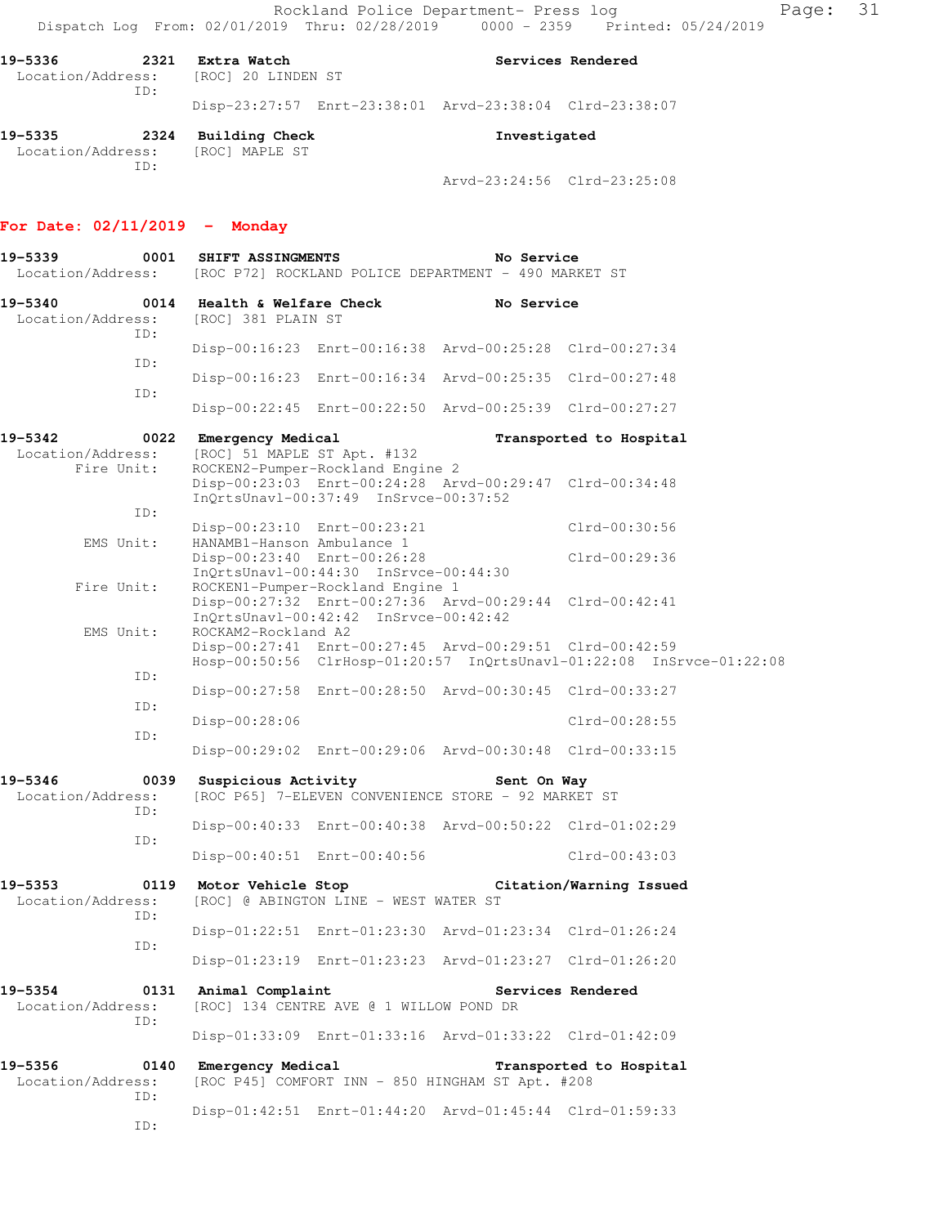Rockland Police Department- Press log Rage: 31 Dispatch Log From: 02/01/2019 Thru: 02/28/2019 0000 - 2359 Printed: 05/24/2019

| 19–5336 | 2321 | Extra Watch<br>Location/Address: [ROC] 20 LINDEN ST |                                                         | Services Rendered |
|---------|------|-----------------------------------------------------|---------------------------------------------------------|-------------------|
|         | TD:  |                                                     | Disp-23:27:57 Enrt-23:38:01 Arvd-23:38:04 Clrd-23:38:07 |                   |
| 19-5335 | 2324 | Building Check                                      | Investigated                                            |                   |

 Location/Address: [ROC] MAPLE ST ID:

Arvd-23:24:56 Clrd-23:25:08

#### **For Date: 02/11/2019 - Monday**

**19-5339 0001 SHIFT ASSINGMENTS No Service**  Location/Address: [ROC P72] ROCKLAND POLICE DEPARTMENT - 490 MARKET ST **19-5340 0014 Health & Welfare Check No Service**  Location/Address: [ROC] 381 PLAIN ST ID: Disp-00:16:23 Enrt-00:16:38 Arvd-00:25:28 Clrd-00:27:34 ID: Disp-00:16:23 Enrt-00:16:34 Arvd-00:25:35 Clrd-00:27:48 ID: Disp-00:22:45 Enrt-00:22:50 Arvd-00:25:39 Clrd-00:27:27 **19-5342 0022 Emergency Medical Transported to Hospital**  Location/Address: [ROC] 51 MAPLE ST Apt. #132 Fire Unit: ROCKEN2-Pumper-Rockland Engine 2 Disp-00:23:03 Enrt-00:24:28 Arvd-00:29:47 Clrd-00:34:48 InQrtsUnavl-00:37:49 InSrvce-00:37:52 ID: Disp-00:23:10 Enrt-00:23:21 Clrd-00:30:56 EMS Unit: HANAMB1-Hanson Ambulance 1 Disp-00:23:40 Enrt-00:26:28 Clrd-00:29:36 InQrtsUnavl-00:44:30 InSrvce-00:44:30<br>Fire Unit: ROCKEN1-Pumper-Rockland Engine 1 ROCKEN1-Pumper-Rockland Engine 1 Disp-00:27:32 Enrt-00:27:36 Arvd-00:29:44 Clrd-00:42:41 InQrtsUnavl-00:42:42 InSrvce-00:42:42 EMS Unit: ROCKAM2-Rockland A2 Disp-00:27:41 Enrt-00:27:45 Arvd-00:29:51 Clrd-00:42:59 Hosp-00:50:56 ClrHosp-01:20:57 InQrtsUnavl-01:22:08 InSrvce-01:22:08 ID: Disp-00:27:58 Enrt-00:28:50 Arvd-00:30:45 Clrd-00:33:27 ID: Disp-00:28:06 Clrd-00:28:55 ID: Disp-00:29:02 Enrt-00:29:06 Arvd-00:30:48 Clrd-00:33:15 **19-5346 0039 Suspicious Activity Sent On Way**  Location/Address: [ROC P65] 7-ELEVEN CONVENIENCE STORE - 92 MARKET ST ID: Disp-00:40:33 Enrt-00:40:38 Arvd-00:50:22 Clrd-01:02:29 ID: Disp-00:40:51 Enrt-00:40:56 Clrd-00:43:03 **19-5353 0119 Motor Vehicle Stop Citation/Warning Issued**  Location/Address: [ROC] @ ABINGTON LINE - WEST WATER ST ID: Disp-01:22:51 Enrt-01:23:30 Arvd-01:23:34 Clrd-01:26:24 ID: Disp-01:23:19 Enrt-01:23:23 Arvd-01:23:27 Clrd-01:26:20 19-5354 0131 Animal Complaint **19-5354** Services Rendered Location/Address: [ROC] 134 CENTRE AVE @ 1 WILLOW POND DR ID: Disp-01:33:09 Enrt-01:33:16 Arvd-01:33:22 Clrd-01:42:09 **19-5356 0140 Emergency Medical Transported to Hospital**  Location/Address: [ROC P45] COMFORT INN - 850 HINGHAM ST Apt. #208 ID: Disp-01:42:51 Enrt-01:44:20 Arvd-01:45:44 Clrd-01:59:33 ID: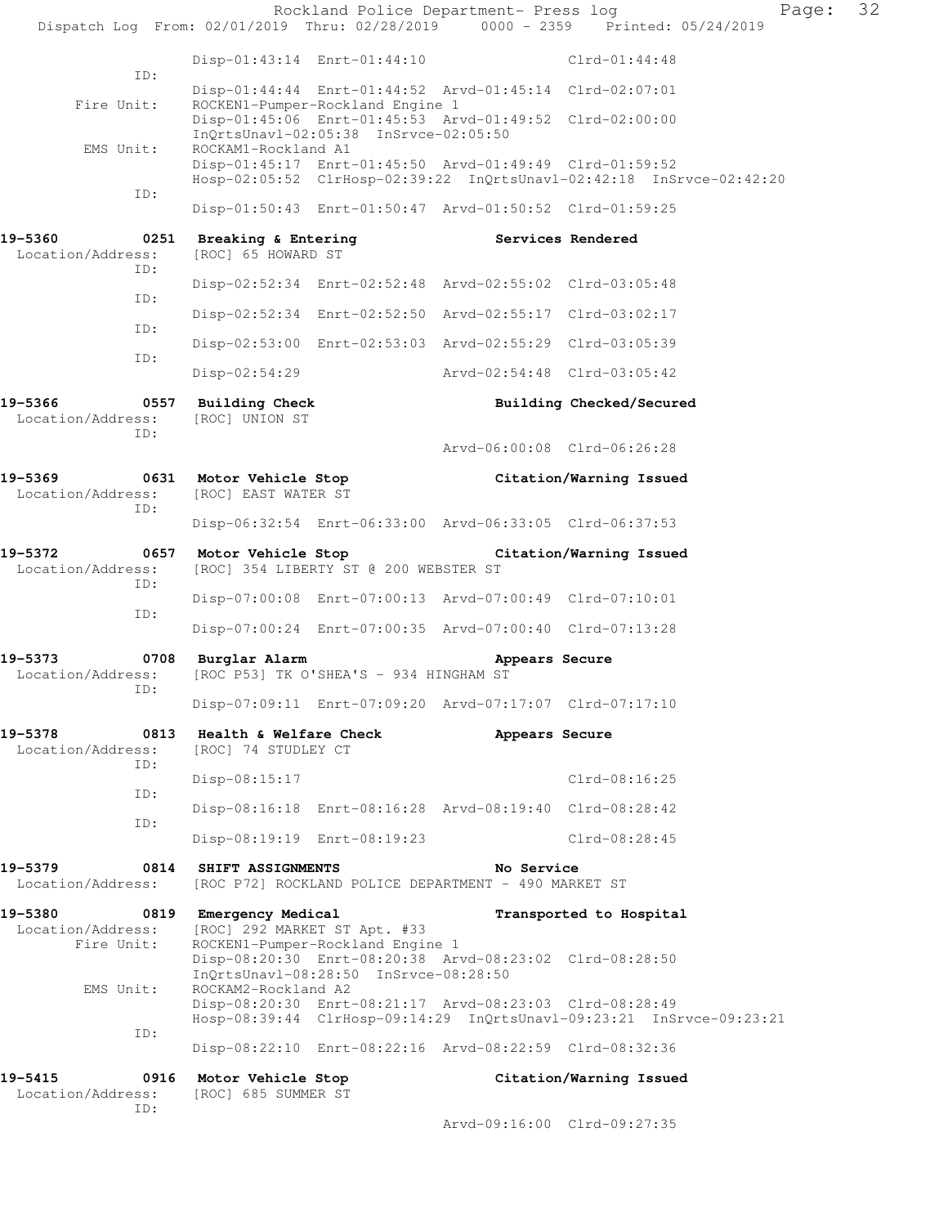| Dispatch Log From: 02/01/2019 Thru: 02/28/2019 0000 - 2359 Printed: 05/24/2019 |                                                                  |                                                                           | Rockland Police Department- Press log                                                                                           |                          | Page: | 32 |  |
|--------------------------------------------------------------------------------|------------------------------------------------------------------|---------------------------------------------------------------------------|---------------------------------------------------------------------------------------------------------------------------------|--------------------------|-------|----|--|
|                                                                                |                                                                  |                                                                           |                                                                                                                                 |                          |       |    |  |
| ID:                                                                            |                                                                  | Disp-01:43:14 Enrt-01:44:10                                               |                                                                                                                                 | $Clrd-01:44:48$          |       |    |  |
| Fire Unit:                                                                     |                                                                  | ROCKEN1-Pumper-Rockland Engine 1                                          | Disp-01:44:44 Enrt-01:44:52 Arvd-01:45:14 Clrd-02:07:01                                                                         |                          |       |    |  |
|                                                                                |                                                                  | InQrtsUnavl-02:05:38 InSrvce-02:05:50                                     | Disp-01:45:06 Enrt-01:45:53 Arvd-01:49:52 Clrd-02:00:00                                                                         |                          |       |    |  |
| EMS Unit:                                                                      | ROCKAM1-Rockland A1                                              |                                                                           | Disp-01:45:17 Enrt-01:45:50 Arvd-01:49:49 Clrd-01:59:52<br>Hosp-02:05:52 ClrHosp-02:39:22 InQrtsUnavl-02:42:18 InSrvce-02:42:20 |                          |       |    |  |
| ID:                                                                            |                                                                  |                                                                           | Disp-01:50:43 Enrt-01:50:47 Arvd-01:50:52 Clrd-01:59:25                                                                         |                          |       |    |  |
|                                                                                |                                                                  |                                                                           |                                                                                                                                 |                          |       |    |  |
| 19-5360<br>Location/Address:<br>ID:                                            | 0251 Breaking & Entering<br>[ROC] 65 HOWARD ST                   |                                                                           | Services Rendered                                                                                                               |                          |       |    |  |
| ID:                                                                            |                                                                  |                                                                           | Disp-02:52:34 Enrt-02:52:48 Arvd-02:55:02 Clrd-03:05:48                                                                         |                          |       |    |  |
| ID:                                                                            |                                                                  |                                                                           | Disp-02:52:34 Enrt-02:52:50 Arvd-02:55:17 Clrd-03:02:17                                                                         |                          |       |    |  |
| ID:                                                                            |                                                                  |                                                                           | Disp-02:53:00 Enrt-02:53:03 Arvd-02:55:29 Clrd-03:05:39                                                                         |                          |       |    |  |
|                                                                                | $Disp-02:54:29$                                                  |                                                                           | Arvd-02:54:48 Clrd-03:05:42                                                                                                     |                          |       |    |  |
| 19-5366<br>Location/Address:                                                   | 0557 Building Check<br>[ROC] UNION ST                            |                                                                           |                                                                                                                                 | Building Checked/Secured |       |    |  |
| ID:                                                                            |                                                                  |                                                                           | Arvd-06:00:08 Clrd-06:26:28                                                                                                     |                          |       |    |  |
| 19-5369<br>Location/Address:                                                   | 0631 Motor Vehicle Stop<br>[ROC] EAST WATER ST                   |                                                                           |                                                                                                                                 | Citation/Warning Issued  |       |    |  |
| ID:                                                                            |                                                                  |                                                                           | Disp-06:32:54 Enrt-06:33:00 Arvd-06:33:05 Clrd-06:37:53                                                                         |                          |       |    |  |
| 19-5372                                                                        | 0657 Motor Vehicle Stop                                          |                                                                           |                                                                                                                                 |                          |       |    |  |
| Location/Address:<br>ID:                                                       | Citation/Warning Issued<br>[ROC] 354 LIBERTY ST @ 200 WEBSTER ST |                                                                           |                                                                                                                                 |                          |       |    |  |
| ID:                                                                            |                                                                  |                                                                           | Disp-07:00:08 Enrt-07:00:13 Arvd-07:00:49 Clrd-07:10:01                                                                         |                          |       |    |  |
|                                                                                |                                                                  |                                                                           | Disp-07:00:24 Enrt-07:00:35 Arvd-07:00:40 Clrd-07:13:28                                                                         |                          |       |    |  |
| 19–5373<br>Location/Address:                                                   | 0708 Burglar Alarm                                               | [ROC P53] TK O'SHEA'S - 934 HINGHAM ST                                    | Appears Secure                                                                                                                  |                          |       |    |  |
| ID:                                                                            |                                                                  |                                                                           | Disp-07:09:11 Enrt-07:09:20 Arvd-07:17:07 Clrd-07:17:10                                                                         |                          |       |    |  |
| 0813<br>19-5378<br>Location/Address:                                           | Health & Welfare Check<br>[ROC] 74 STUDLEY CT                    |                                                                           | Appears Secure                                                                                                                  |                          |       |    |  |
| ID:                                                                            | Disp-08:15:17                                                    |                                                                           |                                                                                                                                 | Clrd-08:16:25            |       |    |  |
| ID:                                                                            |                                                                  |                                                                           | Disp-08:16:18 Enrt-08:16:28 Arvd-08:19:40 Clrd-08:28:42                                                                         |                          |       |    |  |
| ID:                                                                            |                                                                  | Disp-08:19:19 Enrt-08:19:23                                               |                                                                                                                                 | $Clrd-08:28:45$          |       |    |  |
| 19-5379<br>0814                                                                | SHIFT ASSIGNMENTS                                                |                                                                           | No Service                                                                                                                      |                          |       |    |  |
| Location/Address:                                                              |                                                                  |                                                                           | [ROC P72] ROCKLAND POLICE DEPARTMENT - 490 MARKET ST                                                                            |                          |       |    |  |
| 19-5380<br>Location/Address:                                                   | 0819 Emergency Medical<br>[ROC] 292 MARKET ST Apt. #33           |                                                                           |                                                                                                                                 | Transported to Hospital  |       |    |  |
| Fire Unit:<br>EMS Unit:                                                        | ROCKAM2-Rockland A2                                              | ROCKEN1-Pumper-Rockland Engine 1<br>InQrtsUnavl-08:28:50 InSrvce-08:28:50 | Disp-08:20:30 Enrt-08:20:38 Arvd-08:23:02 Clrd-08:28:50                                                                         |                          |       |    |  |
|                                                                                |                                                                  |                                                                           | Disp-08:20:30 Enrt-08:21:17 Arvd-08:23:03 Clrd-08:28:49<br>Hosp-08:39:44 ClrHosp-09:14:29 InQrtsUnavl-09:23:21 InSrvce-09:23:21 |                          |       |    |  |
| ID:                                                                            |                                                                  |                                                                           | Disp-08:22:10 Enrt-08:22:16 Arvd-08:22:59 Clrd-08:32:36                                                                         |                          |       |    |  |
| 19-5415<br>0916<br>Location/Address:<br>ID:                                    | Motor Vehicle Stop<br>[ROC] 685 SUMMER ST                        |                                                                           |                                                                                                                                 | Citation/Warning Issued  |       |    |  |

Arvd-09:16:00 Clrd-09:27:35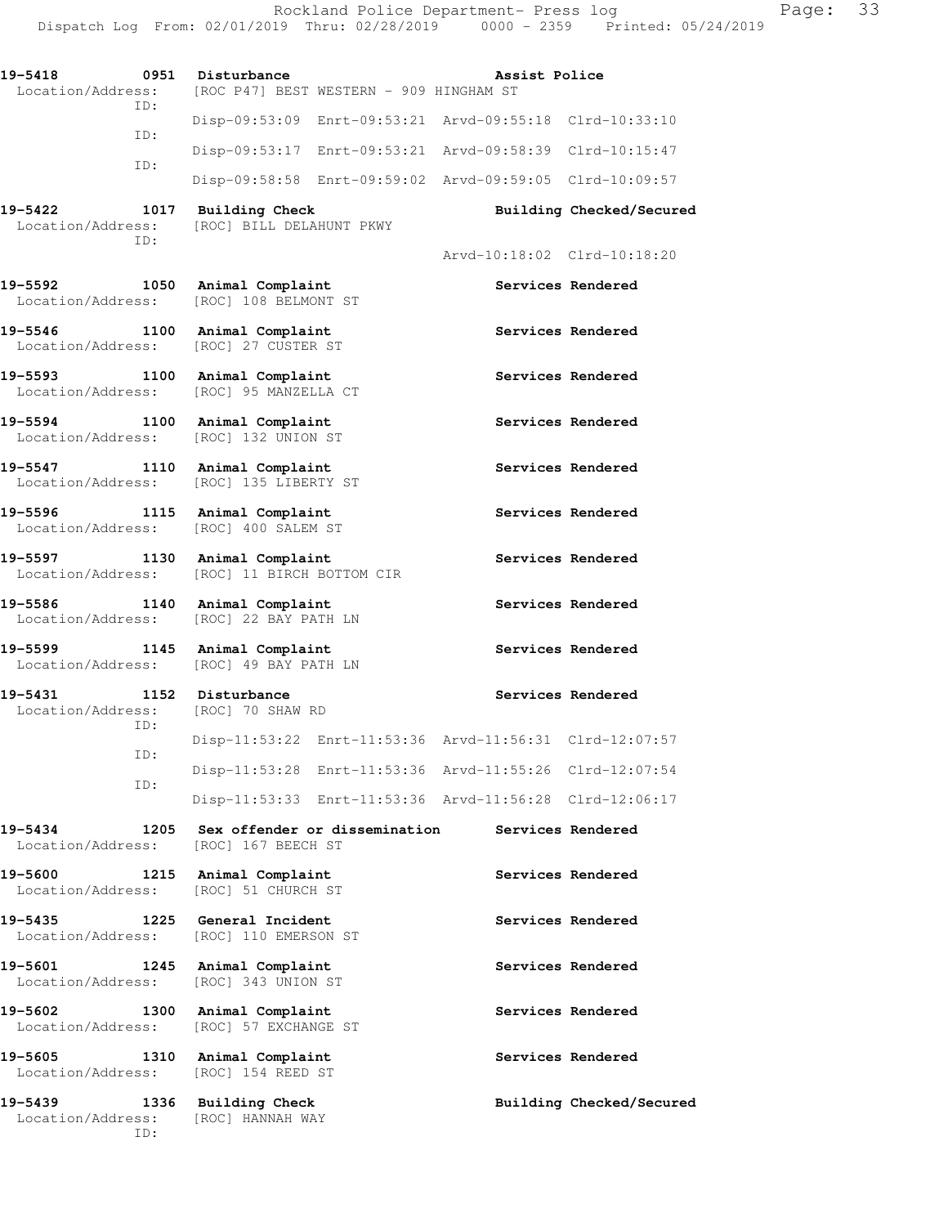Dispatch Log From: 02/01/2019 Thru: 02/28/2019 0000 - 2359 Printed: 05/24/2019 19-5418 0951 Disturbance **Assist Police Assist Police**  Location/Address: [ROC P47] BEST WESTERN - 909 HINGHAM ST ID: Disp-09:53:09 Enrt-09:53:21 Arvd-09:55:18 Clrd-10:33:10 ID: Disp-09:53:17 Enrt-09:53:21 Arvd-09:58:39 Clrd-10:15:47 ID: Disp-09:58:58 Enrt-09:59:02 Arvd-09:59:05 Clrd-10:09:57 **19-5422 1017 Building Check Building Checked/Secured**  Location/Address: [ROC] BILL DELAHUNT PKWY ID: Arvd-10:18:02 Clrd-10:18:20 **19-5592 1050 Animal Complaint Services Rendered**  Location/Address: [ROC] 108 BELMONT ST 19-5546 1100 Animal Complaint **1100 Services Rendered** Location/Address: [ROC] 27 CUSTER ST 19-5593 1100 Animal Complaint **19-5593** Services Rendered Location/Address: [ROC] 95 MANZELLA CT **19-5594 1100 Animal Complaint Services Rendered**  Location/Address: [ROC] 132 UNION ST 19-5547 1110 Animal Complaint **19-5547** Services Rendered Location/Address: [ROC] 135 LIBERTY ST **19-5596 1115 Animal Complaint Services Rendered**  Location/Address: [ROC] 400 SALEM ST 19-5597 1130 Animal Complaint **Services Rendered**  Location/Address: [ROC] 11 BIRCH BOTTOM CIR **19-5586 1140 Animal Complaint Services Rendered**  Location/Address: [ROC] 22 BAY PATH LN 19-5599 1145 Animal Complaint **Services Rendered**  Location/Address: [ROC] 49 BAY PATH LN 19-5431 1152 Disturbance **Services Rendered**  Location/Address: [ROC] 70 SHAW RD ID: Disp-11:53:22 Enrt-11:53:36 Arvd-11:56:31 Clrd-12:07:57 ID: Disp-11:53:28 Enrt-11:53:36 Arvd-11:55:26 Clrd-12:07:54 ID: Disp-11:53:33 Enrt-11:53:36 Arvd-11:56:28 Clrd-12:06:17 **19-5434 1205 Sex offender or dissemination Services Rendered**  Location/Address: [ROC] 167 BEECH ST 19-5600 1215 Animal Complaint **19-5600** Services Rendered Location/Address: [ROC] 51 CHURCH ST 19-5435 1225 General Incident **1286 1226 Services Rendered**  Location/Address: [ROC] 110 EMERSON ST 19-5601 1245 Animal Complaint **Services Rendered**  Location/Address: [ROC] 343 UNION ST 19-5602 1300 Animal Complaint **19-5602** Services Rendered Location/Address: [ROC] 57 EXCHANGE ST 19-5605 1310 Animal Complaint **19-5605** Services Rendered Location/Address: [ROC] 154 REED ST **19-5439 1336 Building Check Building Checked/Secured**  Location/Address: [ROC] HANNAH WAY

ID:

Rockland Police Department- Press log Fage: 33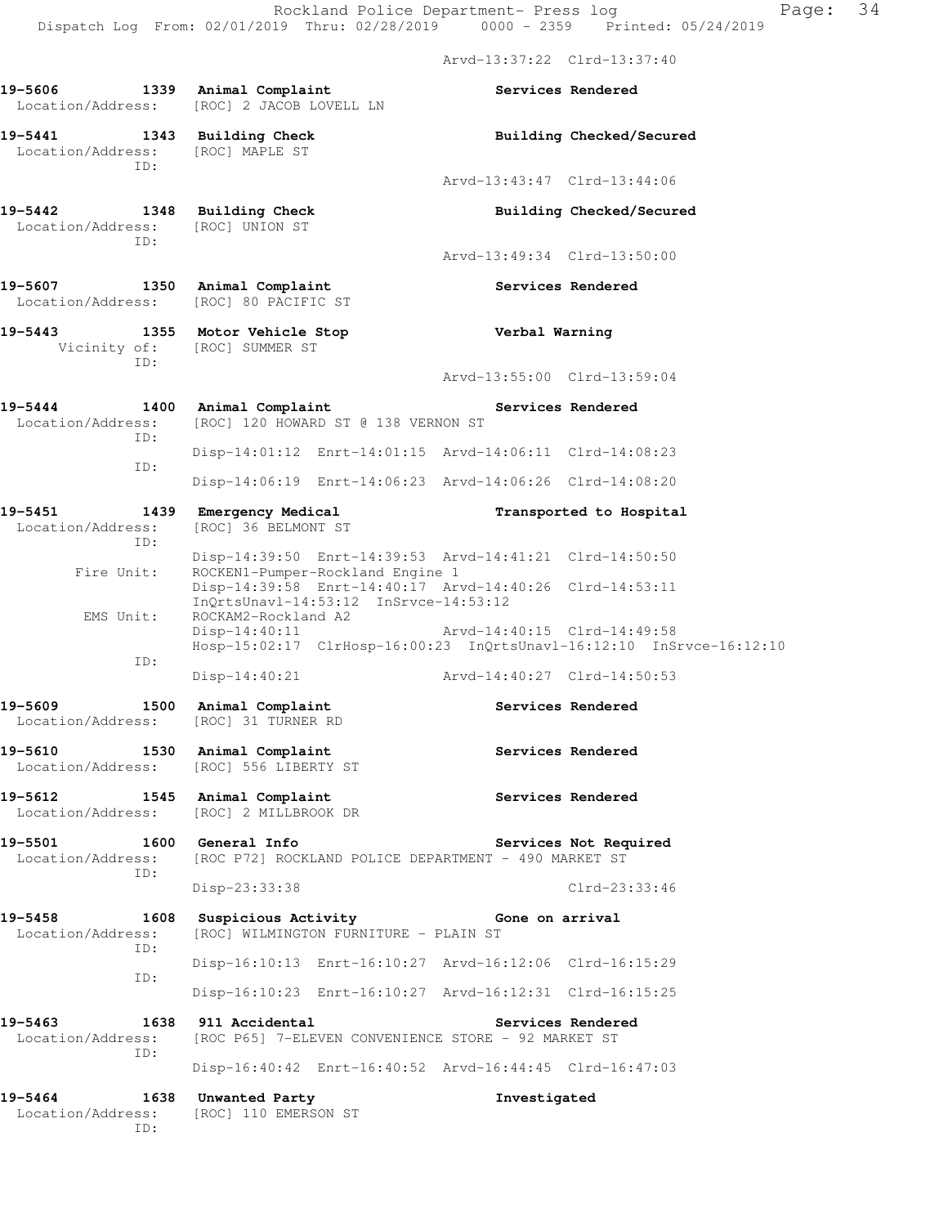Arvd-13:37:22 Clrd-13:37:40

| 19-5606<br>1339<br>Location/Address:        | Animal Complaint<br>[ROC] 2 JACOB LOVELL LN                                                                                                            |                             | Services Rendered        |
|---------------------------------------------|--------------------------------------------------------------------------------------------------------------------------------------------------------|-----------------------------|--------------------------|
| 19-5441<br>1343<br>Location/Address:<br>TD: | <b>Building Check</b><br>[ROC] MAPLE ST                                                                                                                |                             | Building Checked/Secured |
|                                             |                                                                                                                                                        | Arvd-13:43:47 Clrd-13:44:06 |                          |
| 19-5442<br>1348<br>Location/Address:<br>TD: | <b>Building Check</b><br>[ROC] UNION ST                                                                                                                |                             | Building Checked/Secured |
|                                             |                                                                                                                                                        | Arvd-13:49:34 Clrd-13:50:00 |                          |
| 19-5607<br>1350<br>Location/Address:        | Animal Complaint<br>[ROC] 80 PACIFIC ST                                                                                                                |                             | Services Rendered        |
| 19-5443<br>Vicinity of:<br>TD:              | 1355 Motor Vehicle Stop<br>[ROC] SUMMER ST                                                                                                             | Verbal Warning              |                          |
|                                             |                                                                                                                                                        | Arvd-13:55:00 Clrd-13:59:04 |                          |
| 19-5444<br>1400<br>Location/Address:<br>ID: | Animal Complaint<br>[ROC] 120 HOWARD ST @ 138 VERNON ST                                                                                                |                             | Services Rendered        |
| ID:                                         | Disp-14:01:12 Enrt-14:01:15 Arvd-14:06:11 Clrd-14:08:23                                                                                                |                             |                          |
|                                             | Disp-14:06:19 Enrt-14:06:23 Arvd-14:06:26 Clrd-14:08:20                                                                                                |                             |                          |
| 19-5451<br>1439<br>Location/Address:<br>ID: | Emergency Medical<br>[ROC] 36 BELMONT ST                                                                                                               |                             | Transported to Hospital  |
| Fire Unit:                                  | Disp-14:39:50 Enrt-14:39:53 Arvd-14:41:21 Clrd-14:50:50<br>ROCKEN1-Pumper-Rockland Engine 1<br>Disp-14:39:58 Enrt-14:40:17 Arvd-14:40:26 Clrd-14:53:11 |                             |                          |
| EMS Unit:                                   | InQrtsUnavl-14:53:12 InSrvce-14:53:12<br>ROCKAM2-Rockland A2<br>$Disp-14:40:11$                                                                        | Arvd-14:40:15 Clrd-14:49:58 |                          |
| ID:                                         | Hosp-15:02:17 ClrHosp-16:00:23 InQrtsUnavl-16:12:10 InSrvce-16:12:10<br>$Disp-14:40:21$                                                                | Arvd-14:40:27 Clrd-14:50:53 |                          |
| 19-5609<br>1500<br>Location/Address:        | Animal Complaint<br>[ROC] 31 TURNER RD                                                                                                                 |                             | Services Rendered        |
| 19-5610<br>1530<br>Location/Address:        | Animal Complaint<br>[ROC] 556 LIBERTY ST                                                                                                               |                             | Services Rendered        |
| 19-5612<br>1545<br>Location/Address:        | Animal Complaint<br>[ROC] 2 MILLBROOK DR                                                                                                               |                             | Services Rendered        |
| 19-5501<br>1600<br>Location/Address:<br>ID: | General Info<br>[ROC P72] ROCKLAND POLICE DEPARTMENT - 490 MARKET ST                                                                                   |                             | Services Not Required    |
|                                             | Disp-23:33:38                                                                                                                                          |                             | $Clrd-23:33:46$          |
| 19-5458<br>1608<br>Location/Address:<br>ID: | Suspicious Activity<br>[ROC] WILMINGTON FURNITURE - PLAIN ST                                                                                           | Gone on arrival             |                          |
| ID:                                         | Disp-16:10:13 Enrt-16:10:27 Arvd-16:12:06 Clrd-16:15:29                                                                                                |                             |                          |
|                                             | Disp-16:10:23 Enrt-16:10:27 Arvd-16:12:31 Clrd-16:15:25                                                                                                |                             |                          |
| 19-5463<br>1638<br>Location/Address:<br>ID: | 911 Accidental<br>[ROC P65] 7-ELEVEN CONVENIENCE STORE - 92 MARKET ST                                                                                  |                             | Services Rendered        |
|                                             | Disp-16:40:42 Enrt-16:40:52 Arvd-16:44:45 Clrd-16:47:03                                                                                                |                             |                          |
| 19-5464<br>1638<br>Location/Address:<br>ID: | Unwanted Party<br>[ROC] 110 EMERSON ST                                                                                                                 | Investigated                |                          |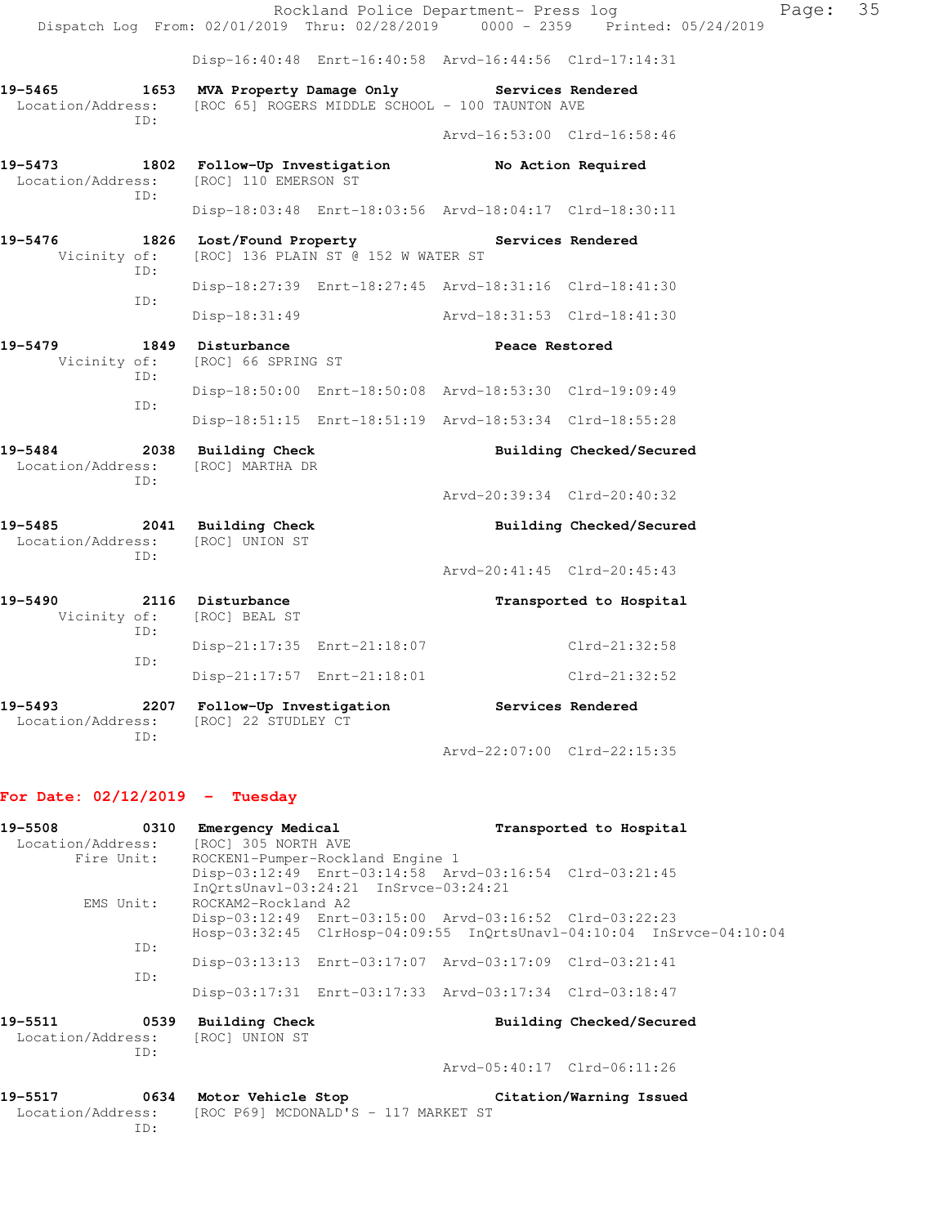|                              |             |                                                      |                                     | Rockland Police Department- Press log                                                         |                                                                                | Page: | 35 |
|------------------------------|-------------|------------------------------------------------------|-------------------------------------|-----------------------------------------------------------------------------------------------|--------------------------------------------------------------------------------|-------|----|
|                              |             |                                                      |                                     |                                                                                               | Dispatch Log From: 02/01/2019 Thru: 02/28/2019 0000 - 2359 Printed: 05/24/2019 |       |    |
|                              |             |                                                      |                                     | Disp-16:40:48 Enrt-16:40:58 Arvd-16:44:56 Clrd-17:14:31                                       |                                                                                |       |    |
| 19-5465<br>Location/Address: | 1653<br>TD: |                                                      |                                     | MVA Property Damage Only Services Rendered<br>[ROC 65] ROGERS MIDDLE SCHOOL - 100 TAUNTON AVE |                                                                                |       |    |
|                              |             |                                                      |                                     | Arvd-16:53:00 Clrd-16:58:46                                                                   |                                                                                |       |    |
| 19-5473<br>Location/Address: | TD:         | 1802 Follow-Up Investigation<br>[ROC] 110 EMERSON ST |                                     | No Action Required                                                                            |                                                                                |       |    |
|                              |             |                                                      |                                     | Disp-18:03:48 Enrt-18:03:56 Arvd-18:04:17 Clrd-18:30:11                                       |                                                                                |       |    |
| 19-5476<br>Vicinity of:      | ID:         |                                                      | [ROC] 136 PLAIN ST @ 152 W WATER ST | 1826 Lost/Found Property The Services Rendered                                                |                                                                                |       |    |
|                              | TD:         |                                                      |                                     | Disp-18:27:39 Enrt-18:27:45 Arvd-18:31:16 Clrd-18:41:30                                       |                                                                                |       |    |
|                              |             | Disp-18:31:49                                        |                                     | Arvd-18:31:53 Clrd-18:41:30                                                                   |                                                                                |       |    |
| 19-5479<br>Vicinity of:      | TD:         | 1849 Disturbance<br>[ROC] 66 SPRING ST               |                                     | Peace Restored                                                                                |                                                                                |       |    |
|                              | ID:         |                                                      |                                     | Disp-18:50:00 Enrt-18:50:08 Arvd-18:53:30 Clrd-19:09:49                                       |                                                                                |       |    |
|                              |             |                                                      |                                     | Disp-18:51:15 Enrt-18:51:19 Arvd-18:53:34 Clrd-18:55:28                                       |                                                                                |       |    |
| 19-5484<br>Location/Address: | TD:         | 2038 Building Check<br>[ROC] MARTHA DR               |                                     |                                                                                               | Building Checked/Secured                                                       |       |    |
|                              |             |                                                      |                                     | Arvd-20:39:34 Clrd-20:40:32                                                                   |                                                                                |       |    |
| 19-5485<br>Location/Address: | ID:         | 2041 Building Check<br>[ROC] UNION ST                |                                     |                                                                                               | Building Checked/Secured                                                       |       |    |
|                              |             |                                                      |                                     | Arvd-20:41:45 Clrd-20:45:43                                                                   |                                                                                |       |    |
| 19-5490<br>Vicinity of:      | ID:         | 2116 Disturbance<br>[ROC] BEAL ST                    |                                     |                                                                                               | Transported to Hospital                                                        |       |    |
|                              | ID:         |                                                      | Disp-21:17:35 Enrt-21:18:07         |                                                                                               | Clrd-21:32:58                                                                  |       |    |
|                              |             |                                                      | Disp-21:17:57 Enrt-21:18:01         |                                                                                               | $Clrd-21:32:52$                                                                |       |    |
| 19-5493<br>Location/Address: | TD:         | 2207 Follow-Up Investigation<br>[ROC] 22 STUDLEY CT  |                                     | Services Rendered                                                                             |                                                                                |       |    |

## Arvd-22:07:00 Clrd-22:15:35

## **For Date: 02/12/2019 - Tuesday**

| 19-5508        | 0310<br>Emergency Medical                               | Transported to Hospital                                              |
|----------------|---------------------------------------------------------|----------------------------------------------------------------------|
|                | Location/Address: [ROC] 305 NORTH AVE                   |                                                                      |
| Fire Unit:     | ROCKEN1-Pumper-Rockland Engine 1                        |                                                                      |
|                | InOrtsUnavl-03:24:21 InSrvce-03:24:21                   | Disp-03:12:49 Enrt-03:14:58 Arvd-03:16:54 Clrd-03:21:45              |
| EMS Unit:      | ROCKAM2-Rockland A2                                     |                                                                      |
|                |                                                         | Disp-03:12:49 Enrt-03:15:00 Arvd-03:16:52 Clrd-03:22:23              |
|                |                                                         | Hosp-03:32:45 ClrHosp-04:09:55 InQrtsUnavl-04:10:04 InSrvce-04:10:04 |
| ID:            |                                                         |                                                                      |
|                |                                                         | Disp-03:13:13 Enrt-03:17:07 Arvd-03:17:09 Clrd-03:21:41              |
| ID:            |                                                         |                                                                      |
|                |                                                         | Disp-03:17:31 Enrt-03:17:33 Arvd-03:17:34 Clrd-03:18:47              |
| 19-5511<br>ID: | 0539 Building Check<br>Location/Address: [ROC] UNION ST | Building Checked/Secured                                             |
|                |                                                         | Arvd-05:40:17 Clrd-06:11:26                                          |
|                | 19-5517 0634 Motor Vehicle Stop                         | Citation/Warning Issued                                              |
| ID:            | Location/Address: [ROC P69] MCDONALD'S - 117 MARKET ST  |                                                                      |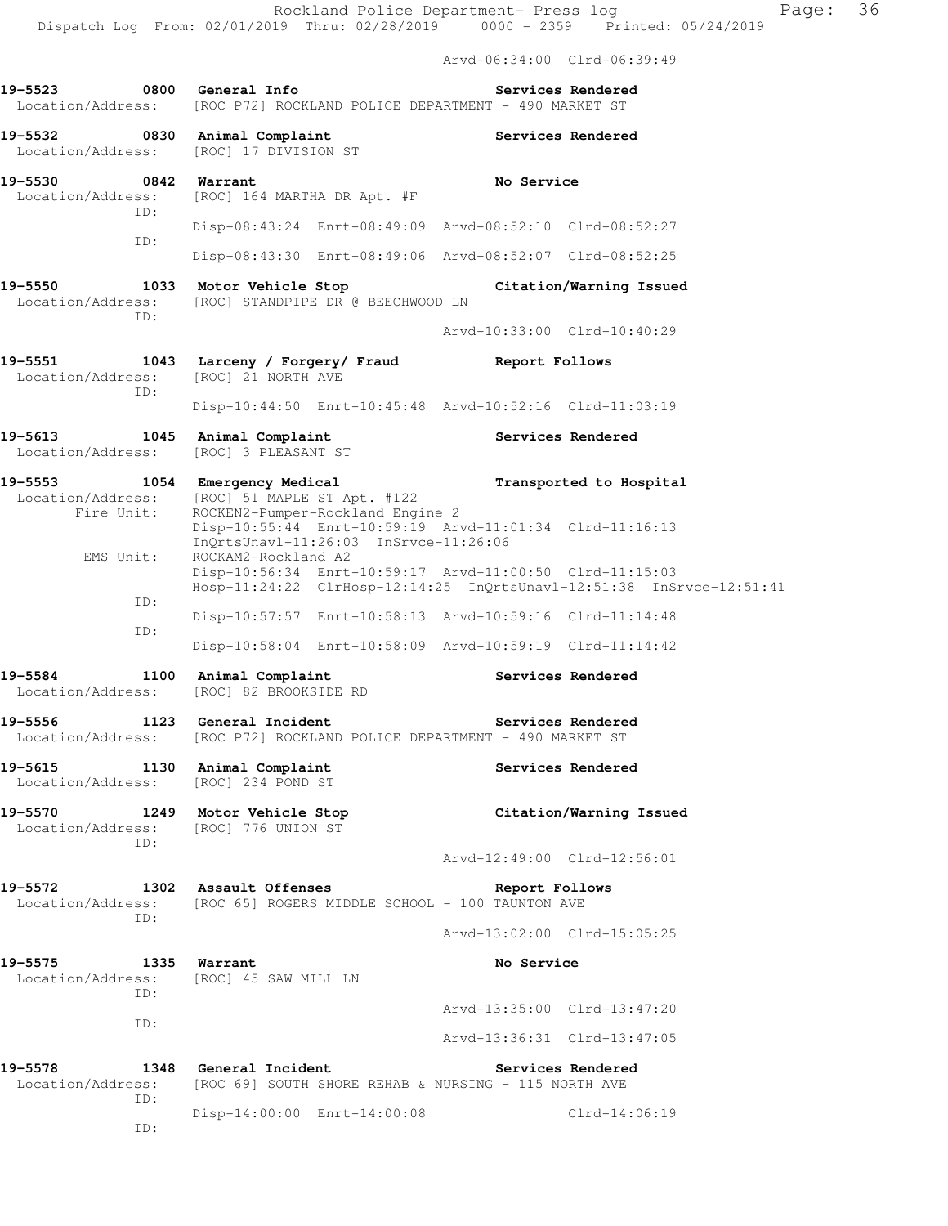Arvd-06:34:00 Clrd-06:39:49

|                              |             | 0800 General Info<br>Location/Address: [ROC P72] ROCKLAND POLICE DEPARTMENT - 490 MARKET ST                             |            | Services Rendered                                                    |
|------------------------------|-------------|-------------------------------------------------------------------------------------------------------------------------|------------|----------------------------------------------------------------------|
|                              |             | 19-5532 0830 Animal Complaint<br>Location/Address: [ROC] 17 DIVISION ST                                                 |            | Services Rendered                                                    |
| 19-5530 0842 Warrant         |             | No Service<br>Location/Address: [ROC] 164 MARTHA DR Apt. #F                                                             |            |                                                                      |
|                              | ID:<br>ID:  | Disp-08:43:24 Enrt-08:49:09 Arvd-08:52:10 Clrd-08:52:27                                                                 |            |                                                                      |
|                              |             | Disp-08:43:30 Enrt-08:49:06 Arvd-08:52:07 Clrd-08:52:25                                                                 |            |                                                                      |
| 19-5550                      | ID:         | 1033 Motor Vehicle Stop Citation/Warning Issued<br>Location/Address: [ROC] STANDPIPE DR @ BEECHWOOD LN                  |            |                                                                      |
|                              |             |                                                                                                                         |            | Arvd-10:33:00 Clrd-10:40:29                                          |
|                              | ID:         | 19-5551 1043 Larceny / Forgery/ Fraud Report Follows<br>Location/Address: [ROC] 21 NORTH AVE                            |            |                                                                      |
|                              |             | Disp-10:44:50 Enrt-10:45:48 Arvd-10:52:16 Clrd-11:03:19                                                                 |            |                                                                      |
| Location/Address:            |             | 19-5613 1045 Animal Complaint<br>[ROC] 3 PLEASANT ST                                                                    |            | Services Rendered                                                    |
| 19-5553                      | Fire Unit:  | 1054 Emergency Medical<br>Location/Address: [ROC] 51 MAPLE ST Apt. #122<br>ROCKEN2-Pumper-Rockland Engine 2             |            | Transported to Hospital                                              |
| EMS Unit:                    |             | Disp-10:55:44 Enrt-10:59:19 Arvd-11:01:34 Clrd-11:16:13<br>InQrtsUnavl-11:26:03 InSrvce-11:26:06<br>ROCKAM2-Rockland A2 |            |                                                                      |
|                              |             | Disp-10:56:34 Enrt-10:59:17 Arvd-11:00:50 Clrd-11:15:03                                                                 |            | Hosp-11:24:22 ClrHosp-12:14:25 InQrtsUnavl-12:51:38 InSrvce-12:51:41 |
|                              | ID:         | Disp-10:57:57 Enrt-10:58:13 Arvd-10:59:16 Clrd-11:14:48                                                                 |            |                                                                      |
|                              | ID:         | Disp-10:58:04 Enrt-10:58:09 Arvd-10:59:19 Clrd-11:14:42                                                                 |            |                                                                      |
|                              |             | 19-5584 1100 Animal Complaint<br>Location/Address: [ROC] 82 BROOKSIDE RD                                                |            | Services Rendered                                                    |
| 19-5556                      |             | 1123 General Incident<br>Services Rendered<br>Location/Address: [ROC P72] ROCKLAND POLICE DEPARTMENT - 490 MARKET ST    |            |                                                                      |
| 19-5615                      |             | 1130 Animal Complaint<br>Location/Address: [ROC] 234 POND ST                                                            |            | Services Rendered                                                    |
| 19-5570                      | ID:         | 1249 Motor Vehicle Stop<br>Location/Address: [ROC] 776 UNION ST                                                         |            | Citation/Warning Issued                                              |
|                              |             |                                                                                                                         |            | Arvd-12:49:00 Clrd-12:56:01                                          |
| 19–5572                      | ID:         | 1302 Assault Offenses<br>Location/Address: [ROC 65] ROGERS MIDDLE SCHOOL - 100 TAUNTON AVE                              |            | Report Follows                                                       |
|                              |             |                                                                                                                         |            | Arvd-13:02:00 Clrd-15:05:25                                          |
| 19-5575<br>ID:               |             | 1335 Warrant<br>Location/Address: [ROC] 45 SAW MILL LN                                                                  | No Service |                                                                      |
|                              | ID:         |                                                                                                                         |            | Arvd-13:35:00 Clrd-13:47:20                                          |
|                              |             |                                                                                                                         |            | Arvd-13:36:31 Clrd-13:47:05                                          |
| 19-5578<br>Location/Address: | 1348<br>ID: | General Incident<br>Services Rendered<br>[ROC 69] SOUTH SHORE REHAB & NURSING - 115 NORTH AVE                           |            |                                                                      |
|                              | ID:         | Disp-14:00:00 Enrt-14:00:08                                                                                             |            | $Clrd-14:06:19$                                                      |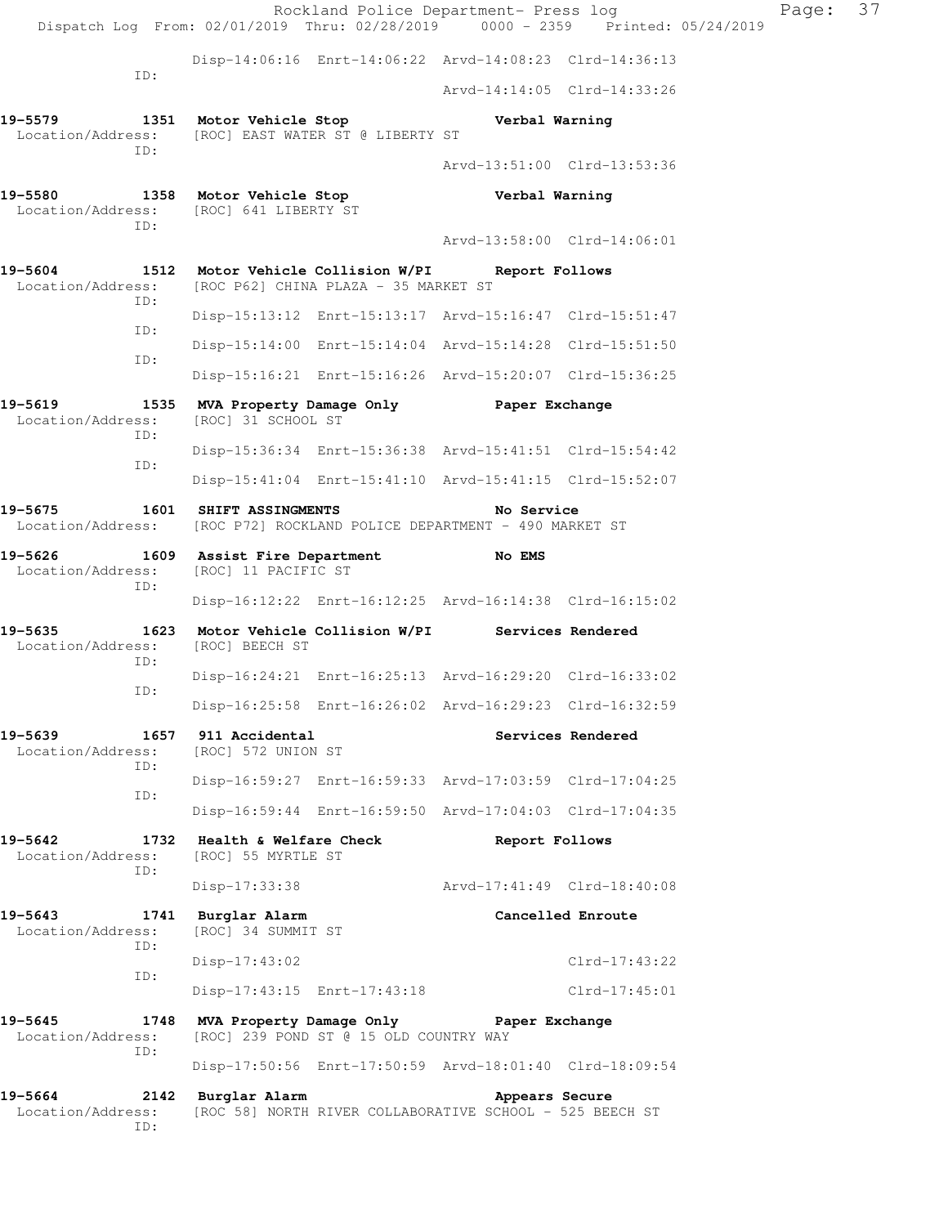Rockland Police Department- Press log Fage: 37 Dispatch Log From: 02/01/2019 Thru: 02/28/2019 0000 - 2359 Printed: 05/24/2019 Disp-14:06:16 Enrt-14:06:22 Arvd-14:08:23 Clrd-14:36:13 ID: Arvd-14:14:05 Clrd-14:33:26 **19-5579 1351 Motor Vehicle Stop Verbal Warning**  Location/Address: [ROC] EAST WATER ST @ LIBERTY ST ID: Arvd-13:51:00 Clrd-13:53:36 **19-5580 1358 Motor Vehicle Stop Verbal Warning**  Location/Address: [ROC] 641 LIBERTY ST ID: Arvd-13:58:00 Clrd-14:06:01 **19-5604 1512 Motor Vehicle Collision W/PI Report Follows**  Location/Address: [ROC P62] CHINA PLAZA - 35 MARKET ST ID: Disp-15:13:12 Enrt-15:13:17 Arvd-15:16:47 Clrd-15:51:47 ID: Disp-15:14:00 Enrt-15:14:04 Arvd-15:14:28 Clrd-15:51:50 ID: Disp-15:16:21 Enrt-15:16:26 Arvd-15:20:07 Clrd-15:36:25 **19-5619 1535 MVA Property Damage Only Paper Exchange**  Location/Address: [ROC] 31 SCHOOL ST ID: Disp-15:36:34 Enrt-15:36:38 Arvd-15:41:51 Clrd-15:54:42 ID: Disp-15:41:04 Enrt-15:41:10 Arvd-15:41:15 Clrd-15:52:07 **19-5675 1601 SHIFT ASSINGMENTS No Service**  Location/Address: [ROC P72] ROCKLAND POLICE DEPARTMENT - 490 MARKET ST **19-5626 1609 Assist Fire Department No EMS**  Location/Address: [ROC] 11 PACIFIC ST ID: Disp-16:12:22 Enrt-16:12:25 Arvd-16:14:38 Clrd-16:15:02 **19-5635 1623 Motor Vehicle Collision W/PI Services Rendered**  Location/Address: [ROC] BEECH ST ID: Disp-16:24:21 Enrt-16:25:13 Arvd-16:29:20 Clrd-16:33:02 ID: Disp-16:25:58 Enrt-16:26:02 Arvd-16:29:23 Clrd-16:32:59 **19-5639 1657 911 Accidental Services Rendered**  Location/Address: [ROC] 572 UNION ST ID: Disp-16:59:27 Enrt-16:59:33 Arvd-17:03:59 Clrd-17:04:25 ID: Disp-16:59:44 Enrt-16:59:50 Arvd-17:04:03 Clrd-17:04:35 **19-5642 1732 Health & Welfare Check Report Follows**<br>
Location/Address: [ROC] 55 MYRTLE ST Location/Address: ID: Disp-17:33:38 Arvd-17:41:49 Clrd-18:40:08 **19-5643 1741 Burglar Alarm Cancelled Enroute**  Location/Address: [ROC] 34 SUMMIT ST ID: Disp-17:43:02 Clrd-17:43:22 ID: Disp-17:43:15 Enrt-17:43:18 Clrd-17:45:01 **19-5645 1748 MVA Property Damage Only Paper Exchange**  Location/Address: [ROC] 239 POND ST @ 15 OLD COUNTRY WAY ID: Disp-17:50:56 Enrt-17:50:59 Arvd-18:01:40 Clrd-18:09:54 **19-5664 2142 Burglar Alarm Appears Secure**  Location/Address: [ROC 58] NORTH RIVER COLLABORATIVE SCHOOL - 525 BEECH ST ID: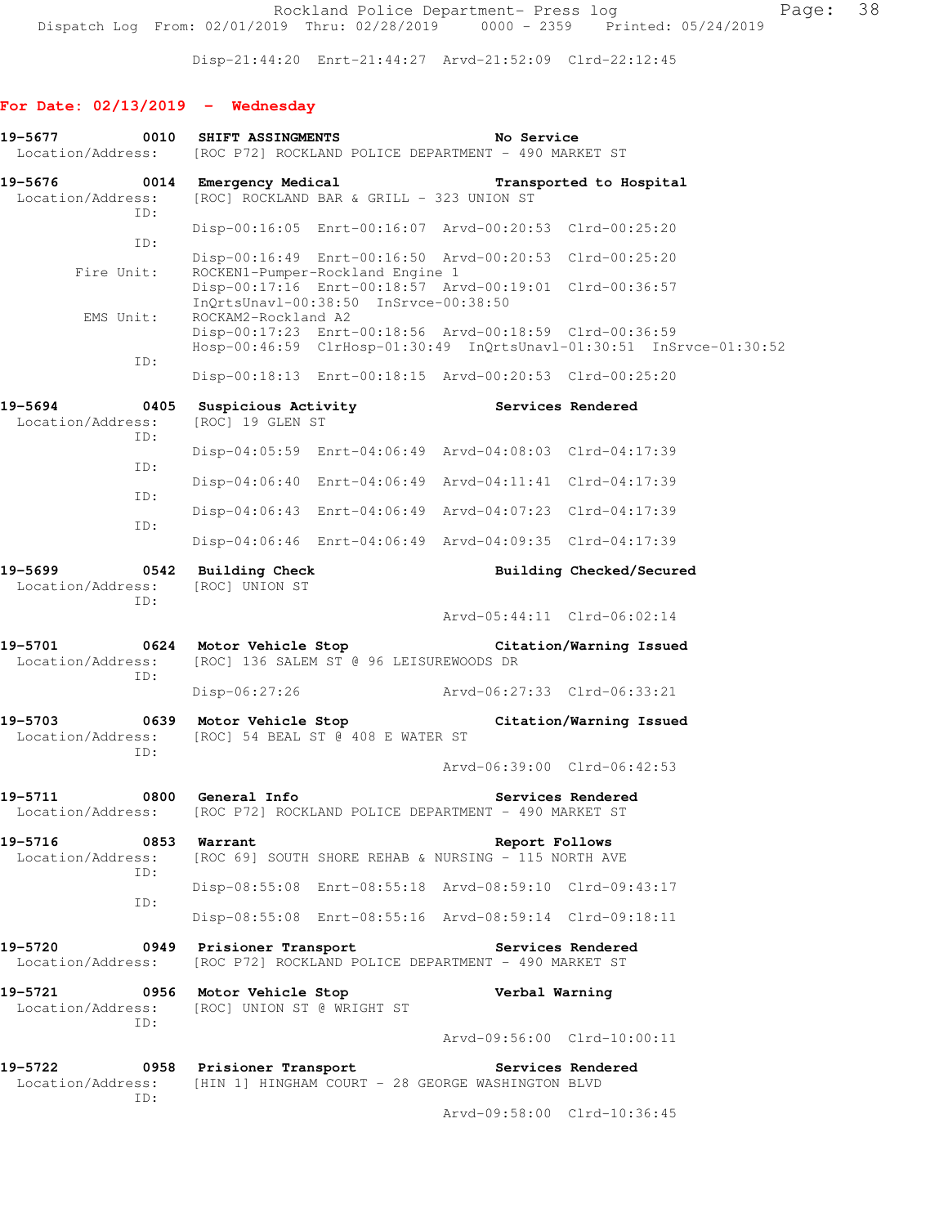Disp-21:44:20 Enrt-21:44:27 Arvd-21:52:09 Clrd-22:12:45

# **For Date: 02/13/2019 - Wednesday**

| 0010<br>19-5677<br>Location/Address:         | <b>SHIFT ASSINGMENTS</b>                              | No Service<br>[ROC P72] ROCKLAND POLICE DEPARTMENT - 490 MARKET ST                                                              |                                                                      |
|----------------------------------------------|-------------------------------------------------------|---------------------------------------------------------------------------------------------------------------------------------|----------------------------------------------------------------------|
| 19-5676<br>Location/Address:<br>ID:          | 0014 Emergency Medical                                | [ROC] ROCKLAND BAR & GRILL - 323 UNION ST                                                                                       | Transported to Hospital                                              |
| ID:                                          |                                                       | Disp-00:16:05 Enrt-00:16:07 Arvd-00:20:53 Clrd-00:25:20                                                                         |                                                                      |
| Fire Unit:                                   | ROCKEN1-Pumper-Rockland Engine 1                      | Disp-00:16:49 Enrt-00:16:50 Arvd-00:20:53 Clrd-00:25:20                                                                         |                                                                      |
|                                              | InQrtsUnavl-00:38:50 InSrvce-00:38:50                 | Disp-00:17:16 Enrt-00:18:57 Arvd-00:19:01 Clrd-00:36:57                                                                         |                                                                      |
| EMS Unit:                                    | ROCKAM2-Rockland A2                                   | Disp-00:17:23 Enrt-00:18:56 Arvd-00:18:59 Clrd-00:36:59                                                                         | Hosp-00:46:59 ClrHosp-01:30:49 InQrtsUnavl-01:30:51 InSrvce-01:30:52 |
| ID:                                          |                                                       | Disp-00:18:13 Enrt-00:18:15 Arvd-00:20:53 Clrd-00:25:20                                                                         |                                                                      |
| $\sim$ 0405<br>19-5694<br>Location/Address:  | [ROC] 19 GLEN ST                                      | Suspicious Activity <b>Services</b> Rendered                                                                                    |                                                                      |
| ID:                                          |                                                       | Disp-04:05:59 Enrt-04:06:49 Arvd-04:08:03 Clrd-04:17:39                                                                         |                                                                      |
| ID:<br>ID:                                   |                                                       | Disp-04:06:40 Enrt-04:06:49 Arvd-04:11:41 Clrd-04:17:39                                                                         |                                                                      |
| ID:                                          |                                                       | Disp-04:06:43 Enrt-04:06:49 Arvd-04:07:23 Clrd-04:17:39                                                                         |                                                                      |
|                                              |                                                       | Disp-04:06:46 Enrt-04:06:49 Arvd-04:09:35 Clrd-04:17:39                                                                         |                                                                      |
| 19-5699<br>Location/Address: [ROC] UNION ST  | 0542 Building Check                                   |                                                                                                                                 | Building Checked/Secured                                             |
| ID:                                          |                                                       |                                                                                                                                 | Arvd-05:44:11 Clrd-06:02:14                                          |
| Location/Address:                            | [ROC] 136 SALEM ST @ 96 LEISUREWOODS DR               | 19-5701 0624 Motor Vehicle Stop Citation/Warning Issued                                                                         |                                                                      |
| ID:                                          | $Disp-06:27:26$                                       | Arvd-06:27:33 Clrd-06:33:21                                                                                                     |                                                                      |
| Location/Address:                            | [ROC] 54 BEAL ST @ 408 E WATER ST                     | 19-5703 		 0639 Motor Vehicle Stop 		 Citation/Warning Issued                                                                   |                                                                      |
| ID:                                          |                                                       |                                                                                                                                 | Arvd-06:39:00 Clrd-06:42:53                                          |
| 19-5711<br>Location/Address:                 | 0800 General Info                                     | [ROC P72] ROCKLAND POLICE DEPARTMENT - 490 MARKET ST                                                                            | Services Rendered                                                    |
| 19-5716<br>0853 Warrant<br>Location/Address: |                                                       | Report Follows<br>[ROC 69] SOUTH SHORE REHAB & NURSING - 115 NORTH AVE                                                          |                                                                      |
| ID:                                          |                                                       | Disp-08:55:08 Enrt-08:55:18 Arvd-08:59:10 Clrd-09:43:17                                                                         |                                                                      |
| ID:                                          |                                                       | Disp-08:55:08 Enrt-08:55:16 Arvd-08:59:14 Clrd-09:18:11                                                                         |                                                                      |
| 19-5720<br>$\sim$ 0949<br>Location/Address:  | Prisioner Transport                                   | [ROC P72] ROCKLAND POLICE DEPARTMENT - 490 MARKET ST                                                                            | <b>Services Rendered</b>                                             |
| 19-5721<br>Location/Address:<br>ID:          | 0956 Motor Vehicle Stop<br>[ROC] UNION ST @ WRIGHT ST | Verbal Warning                                                                                                                  |                                                                      |
|                                              |                                                       |                                                                                                                                 | Arvd-09:56:00 Clrd-10:00:11                                          |
|                                              |                                                       | 19-5722 		 0958 Prisioner Transport 		 Services Rendered<br>Location/Address: [HIN 1] HINGHAM COURT - 28 GEORGE WASHINGTON BLVD |                                                                      |
| ID:                                          |                                                       |                                                                                                                                 | Arvd-09:58:00 Clrd-10:36:45                                          |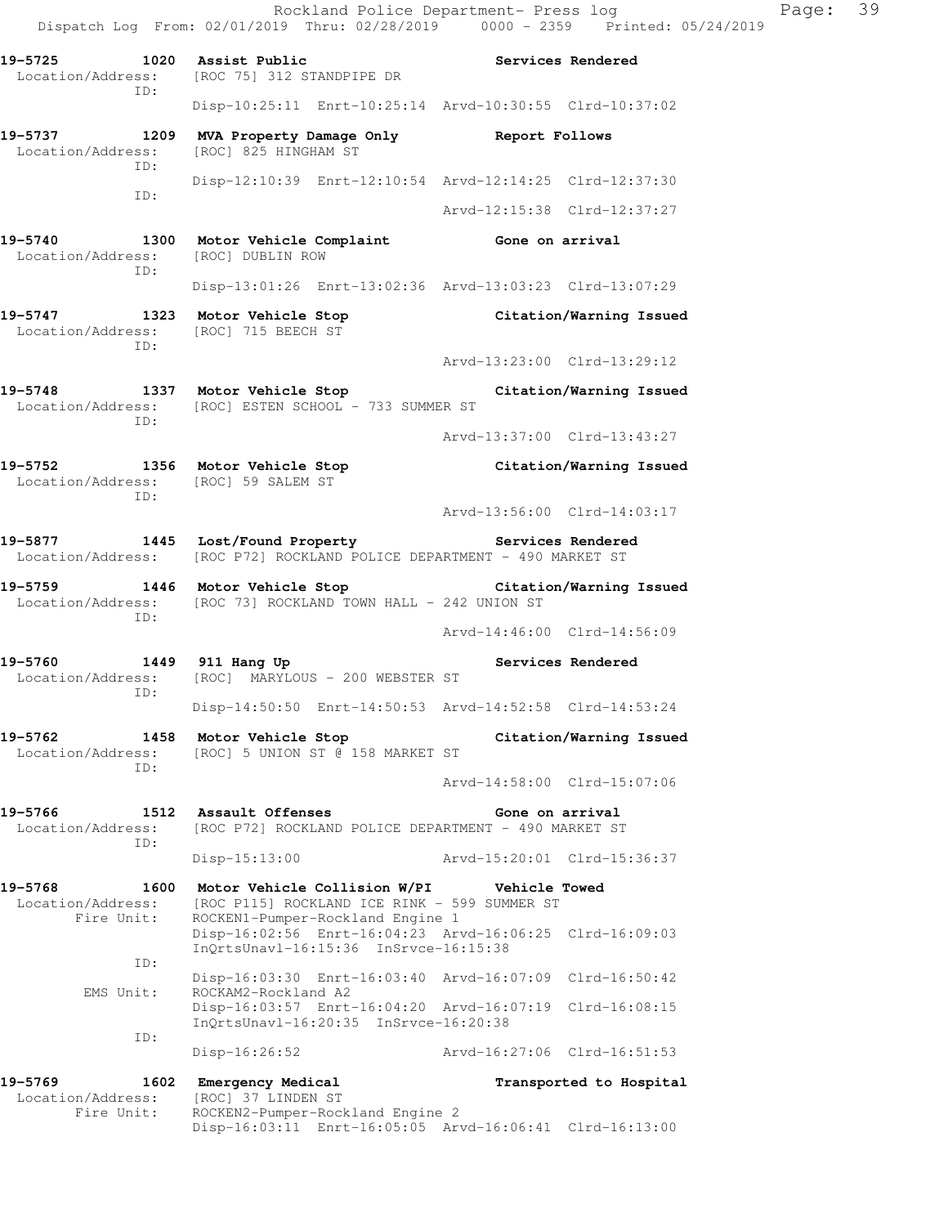Rockland Police Department- Press log Page: 39 Dispatch Log From: 02/01/2019 Thru: 02/28/2019 0000 - 2359 Printed: 05/24/2019 **19-5725 1020 Assist Public Services Rendered**  Location/Address: [ROC 75] 312 STANDPIPE DR ID: Disp-10:25:11 Enrt-10:25:14 Arvd-10:30:55 Clrd-10:37:02 **19-5737 1209 MVA Property Damage Only Report Follows**  Location/Address: [ROC] 825 HINGHAM ST ID: Disp-12:10:39 Enrt-12:10:54 Arvd-12:14:25 Clrd-12:37:30 ID: Arvd-12:15:38 Clrd-12:37:27 **19-5740 1300 Motor Vehicle Complaint Gone on arrival**  Location/Address: [ROC] DUBLIN ROW ID: Disp-13:01:26 Enrt-13:02:36 Arvd-13:03:23 Clrd-13:07:29 **19-5747 1323 Motor Vehicle Stop Citation/Warning Issued**  Location/Address: [ROC] 715 BEECH ST ID: Arvd-13:23:00 Clrd-13:29:12 **19-5748 1337 Motor Vehicle Stop Citation/Warning Issued**  Location/Address: [ROC] ESTEN SCHOOL - 733 SUMMER ST ID: Arvd-13:37:00 Clrd-13:43:27 **19-5752 1356 Motor Vehicle Stop Citation/Warning Issued**  Location/Address: [ROC] 59 SALEM ST ID: Arvd-13:56:00 Clrd-14:03:17 **19-5877 1445 Lost/Found Property Services Rendered**  Location/Address: [ROC P72] ROCKLAND POLICE DEPARTMENT - 490 MARKET ST **19-5759 1446 Motor Vehicle Stop Citation/Warning Issued**  Location/Address: [ROC 73] ROCKLAND TOWN HALL - 242 UNION ST ID: Arvd-14:46:00 Clrd-14:56:09 19-5760 1449 911 Hang Up **Services Rendered** Location/Address: [ROC] MARYLOUS - 200 WEBSTER ST ID: Disp-14:50:50 Enrt-14:50:53 Arvd-14:52:58 Clrd-14:53:24 **19-5762 1458 Motor Vehicle Stop Citation/Warning Issued**  Location/Address: [ROC] 5 UNION ST @ 158 MARKET ST ID: Arvd-14:58:00 Clrd-15:07:06 **19-5766 1512 Assault Offenses Gone on arrival**  Location/Address: [ROC P72] ROCKLAND POLICE DEPARTMENT - 490 MARKET ST ID: Disp-15:13:00 Arvd-15:20:01 Clrd-15:36:37 **19-5768 1600 Motor Vehicle Collision W/PI Vehicle Towed**  Location/Address: [ROC P115] ROCKLAND ICE RINK - 599 SUMMER ST Fire Unit: ROCKEN1-Pumper-Rockland Engine 1 Disp-16:02:56 Enrt-16:04:23 Arvd-16:06:25 Clrd-16:09:03 InQrtsUnavl-16:15:36 InSrvce-16:15:38 ID: Disp-16:03:30 Enrt-16:03:40 Arvd-16:07:09 Clrd-16:50:42 EMS Unit: ROCKAM2-Rockland A2 Disp-16:03:57 Enrt-16:04:20 Arvd-16:07:19 Clrd-16:08:15 InQrtsUnavl-16:20:35 InSrvce-16:20:38 ID: Disp-16:26:52 Arvd-16:27:06 Clrd-16:51:53 **19-5769 1602 Emergency Medical Transported to Hospital**  Location/Address: [ROC] 37 LINDEN ST<br>Fire Unit: ROCKEN2-Pumper-Roc ROCKEN2-Pumper-Rockland Engine 2

Disp-16:03:11 Enrt-16:05:05 Arvd-16:06:41 Clrd-16:13:00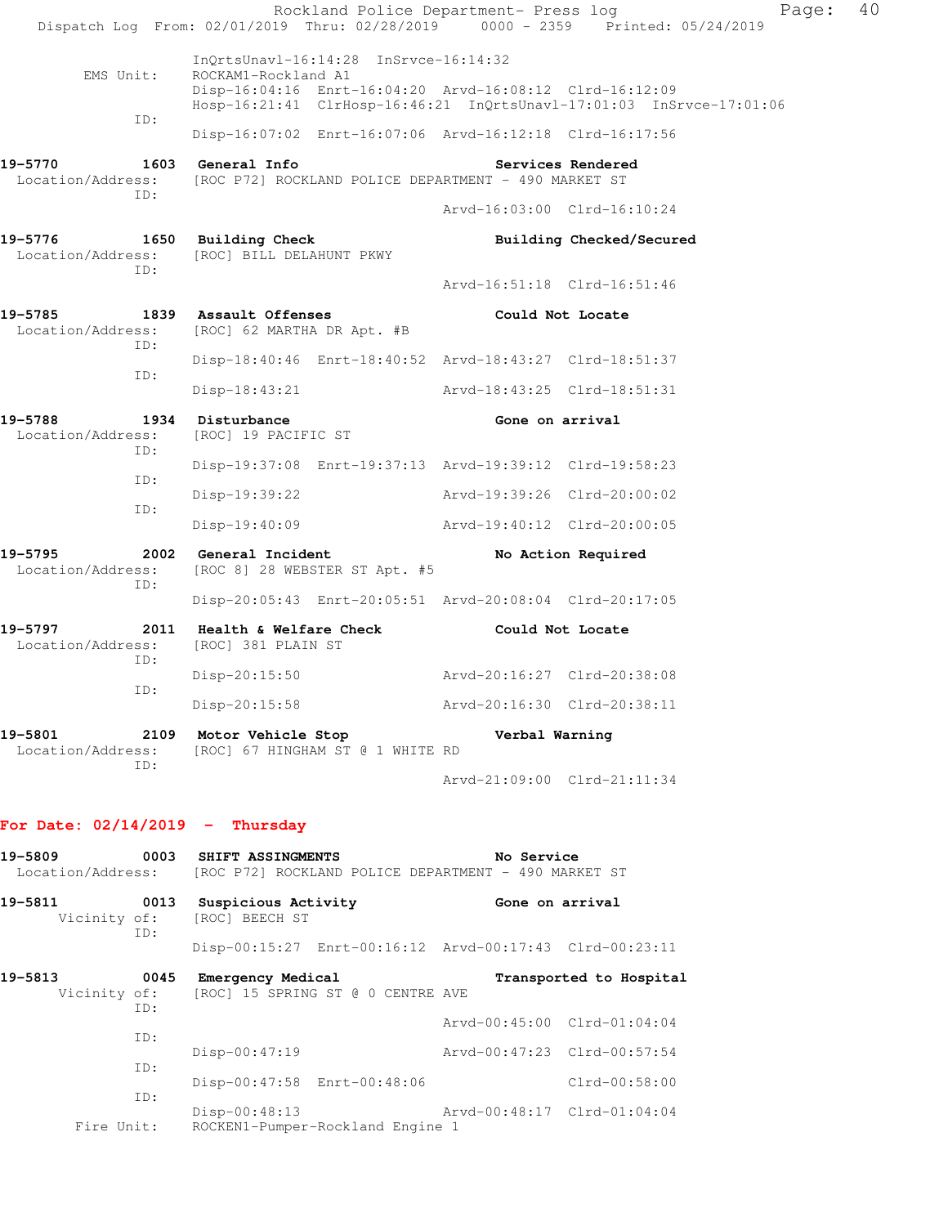|                                     | Rockland Police Department- Press log<br>Dispatch Log From: 02/01/2019 Thru: 02/28/2019 0000 - 2359 Printed: 05/24/2019                                                                             |                             | Page:                       | 40 |
|-------------------------------------|-----------------------------------------------------------------------------------------------------------------------------------------------------------------------------------------------------|-----------------------------|-----------------------------|----|
| EMS Unit:<br>ID:                    | $InQrtsUnav1-16:14:28$ $InSrvce-16:14:32$<br>ROCKAM1-Rockland A1<br>Disp-16:04:16 Enrt-16:04:20 Arvd-16:08:12 Clrd-16:12:09<br>Hosp-16:21:41 ClrHosp-16:46:21 InQrtsUnavl-17:01:03 InSrvce-17:01:06 |                             |                             |    |
|                                     | Disp-16:07:02 Enrt-16:07:06 Arvd-16:12:18 Clrd-16:17:56                                                                                                                                             |                             |                             |    |
| 19-5770<br>Location/Address:<br>TD: | 1603 General Info<br>[ROC P72] ROCKLAND POLICE DEPARTMENT - 490 MARKET ST                                                                                                                           |                             | Services Rendered           |    |
|                                     |                                                                                                                                                                                                     |                             | Arvd-16:03:00 Clrd-16:10:24 |    |
| 19-5776<br>TD:                      | 1650 Building Check<br>Location/Address: [ROC] BILL DELAHUNT PKWY                                                                                                                                   |                             | Building Checked/Secured    |    |
|                                     |                                                                                                                                                                                                     |                             | Arvd-16:51:18 Clrd-16:51:46 |    |
| 19-5785<br>Location/Address:<br>ID: | 1839 Assault Offenses<br>[ROC] 62 MARTHA DR Apt. #B                                                                                                                                                 |                             | Could Not Locate            |    |
| ID:                                 | Disp-18:40:46 Enrt-18:40:52 Arvd-18:43:27 Clrd-18:51:37                                                                                                                                             |                             |                             |    |
|                                     | Disp-18:43:21                                                                                                                                                                                       | Arvd-18:43:25 Clrd-18:51:31 |                             |    |
| 19-5788<br>Location/Address:<br>TD: | 1934 Disturbance<br>[ROC] 19 PACIFIC ST                                                                                                                                                             | Gone on arrival             |                             |    |
| ID:                                 | Disp-19:37:08 Enrt-19:37:13 Arvd-19:39:12 Clrd-19:58:23                                                                                                                                             |                             |                             |    |
| ID:                                 | $Disp-19:39:22$                                                                                                                                                                                     | Arvd-19:39:26 Clrd-20:00:02 |                             |    |
|                                     | Disp-19:40:09                                                                                                                                                                                       | Arvd-19:40:12 Clrd-20:00:05 |                             |    |
| 19-5795<br>Location/Address:<br>ID: | 2002 General Incident<br>[ROC 8] 28 WEBSTER ST Apt. #5                                                                                                                                              |                             | No Action Required          |    |
|                                     | Disp-20:05:43 Enrt-20:05:51 Arvd-20:08:04 Clrd-20:17:05                                                                                                                                             |                             |                             |    |
| 19-5797<br>Location/Address:<br>TD: | 2011 Health & Welfare Check<br>[ROC] 381 PLAIN ST                                                                                                                                                   | Could Not Locate            |                             |    |
|                                     | Disp-20:15:50                                                                                                                                                                                       | Arvd-20:16:27 Clrd-20:38:08 |                             |    |
| ID:                                 | Disp-20:15:58                                                                                                                                                                                       | Arvd-20:16:30 Clrd-20:38:11 |                             |    |
| 19-5801<br>Location/Address:<br>TD: | 2109 Motor Vehicle Stop<br>[ROC] 67 HINGHAM ST @ 1 WHITE RD                                                                                                                                         | Verbal Warning              |                             |    |
|                                     |                                                                                                                                                                                                     |                             | Arvd-21:09:00 Clrd-21:11:34 |    |

# **For Date: 02/14/2019 - Thursday**

| 19-5809<br>Location/Address: | 0003        | SHIFT ASSINGMENTS<br>[ROC P72] ROCKLAND POLICE DEPARTMENT - 490 MARKET ST |                                                         |                                                            | No Service              |  |
|------------------------------|-------------|---------------------------------------------------------------------------|---------------------------------------------------------|------------------------------------------------------------|-------------------------|--|
| 19-5811<br>Vicinity of:      | 0013<br>ID: | Suspicious Activity<br>[ROC] BEECH ST                                     |                                                         | Gone on arrival                                            |                         |  |
|                              |             |                                                                           | Disp-00:15:27 Enrt-00:16:12 Arvd-00:17:43 Clrd-00:23:11 |                                                            |                         |  |
| 19-5813<br>Vicinity of:      | 0045<br>ID: | Emergency Medical<br>[ROC] 15 SPRING ST @ 0 CENTRE AVE                    |                                                         |                                                            | Transported to Hospital |  |
|                              | ID:         | Disp-00:47:19                                                             |                                                         | Arvd-00:45:00 Clrd-01:04:04<br>Arvd-00:47:23 Clrd-00:57:54 |                         |  |
|                              | ID:<br>ID:  | Disp-00:47:58 Enrt-00:48:06                                               |                                                         |                                                            | $Clrd-00:58:00$         |  |
| Fire Unit:                   |             | $Disp-00:48:13$                                                           | ROCKEN1-Pumper-Rockland Engine 1                        | Arvd-00:48:17 Clrd-01:04:04                                |                         |  |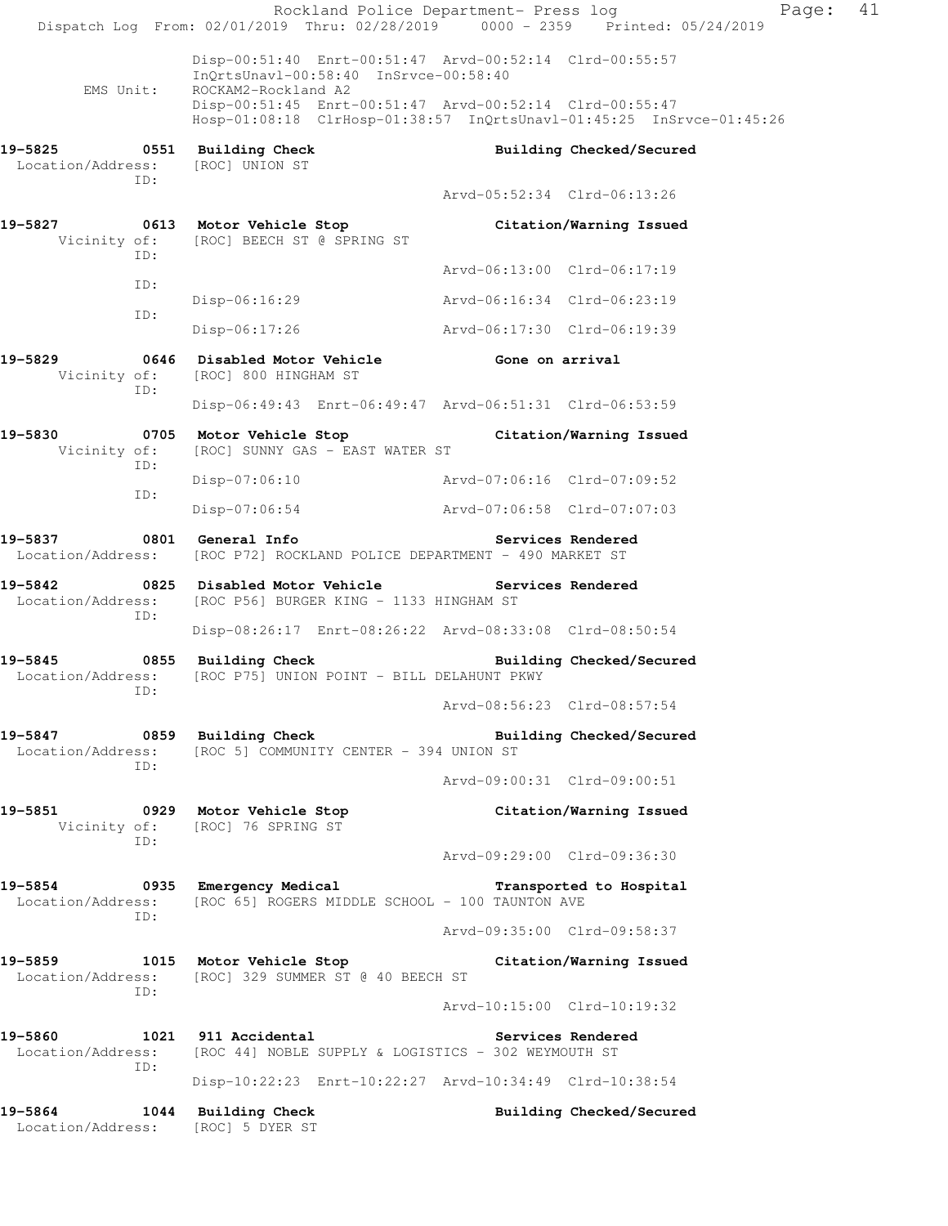|                                                  | Rockland Police Department- Press log<br>Dispatch Log From: 02/01/2019 Thru: 02/28/2019 0000 - 2359 Printed: 05/24/2019           |                             | Page:                    | 41 |
|--------------------------------------------------|-----------------------------------------------------------------------------------------------------------------------------------|-----------------------------|--------------------------|----|
| EMS Unit:                                        | Disp-00:51:40 Enrt-00:51:47 Arvd-00:52:14 Clrd-00:55:57<br>InQrtsUnavl-00:58:40 InSrvce-00:58:40<br>ROCKAM2-Rockland A2           |                             |                          |    |
|                                                  | Disp-00:51:45 Enrt-00:51:47 Arvd-00:52:14 Clrd-00:55:47<br>Hosp-01:08:18 ClrHosp-01:38:57 InQrtsUnavl-01:45:25 InSrvce-01:45:26   |                             |                          |    |
| 19-5825 0551 Building Check<br>Location/Address: | [ROC] UNION ST                                                                                                                    |                             | Building Checked/Secured |    |
| ID:                                              |                                                                                                                                   | Arvd-05:52:34 Clrd-06:13:26 |                          |    |
| 19-5827<br>ID:                                   | 0613 Motor Vehicle Stop<br>Vicinity of: [ROC] BEECH ST @ SPRING ST                                                                |                             | Citation/Warning Issued  |    |
| ID:                                              |                                                                                                                                   | Arvd-06:13:00 Clrd-06:17:19 |                          |    |
| ID:                                              | Disp-06:16:29                                                                                                                     | Arvd-06:16:34 Clrd-06:23:19 |                          |    |
|                                                  | $Disp-06:17:26$                                                                                                                   | Arvd-06:17:30 Clrd-06:19:39 |                          |    |
| 19-5829<br>Vicinity of:<br>ID:                   | 0646 Disabled Motor Vehicle                     Gone on arrival<br>[ROC] 800 HINGHAM ST                                           |                             |                          |    |
|                                                  | Disp-06:49:43 Enrt-06:49:47 Arvd-06:51:31 Clrd-06:53:59                                                                           |                             |                          |    |
| 19-5830<br>Vicinity of:<br>ID:                   | 0705 Motor Vehicle Stop Citation/Warning Issued<br>[ROC] SUNNY GAS - EAST WATER ST                                                |                             |                          |    |
| ID:                                              | Disp-07:06:10                                                                                                                     | Arvd-07:06:16 Clrd-07:09:52 |                          |    |
|                                                  | Disp-07:06:54                                                                                                                     | Arvd-07:06:58 Clrd-07:07:03 |                          |    |
|                                                  | Location/Address: [ROC P72] ROCKLAND POLICE DEPARTMENT - 490 MARKET ST                                                            |                             | Services Rendered        |    |
| 19-5842<br>Location/Address:<br>ID:              | 0825 Disabled Motor Vehicle<br>[ROC P56] BURGER KING - 1133 HINGHAM ST                                                            |                             | Services Rendered        |    |
|                                                  | Disp-08:26:17 Enrt-08:26:22 Arvd-08:33:08 Clrd-08:50:54                                                                           |                             |                          |    |
| 19-5845<br>Location/Address:<br>ID:              | 0855 Building Check<br>[ROC P75] UNION POINT - BILL DELAHUNT PKWY                                                                 |                             | Building Checked/Secured |    |
|                                                  |                                                                                                                                   | Arvd-08:56:23 Clrd-08:57:54 |                          |    |
| ID:                                              | 19-5847 0859 Building Check<br>Location/Address: [ROC 5] COMMUNITY CENTER - 394 UNION ST                                          |                             | Building Checked/Secured |    |
|                                                  |                                                                                                                                   | Arvd-09:00:31 Clrd-09:00:51 |                          |    |
| ID:                                              | 19-5851 0929 Motor Vehicle Stop<br>Vicinity of: [ROC] 76 SPRING ST                                                                |                             | Citation/Warning Issued  |    |
|                                                  |                                                                                                                                   | Arvd-09:29:00 Clrd-09:36:30 |                          |    |
| ID:                                              | 19-5854 		 0935 Emergency Medical 		 Transported to Hospital<br>Location/Address: [ROC 65] ROGERS MIDDLE SCHOOL - 100 TAUNTON AVE |                             |                          |    |
|                                                  |                                                                                                                                   | Arvd-09:35:00 Clrd-09:58:37 |                          |    |
| ID:                                              | 19-5859 1015 Motor Vehicle Stop Citation/Warning Issued<br>Location/Address: [ROC] 329 SUMMER ST @ 40 BEECH ST                    |                             |                          |    |
|                                                  |                                                                                                                                   | Arvd-10:15:00 Clrd-10:19:32 |                          |    |
|                                                  | 19-5860 1021 911 Accidental 2008 Services Rendered<br>Location/Address: [ROC 44] NOBLE SUPPLY & LOGISTICS - 302 WEYMOUTH ST       |                             |                          |    |
| ID:                                              | Disp-10:22:23 Enrt-10:22:27 Arvd-10:34:49 Clrd-10:38:54                                                                           |                             |                          |    |
| Location/Address: [ROC] 5 DYER ST                | 19-5864 1044 Building Check                                                                                                       |                             | Building Checked/Secured |    |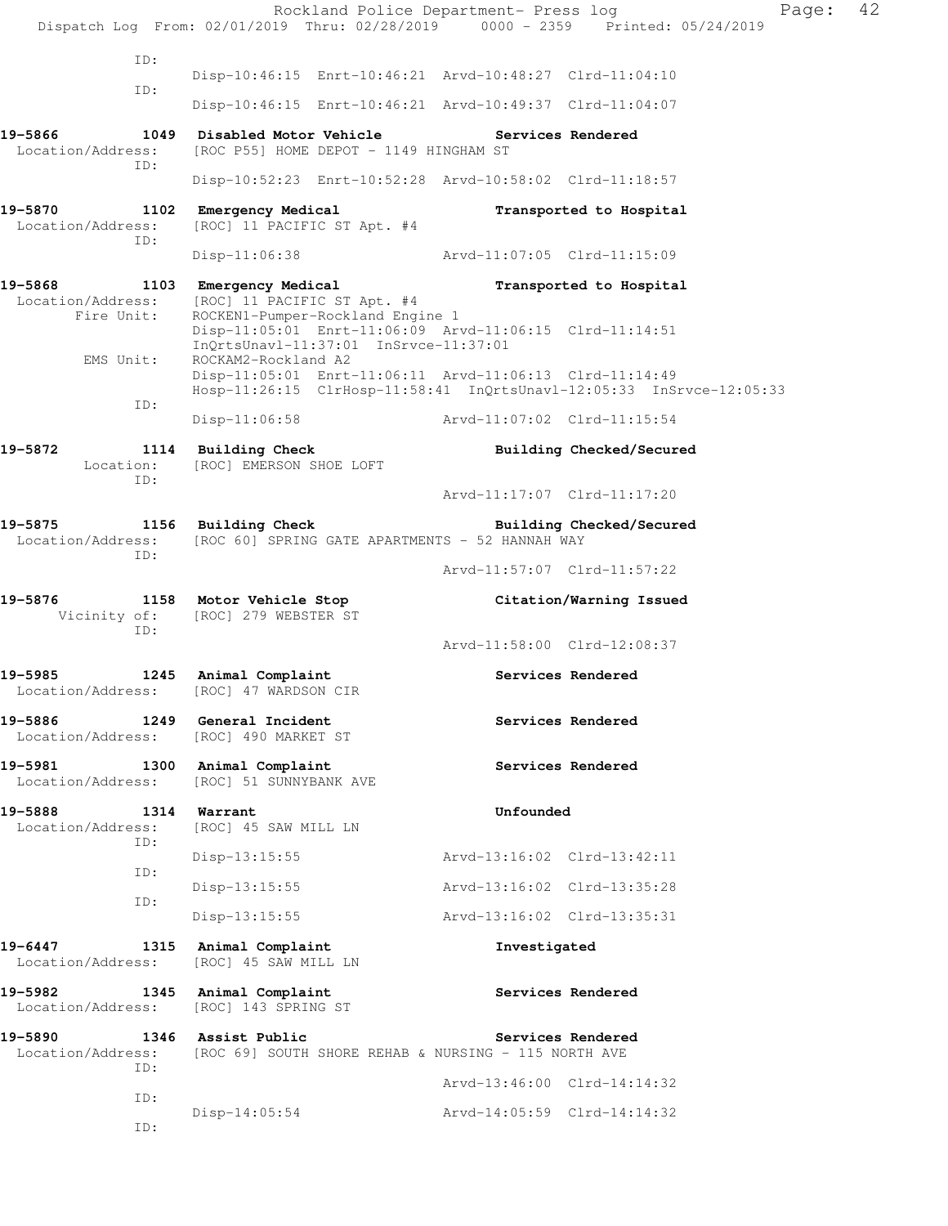Rockland Police Department- Press log Fage: 42 Dispatch Log From: 02/01/2019 Thru: 02/28/2019 0000 - 2359 Printed: 05/24/2019 ID: Disp-10:46:15 Enrt-10:46:21 Arvd-10:48:27 Clrd-11:04:10 ID: Disp-10:46:15 Enrt-10:46:21 Arvd-10:49:37 Clrd-11:04:07 **19-5866 1049 Disabled Motor Vehicle Services Rendered**  Location/Address: [ROC P55] HOME DEPOT - 1149 HINGHAM ST ID: Disp-10:52:23 Enrt-10:52:28 Arvd-10:58:02 Clrd-11:18:57 19-5870 1102 Emergency Medical **Example 19-5870** Transported to Hospital Location/Address: [ROC] 11 PACIFIC ST Apt. #4 ID: Disp-11:06:38 Arvd-11:07:05 Clrd-11:15:09 **19-5868 1103 Emergency Medical Transported to Hospital**  Location/Address: [ROC] 11 PACIFIC ST Apt. #4 Fire Unit: ROCKEN1-Pumper-Rockland Engine 1 Disp-11:05:01 Enrt-11:06:09 Arvd-11:06:15 Clrd-11:14:51 InQrtsUnavl-11:37:01 InSrvce-11:37:01 EMS Unit: ROCKAM2-Rockland A2 Disp-11:05:01 Enrt-11:06:11 Arvd-11:06:13 Clrd-11:14:49 Hosp-11:26:15 ClrHosp-11:58:41 InQrtsUnavl-12:05:33 InSrvce-12:05:33 ID: Disp-11:06:58 Arvd-11:07:02 Clrd-11:15:54 **19-5872 1114 Building Check Building Checked/Secured**  Location: [ROC] EMERSON SHOE LOFT ID: Arvd-11:17:07 Clrd-11:17:20 **19-5875 1156 Building Check Building Checked/Secured**  Location/Address: [ROC 60] SPRING GATE APARTMENTS - 52 HANNAH WAY ID: Arvd-11:57:07 Clrd-11:57:22 **19-5876 1158 Motor Vehicle Stop Citation/Warning Issued**  Vicinity of: [ROC] 279 WEBSTER ST ID: Arvd-11:58:00 Clrd-12:08:37 **19-5985 1245 Animal Complaint Services Rendered**  Location/Address: [ROC] 47 WARDSON CIR 19-5886 1249 General Incident **19-5886** Services Rendered Location/Address: [ROC] 490 MARKET ST 19-5981 1300 Animal Complaint **19-5981** Services Rendered Location/Address: [ROC] 51 SUNNYBANK AVE **19-5888 1314 Warrant Unfounded**  Location/Address: [ROC] 45 SAW MILL LN ID: Disp-13:15:55 Arvd-13:16:02 Clrd-13:42:11 ID: Disp-13:15:55 Arvd-13:16:02 Clrd-13:35:28 ID: Disp-13:15:55 Arvd-13:16:02 Clrd-13:35:31 **19-6447 1315 Animal Complaint Investigated**  Location/Address: [ROC] 45 SAW MILL LN 19-5982 1345 Animal Complaint **120 Services Rendered**  Location/Address: [ROC] 143 SPRING ST **19-5890 1346 Assist Public Services Rendered**  Location/Address: [ROC 69] SOUTH SHORE REHAB & NURSING - 115 NORTH AVE ID: Arvd-13:46:00 Clrd-14:14:32 ID: Disp-14:05:54 Arvd-14:05:59 Clrd-14:14:32 ID: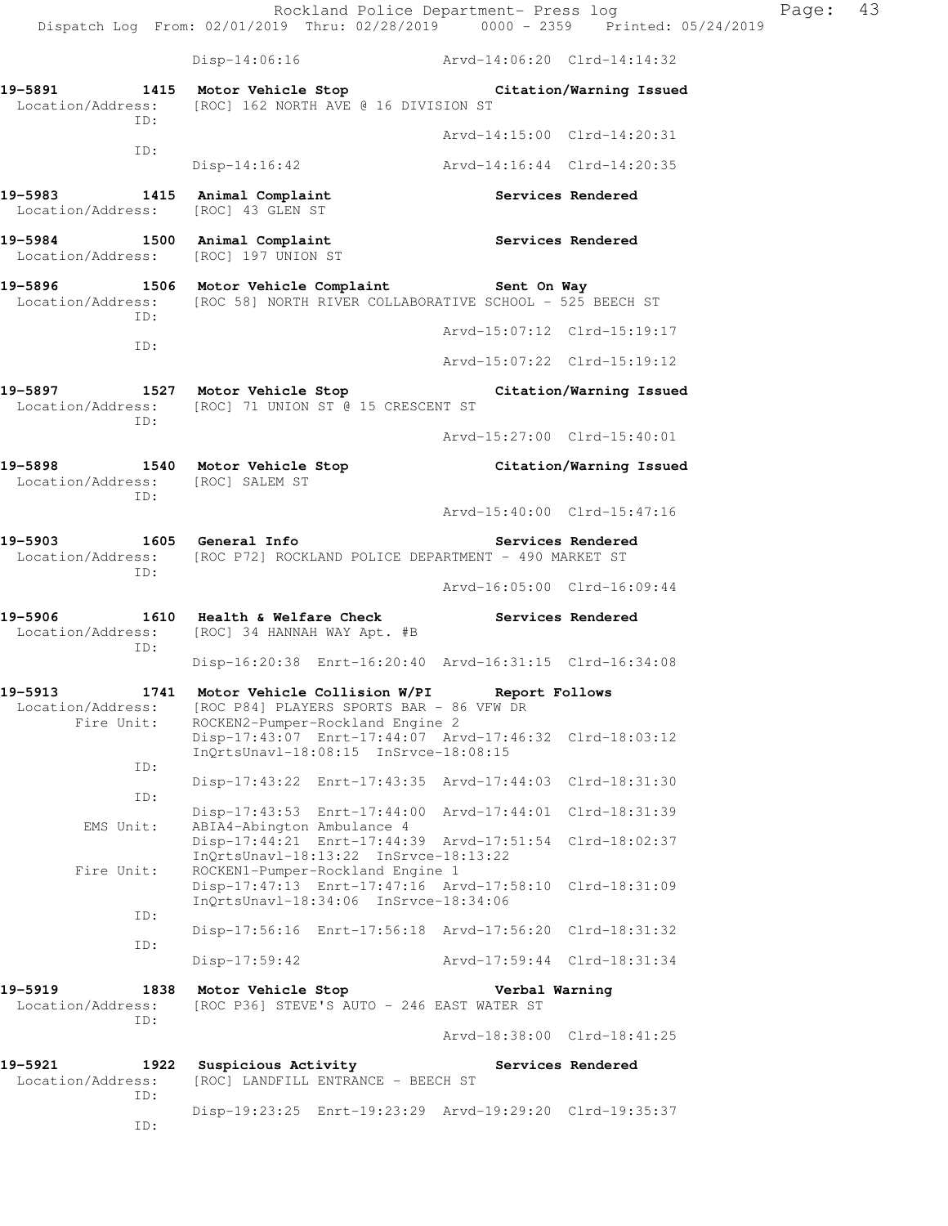Rockland Police Department- Press log Fage: 43 Dispatch Log From: 02/01/2019 Thru: 02/28/2019 0000 - 2359 Printed: 05/24/2019 Disp-14:06:16 Arvd-14:06:20 Clrd-14:14:32 **19-5891 1415 Motor Vehicle Stop Citation/Warning Issued**  Location/Address: [ROC] 162 NORTH AVE @ 16 DIVISION ST ID: Arvd-14:15:00 Clrd-14:20:31 ID: Disp-14:16:42 Arvd-14:16:44 Clrd-14:20:35 19-5983 1415 Animal Complaint **Services Rendered**  Location/Address: [ROC] 43 GLEN ST 19-5984 1500 Animal Complaint **1500 Services Rendered**  Location/Address: [ROC] 197 UNION ST **19-5896 1506 Motor Vehicle Complaint Sent On Way**  Location/Address: [ROC 58] NORTH RIVER COLLABORATIVE SCHOOL - 525 BEECH ST ID: Arvd-15:07:12 Clrd-15:19:17 ID: Arvd-15:07:22 Clrd-15:19:12 **19-5897 1527 Motor Vehicle Stop Citation/Warning Issued**  Location/Address: [ROC] 71 UNION ST @ 15 CRESCENT ST ID: Arvd-15:27:00 Clrd-15:40:01 **19-5898 1540 Motor Vehicle Stop Citation/Warning Issued**  Location/Address: [ROC] SALEM ST ID: Arvd-15:40:00 Clrd-15:47:16 **19-5903 1605 General Info Services Rendered**  Location/Address: [ROC P72] ROCKLAND POLICE DEPARTMENT - 490 MARKET ST ID: Arvd-16:05:00 Clrd-16:09:44 **19-5906 1610 Health & Welfare Check Services Rendered**  Location/Address: [ROC] 34 HANNAH WAY Apt. #B ID: Disp-16:20:38 Enrt-16:20:40 Arvd-16:31:15 Clrd-16:34:08 **19-5913 1741 Motor Vehicle Collision W/PI Report Follows**  Location/Address: [ROC P84] PLAYERS SPORTS BAR - 86 VFW DR Fire Unit: ROCKEN2-Pumper-Rockland Engine 2 Disp-17:43:07 Enrt-17:44:07 Arvd-17:46:32 Clrd-18:03:12 InQrtsUnavl-18:08:15 InSrvce-18:08:15 ID: Disp-17:43:22 Enrt-17:43:35 Arvd-17:44:03 Clrd-18:31:30 ID: Disp-17:43:53 Enrt-17:44:00 Arvd-17:44:01 Clrd-18:31:39 EMS Unit: ABIA4-Abington Ambulance 4 Disp-17:44:21 Enrt-17:44:39 Arvd-17:51:54 Clrd-18:02:37 InQrtsUnavl-18:13:22 InSrvce-18:13:22 Fire Unit: ROCKEN1-Pumper-Rockland Engine 1 Disp-17:47:13 Enrt-17:47:16 Arvd-17:58:10 Clrd-18:31:09 InQrtsUnavl-18:34:06 InSrvce-18:34:06 ID: Disp-17:56:16 Enrt-17:56:18 Arvd-17:56:20 Clrd-18:31:32 ID: Disp-17:59:42 Arvd-17:59:44 Clrd-18:31:34 **19-5919 1838 Motor Vehicle Stop Verbal Warning**  Location/Address: [ROC P36] STEVE'S AUTO - 246 EAST WATER ST ID: Arvd-18:38:00 Clrd-18:41:25 19-5921 1922 Suspicious Activity **19-5921** Services Rendered Location/Address: [ROC] LANDFILL ENTRANCE - BEECH ST ID:

Disp-19:23:25 Enrt-19:23:29 Arvd-19:29:20 Clrd-19:35:37

ID: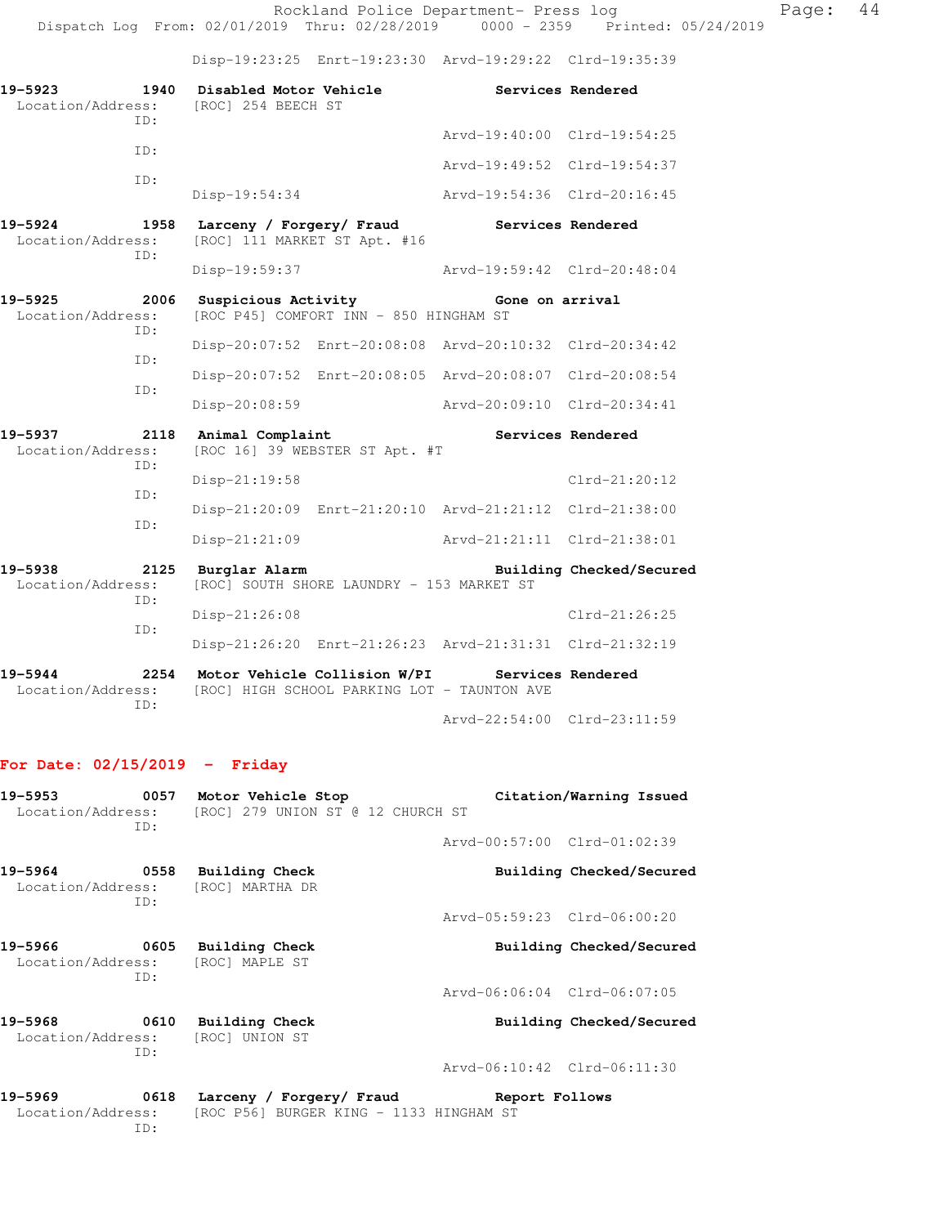Rockland Police Department- Press log Page: 44 Dispatch Log From: 02/01/2019 Thru: 02/28/2019 0000 - 2359 Printed: 05/24/2019

Disp-19:23:25 Enrt-19:23:30 Arvd-19:29:22 Clrd-19:35:39

| 19-5923<br>1940<br>TD:                      | Disabled Motor Vehicle<br>Location/Address: [ROC] 254 BEECH ST                                |                                                     | Services Rendered           |                          |  |  |
|---------------------------------------------|-----------------------------------------------------------------------------------------------|-----------------------------------------------------|-----------------------------|--------------------------|--|--|
| TD:                                         |                                                                                               |                                                     | Arvd-19:40:00 Clrd-19:54:25 |                          |  |  |
|                                             |                                                                                               |                                                     | Arvd-19:49:52 Clrd-19:54:37 |                          |  |  |
| ID:                                         | Disp-19:54:34                                                                                 |                                                     | Arvd-19:54:36 Clrd-20:16:45 |                          |  |  |
| 19-5924<br>1958<br>Location/Address:<br>TD: | Larceny / Forgery/ Fraud<br>[ROC] 111 MARKET ST Apt. #16                                      |                                                     | Services Rendered           |                          |  |  |
|                                             | Disp-19:59:37                                                                                 |                                                     | Arvd-19:59:42 Clrd-20:48:04 |                          |  |  |
| 2006<br>19-5925<br>Location/Address:<br>TD: | Suspicious Activity<br>[ROC P45] COMFORT INN - 850 HINGHAM ST                                 |                                                     | Gone on arrival             |                          |  |  |
| TD:                                         | Disp-20:07:52 Enrt-20:08:08 Arvd-20:10:32 Clrd-20:34:42                                       |                                                     |                             |                          |  |  |
| ID:                                         | Disp-20:07:52 Enrt-20:08:05 Arvd-20:08:07 Clrd-20:08:54                                       |                                                     |                             |                          |  |  |
|                                             | Disp-20:08:59                                                                                 |                                                     | Aryd-20:09:10 Clrd-20:34:41 |                          |  |  |
| 19-5937<br>Location/Address:<br>ID:         | 2118 Animal Complaint                                                                         | Services Rendered<br>[ROC 16] 39 WEBSTER ST Apt. #T |                             |                          |  |  |
| TD:                                         | Disp-21:19:58                                                                                 |                                                     |                             | $Clrd-21:20:12$          |  |  |
| TD:                                         | Disp-21:20:09 Enrt-21:20:10 Arvd-21:21:12 Clrd-21:38:00                                       |                                                     |                             |                          |  |  |
|                                             | $Disp-21:21:09$                                                                               |                                                     | Arvd-21:21:11 Clrd-21:38:01 |                          |  |  |
| 19-5938<br>Location/Address:<br>ID:         | 2125 Burglar Alarm<br>[ROC] SOUTH SHORE LAUNDRY - 153 MARKET ST                               |                                                     |                             | Building Checked/Secured |  |  |
|                                             | Disp-21:26:08                                                                                 |                                                     |                             | $Clrd-21:26:25$          |  |  |
| ID:                                         | Disp-21:26:20 Enrt-21:26:23 Arvd-21:31:31 Clrd-21:32:19                                       |                                                     |                             |                          |  |  |
| 19-5944<br>2254<br>Location/Address:<br>TD: | Motor Vehicle Collision W/PI Services Rendered<br>[ROC] HIGH SCHOOL PARKING LOT - TAUNTON AVE |                                                     |                             |                          |  |  |

Arvd-22:54:00 Clrd-23:11:59

## **For Date: 02/15/2019 - Friday**

| 19–5953<br>Location/Address: | 0057<br>TD: | Motor Vehicle Stop<br>[ROC] 279 UNION ST @ 12 CHURCH ST | Citation/Warning Issued     |
|------------------------------|-------------|---------------------------------------------------------|-----------------------------|
|                              |             |                                                         | Arvd-00:57:00 Clrd-01:02:39 |
| 19–5964<br>Location/Address: | 0558<br>ID: | <b>Building Check</b><br>[ROC] MARTHA DR                | Building Checked/Secured    |
|                              |             |                                                         | Arvd-05:59:23 Clrd-06:00:20 |
| 19–5966                      | 0605<br>TD: | Building Check<br>Location/Address: [ROC] MAPLE ST      | Building Checked/Secured    |
|                              |             |                                                         | Arvd-06:06:04 Clrd-06:07:05 |
| 19–5968<br>Location/Address: | 0610<br>TD: | Building Check<br>[ROC] UNION ST                        | Building Checked/Secured    |
|                              |             |                                                         | Arvd-06:10:42 Clrd-06:11:30 |
| 19–5969                      | 0618        | Larceny / Forgery/ Fraud                                | Report Follows              |

ID: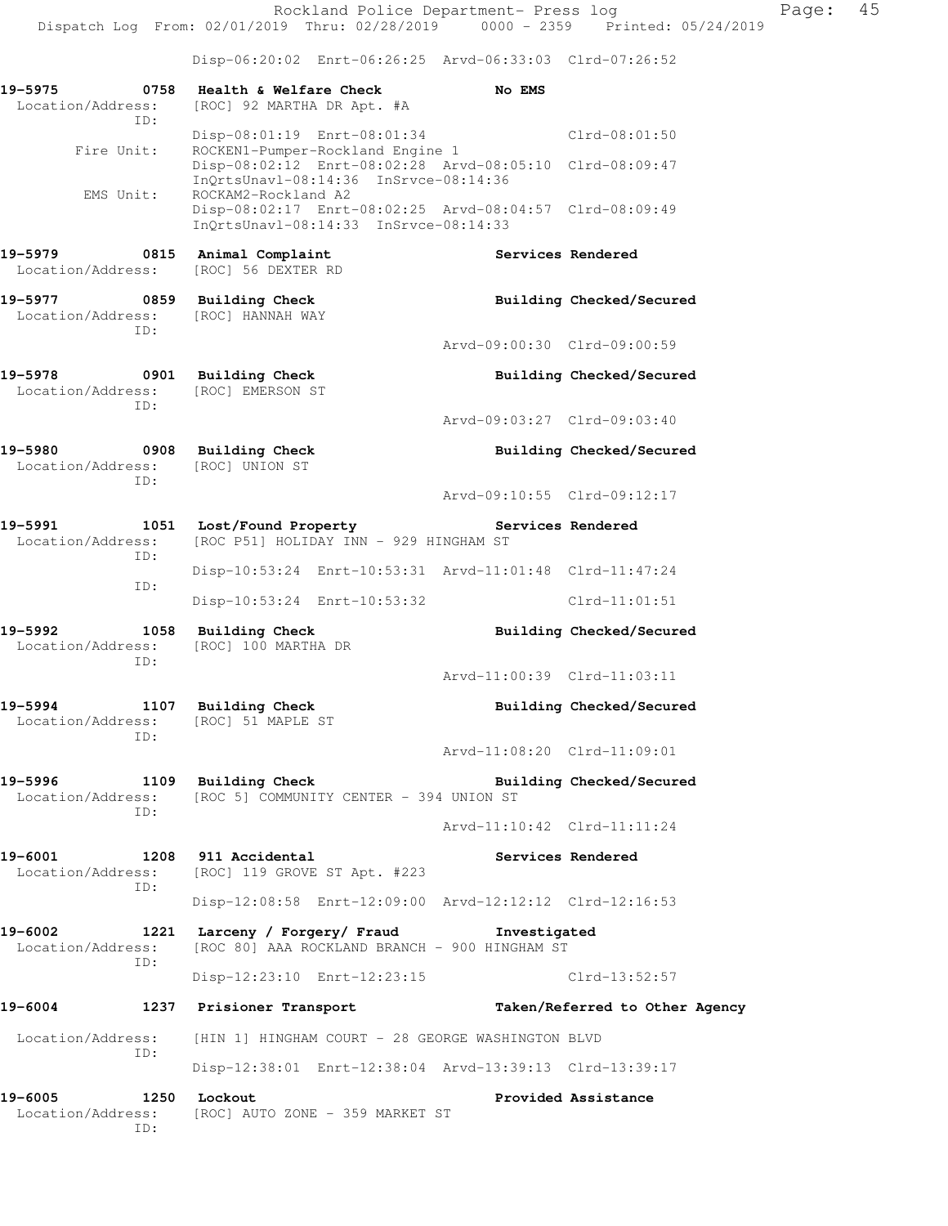Rockland Police Department- Press log Fage: 45 Dispatch Log From: 02/01/2019 Thru: 02/28/2019 0000 - 2359 Printed: 05/24/2019 Disp-06:20:02 Enrt-06:26:25 Arvd-06:33:03 Clrd-07:26:52 **19-5975 0758 Health & Welfare Check No EMS**  Location/Address: [ROC] 92 MARTHA DR Apt. #A ID: Disp-08:01:19 Enrt-08:01:34 Clrd-08:01:50 Fire Unit: ROCKEN1-Pumper-Rockland Engine 1 Disp-08:02:12 Enrt-08:02:28 Arvd-08:05:10 Clrd-08:09:47 InQrtsUnavl-08:14:36 InSrvce-08:14:36 EMS Unit: ROCKAM2-Rockland A2 Disp-08:02:17 Enrt-08:02:25 Arvd-08:04:57 Clrd-08:09:49 InQrtsUnavl-08:14:33 InSrvce-08:14:33 19-5979 **19-5979** 0815 Animal Complaint **Services Rendered**  Location/Address: [ROC] 56 DEXTER RD **19-5977 0859 Building Check Building Checked/Secured**  Location/Address: [ROC] HANNAH WAY ID: Arvd-09:00:30 Clrd-09:00:59 **19-5978 0901 Building Check Building Checked/Secured**  Location/Address: [ROC] EMERSON ST ID: Arvd-09:03:27 Clrd-09:03:40 **19-5980 0908 Building Check Building Checked/Secured**  Location/Address: [ROC] UNION ST ID: Arvd-09:10:55 Clrd-09:12:17 **19-5991 1051 Lost/Found Property Services Rendered**  Location/Address: [ROC P51] HOLIDAY INN - 929 HINGHAM ST ID: Disp-10:53:24 Enrt-10:53:31 Arvd-11:01:48 Clrd-11:47:24 ID: Disp-10:53:24 Enrt-10:53:32 Clrd-11:01:51 **19-5992 1058 Building Check Building Checked/Secured**  Location/Address: [ROC] 100 MARTHA DR ID: Arvd-11:00:39 Clrd-11:03:11 19-5994 1107 Building Check **Building Checked/Secured**  Location/Address: [ROC] 51 MAPLE ST ID: Arvd-11:08:20 Clrd-11:09:01 **19-5996 1109 Building Check Building Checked/Secured**  Location/Address: [ROC 5] COMMUNITY CENTER - 394 UNION ST ID: Arvd-11:10:42 Clrd-11:11:24 19-6001 1208 911 Accidental **19-6001** Services Rendered Location/Address: [ROC] 119 GROVE ST Apt. #223 ID: Disp-12:08:58 Enrt-12:09:00 Arvd-12:12:12 Clrd-12:16:53 **19-6002 1221 Larceny / Forgery/ Fraud Investigated**  Location/Address: [ROC 80] AAA ROCKLAND BRANCH - 900 HINGHAM ST ID: Disp-12:23:10 Enrt-12:23:15 Clrd-13:52:57 **19-6004 1237 Prisioner Transport Taken/Referred to Other Agency**  Location/Address: [HIN 1] HINGHAM COURT - 28 GEORGE WASHINGTON BLVD ID: Disp-12:38:01 Enrt-12:38:04 Arvd-13:39:13 Clrd-13:39:17 **19-6005 1250 Lockout Provided Assistance**  Location/Address: [ROC] AUTO ZONE - 359 MARKET ST ID: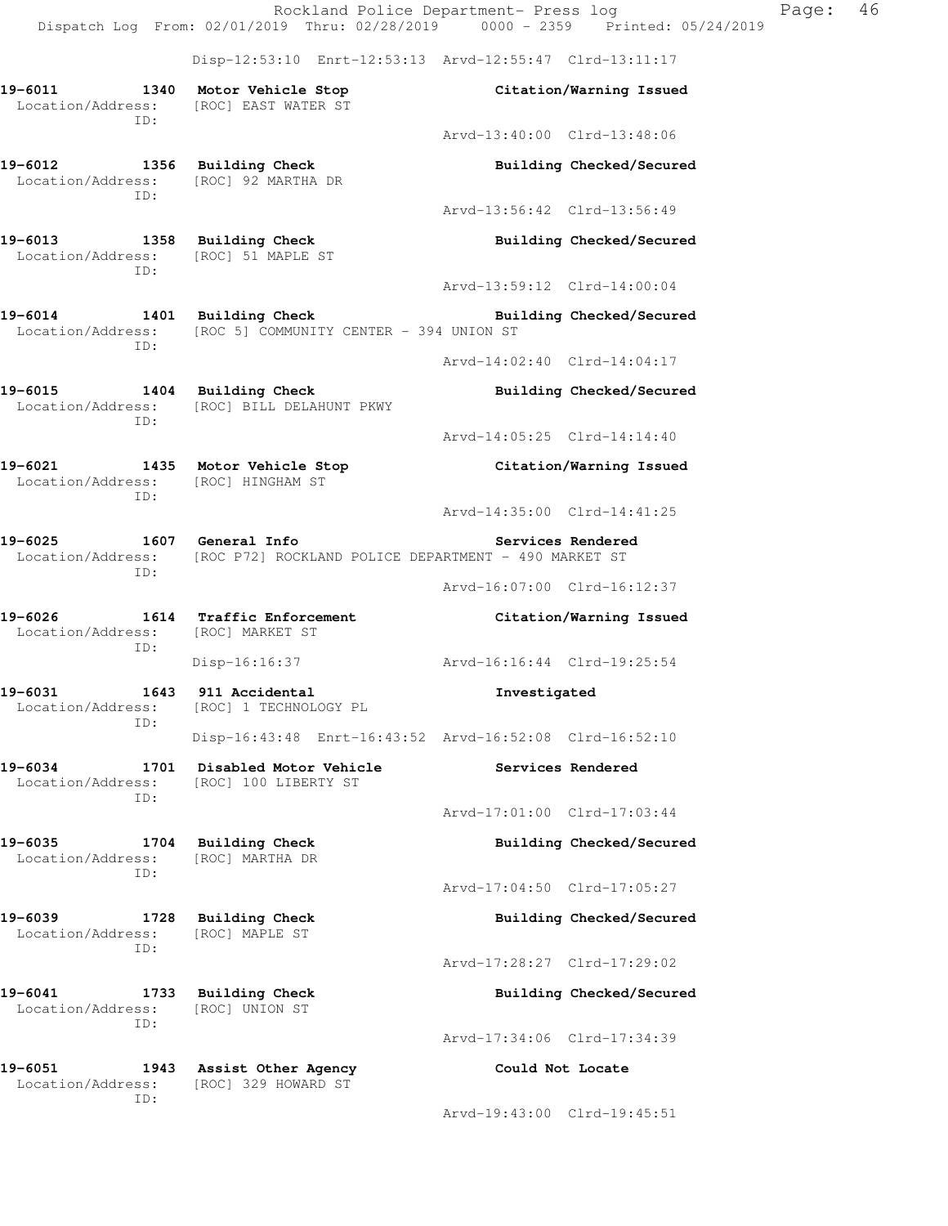Rockland Police Department- Press log Page: 46 Dispatch Log From: 02/01/2019 Thru: 02/28/2019 0000 - 2359 Printed: 05/24/2019 Disp-12:53:10 Enrt-12:53:13 Arvd-12:55:47 Clrd-13:11:17 **19-6011 1340 Motor Vehicle Stop Citation/Warning Issued**  Location/Address: [ROC] EAST WATER ST ID: Arvd-13:40:00 Clrd-13:48:06 **19-6012 1356 Building Check Building Checked/Secured**  Location/Address: [ROC] 92 MARTHA DR ID: Arvd-13:56:42 Clrd-13:56:49 **19-6013 1358 Building Check Building Checked/Secured**  Location/Address: [ROC] 51 MAPLE ST ID: Arvd-13:59:12 Clrd-14:00:04 **19-6014 1401 Building Check Building Checked/Secured**  Location/Address: [ROC 5] COMMUNITY CENTER - 394 UNION ST ID: Arvd-14:02:40 Clrd-14:04:17 **19-6015 1404 Building Check Building Checked/Secured**  Location/Address: [ROC] BILL DELAHUNT PKWY ID: Arvd-14:05:25 Clrd-14:14:40 **19-6021 1435 Motor Vehicle Stop Citation/Warning Issued**  Location/Address: [ROC] HINGHAM ST ID: Arvd-14:35:00 Clrd-14:41:25 **19-6025 1607 General Info Services Rendered**  Location/Address: [ROC P72] ROCKLAND POLICE DEPARTMENT - 490 MARKET ST ID: Arvd-16:07:00 Clrd-16:12:37 **19-6026 1614 Traffic Enforcement Citation/Warning Issued**  Location/Address: [ROC] MARKET ST ID: Disp-16:16:37 Arvd-16:16:44 Clrd-19:25:54 **19-6031 1643 911 Accidental Investigated**  Location/Address: [ROC] 1 TECHNOLOGY PL ID: Disp-16:43:48 Enrt-16:43:52 Arvd-16:52:08 Clrd-16:52:10 **19-6034 1701 Disabled Motor Vehicle Services Rendered**  Location/Address: [ROC] 100 LIBERTY ST ID: Arvd-17:01:00 Clrd-17:03:44 **19-6035 1704 Building Check Building Checked/Secured**  Location/Address: [ROC] MARTHA DR ID: Arvd-17:04:50 Clrd-17:05:27 **19-6039 1728 Building Check Building Checked/Secured**  Location/Address: [ROC] MAPLE ST ID: Arvd-17:28:27 Clrd-17:29:02 **19-6041 1733 Building Check Building Checked/Secured**  Location/Address: [ROC] UNION ST ID: Arvd-17:34:06 Clrd-17:34:39 **19-6051 1943 Assist Other Agency Could Not Locate**  Location/Address: [ROC] 329 HOWARD ST ID: Arvd-19:43:00 Clrd-19:45:51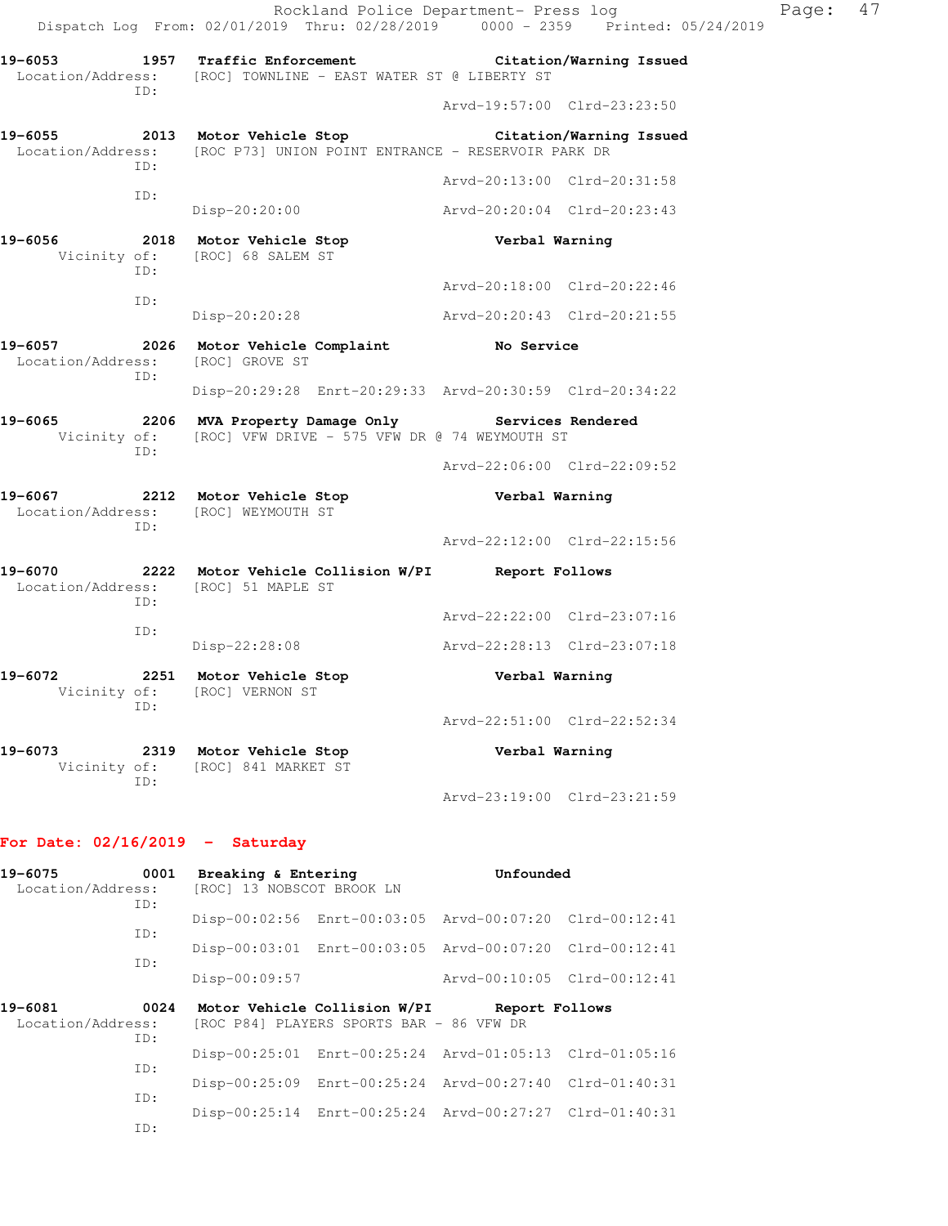Rockland Police Department- Press log Page: 47 Dispatch Log From: 02/01/2019 Thru: 02/28/2019 0000 - 2359 Printed: 05/24/2019 **19-6053 1957 Traffic Enforcement Citation/Warning Issued**  Location/Address: [ROC] TOWNLINE - EAST WATER ST @ LIBERTY ST ID: Arvd-19:57:00 Clrd-23:23:50 **19-6055 2013 Motor Vehicle Stop Citation/Warning Issued**  Location/Address: [ROC P73] UNION POINT ENTRANCE - RESERVOIR PARK DR ID: Arvd-20:13:00 Clrd-20:31:58 ID: Disp-20:20:00 Arvd-20:20:04 Clrd-20:23:43 **19-6056 2018 Motor Vehicle Stop Verbal Warning**  Vicinity of: [ROC] 68 SALEM ST ID: Arvd-20:18:00 Clrd-20:22:46 ID: Disp-20:20:28 Arvd-20:20:43 Clrd-20:21:55 **19-6057 2026 Motor Vehicle Complaint No Service**  Location/Address: [ROC] GROVE ST ID: Disp-20:29:28 Enrt-20:29:33 Arvd-20:30:59 Clrd-20:34:22 **19-6065 2206 MVA Property Damage Only Services Rendered**  Vicinity of: [ROC] VFW DRIVE - 575 VFW DR @ 74 WEYMOUTH ST ID: Arvd-22:06:00 Clrd-22:09:52 **19-6067 2212 Motor Vehicle Stop Verbal Warning**  Location/Address: [ROC] WEYMOUTH ST ID: Arvd-22:12:00 Clrd-22:15:56 **19-6070 2222 Motor Vehicle Collision W/PI Report Follows**  Location/Address: [ROC] 51 MAPLE ST ID: Arvd-22:22:00 Clrd-23:07:16 ID: Disp-22:28:08 Arvd-22:28:13 Clrd-23:07:18 **19-6072 2251 Motor Vehicle Stop Verbal Warning**  Vicinity of: [ROC] VERNON ST ID: Arvd-22:51:00 Clrd-22:52:34 **19-6073 2319 Motor Vehicle Stop Verbal Warning**  Vicinity of: [ROC] 841 MARKET ST ID: Arvd-23:19:00 Clrd-23:21:59

#### **For Date: 02/16/2019 - Saturday**

| 19-6075<br>0001<br>Location/Address:<br>ID: |             | Breaking & Entering<br>[ROC] 13 NOBSCOT BROOK LN |                                          | Unfounded                                               |  |
|---------------------------------------------|-------------|--------------------------------------------------|------------------------------------------|---------------------------------------------------------|--|
|                                             |             |                                                  |                                          | Disp-00:02:56 Enrt-00:03:05 Arvd-00:07:20 Clrd-00:12:41 |  |
|                                             | ID:<br>TD:  |                                                  |                                          | Disp-00:03:01 Enrt-00:03:05 Arvd-00:07:20 Clrd-00:12:41 |  |
|                                             |             | Disp-00:09:57                                    |                                          | Arvd-00:10:05 Clrd-00:12:41                             |  |
| 19-6081<br>Location/Address:                | 0024<br>ID: |                                                  | [ROC P84] PLAYERS SPORTS BAR - 86 VFW DR | Motor Vehicle Collision W/PI Report Follows             |  |
|                                             |             |                                                  |                                          | Disp-00:25:01 Enrt-00:25:24 Arvd-01:05:13 Clrd-01:05:16 |  |
|                                             | ID:<br>ID:  |                                                  |                                          | Disp-00:25:09 Enrt-00:25:24 Arvd-00:27:40 Clrd-01:40:31 |  |
|                                             | TD:         |                                                  |                                          | Disp-00:25:14 Enrt-00:25:24 Arvd-00:27:27 Clrd-01:40:31 |  |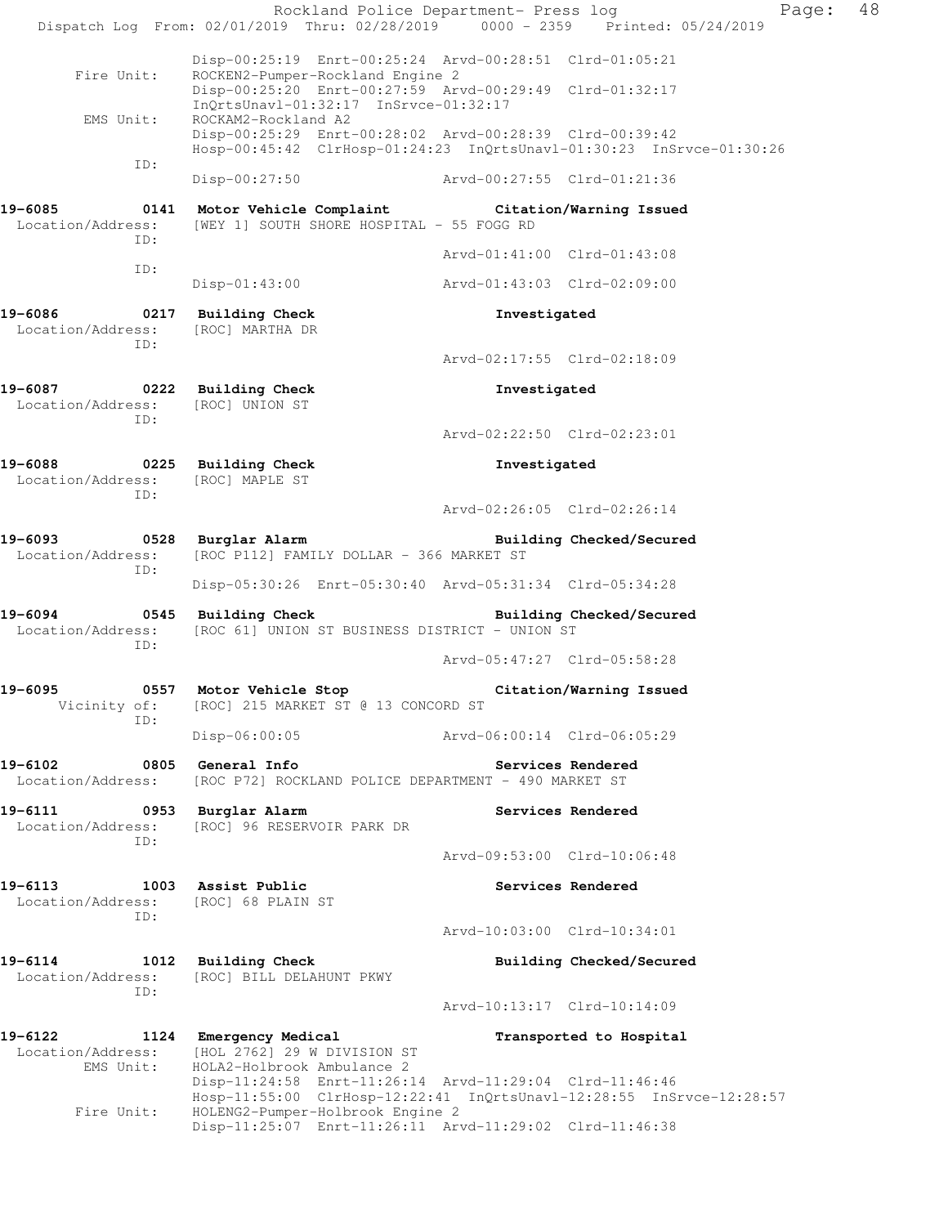Rockland Police Department- Press log Fage: 48 Dispatch Log From: 02/01/2019 Thru: 02/28/2019 0000 - 2359 Printed: 05/24/2019 Disp-00:25:19 Enrt-00:25:24 Arvd-00:28:51 Clrd-01:05:21<br>Fire Unit: ROCKEN2-Pumper-Rockland Engine 2 ROCKEN2-Pumper-Rockland Engine 2 Disp-00:25:20 Enrt-00:27:59 Arvd-00:29:49 Clrd-01:32:17 InQrtsUnavl-01:32:17 InSrvce-01:32:17 EMS Unit: ROCKAM2-Rockland A2 Disp-00:25:29 Enrt-00:28:02 Arvd-00:28:39 Clrd-00:39:42 Hosp-00:45:42 ClrHosp-01:24:23 InQrtsUnavl-01:30:23 InSrvce-01:30:26 ID: Disp-00:27:50 Arvd-00:27:55 Clrd-01:21:36 **19-6085 0141 Motor Vehicle Complaint Citation/Warning Issued**  Location/Address: [WEY 1] SOUTH SHORE HOSPITAL - 55 FOGG RD ID: Arvd-01:41:00 Clrd-01:43:08 ID: Disp-01:43:00 Arvd-01:43:03 Clrd-02:09:00 **19-6086 0217 Building Check Investigated**  Location/Address: [ROC] MARTHA DR ID: Arvd-02:17:55 Clrd-02:18:09 **19-6087 0222 Building Check Investigated**  Location/Address: [ROC] UNION ST ID: Arvd-02:22:50 Clrd-02:23:01 **19-6088 0225 Building Check Investigated**  Location/Address: [ROC] MAPLE ST ID: Arvd-02:26:05 Clrd-02:26:14 **19-6093 0528 Burglar Alarm Building Checked/Secured**  Location/Address: [ROC P112] FAMILY DOLLAR - 366 MARKET ST ID: Disp-05:30:26 Enrt-05:30:40 Arvd-05:31:34 Clrd-05:34:28 **19-6094 0545 Building Check Building Checked/Secured**  Location/Address: [ROC 61] UNION ST BUSINESS DISTRICT - UNION ST ID: Arvd-05:47:27 Clrd-05:58:28 **19-6095 0557 Motor Vehicle Stop Citation/Warning Issued**  Vicinity of: [ROC] 215 MARKET ST @ 13 CONCORD ST ID: Disp-06:00:05 Arvd-06:00:14 Clrd-06:05:29 19-6102 **0805** General Info **Communist Constructs Rendered** Location/Address: [ROC P72] ROCKLAND POLICE DEPARTMENT - 490 MARKET ST 19-6111 **1988** 0953 Burglar Alarm **19-6111** Services Rendered Location/Address: [ROC] 96 RESERVOIR PARK DR ID: Arvd-09:53:00 Clrd-10:06:48 19-6113 1003 Assist Public **19-6113** Services Rendered Location/Address: [ROC] 68 PLAIN ST ID: Arvd-10:03:00 Clrd-10:34:01 **19-6114 1012 Building Check Building Checked/Secured**  Location/Address: [ROC] BILL DELAHUNT PKWY ID: Arvd-10:13:17 Clrd-10:14:09 **19-6122 1124 Emergency Medical Transported to Hospital**  Location/Address: [HOL 2762] 29 W DIVISION ST EMS Unit: HOLA2-Holbrook Ambulance 2 Disp-11:24:58 Enrt-11:26:14 Arvd-11:29:04 Clrd-11:46:46 Hosp-11:55:00 ClrHosp-12:22:41 InQrtsUnavl-12:28:55 InSrvce-12:28:57<br>Fire Unit: HOLENG2-Pumper-Holbrook Engine 2 HOLENG2-Pumper-Holbrook Engine 2 Disp-11:25:07 Enrt-11:26:11 Arvd-11:29:02 Clrd-11:46:38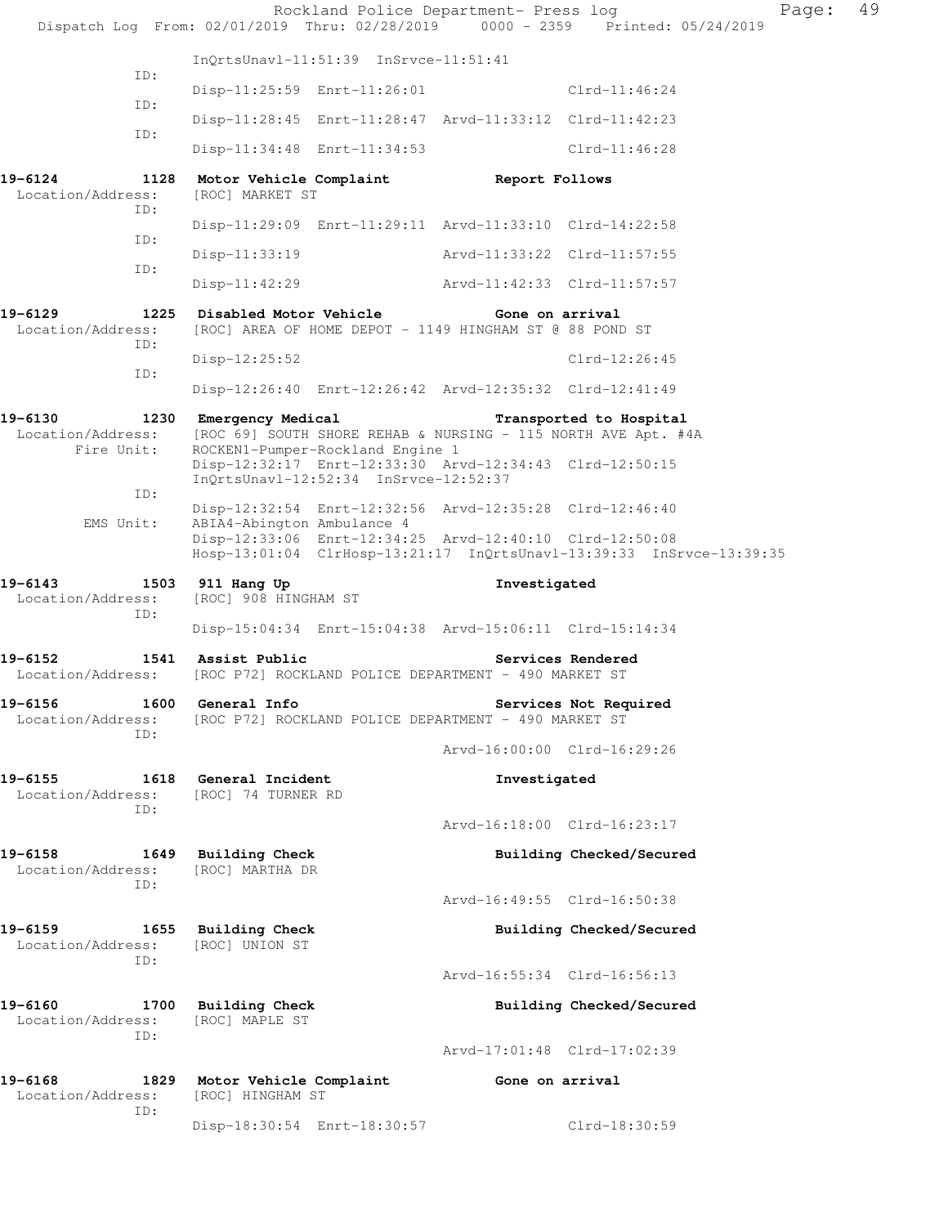| Dispatch Log From: 02/01/2019 Thru: 02/28/2019 0000 - 2359 Printed: 05/24/2019 |                                                                                                                                 | Rockland Police Department- Press log |                          | Page: | 49 |
|--------------------------------------------------------------------------------|---------------------------------------------------------------------------------------------------------------------------------|---------------------------------------|--------------------------|-------|----|
|                                                                                | InOrtsUnavl-11:51:39 InSrvce-11:51:41                                                                                           |                                       |                          |       |    |
| ID:                                                                            | Disp-11:25:59 Enrt-11:26:01                                                                                                     |                                       | $C1rd-11:46:24$          |       |    |
| ID:                                                                            | Disp-11:28:45 Enrt-11:28:47 Arvd-11:33:12 Clrd-11:42:23                                                                         |                                       |                          |       |    |
| ID:                                                                            | Disp-11:34:48 Enrt-11:34:53                                                                                                     |                                       | Clrd-11:46:28            |       |    |
| 19-6124<br>1128<br>Location/Address:<br>ID:                                    | Motor Vehicle Complaint The Report Follows<br>[ROC] MARKET ST                                                                   |                                       |                          |       |    |
| ID:                                                                            | Disp-11:29:09 Enrt-11:29:11 Arvd-11:33:10 Clrd-14:22:58                                                                         |                                       |                          |       |    |
| ID:                                                                            | $Disp-11:33:19$                                                                                                                 | Arvd-11:33:22 Clrd-11:57:55           |                          |       |    |
|                                                                                | Disp-11:42:29                                                                                                                   | Arvd-11:42:33 Clrd-11:57:57           |                          |       |    |
| 19-6129<br>Location/Address:<br>ID:                                            | 1225 Disabled Motor Vehicle<br>[ROC] AREA OF HOME DEPOT - 1149 HINGHAM ST @ 88 POND ST                                          | Gone on arrival                       |                          |       |    |
| ID:                                                                            | $Disp-12:25:52$                                                                                                                 |                                       | $Clrd-12:26:45$          |       |    |
|                                                                                | Disp-12:26:40 Enrt-12:26:42 Arvd-12:35:32 Clrd-12:41:49                                                                         |                                       |                          |       |    |
| 19-6130<br>Location/Address:<br>Fire Unit:                                     | 1230 Emergency Medical<br>[ROC 69] SOUTH SHORE REHAB & NURSING - 115 NORTH AVE Apt. #4A<br>ROCKEN1-Pumper-Rockland Engine 1     |                                       | Transported to Hospital  |       |    |
|                                                                                | Disp-12:32:17 Enrt-12:33:30 Arvd-12:34:43 Clrd-12:50:15<br>InQrtsUnavl-12:52:34 InSrvce-12:52:37                                |                                       |                          |       |    |
| ID:<br>EMS Unit:                                                               | Disp-12:32:54 Enrt-12:32:56 Arvd-12:35:28 Clrd-12:46:40<br>ABIA4-Abington Ambulance 4                                           |                                       |                          |       |    |
|                                                                                | Disp-12:33:06 Enrt-12:34:25 Arvd-12:40:10 Clrd-12:50:08<br>Hosp-13:01:04 ClrHosp-13:21:17 InQrtsUnavl-13:39:33 InSrvce-13:39:35 |                                       |                          |       |    |
| 19-6143                                                                        | 1503 911 Hang Up                                                                                                                | Investigated                          |                          |       |    |
| Location/Address:                                                              | [ROC] 908 HINGHAM ST                                                                                                            |                                       |                          |       |    |
| ID:                                                                            | Disp-15:04:34 Enrt-15:04:38 Arvd-15:06:11 Clrd-15:14:34                                                                         |                                       |                          |       |    |
| 19-6152<br>Location/Address:                                                   | 1541 Assist Public<br>[ROC P72] ROCKLAND POLICE DEPARTMENT - 490 MARKET ST                                                      |                                       | Services Rendered        |       |    |
| 19-6156<br>Location/Address:                                                   | 1600 General Info<br>[ROC P72] ROCKLAND POLICE DEPARTMENT - 490 MARKET ST                                                       |                                       | Services Not Required    |       |    |
| ID:                                                                            |                                                                                                                                 | Arvd-16:00:00 Clrd-16:29:26           |                          |       |    |
| 19-6155<br>Location/Address:                                                   | 1618 General Incident<br>[ROC] 74 TURNER RD                                                                                     | Investigated                          |                          |       |    |
| ID:                                                                            |                                                                                                                                 | Arvd-16:18:00 Clrd-16:23:17           |                          |       |    |
| 19-6158<br>Location/Address:                                                   | 1649 Building Check<br>[ROC] MARTHA DR                                                                                          |                                       | Building Checked/Secured |       |    |
| ID:                                                                            |                                                                                                                                 | Arvd-16:49:55 Clrd-16:50:38           |                          |       |    |
| 19-6159<br>Location/Address:<br>ID:                                            | 1655 Building Check<br>[ROC] UNION ST                                                                                           |                                       | Building Checked/Secured |       |    |
|                                                                                |                                                                                                                                 | Arvd-16:55:34 Clrd-16:56:13           |                          |       |    |
| 19-6160<br>1700<br>Location/Address:<br>ID:                                    | <b>Building Check</b><br>[ROC] MAPLE ST                                                                                         |                                       | Building Checked/Secured |       |    |
|                                                                                |                                                                                                                                 | Arvd-17:01:48 Clrd-17:02:39           |                          |       |    |
| 19-6168<br>Location/Address:<br>ID:                                            | 1829 Motor Vehicle Complaint<br>[ROC] HINGHAM ST                                                                                | Gone on arrival                       |                          |       |    |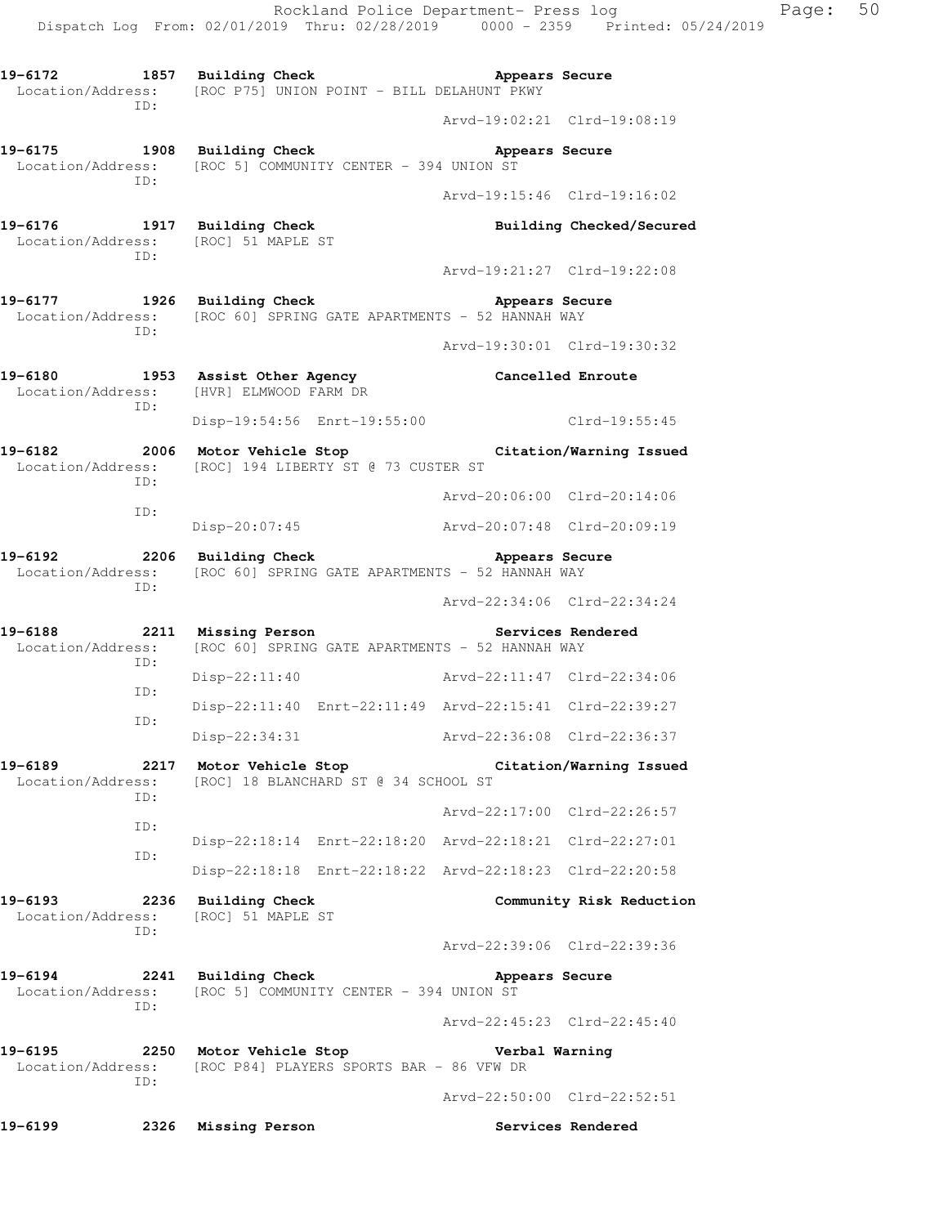Rockland Police Department- Press log Page: 50 Dispatch Log From: 02/01/2019 Thru: 02/28/2019 0000 - 2359 Printed: 05/24/2019 19-6172 1857 Building Check **Appears Secure**  Location/Address: [ROC P75] UNION POINT - BILL DELAHUNT PKWY ID: Arvd-19:02:21 Clrd-19:08:19 **19-6175 1908 Building Check Appears Secure**  Location/Address: [ROC 5] COMMUNITY CENTER - 394 UNION ST ID: Arvd-19:15:46 Clrd-19:16:02 **19-6176 1917 Building Check Building Checked/Secured**  Location/Address: [ROC] 51 MAPLE ST ID: Arvd-19:21:27 Clrd-19:22:08 **19-6177 1926 Building Check Appears Secure**  Location/Address: [ROC 60] SPRING GATE APARTMENTS - 52 HANNAH WAY ID: Arvd-19:30:01 Clrd-19:30:32 **19-6180 1953 Assist Other Agency Cancelled Enroute**  Location/Address: [HVR] ELMWOOD FARM DR ID: Disp-19:54:56 Enrt-19:55:00 Clrd-19:55:45 **19-6182 2006 Motor Vehicle Stop Citation/Warning Issued**  Location/Address: [ROC] 194 LIBERTY ST @ 73 CUSTER ST ID: Arvd-20:06:00 Clrd-20:14:06 ID: Disp-20:07:45 Arvd-20:07:48 Clrd-20:09:19 19-6192 **2206** Building Check **Appears Secure**  Location/Address: [ROC 60] SPRING GATE APARTMENTS - 52 HANNAH WAY ID: Arvd-22:34:06 Clrd-22:34:24 **19-6188 2211 Missing Person Services Rendered**  Location/Address: [ROC 60] SPRING GATE APARTMENTS - 52 HANNAH WAY ID: Disp-22:11:40 Arvd-22:11:47 Clrd-22:34:06 ID: Disp-22:11:40 Enrt-22:11:49 Arvd-22:15:41 Clrd-22:39:27 ID: Disp-22:34:31 Arvd-22:36:08 Clrd-22:36:37 **19-6189 2217 Motor Vehicle Stop Citation/Warning Issued**  Location/Address: [ROC] 18 BLANCHARD ST @ 34 SCHOOL ST ID: Arvd-22:17:00 Clrd-22:26:57 ID: Disp-22:18:14 Enrt-22:18:20 Arvd-22:18:21 Clrd-22:27:01 ID: Disp-22:18:18 Enrt-22:18:22 Arvd-22:18:23 Clrd-22:20:58 **19-6193 2236 Building Check Community Risk Reduction**  Location/Address: [ROC] 51 MAPLE ST ID: Arvd-22:39:06 Clrd-22:39:36 19-6194 **2241** Building Check **Appears Secure**  Location/Address: [ROC 5] COMMUNITY CENTER - 394 UNION ST ID: Arvd-22:45:23 Clrd-22:45:40 **19-6195 2250 Motor Vehicle Stop Verbal Warning**  Location/Address: [ROC P84] PLAYERS SPORTS BAR - 86 VFW DR ID: Arvd-22:50:00 Clrd-22:52:51

**19-6199 2326 Missing Person Services Rendered**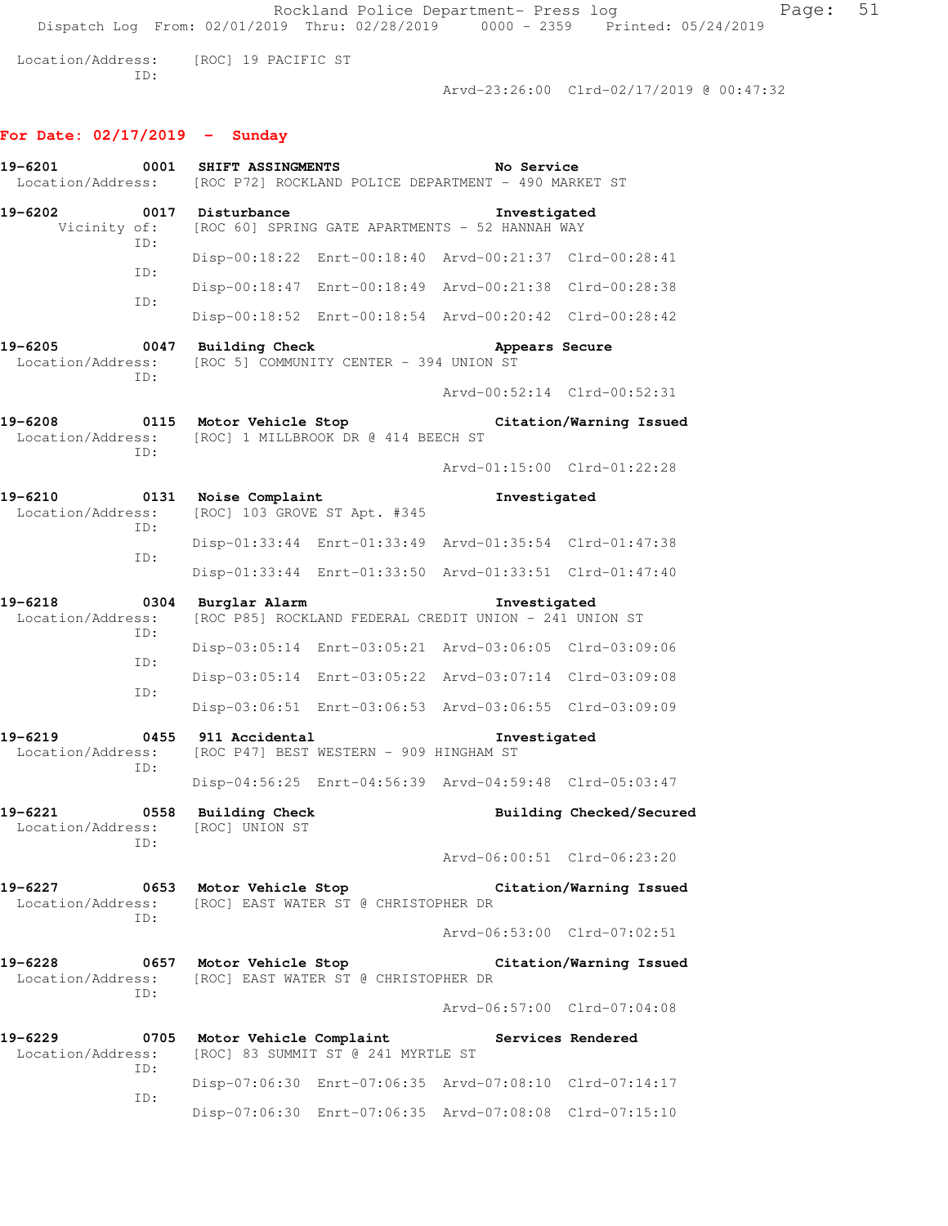Rockland Police Department- Press log Fage: 51 Dispatch Log From: 02/01/2019 Thru: 02/28/2019 0000 - 2359 Printed: 05/24/2019 Location/Address: [ROC] 19 PACIFIC ST ID:

Arvd-23:26:00 Clrd-02/17/2019 @ 00:47:32

## **For Date: 02/17/2019 - Sunday**

| 19-6201<br>Location/Address: | 0001        | SHIFT ASSINGMENTS                       |                                                        | No Service<br>[ROC P72] ROCKLAND POLICE DEPARTMENT - 490 MARKET ST           |                             |
|------------------------------|-------------|-----------------------------------------|--------------------------------------------------------|------------------------------------------------------------------------------|-----------------------------|
| 19-6202                      |             | 0017 Disturbance                        |                                                        | Investigated<br>Vicinity of: [ROC 60] SPRING GATE APARTMENTS - 52 HANNAH WAY |                             |
|                              | ID:         |                                         |                                                        | Disp-00:18:22 Enrt-00:18:40 Arvd-00:21:37 Clrd-00:28:41                      |                             |
|                              | ID:         |                                         |                                                        | Disp-00:18:47 Enrt-00:18:49 Arvd-00:21:38 Clrd-00:28:38                      |                             |
|                              | ID:         |                                         |                                                        | Disp-00:18:52 Enrt-00:18:54 Arvd-00:20:42 Clrd-00:28:42                      |                             |
| 19-6205<br>Location/Address: | TD:         | 0047 Building Check                     | [ROC 5] COMMUNITY CENTER - 394 UNION ST                | Appears Secure                                                               |                             |
|                              |             |                                         |                                                        |                                                                              | Arvd-00:52:14 Clrd-00:52:31 |
| 19-6208<br>Location/Address: | ID:         | 0115 Motor Vehicle Stop                 | [ROC] 1 MILLBROOK DR @ 414 BEECH ST                    |                                                                              | Citation/Warning Issued     |
|                              |             |                                         |                                                        |                                                                              | Arvd-01:15:00 Clrd-01:22:28 |
| 19-6210<br>Location/Address: | 0131<br>ID: | Noise Complaint                         | [ROC] 103 GROVE ST Apt. #345                           | Investigated                                                                 |                             |
|                              | ID:         |                                         |                                                        | Disp-01:33:44 Enrt-01:33:49 Arvd-01:35:54 Clrd-01:47:38                      |                             |
|                              |             |                                         |                                                        | Disp-01:33:44 Enrt-01:33:50 Arvd-01:33:51 Clrd-01:47:40                      |                             |
| 19-6218<br>Location/Address: | 0304<br>ID: | Burglar Alarm                           |                                                        | Investigated<br>[ROC P85] ROCKLAND FEDERAL CREDIT UNION - 241 UNION ST       |                             |
|                              | ID:         |                                         |                                                        | Disp-03:05:14 Enrt-03:05:21 Arvd-03:06:05 Clrd-03:09:06                      |                             |
|                              | ID:         |                                         |                                                        | Disp-03:05:14 Enrt-03:05:22 Arvd-03:07:14 Clrd-03:09:08                      |                             |
|                              |             |                                         |                                                        | Disp-03:06:51 Enrt-03:06:53 Arvd-03:06:55 Clrd-03:09:09                      |                             |
| 19-6219<br>Location/Address: | 0455<br>ID: | 911 Accidental                          | [ROC P47] BEST WESTERN - 909 HINGHAM ST                | Investigated                                                                 |                             |
|                              |             |                                         |                                                        | Disp-04:56:25 Enrt-04:56:39 Arvd-04:59:48 Clrd-05:03:47                      |                             |
| 19-6221<br>Location/Address: | 0558<br>ID: | <b>Building Check</b><br>[ROC] UNION ST |                                                        |                                                                              | Building Checked/Secured    |
|                              |             |                                         |                                                        |                                                                              | Arvd-06:00:51 Clrd-06:23:20 |
| 19-6227                      | ID:         | 0653 Motor Vehicle Stop                 | Location/Address: [ROC] EAST WATER ST @ CHRISTOPHER DR |                                                                              | Citation/Warning Issued     |
|                              |             |                                         |                                                        |                                                                              | Arvd-06:53:00 Clrd-07:02:51 |
| 19-6228                      | ID:         | 0657 Motor Vehicle Stop                 | Location/Address: [ROC] EAST WATER ST @ CHRISTOPHER DR |                                                                              | Citation/Warning Issued     |
|                              |             |                                         |                                                        |                                                                              | Arvd-06:57:00 Clrd-07:04:08 |
| 19-6229<br>Location/Address: | 0705<br>ID: |                                         | [ROC] 83 SUMMIT ST @ 241 MYRTLE ST                     | Motor Vehicle Complaint The Services Rendered                                |                             |
|                              | ID:         |                                         |                                                        | Disp-07:06:30 Enrt-07:06:35 Arvd-07:08:10 Clrd-07:14:17                      |                             |
|                              |             |                                         |                                                        | Disp-07:06:30 Enrt-07:06:35 Arvd-07:08:08 Clrd-07:15:10                      |                             |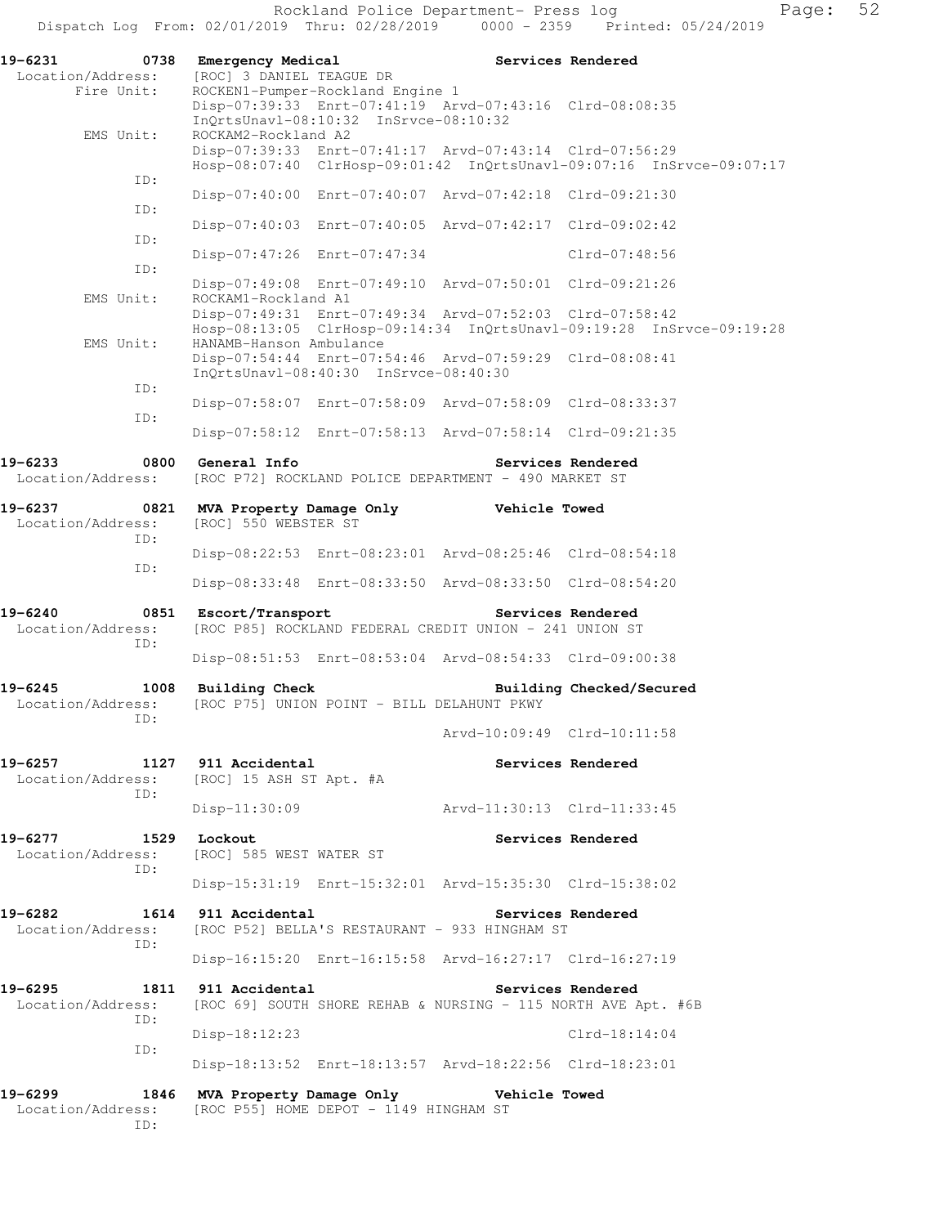Rockland Police Department- Press log Fage: 52 Dispatch Log From: 02/01/2019 Thru: 02/28/2019 0000 - 2359 Printed: 05/24/2019

**19-6231 0738 Emergency Medical Services Rendered**  Location/Address: [ROC] 3 DANIEL TEAGUE DR Fire Unit: ROCKEN1-Pumper-Rockland Engine 1 Disp-07:39:33 Enrt-07:41:19 Arvd-07:43:16 Clrd-08:08:35 InQrtsUnavl-08:10:32 InSrvce-08:10:32<br>EMS Unit: ROCKAM2-Rockland A2 ROCKAM2-Rockland A2 Disp-07:39:33 Enrt-07:41:17 Arvd-07:43:14 Clrd-07:56:29 Hosp-08:07:40 ClrHosp-09:01:42 InQrtsUnavl-09:07:16 InSrvce-09:07:17 ID: Disp-07:40:00 Enrt-07:40:07 Arvd-07:42:18 Clrd-09:21:30 ID: Disp-07:40:03 Enrt-07:40:05 Arvd-07:42:17 Clrd-09:02:42 ID: Disp-07:47:26 Enrt-07:47:34 Clrd-07:48:56 ID: Disp-07:49:08 Enrt-07:49:10 Arvd-07:50:01 Clrd-09:21:26 EMS Unit: ROCKAM1-Rockland A1 Disp-07:49:31 Enrt-07:49:34 Arvd-07:52:03 Clrd-07:58:42 Hosp-08:13:05 ClrHosp-09:14:34 InQrtsUnavl-09:19:28 InSrvce-09:19:28 EMS Unit: HANAMB-Hanson Ambulance Disp-07:54:44 Enrt-07:54:46 Arvd-07:59:29 Clrd-08:08:41 InQrtsUnavl-08:40:30 InSrvce-08:40:30 ID: Disp-07:58:07 Enrt-07:58:09 Arvd-07:58:09 Clrd-08:33:37 ID: Disp-07:58:12 Enrt-07:58:13 Arvd-07:58:14 Clrd-09:21:35 **19-6233 0800 General Info Services Rendered**  Location/Address: [ROC P72] ROCKLAND POLICE DEPARTMENT - 490 MARKET ST **19-6237 0821 MVA Property Damage Only Vehicle Towed**  Location/Address: [ROC] 550 WEBSTER ST ID: Disp-08:22:53 Enrt-08:23:01 Arvd-08:25:46 Clrd-08:54:18 ID: Disp-08:33:48 Enrt-08:33:50 Arvd-08:33:50 Clrd-08:54:20 **19-6240 0851 Escort/Transport Services Rendered**  Location/Address: [ROC P85] ROCKLAND FEDERAL CREDIT UNION - 241 UNION ST ID: Disp-08:51:53 Enrt-08:53:04 Arvd-08:54:33 Clrd-09:00:38 **19-6245 1008 Building Check Building Checked/Secured**  Location/Address: [ROC P75] UNION POINT - BILL DELAHUNT PKWY ID: Arvd-10:09:49 Clrd-10:11:58 **19-6257 1127 911 Accidental Services Rendered**  Location/Address: [ROC] 15 ASH ST Apt. #A ID: Disp-11:30:09 Arvd-11:30:13 Clrd-11:33:45 **19-6277 1529 Lockout Services Rendered**  Location/Address: [ROC] 585 WEST WATER ST ID: Disp-15:31:19 Enrt-15:32:01 Arvd-15:35:30 Clrd-15:38:02 **19-6282 1614 911 Accidental Services Rendered**  Location/Address: [ROC P52] BELLA'S RESTAURANT - 933 HINGHAM ST ID: Disp-16:15:20 Enrt-16:15:58 Arvd-16:27:17 Clrd-16:27:19 **19-6295 1811 911 Accidental Services Rendered**  Location/Address: [ROC 69] SOUTH SHORE REHAB & NURSING - 115 NORTH AVE Apt. #6B ID: Disp-18:12:23 Clrd-18:14:04 ID: Disp-18:13:52 Enrt-18:13:57 Arvd-18:22:56 Clrd-18:23:01 **19-6299 1846 MVA Property Damage Only Vehicle Towed**  Location/Address: [ROC P55] HOME DEPOT - 1149 HINGHAM ST ID: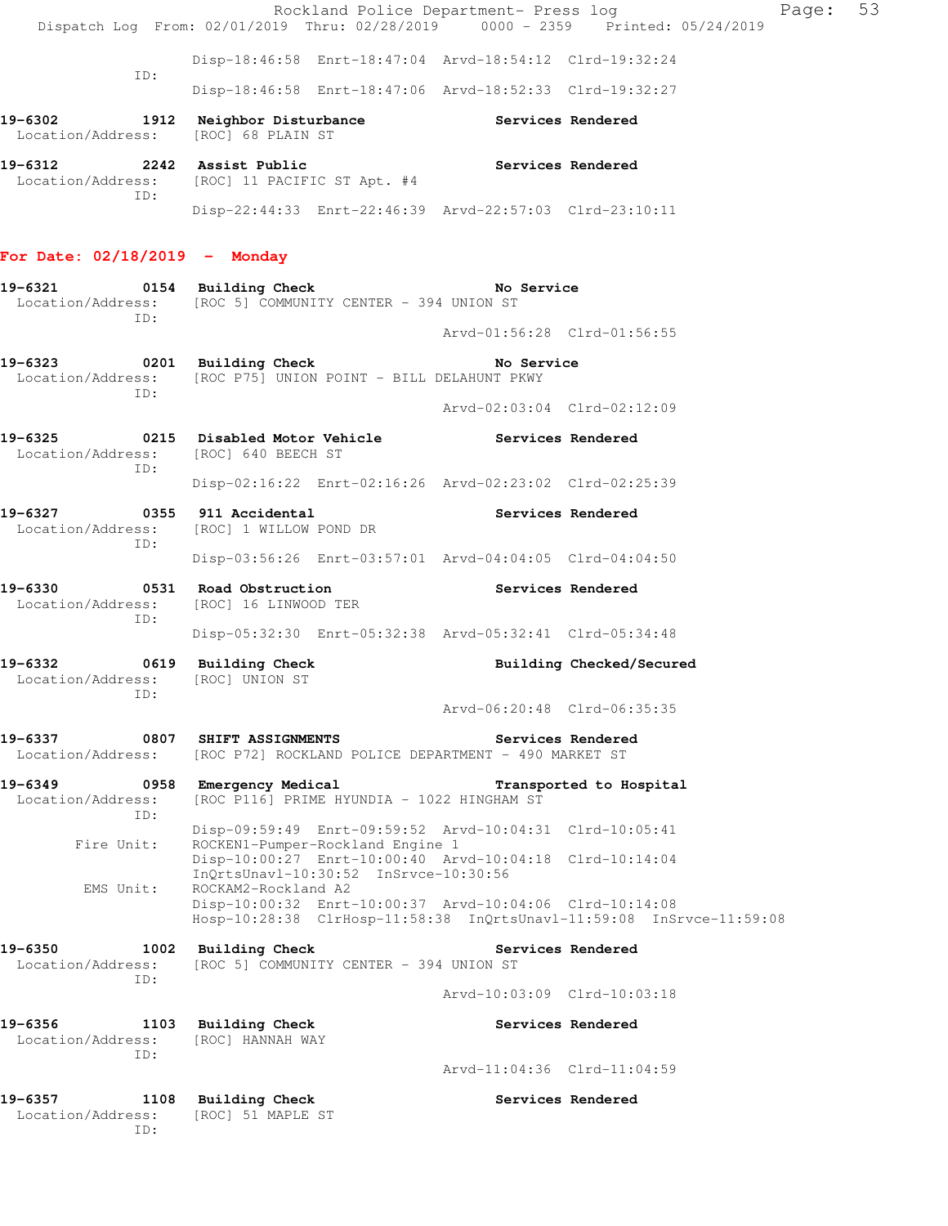|                                                            | Rockland Police Department- Press log<br>Dispatch Log From: 02/01/2019 Thru: 02/28/2019 0000 - 2359 Printed: 05/24/2019         |                             | Page:                    | 53 |
|------------------------------------------------------------|---------------------------------------------------------------------------------------------------------------------------------|-----------------------------|--------------------------|----|
|                                                            | Disp-18:46:58 Enrt-18:47:04 Arvd-18:54:12 Clrd-19:32:24                                                                         |                             |                          |    |
| ID:                                                        | Disp-18:46:58 Enrt-18:47:06 Arvd-18:52:33 Clrd-19:32:27                                                                         |                             |                          |    |
| Location/Address: [ROC] 68 PLAIN ST                        | 19-6302 1912 Neighbor Disturbance Services Rendered                                                                             |                             |                          |    |
| 19-6312 2242 Assist Public<br>ID:                          | Location/Address: [ROC] 11 PACIFIC ST Apt. #4                                                                                   | <b>Services Rendered</b>    |                          |    |
|                                                            | Disp-22:44:33 Enrt-22:46:39 Arvd-22:57:03 Clrd-23:10:11                                                                         |                             |                          |    |
| For Date: 02/18/2019 - Monday                              |                                                                                                                                 |                             |                          |    |
| 19-6321                                                    | 0154 Building Check<br>Location/Address: [ROC 5] COMMUNITY CENTER - 394 UNION ST                                                | No Service                  |                          |    |
| ID:                                                        |                                                                                                                                 | Arvd-01:56:28 Clrd-01:56:55 |                          |    |
| TD:                                                        | 19-6323 0201 Building Check<br>Location/Address: [ROC P75] UNION POINT - BILL DELAHUNT PKWY                                     | No Service                  |                          |    |
|                                                            |                                                                                                                                 | Arvd-02:03:04 Clrd-02:12:09 |                          |    |
| $19 - 6325$<br>Location/Address: [ROC] 640 BEECH ST<br>ID: | 0215 Disabled Motor Vehicle                                                                                                     | Services Rendered           |                          |    |
|                                                            | Disp-02:16:22 Enrt-02:16:26 Arvd-02:23:02 Clrd-02:25:39                                                                         |                             |                          |    |
| 19-6327<br>ID:                                             | 0355 911 Accidental<br>Location/Address: [ROC] 1 WILLOW POND DR                                                                 | Services Rendered           |                          |    |
|                                                            | Disp-03:56:26 Enrt-03:57:01 Arvd-04:04:05 Clrd-04:04:50                                                                         |                             |                          |    |
| 19-6330<br>Location/Address:<br>ID:                        | 0531 Road Obstruction<br>[ROC] 16 LINWOOD TER                                                                                   | Services Rendered           |                          |    |
|                                                            | Disp-05:32:30 Enrt-05:32:38 Arvd-05:32:41 Clrd-05:34:48                                                                         |                             |                          |    |
| 19-6332<br>Location/Address: [ROC] UNION ST<br>ID:         | 0619 Building Check                                                                                                             |                             | Building Checked/Secured |    |
|                                                            |                                                                                                                                 | Arvd-06:20:48 Clrd-06:35:35 |                          |    |
| 19-6337<br>Location/Address:                               | 0807 SHIFT ASSIGNMENTS<br>[ROC P72] ROCKLAND POLICE DEPARTMENT - 490 MARKET ST                                                  |                             | Services Rendered        |    |
| 19-6349<br>0958<br>Location/Address:<br>ID:                | Emergency Medical<br>[ROC P116] PRIME HYUNDIA - 1022 HINGHAM ST                                                                 |                             | Transported to Hospital  |    |
| Fire Unit:                                                 | Disp-09:59:49 Enrt-09:59:52 Arvd-10:04:31 Clrd-10:05:41<br>ROCKEN1-Pumper-Rockland Engine 1                                     |                             |                          |    |
| EMS Unit:                                                  | Disp-10:00:27 Enrt-10:00:40 Arvd-10:04:18 Clrd-10:14:04<br>InOrtsUnavl-10:30:52 InSrvce-10:30:56<br>ROCKAM2-Rockland A2         |                             |                          |    |
|                                                            | Disp-10:00:32 Enrt-10:00:37 Arvd-10:04:06 Clrd-10:14:08<br>Hosp-10:28:38 ClrHosp-11:58:38 InQrtsUnavl-11:59:08 InSrvce-11:59:08 |                             |                          |    |
| 19-6350<br>1002<br>Location/Address:<br>ID:                | <b>Building Check</b><br>[ROC 5] COMMUNITY CENTER - 394 UNION ST                                                                |                             | Services Rendered        |    |
|                                                            |                                                                                                                                 | Arvd-10:03:09 Clrd-10:03:18 |                          |    |
| 19-6356<br>Location/Address:<br>TD:                        | 1103 Building Check<br>[ROC] HANNAH WAY                                                                                         |                             | Services Rendered        |    |
|                                                            |                                                                                                                                 | Arvd-11:04:36 Clrd-11:04:59 |                          |    |
| 19-6357<br>Location/Address:<br>ID:                        | 1108 Building Check<br>[ROC] 51 MAPLE ST                                                                                        |                             | Services Rendered        |    |
|                                                            |                                                                                                                                 |                             |                          |    |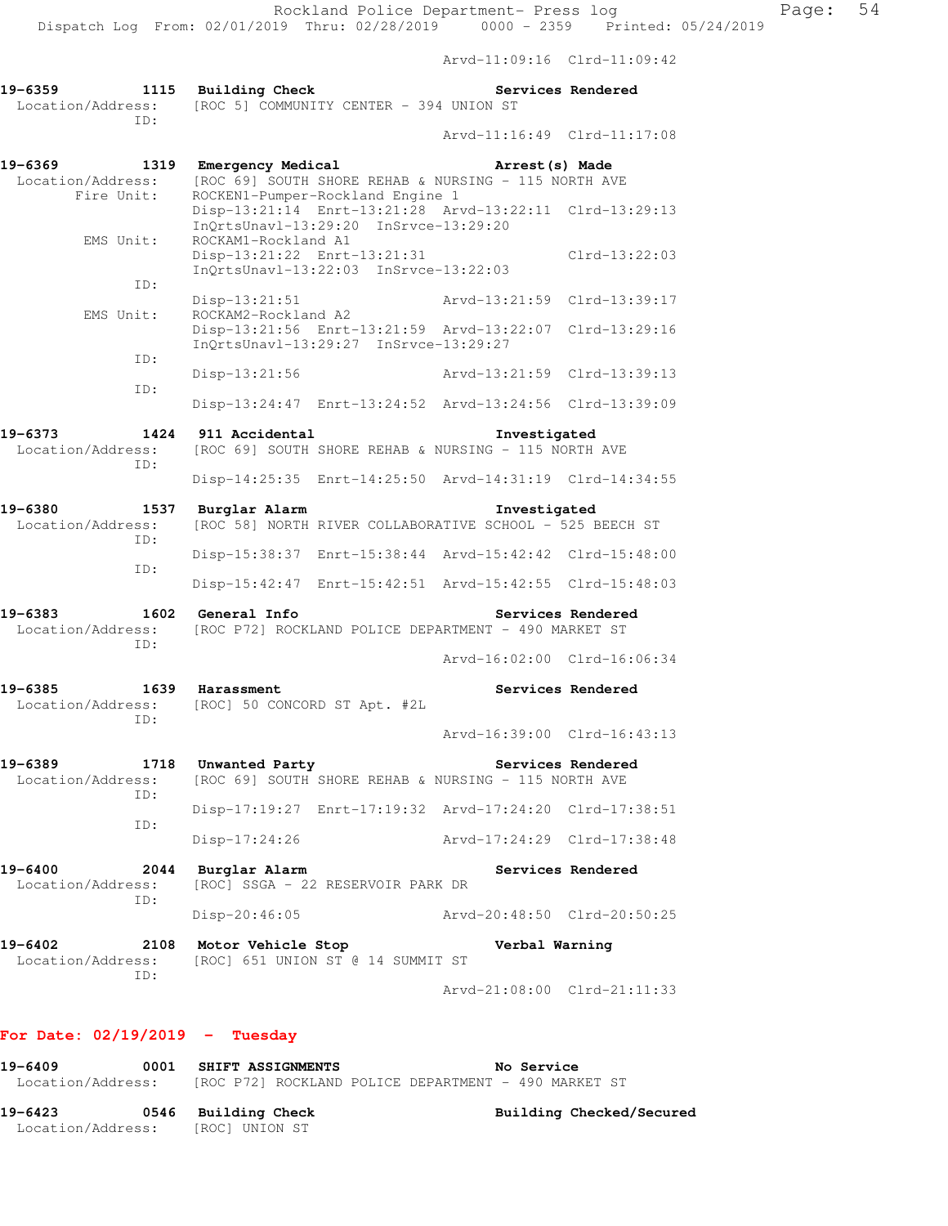Arvd-11:09:16 Clrd-11:09:42

| 19-6359           |     | 1115 Building Check                     |                             | Services Rendered |
|-------------------|-----|-----------------------------------------|-----------------------------|-------------------|
| Location/Address: | TD: | [ROC 5] COMMUNITY CENTER - 394 UNION ST |                             |                   |
|                   |     |                                         | Arvd-11:16:49 Clrd-11:17:08 |                   |

| 19-6369<br>Location/Address:                | 1319 Emergency Medical<br>[ROC 69] SOUTH SHORE REHAB & NURSING - 115 NORTH AVE                | Arrest(s) Made                                          |
|---------------------------------------------|-----------------------------------------------------------------------------------------------|---------------------------------------------------------|
| Fire Unit:                                  | ROCKEN1-Pumper-Rockland Engine 1<br>InQrtsUnavl-13:29:20 InSrvce-13:29:20                     | Disp-13:21:14 Enrt-13:21:28 Arvd-13:22:11 Clrd-13:29:13 |
| EMS Unit:                                   | ROCKAM1-Rockland A1<br>Disp-13:21:22 Enrt-13:21:31<br>InQrtsUnavl-13:22:03 InSrvce-13:22:03   | $Clrd-13:22:03$                                         |
| ID:                                         | Disp-13:21:51                                                                                 | Arvd-13:21:59 Clrd-13:39:17                             |
| EMS Unit:                                   | ROCKAM2-Rockland A2<br>InQrtsUnavl-13:29:27 InSrvce-13:29:27                                  | Disp-13:21:56 Enrt-13:21:59 Arvd-13:22:07 Clrd-13:29:16 |
| ID:                                         | Disp-13:21:56                                                                                 | Arvd-13:21:59 Clrd-13:39:13                             |
| TD:                                         |                                                                                               | Disp-13:24:47 Enrt-13:24:52 Arvd-13:24:56 Clrd-13:39:09 |
| 19-6373                                     | 1424 911 Accidental                                                                           | Investigated                                            |
| Location/Address:<br>ID:                    | [ROC 69] SOUTH SHORE REHAB & NURSING - 115 NORTH AVE                                          |                                                         |
|                                             |                                                                                               | Disp-14:25:35 Enrt-14:25:50 Arvd-14:31:19 Clrd-14:34:55 |
| 19-6380<br>1537<br>Location/Address:<br>ID: | Burglar Alarm<br>[ROC 58] NORTH RIVER COLLABORATIVE SCHOOL - 525 BEECH ST                     | Investigated                                            |
|                                             |                                                                                               | Disp-15:38:37 Enrt-15:38:44 Arvd-15:42:42 Clrd-15:48:00 |
| ID:                                         |                                                                                               | Disp-15:42:47 Enrt-15:42:51 Arvd-15:42:55 Clrd-15:48:03 |
| 19-6383<br>ID:                              | 1602 General Info<br>Location/Address: [ROC P72] ROCKLAND POLICE DEPARTMENT - 490 MARKET ST   | Services Rendered                                       |
|                                             |                                                                                               | Arvd-16:02:00 Clrd-16:06:34                             |
| 19-6385<br>ID:                              | 1639 Harassment<br>Location/Address: [ROC] 50 CONCORD ST Apt. #2L                             | Services Rendered                                       |
|                                             |                                                                                               | Arvd-16:39:00 Clrd-16:43:13                             |
| 19-6389                                     | 1718 Unwanted Party<br>Location/Address: [ROC 69] SOUTH SHORE REHAB & NURSING - 115 NORTH AVE | Services Rendered                                       |
| ID:                                         |                                                                                               | Disp-17:19:27 Enrt-17:19:32 Arvd-17:24:20 Clrd-17:38:51 |
| ID:                                         | Disp-17:24:26                                                                                 | Arvd-17:24:29 Clrd-17:38:48                             |
| 19-6400<br>2044<br>Location/Address:<br>ID: | Burglar Alarm<br>[ROC] SSGA - 22 RESERVOIR PARK DR                                            | Services Rendered                                       |
|                                             | $Disp-20:46:05$                                                                               | Arvd-20:48:50 Clrd-20:50:25                             |
| 19-6402<br>2108<br>Location/Address:        | Motor Vehicle Stop<br>[ROC] 651 UNION ST @ 14 SUMMIT ST                                       | Verbal Warning                                          |
| ID:                                         |                                                                                               | Arvd-21:08:00 Clrd-21:11:33                             |

## **For Date: 02/19/2019 - Tuesday**

| 19-6409<br>Location/Address: | 0001 | <b>SHIFT ASSIGNMENTS</b><br>[ROC P72] ROCKLAND POLICE DEPARTMENT - 490 MARKET ST |  | No Service |                          |  |
|------------------------------|------|----------------------------------------------------------------------------------|--|------------|--------------------------|--|
| 19-6423<br>Location/Address: | 0546 | Building Check<br>[ROC] UNION ST                                                 |  |            | Building Checked/Secured |  |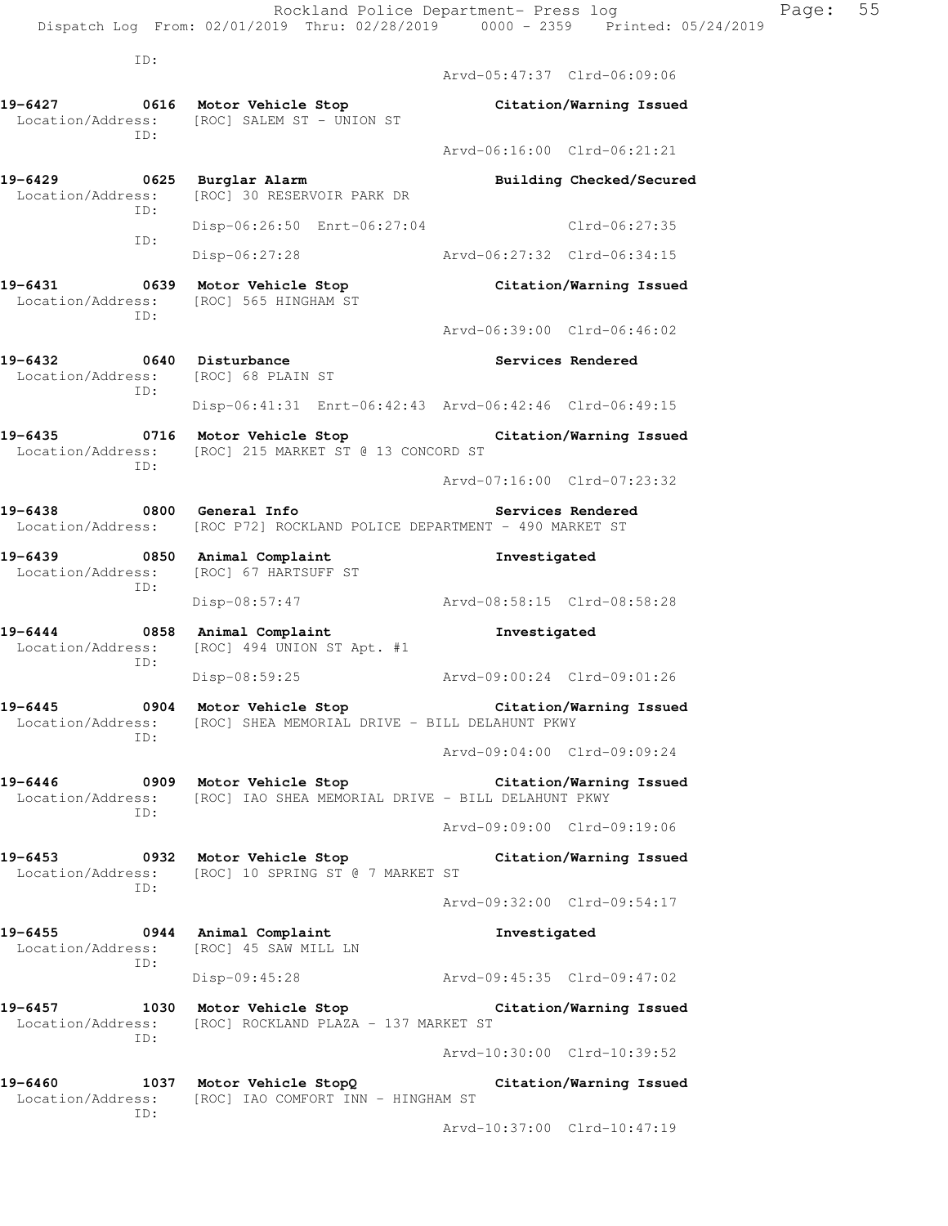Rockland Police Department- Press log Page: 55 Dispatch Log From: 02/01/2019 Thru: 02/28/2019 0000 - 2359 Printed: 05/24/2019 ID: Arvd-05:47:37 Clrd-06:09:06 **19-6427 0616 Motor Vehicle Stop Citation/Warning Issued**  Location/Address: [ROC] SALEM ST - UNION ST ID: Arvd-06:16:00 Clrd-06:21:21 **19-6429 0625 Burglar Alarm Building Checked/Secured**  Location/Address: [ROC] 30 RESERVOIR PARK DR ID: Disp-06:26:50 Enrt-06:27:04 Clrd-06:27:35 ID: Disp-06:27:28 Arvd-06:27:32 Clrd-06:34:15 **19-6431 0639 Motor Vehicle Stop Citation/Warning Issued**  Location/Address: [ROC] 565 HINGHAM ST ID: Arvd-06:39:00 Clrd-06:46:02 19-6432 0640 Disturbance **Services Rendered**  Location/Address: [ROC] 68 PLAIN ST ID: Disp-06:41:31 Enrt-06:42:43 Arvd-06:42:46 Clrd-06:49:15 **19-6435 0716 Motor Vehicle Stop Citation/Warning Issued**  Location/Address: [ROC] 215 MARKET ST @ 13 CONCORD ST ID: Arvd-07:16:00 Clrd-07:23:32 **19-6438 0800 General Info Services Rendered**  Location/Address: [ROC P72] ROCKLAND POLICE DEPARTMENT - 490 MARKET ST **19-6439 0850 Animal Complaint Investigated**  Location/Address: [ROC] 67 HARTSUFF ST ID: Disp-08:57:47 Arvd-08:58:15 Clrd-08:58:28 **19-6444 0858 Animal Complaint Investigated**  Location/Address: [ROC] 494 UNION ST Apt. #1 ID: Disp-08:59:25 Arvd-09:00:24 Clrd-09:01:26 **19-6445 0904 Motor Vehicle Stop Citation/Warning Issued**  Location/Address: [ROC] SHEA MEMORIAL DRIVE - BILL DELAHUNT PKWY ID: Arvd-09:04:00 Clrd-09:09:24 **19-6446 0909 Motor Vehicle Stop Citation/Warning Issued**  Location/Address: [ROC] IAO SHEA MEMORIAL DRIVE - BILL DELAHUNT PKWY ID: Arvd-09:09:00 Clrd-09:19:06 **19-6453 0932 Motor Vehicle Stop Citation/Warning Issued**  Location/Address: [ROC] 10 SPRING ST @ 7 MARKET ST ID: Arvd-09:32:00 Clrd-09:54:17 **19-6455 0944 Animal Complaint Investigated**  Location/Address: [ROC] 45 SAW MILL LN ID: Disp-09:45:28 Arvd-09:45:35 Clrd-09:47:02 **19-6457 1030 Motor Vehicle Stop Citation/Warning Issued**  Location/Address: [ROC] ROCKLAND PLAZA - 137 MARKET ST ID: Arvd-10:30:00 Clrd-10:39:52 **19-6460 1037 Motor Vehicle StopQ Citation/Warning Issued** 

 Location/Address: [ROC] IAO COMFORT INN - HINGHAM ST ID:

Arvd-10:37:00 Clrd-10:47:19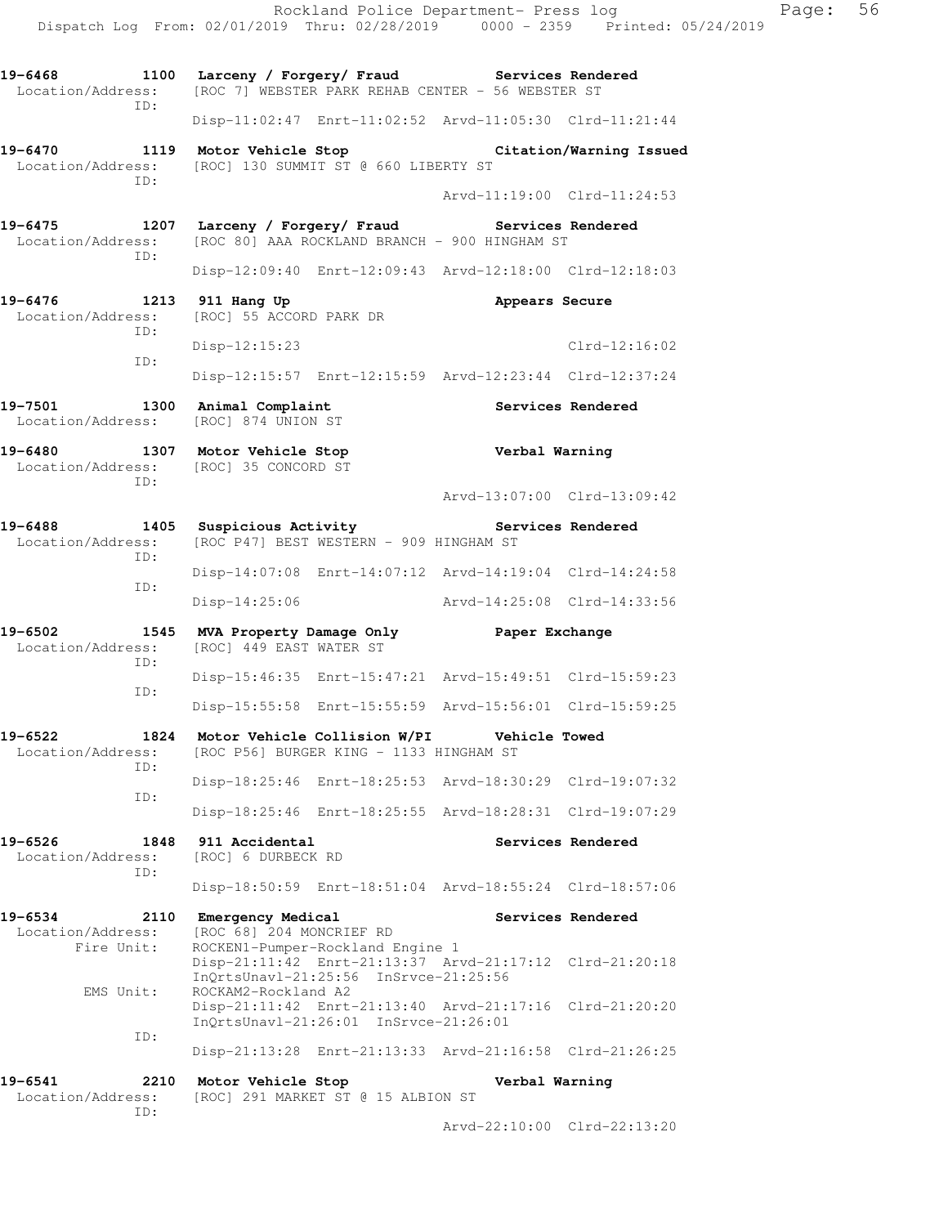Rockland Police Department- Press log Fage: 56 Dispatch Log From: 02/01/2019 Thru: 02/28/2019 0000 - 2359 Printed: 05/24/2019 **19-6468 1100 Larceny / Forgery/ Fraud Services Rendered**  Location/Address: [ROC 7] WEBSTER PARK REHAB CENTER - 56 WEBSTER ST ID: Disp-11:02:47 Enrt-11:02:52 Arvd-11:05:30 Clrd-11:21:44 **19-6470 1119 Motor Vehicle Stop Citation/Warning Issued**  Location/Address: [ROC] 130 SUMMIT ST @ 660 LIBERTY ST ID: Arvd-11:19:00 Clrd-11:24:53 **19-6475 1207 Larceny / Forgery/ Fraud Services Rendered**  Location/Address: [ROC 80] AAA ROCKLAND BRANCH - 900 HINGHAM ST ID: Disp-12:09:40 Enrt-12:09:43 Arvd-12:18:00 Clrd-12:18:03 19-6476 1213 911 Hang Up **Appears Secure**  Location/Address: [ROC] 55 ACCORD PARK DR ID: Disp-12:15:23 Clrd-12:16:02 ID: Disp-12:15:57 Enrt-12:15:59 Arvd-12:23:44 Clrd-12:37:24 **19-7501 1300 Animal Complaint Services Rendered**  Location/Address: [ROC] 874 UNION ST **19-6480 1307 Motor Vehicle Stop Verbal Warning**  Location/Address: [ROC] 35 CONCORD ST ID: Arvd-13:07:00 Clrd-13:09:42 **19-6488 1405 Suspicious Activity Services Rendered**  Location/Address: [ROC P47] BEST WESTERN - 909 HINGHAM ST ID: Disp-14:07:08 Enrt-14:07:12 Arvd-14:19:04 Clrd-14:24:58 ID: Disp-14:25:06 Arvd-14:25:08 Clrd-14:33:56 **19-6502 1545 MVA Property Damage Only Paper Exchange**  Location/Address: [ROC] 449 EAST WATER ST ID: Disp-15:46:35 Enrt-15:47:21 Arvd-15:49:51 Clrd-15:59:23 ID: Disp-15:55:58 Enrt-15:55:59 Arvd-15:56:01 Clrd-15:59:25 **19-6522 1824 Motor Vehicle Collision W/PI Vehicle Towed**  Location/Address: [ROC P56] BURGER KING - 1133 HINGHAM ST ID: Disp-18:25:46 Enrt-18:25:53 Arvd-18:30:29 Clrd-19:07:32 ID: Disp-18:25:46 Enrt-18:25:55 Arvd-18:28:31 Clrd-19:07:29 **19-6526 1848 911 Accidental Services Rendered**  Location/Address: [ROC] 6 DURBECK RD ID: Disp-18:50:59 Enrt-18:51:04 Arvd-18:55:24 Clrd-18:57:06 **19-6534 2110 Emergency Medical Services Rendered** Location/Address: [ROC 68] 204 MONCRIEF RD [ROC 68] 204 MONCRIEF RD Fire Unit: ROCKEN1-Pumper-Rockland Engine 1 Disp-21:11:42 Enrt-21:13:37 Arvd-21:17:12 Clrd-21:20:18 InQrtsUnavl-21:25:56 InSrvce-21:25:56 EMS Unit: ROCKAM2-Rockland A2 Disp-21:11:42 Enrt-21:13:40 Arvd-21:17:16 Clrd-21:20:20 InQrtsUnavl-21:26:01 InSrvce-21:26:01 ID: Disp-21:13:28 Enrt-21:13:33 Arvd-21:16:58 Clrd-21:26:25 **19-6541 2210 Motor Vehicle Stop Verbal Warning**  Location/Address: [ROC] 291 MARKET ST @ 15 ALBION ST ID:

Arvd-22:10:00 Clrd-22:13:20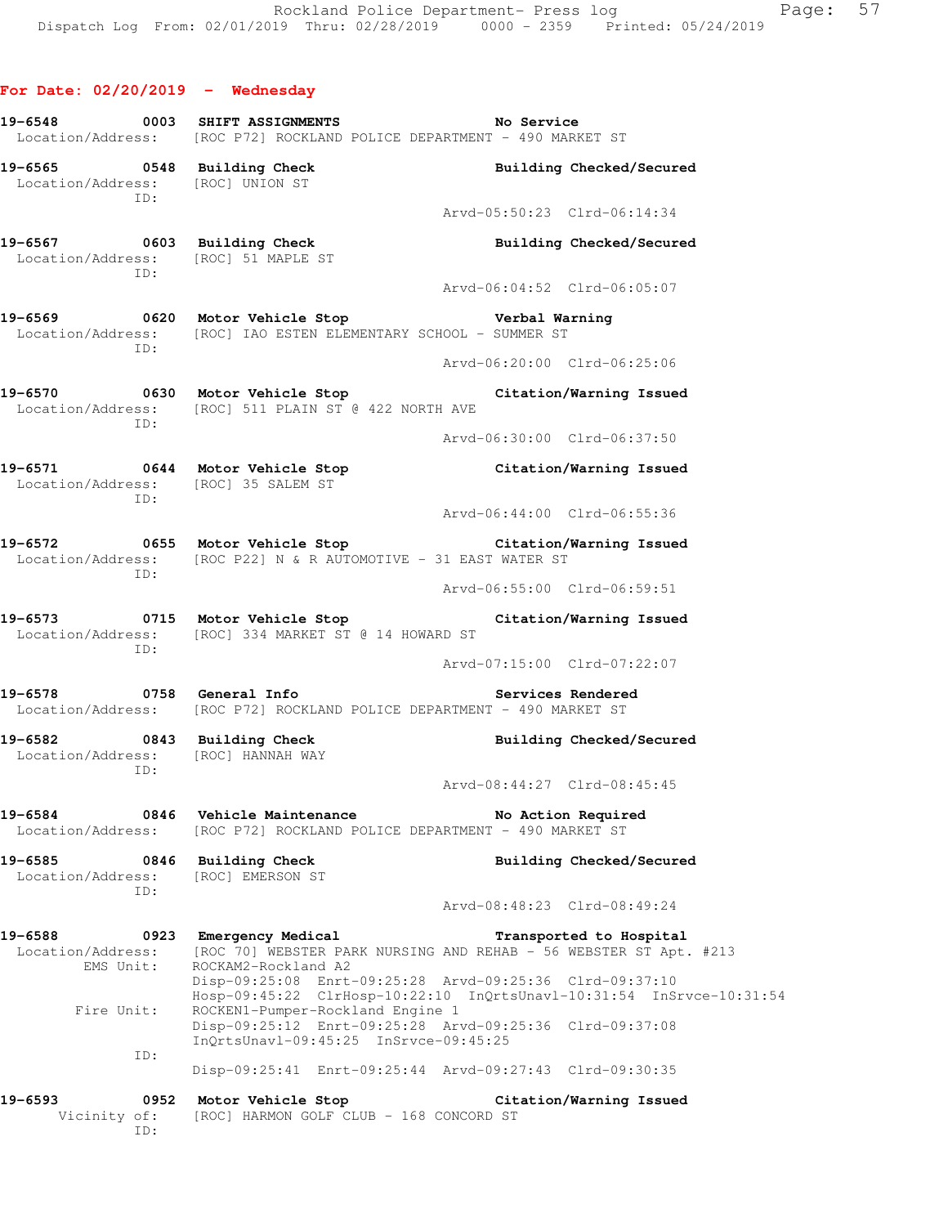**For Date: 02/20/2019 - Wednesday**

| 19-6548                                   |             | 0003 SHIFT ASSIGNMENTS<br>Location/Address: [ROC P72] ROCKLAND POLICE DEPARTMENT - 490 MARKET ST                                                                    | <b>No Service</b>           |                             |
|-------------------------------------------|-------------|---------------------------------------------------------------------------------------------------------------------------------------------------------------------|-----------------------------|-----------------------------|
|                                           | ID:         | 19-6565 0548 Building Check<br>Location/Address: [ROC] UNION ST                                                                                                     |                             | Building Checked/Secured    |
|                                           |             |                                                                                                                                                                     | Arvd-05:50:23 Clrd-06:14:34 |                             |
|                                           | ID:         | 19-6567 0603 Building Check<br>Location/Address: [ROC] 51 MAPLE ST                                                                                                  |                             | Building Checked/Secured    |
|                                           |             |                                                                                                                                                                     | Aryd-06:04:52 Clrd-06:05:07 |                             |
|                                           | ID:         | 19-6569 0620 Motor Vehicle Stop<br>Location/Address: [ROC] IAO ESTEN ELEMENTARY SCHOOL - SUMMER ST                                                                  | Verbal Warning              |                             |
|                                           |             |                                                                                                                                                                     | Arvd-06:20:00 Clrd-06:25:06 |                             |
|                                           | TD:         | 19-6570 0630 Motor Vehicle Stop<br>Location/Address: [ROC] 511 PLAIN ST @ 422 NORTH AVE                                                                             |                             | Citation/Warning Issued     |
|                                           |             |                                                                                                                                                                     | Arvd-06:30:00 Clrd-06:37:50 |                             |
|                                           | ID:         | 19-6571 0644 Motor Vehicle Stop<br>Location/Address: [ROC] 35 SALEM ST                                                                                              |                             | Citation/Warning Issued     |
|                                           |             |                                                                                                                                                                     | Arvd-06:44:00 Clrd-06:55:36 |                             |
|                                           | ID:         | 19-6572 0655 Motor Vehicle Stop Citation/Warning Issued<br>Location/Address: [ROC P22] N & R AUTOMOTIVE - 31 EAST WATER ST                                          |                             |                             |
|                                           |             |                                                                                                                                                                     |                             | Arvd-06:55:00 Clrd-06:59:51 |
|                                           | ID:         | 19-6573 0715 Motor Vehicle Stop<br>Location/Address: [ROC] 334 MARKET ST @ 14 HOWARD ST                                                                             |                             | Citation/Warning Issued     |
|                                           |             |                                                                                                                                                                     | Arvd-07:15:00 Clrd-07:22:07 |                             |
| 19-6578                                   |             | 0758 General Info<br>Location/Address: [ROC P72] ROCKLAND POLICE DEPARTMENT - 490 MARKET ST                                                                         |                             | Services Rendered           |
|                                           | ID:         | 19-6582 0843 Building Check<br>Location/Address: [ROC] HANNAH WAY                                                                                                   |                             | Building Checked/Secured    |
|                                           |             |                                                                                                                                                                     | Arvd-08:44:27 Clrd-08:45:45 |                             |
| 19-6584<br>Location/Address:              | 0846        | Vehicle Maintenance<br>[ROC P72] ROCKLAND POLICE DEPARTMENT - 490 MARKET ST                                                                                         |                             | No Action Required          |
| 19-6585<br>Location/Address:              | ID:         | 0846 Building Check<br>[ROC] EMERSON ST                                                                                                                             |                             | Building Checked/Secured    |
|                                           |             |                                                                                                                                                                     |                             | Arvd-08:48:23 Clrd-08:49:24 |
| 19-6588<br>Location/Address:<br>EMS Unit: |             | 0923 Emergency Medical<br>[ROC 70] WEBSTER PARK NURSING AND REHAB - 56 WEBSTER ST Apt. #213<br>ROCKAM2-Rockland A2                                                  |                             | Transported to Hospital     |
| Fire Unit:                                |             | Disp-09:25:08 Enrt-09:25:28 Arvd-09:25:36 Clrd-09:37:10<br>Hosp-09:45:22 ClrHosp-10:22:10 InQrtsUnavl-10:31:54 InSrvce-10:31:54<br>ROCKEN1-Pumper-Rockland Engine 1 |                             |                             |
|                                           | ID:         | Disp-09:25:12 Enrt-09:25:28 Arvd-09:25:36 Clrd-09:37:08<br>InQrtsUnavl-09:45:25 InSrvce-09:45:25                                                                    |                             |                             |
|                                           |             | Disp-09:25:41 Enrt-09:25:44 Arvd-09:27:43 Clrd-09:30:35                                                                                                             |                             |                             |
| 19-6593<br>Vicinity of:                   | 0952<br>ID: | Motor Vehicle Stop<br>[ROC] HARMON GOLF CLUB - 168 CONCORD ST                                                                                                       |                             | Citation/Warning Issued     |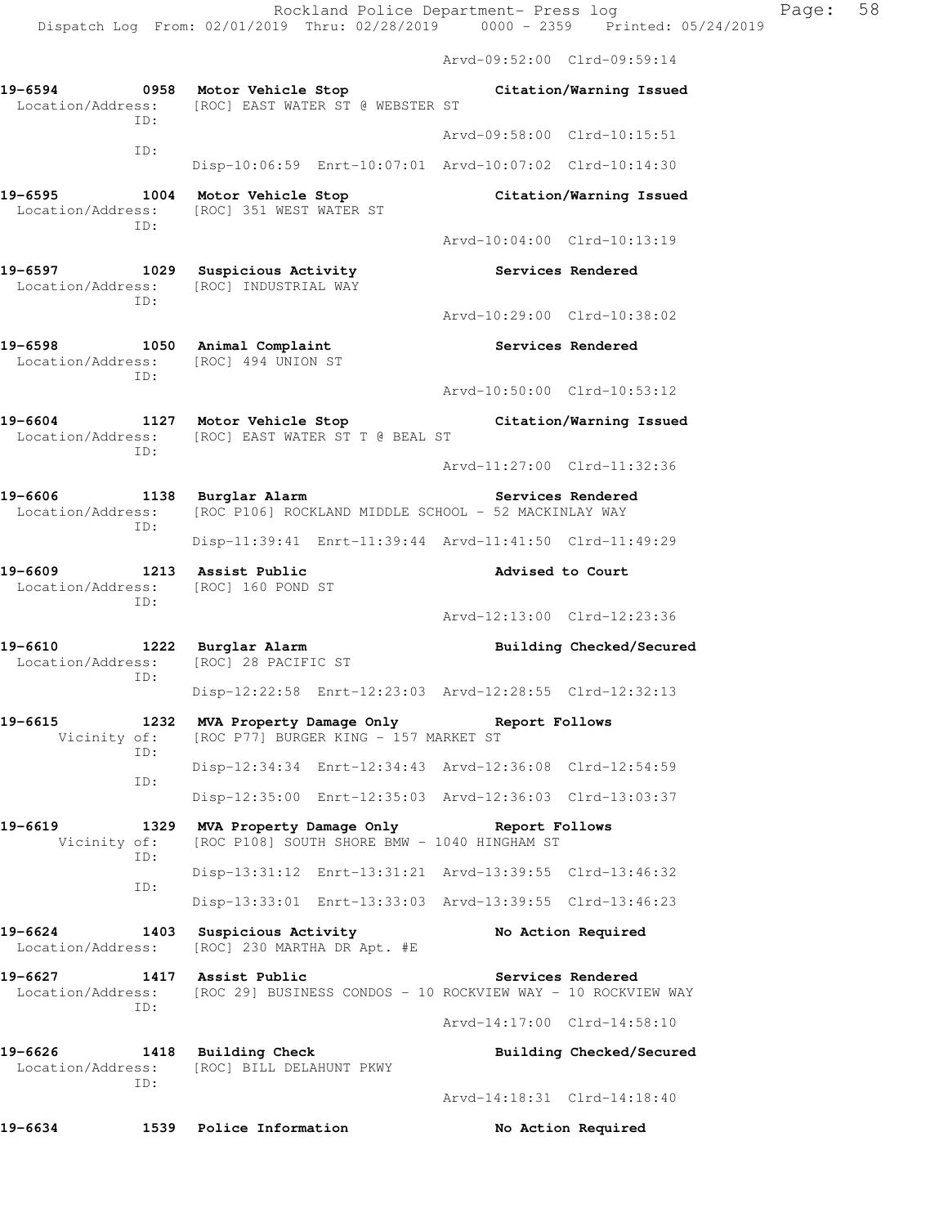Arvd-09:52:00 Clrd-09:59:14

|                                     |                                                                                                      | $AIVQ=09:52:UU$ $CLLQ=09:59:14$                         |
|-------------------------------------|------------------------------------------------------------------------------------------------------|---------------------------------------------------------|
| 19-6594<br>0958<br>ID:              | Motor Vehicle Stop<br>Location/Address: [ROC] EAST WATER ST @ WEBSTER ST                             | Citation/Warning Issued                                 |
| ID:                                 |                                                                                                      | Arvd-09:58:00 Clrd-10:15:51                             |
|                                     |                                                                                                      | Disp-10:06:59 Enrt-10:07:01 Arvd-10:07:02 Clrd-10:14:30 |
| 19-6595<br>Location/Address:<br>ID: | 1004 Motor Vehicle Stop<br>[ROC] 351 WEST WATER ST                                                   | Citation/Warning Issued                                 |
|                                     |                                                                                                      | Arvd-10:04:00 Clrd-10:13:19                             |
| ID:                                 | 19-6597 1029 Suspicious Activity<br>Location/Address: [ROC] INDUSTRIAL WAY                           | Services Rendered                                       |
|                                     |                                                                                                      | Arvd-10:29:00 Clrd-10:38:02                             |
| 19-6598<br>ID:                      | 1050 Animal Complaint<br>Location/Address: [ROC] 494 UNION ST                                        | Services Rendered                                       |
|                                     |                                                                                                      | Arvd-10:50:00 Clrd-10:53:12                             |
| 19-6604<br>ID:                      | 1127 Motor Vehicle Stop<br>Location/Address: [ROC] EAST WATER ST T @ BEAL ST                         | Citation/Warning Issued                                 |
|                                     |                                                                                                      | Arvd-11:27:00 Clrd-11:32:36                             |
| 19-6606<br>Location/Address:<br>ID: | 1138 Burglar Alarm<br>[ROC P106] ROCKLAND MIDDLE SCHOOL - 52 MACKINLAY WAY                           | Services Rendered                                       |
|                                     |                                                                                                      | Disp-11:39:41 Enrt-11:39:44 Arvd-11:41:50 Clrd-11:49:29 |
| 19-6609<br>ID:                      | 1213 Assist Public<br>Location/Address: [ROC] 160 POND ST                                            | Advised to Court                                        |
|                                     |                                                                                                      | Arvd-12:13:00 Clrd-12:23:36                             |
| 19-6610<br>Location/Address:<br>ID: | 1222 Burglar Alarm<br>[ROC] 28 PACIFIC ST                                                            | Building Checked/Secured                                |
|                                     |                                                                                                      | Disp-12:22:58 Enrt-12:23:03 Arvd-12:28:55 Clrd-12:32:13 |
| 19-6615<br>1232<br>ID:              | MVA Property Damage Only<br>Vicinity of: [ROC P77] BURGER KING - 157 MARKET ST                       | Report Follows                                          |
| ID:                                 |                                                                                                      | Disp-12:34:34 Enrt-12:34:43 Arvd-12:36:08 Clrd-12:54:59 |
|                                     |                                                                                                      | Disp-12:35:00 Enrt-12:35:03 Arvd-12:36:03 Clrd-13:03:37 |
| 19-6619<br>1329<br>Vicinity of:     | MVA Property Damage Only<br>[ROC P108] SOUTH SHORE BMW - 1040 HINGHAM ST                             | Report Follows                                          |
| ID:                                 |                                                                                                      | Disp-13:31:12 Enrt-13:31:21 Arvd-13:39:55 Clrd-13:46:32 |
| ID:                                 |                                                                                                      | Disp-13:33:01 Enrt-13:33:03 Arvd-13:39:55 Clrd-13:46:23 |
| 19-6624<br>Location/Address:        | 1403 Suspicious Activity<br>[ROC] 230 MARTHA DR Apt. #E                                              | No Action Required                                      |
| 19-6627<br>ID:                      | 1417 Assist Public<br>Location/Address: [ROC 29] BUSINESS CONDOS - 10 ROCKVIEW WAY - 10 ROCKVIEW WAY | Services Rendered                                       |
|                                     |                                                                                                      | Arvd-14:17:00 Clrd-14:58:10                             |
| 19-6626<br>Location/Address:<br>ID: | 1418 Building Check<br>[ROC] BILL DELAHUNT PKWY                                                      | Building Checked/Secured                                |
|                                     |                                                                                                      | Arvd-14:18:31 Clrd-14:18:40                             |
| 19-6634                             | 1539 Police Information                                                                              | No Action Required                                      |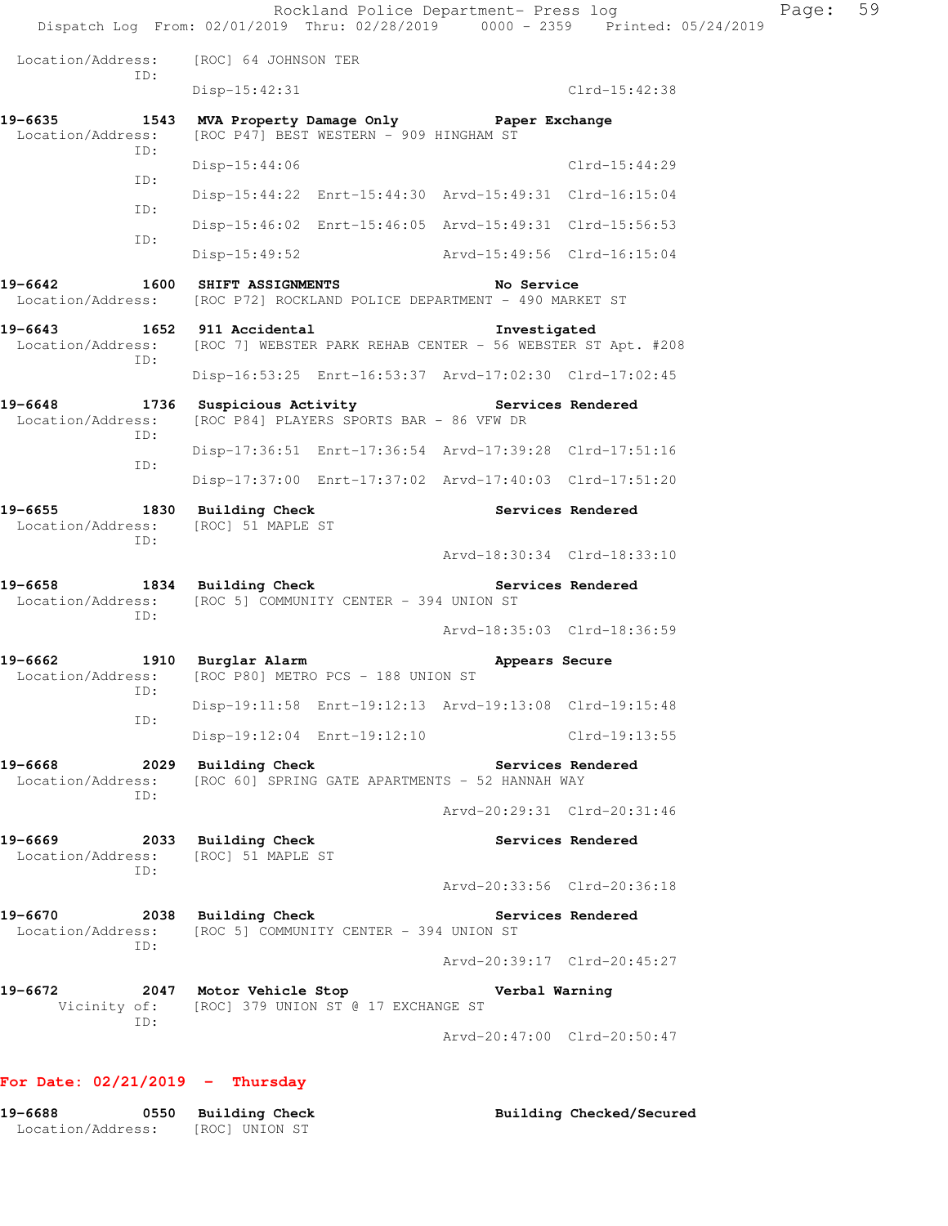Rockland Police Department- Press log Page: 59 Dispatch Log From: 02/01/2019 Thru: 02/28/2019 0000 - 2359 Printed: 05/24/2019 Location/Address: [ROC] 64 JOHNSON TER ID: Disp-15:42:31 Clrd-15:42:38 **19-6635 1543 MVA Property Damage Only Paper Exchange**  Location/Address: [ROC P47] BEST WESTERN - 909 HINGHAM ST ID: Disp-15:44:06 Clrd-15:44:29 ID: Disp-15:44:22 Enrt-15:44:30 Arvd-15:49:31 Clrd-16:15:04 ID: Disp-15:46:02 Enrt-15:46:05 Arvd-15:49:31 Clrd-15:56:53 ID: Disp-15:49:52 Arvd-15:49:56 Clrd-16:15:04 **19-6642 1600 SHIFT ASSIGNMENTS No Service**  Location/Address: [ROC P72] ROCKLAND POLICE DEPARTMENT - 490 MARKET ST **19-6643 1652 911 Accidental Investigated**  Location/Address: [ROC 7] WEBSTER PARK REHAB CENTER - 56 WEBSTER ST Apt. #208 ID: Disp-16:53:25 Enrt-16:53:37 Arvd-17:02:30 Clrd-17:02:45 19-6648 1736 Suspicious Activity **19-6648** Services Rendered Location/Address: [ROC P84] PLAYERS SPORTS BAR - 86 VFW DR ID: Disp-17:36:51 Enrt-17:36:54 Arvd-17:39:28 Clrd-17:51:16 ID: Disp-17:37:00 Enrt-17:37:02 Arvd-17:40:03 Clrd-17:51:20 19-6655 1830 Building Check **Services Rendered**  Location/Address: [ROC] 51 MAPLE ST ID: Arvd-18:30:34 Clrd-18:33:10 **19-6658 1834 Building Check Services Rendered**  Location/Address: [ROC 5] COMMUNITY CENTER - 394 UNION ST ID: Arvd-18:35:03 Clrd-18:36:59 19-6662 1910 Burglar Alarm **Appears Secure** Location/Address: [ROC P80] METRO PCS - 188 UNION ST ID: Disp-19:11:58 Enrt-19:12:13 Arvd-19:13:08 Clrd-19:15:48 ID: Disp-19:12:04 Enrt-19:12:10 Clrd-19:13:55 **19-6668 2029 Building Check Services Rendered**  Location/Address: [ROC 60] SPRING GATE APARTMENTS - 52 HANNAH WAY ID: Arvd-20:29:31 Clrd-20:31:46 **19-6669 2033 Building Check Services Rendered**  Location/Address: [ROC] 51 MAPLE ST ID: Arvd-20:33:56 Clrd-20:36:18 19-6670 2038 Building Check Services Rendered Location/Address: [ROC 5] COMMUNITY CENTER - 394 UNION ST ID: Arvd-20:39:17 Clrd-20:45:27 **19-6672 2047 Motor Vehicle Stop Verbal Warning**  Vicinity of: [ROC] 379 UNION ST @ 17 EXCHANGE ST ID: Arvd-20:47:00 Clrd-20:50:47

### **For Date: 02/21/2019 - Thursday**

| 19-6688           | 0550 Building Check | Building Checked/Secured |
|-------------------|---------------------|--------------------------|
| Location/Address: | [ROC] UNION ST      |                          |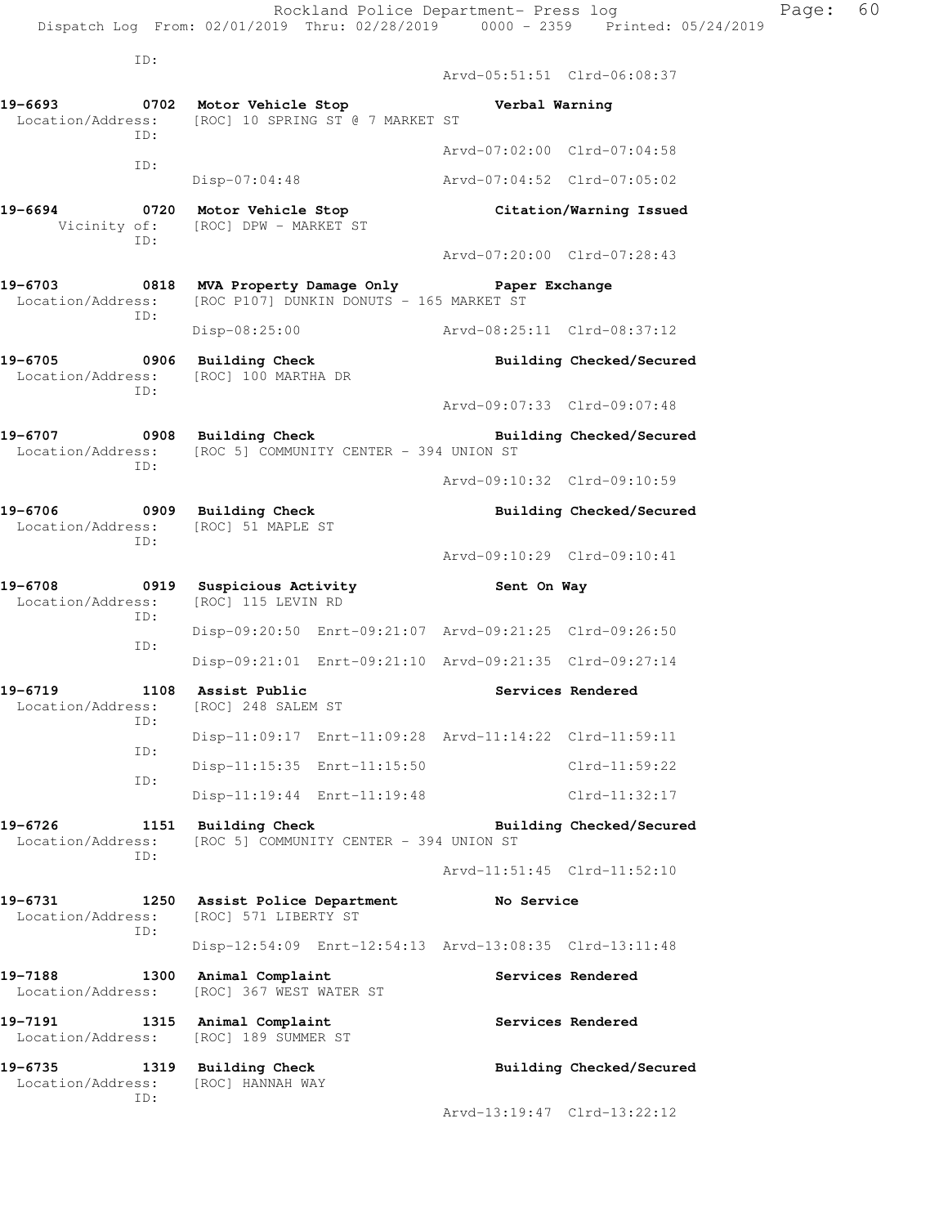|                              |      | Rockland Police Department- Press log<br>Dispatch Log From: 02/01/2019 Thru: 02/28/2019 0000 - 2359 Printed: 05/24/2019 |                             | Page: 60                 |
|------------------------------|------|-------------------------------------------------------------------------------------------------------------------------|-----------------------------|--------------------------|
|                              | ID:  |                                                                                                                         | Arvd-05:51:51 Clrd-06:08:37 |                          |
|                              |      | Location/Address: [ROC] 10 SPRING ST @ 7 MARKET ST                                                                      |                             |                          |
|                              | ID:  |                                                                                                                         | Arvd-07:02:00 Clrd-07:04:58 |                          |
|                              | ID:  | Disp-07:04:48                                                                                                           | Arvd-07:04:52 Clrd-07:05:02 |                          |
|                              |      | 19-6694 0720 Motor Vehicle Stop<br>Vicinity of: [ROC] DPW - MARKET ST                                                   | Citation/Warning Issued     |                          |
|                              | ID:  |                                                                                                                         | Arvd-07:20:00 Clrd-07:28:43 |                          |
| Location/Address:            | ID:  | 19-6703 6818 MVA Property Damage Only Paper Exchange<br>[ROC P107] DUNKIN DONUTS - 165 MARKET ST                        |                             |                          |
|                              |      | Disp-08:25:00 Arvd-08:25:11 Clrd-08:37:12                                                                               |                             |                          |
|                              |      | 19-6705 0906 Building Check<br>Location/Address: [ROC] 100 MARTHA DR                                                    |                             | Building Checked/Secured |
|                              | ID:  |                                                                                                                         | Arvd-09:07:33 Clrd-09:07:48 |                          |
|                              |      | 19-6707 0908 Building Check<br>Location/Address: [ROC 5] COMMUNITY CENTER - 394 UNION ST                                |                             | Building Checked/Secured |
| ID:                          |      | Arvd-09:10:32 Clrd-09:10:59                                                                                             |                             |                          |
|                              |      | 19-6706 0909 Building Check<br>Location/Address: [ROC] 51 MAPLE ST                                                      |                             | Building Checked/Secured |
|                              | ID:  |                                                                                                                         | Arvd-09:10:29 Clrd-09:10:41 |                          |
| 19-6708<br>Location/Address: | ID:  | 0919 Suspicious Activity<br>[ROC] 115 LEVIN RD                                                                          | Sent On Way                 |                          |
|                              |      | Disp-09:20:50 Enrt-09:21:07 Arvd-09:21:25 Clrd-09:26:50                                                                 |                             |                          |
|                              | ID:  | Disp-09:21:01 Enrt-09:21:10 Arvd-09:21:35 Clrd-09:27:14                                                                 |                             |                          |
| 19-6719<br>Location/Address: | 1108 | Assist Public<br>[ROC] 248 SALEM ST                                                                                     |                             | Services Rendered        |
|                              | ID:  | Disp-11:09:17 Enrt-11:09:28 Arvd-11:14:22 Clrd-11:59:11                                                                 |                             |                          |
|                              | ID:  | Disp-11:15:35 Enrt-11:15:50                                                                                             |                             | $Clrd-11:59:22$          |
|                              | ID:  | Disp-11:19:44 Enrt-11:19:48                                                                                             |                             | $Clrd-11:32:17$          |
| 19-6726<br>Location/Address: | ID:  | 1151 Building Check<br>[ROC 5] COMMUNITY CENTER - 394 UNION ST                                                          |                             | Building Checked/Secured |
|                              |      |                                                                                                                         | Arvd-11:51:45 Clrd-11:52:10 |                          |
| 19-6731<br>Location/Address: | ID:  | 1250 Assist Police Department<br>[ROC] 571 LIBERTY ST                                                                   | No Service                  |                          |
|                              |      | Disp-12:54:09 Enrt-12:54:13 Arvd-13:08:35 Clrd-13:11:48                                                                 |                             |                          |
| 19-7188<br>Location/Address: | 1300 | Animal Complaint<br>[ROC] 367 WEST WATER ST                                                                             |                             | Services Rendered        |
| 19-7191<br>Location/Address: |      | 1315 Animal Complaint<br>[ROC] 189 SUMMER ST                                                                            |                             | Services Rendered        |

**19-6735 1319 Building Check Building Checked/Secured**  Location/Address: [ROC] HANNAH WAY ID:

Arvd-13:19:47 Clrd-13:22:12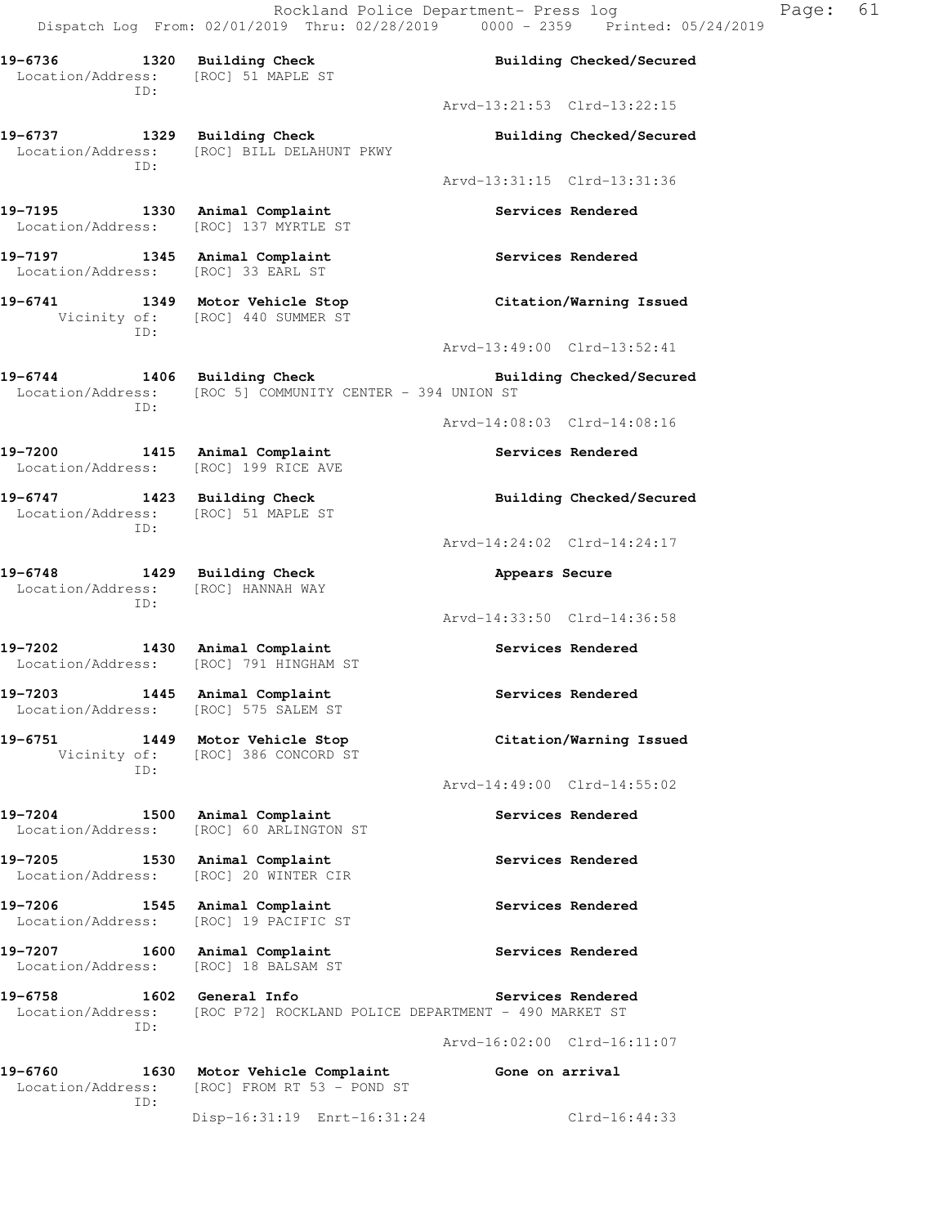**19-6736 1320 Building Check Building Checked/Secured**  Location/Address: [ROC] 51 MAPLE ST ID: Arvd-13:21:53 Clrd-13:22:15 **19-6737 1329 Building Check Building Checked/Secured**  Location/Address: [ROC] BILL DELAHUNT PKWY ID: Arvd-13:31:15 Clrd-13:31:36 **19-7195 1330 Animal Complaint Services Rendered**  Location/Address: [ROC] 137 MYRTLE ST **19-7197 1345 Animal Complaint Services Rendered**  Location/Address: [ROC] 33 EARL ST **19-6741 1349 Motor Vehicle Stop Citation/Warning Issued**  Vicinity of: [ROC] 440 SUMMER ST ID: Arvd-13:49:00 Clrd-13:52:41 19-6744 1406 Building Check **Building Building Checked/Secured**  Location/Address: [ROC 5] COMMUNITY CENTER - 394 UNION ST ID: Arvd-14:08:03 Clrd-14:08:16 **19-7200 1415 Animal Complaint Services Rendered**  Location/Address: [ROC] 199 RICE AVE **19-6747 1423 Building Check Building Checked/Secured**  Location/Address: [ROC] 51 MAPLE ST ID: Arvd-14:24:02 Clrd-14:24:17 **19-6748 1429 Building Check Appears Secure**  Location/Address: [ROC] HANNAH WAY ID: Arvd-14:33:50 Clrd-14:36:58 **19-7202 1430 Animal Complaint Services Rendered**  Location/Address: [ROC] 791 HINGHAM ST 19-7203 1445 Animal Complaint **19-7203** Services Rendered Location/Address: [ROC] 575 SALEM ST **19-6751 1449 Motor Vehicle Stop Citation/Warning Issued**  Vicinity of: [ROC] 386 CONCORD ST ID: Arvd-14:49:00 Clrd-14:55:02 **19-7204 1500 Animal Complaint Services Rendered**  Location/Address: [ROC] 60 ARLINGTON ST 19-7205 1530 Animal Complaint **19-7205** Services Rendered Location/Address: [ROC] 20 WINTER CIR 19-7206 1545 Animal Complaint **19-7206** Services Rendered Location/Address: [ROC] 19 PACIFIC ST 19-7207 1600 Animal Complaint **19-7207** Services Rendered Location/Address: [ROC] 18 BALSAM ST **19-6758 1602 General Info Services Rendered**  Location/Address: [ROC P72] ROCKLAND POLICE DEPARTMENT - 490 MARKET ST ID: Arvd-16:02:00 Clrd-16:11:07 19-6760 1630 Motor Vehicle Complaint **19-6760** Gone on arrival Location/Address: [ROC] FROM RT 53 - POND ST ID:

Disp-16:31:19 Enrt-16:31:24 Clrd-16:44:33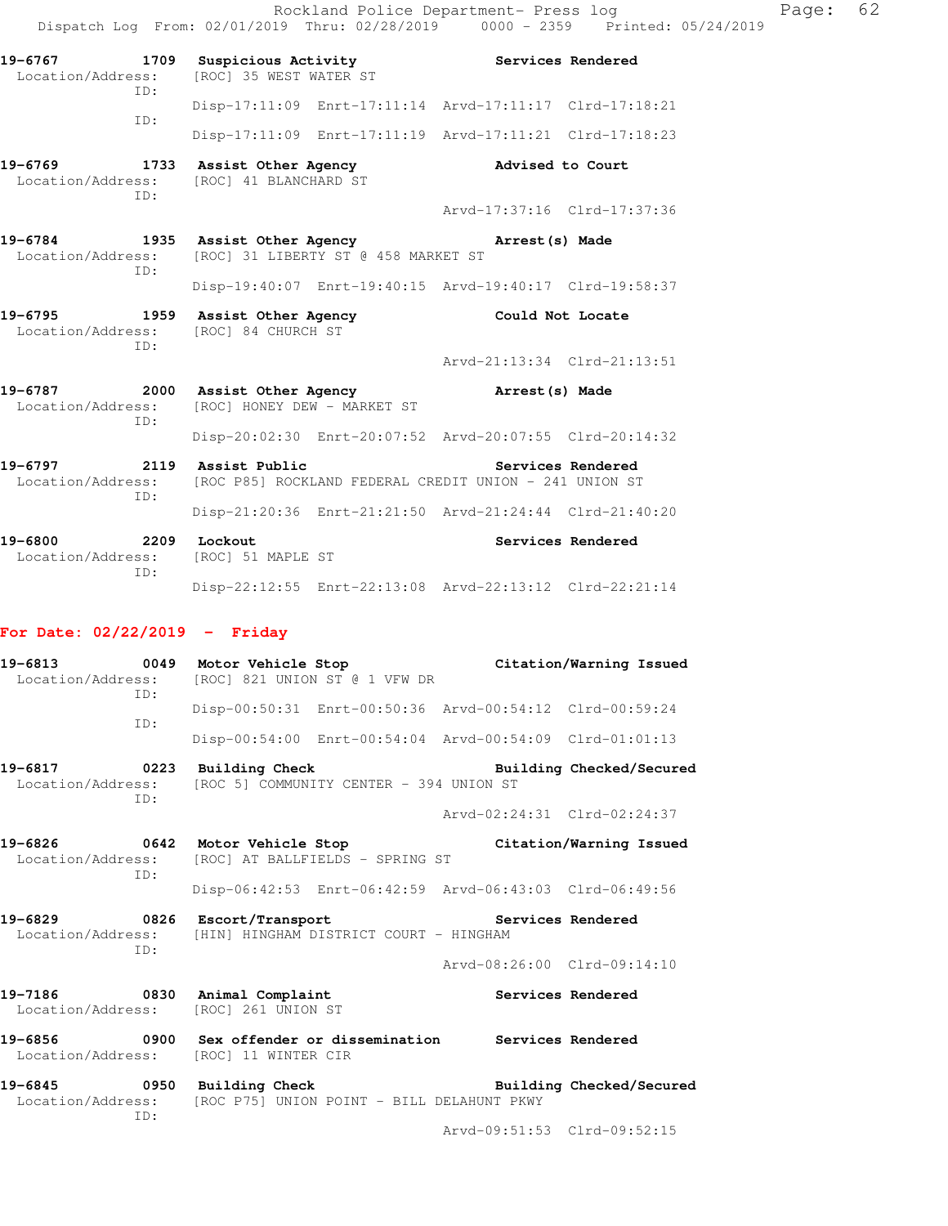|                                                 |                             | Page:                                                                                                                                                                                                                                                                                                                                                                                                                                                                                                                                                                                                                                                                                                                                                                                                 | 62                                                                             |
|-------------------------------------------------|-----------------------------|-------------------------------------------------------------------------------------------------------------------------------------------------------------------------------------------------------------------------------------------------------------------------------------------------------------------------------------------------------------------------------------------------------------------------------------------------------------------------------------------------------------------------------------------------------------------------------------------------------------------------------------------------------------------------------------------------------------------------------------------------------------------------------------------------------|--------------------------------------------------------------------------------|
| [ROC] 35 WEST WATER ST                          |                             |                                                                                                                                                                                                                                                                                                                                                                                                                                                                                                                                                                                                                                                                                                                                                                                                       |                                                                                |
|                                                 |                             |                                                                                                                                                                                                                                                                                                                                                                                                                                                                                                                                                                                                                                                                                                                                                                                                       |                                                                                |
|                                                 |                             |                                                                                                                                                                                                                                                                                                                                                                                                                                                                                                                                                                                                                                                                                                                                                                                                       |                                                                                |
| Location/Address: [ROC] 41 BLANCHARD ST         |                             |                                                                                                                                                                                                                                                                                                                                                                                                                                                                                                                                                                                                                                                                                                                                                                                                       |                                                                                |
|                                                 | Arvd-17:37:16 Clrd-17:37:36 |                                                                                                                                                                                                                                                                                                                                                                                                                                                                                                                                                                                                                                                                                                                                                                                                       |                                                                                |
|                                                 |                             |                                                                                                                                                                                                                                                                                                                                                                                                                                                                                                                                                                                                                                                                                                                                                                                                       |                                                                                |
|                                                 |                             |                                                                                                                                                                                                                                                                                                                                                                                                                                                                                                                                                                                                                                                                                                                                                                                                       |                                                                                |
| Location/Address: [ROC] 84 CHURCH ST            |                             |                                                                                                                                                                                                                                                                                                                                                                                                                                                                                                                                                                                                                                                                                                                                                                                                       |                                                                                |
|                                                 | Arvd-21:13:34 Clrd-21:13:51 |                                                                                                                                                                                                                                                                                                                                                                                                                                                                                                                                                                                                                                                                                                                                                                                                       |                                                                                |
| Location/Address: [ROC] HONEY DEW - MARKET ST   | Arrest(s) Made              |                                                                                                                                                                                                                                                                                                                                                                                                                                                                                                                                                                                                                                                                                                                                                                                                       |                                                                                |
|                                                 |                             |                                                                                                                                                                                                                                                                                                                                                                                                                                                                                                                                                                                                                                                                                                                                                                                                       |                                                                                |
| 19-6797 2119 Assist Public<br>Location/Address: | Services Rendered           |                                                                                                                                                                                                                                                                                                                                                                                                                                                                                                                                                                                                                                                                                                                                                                                                       |                                                                                |
|                                                 |                             |                                                                                                                                                                                                                                                                                                                                                                                                                                                                                                                                                                                                                                                                                                                                                                                                       |                                                                                |
| 19-6800 2209 Lockout<br>[ROC] 51 MAPLE ST       | Services Rendered           |                                                                                                                                                                                                                                                                                                                                                                                                                                                                                                                                                                                                                                                                                                                                                                                                       |                                                                                |
|                                                 |                             |                                                                                                                                                                                                                                                                                                                                                                                                                                                                                                                                                                                                                                                                                                                                                                                                       |                                                                                |
|                                                 |                             | Rockland Police Department- Press log<br>19-6767 1709 Suspicious Activity 19-6767 Services Rendered<br>Disp-17:11:09 Enrt-17:11:14 Arvd-17:11:17 Clrd-17:18:21<br>Disp-17:11:09 Enrt-17:11:19 Arvd-17:11:21 Clrd-17:18:23<br>19-6769 1733 Assist Other Agency 1997 Advised to Court<br>19-6784 1935 Assist Other Agency Narrest (s) Made<br>Location/Address: [ROC] 31 LIBERTY ST @ 458 MARKET ST<br>Disp-19:40:07 Enrt-19:40:15 Arvd-19:40:17 Clrd-19:58:37<br>19-6795 1959 Assist Other Agency 1995 Could Not Locate<br>19-6787 2000 Assist Other Agency<br>Disp-20:02:30 Enrt-20:07:52 Arvd-20:07:55 Clrd-20:14:32<br>[ROC P85] ROCKLAND FEDERAL CREDIT UNION - 241 UNION ST<br>Disp-21:20:36 Enrt-21:21:50 Arvd-21:24:44 Clrd-21:40:20<br>Disp-22:12:55 Enrt-22:13:08 Arvd-22:13:12 Clrd-22:21:14 | Dispatch Log From: 02/01/2019 Thru: 02/28/2019 0000 - 2359 Printed: 05/24/2019 |

# **For Date: 02/22/2019 - Friday**

| 19-6813 0049 Motor Vehicle Stop<br>ID: |     | Location/Address: [ROC] 821 UNION ST @ 1 VFW DR                                                          |                             | Citation/Warning Issued |
|----------------------------------------|-----|----------------------------------------------------------------------------------------------------------|-----------------------------|-------------------------|
|                                        | TD: | Disp-00:50:31 Enrt-00:50:36 Arvd-00:54:12 Clrd-00:59:24                                                  |                             |                         |
|                                        |     | Disp-00:54:00 Enrt-00:54:04 Arvd-00:54:09 Clrd-01:01:13                                                  |                             |                         |
| Location/Address:                      | TD: | 19-6817 0223 Building Check<br>[ROC 5] COMMUNITY CENTER - 394 UNION ST                                   | Building Checked/Secured    |                         |
|                                        |     |                                                                                                          | Arvd-02:24:31 Clrd-02:24:37 |                         |
|                                        | TD: | 19-6826 0642 Motor Vehicle Stop<br>Location/Address: [ROC] AT BALLFIELDS - SPRING ST                     |                             | Citation/Warning Issued |
|                                        |     | Disp-06:42:53 Enrt-06:42:59 Arvd-06:43:03 Clrd-06:49:56                                                  |                             |                         |
|                                        | TD: | 19-6829 0826 Escort/Transport<br>Location/Address: [HIN] HINGHAM DISTRICT COURT - HINGHAM                | Services Rendered           |                         |
|                                        |     |                                                                                                          | Arvd-08:26:00 Clrd-09:14:10 |                         |
|                                        |     | 19-7186 0830 Animal Complaint<br>Location/Address: [ROC] 261 UNION ST                                    |                             | Services Rendered       |
|                                        |     | Location/Address: [ROC] 11 WINTER CIR                                                                    |                             |                         |
| Location/Address:                      | ID: | 19-6845 		 0950 Building Check 		 Building Checked/Secured<br>[ROC P75] UNION POINT - BILL DELAHUNT PKWY |                             |                         |

Arvd-09:51:53 Clrd-09:52:15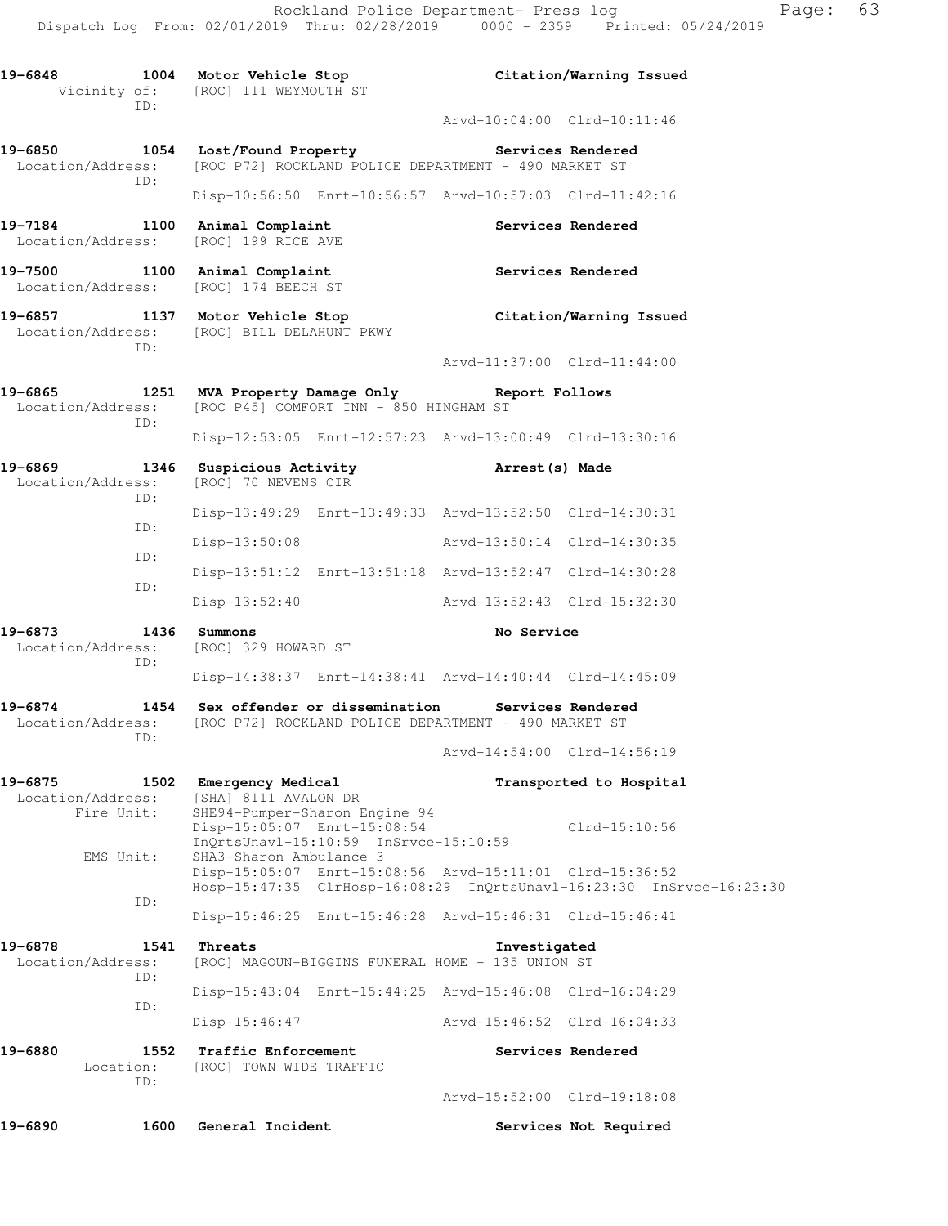|                                                                       | 19-6848 1004 Motor Vehicle Stop<br>Vicinity of: [ROC] 111 WEYMOUTH ST                                                                  |                             | Citation/Warning Issued |
|-----------------------------------------------------------------------|----------------------------------------------------------------------------------------------------------------------------------------|-----------------------------|-------------------------|
| ID:                                                                   |                                                                                                                                        | Arvd-10:04:00 Clrd-10:11:46 |                         |
| ID:                                                                   | 19-6850 1054 Lost/Found Property Services Rendered<br>Location/Address: [ROC P72] ROCKLAND POLICE DEPARTMENT - 490 MARKET ST           |                             |                         |
|                                                                       | Disp-10:56:50 Enrt-10:56:57 Arvd-10:57:03 Clrd-11:42:16                                                                                |                             |                         |
| 19-7184 1100 Animal Complaint<br>Location/Address: [ROC] 199 RICE AVE |                                                                                                                                        |                             | Services Rendered       |
| 19-7500 1100 Animal Complaint<br>Location/Address: [ROC] 174 BEECH ST |                                                                                                                                        | <b>Services Rendered</b>    |                         |
| ID:                                                                   | 19-6857 1137 Motor Vehicle Stop<br>Location/Address: [ROC] BILL DELAHUNT PKWY                                                          |                             | Citation/Warning Issued |
|                                                                       |                                                                                                                                        | Arvd-11:37:00 Clrd-11:44:00 |                         |
| ID:                                                                   | 19-6865 1251 MVA Property Damage Only Report Follows<br>Location/Address: [ROC P45] COMFORT INN - 850 HINGHAM ST                       |                             |                         |
|                                                                       | Disp-12:53:05 Enrt-12:57:23 Arvd-13:00:49 Clrd-13:30:16                                                                                |                             |                         |
| ID:                                                                   | 19-6869 1346 Suspicious Activity 19-6869 Arrest (s) Made<br>Location/Address: [ROC] 70 NEVENS CIR                                      |                             |                         |
| ID:                                                                   | Disp-13:49:29 Enrt-13:49:33 Arvd-13:52:50 Clrd-14:30:31                                                                                |                             |                         |
| ID:                                                                   | Disp-13:50:08                                                                                                                          | Arvd-13:50:14 Clrd-14:30:35 |                         |
| ID:                                                                   | Disp-13:51:12 Enrt-13:51:18 Arvd-13:52:47 Clrd-14:30:28                                                                                |                             |                         |
|                                                                       | $Disp-13:52:40$                                                                                                                        | Arvd-13:52:43 Clrd-15:32:30 |                         |
| 19-6873<br>1436 Summons<br>ID:                                        | Location/Address: [ROC] 329 HOWARD ST                                                                                                  | No Service                  |                         |
|                                                                       | Disp-14:38:37 Enrt-14:38:41 Arvd-14:40:44 Clrd-14:45:09                                                                                |                             |                         |
| ID:                                                                   | 19-6874 1454 Sex offender or dissemination Services Rendered<br>Location/Address: [ROC P72] ROCKLAND POLICE DEPARTMENT - 490 MARKET ST |                             |                         |
|                                                                       |                                                                                                                                        | Arvd-14:54:00 Clrd-14:56:19 |                         |
| 1502<br>19-6875<br>Location/Address:<br>Fire Unit:                    | Emergency Medical<br>[SHA] 8111 AVALON DR<br>SHE94-Pumper-Sharon Engine 94                                                             |                             | Transported to Hospital |
| EMS Unit:                                                             | Disp-15:05:07 Enrt-15:08:54<br>InQrtsUnavl-15:10:59 InSrvce-15:10:59<br>SHA3-Sharon Ambulance 3                                        |                             | $Clrd-15:10:56$         |
| ID:                                                                   | Disp-15:05:07 Enrt-15:08:56 Arvd-15:11:01 Clrd-15:36:52<br>Hosp-15:47:35 ClrHosp-16:08:29 InQrtsUnavl-16:23:30 InSrvce-16:23:30        |                             |                         |
|                                                                       | Disp-15:46:25 Enrt-15:46:28 Arvd-15:46:31 Clrd-15:46:41                                                                                |                             |                         |
| 19-6878<br>1541<br>Location/Address:<br>ID:                           | Threats<br>[ROC] MAGOUN-BIGGINS FUNERAL HOME - 135 UNION ST                                                                            | Investigated                |                         |
| ID:                                                                   | Disp-15:43:04 Enrt-15:44:25 Arvd-15:46:08 Clrd-16:04:29                                                                                |                             |                         |
|                                                                       | $Disp-15:46:47$                                                                                                                        | Arvd-15:46:52 Clrd-16:04:33 |                         |
| 19-6880<br>1552<br>Location:<br>ID:                                   | <b>Traffic Enforcement</b><br>[ROC] TOWN WIDE TRAFFIC                                                                                  |                             | Services Rendered       |
|                                                                       |                                                                                                                                        | Arvd-15:52:00 Clrd-19:18:08 |                         |
| 19-6890<br>1600                                                       | General Incident                                                                                                                       |                             | Services Not Required   |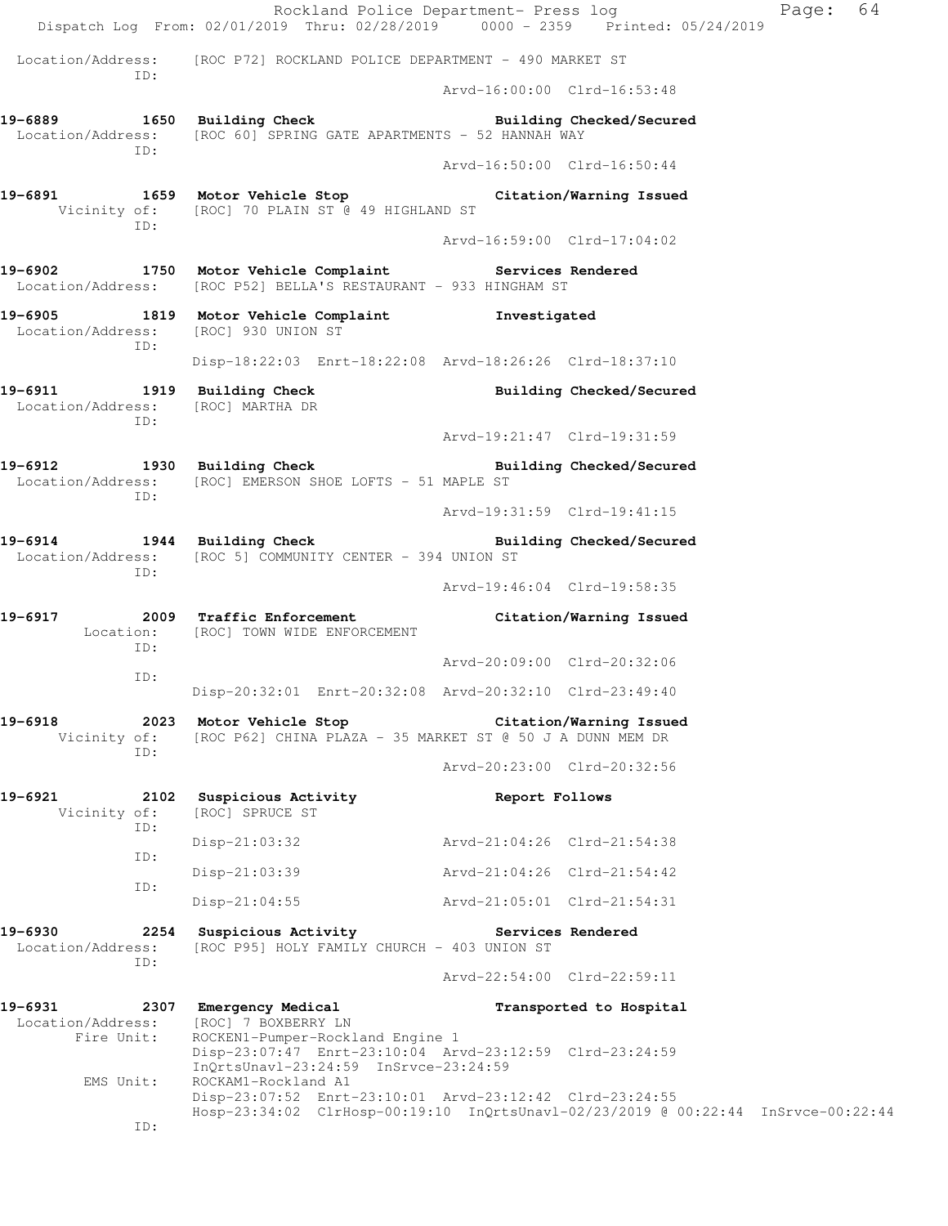|                                                                   | Rockland Police Department- Press log<br>Dispatch Log From: 02/01/2019 Thru: 02/28/2019 0000 - 2359 Printed: 05/24/2019        |                             |                          | Page: 64 |
|-------------------------------------------------------------------|--------------------------------------------------------------------------------------------------------------------------------|-----------------------------|--------------------------|----------|
|                                                                   | Location/Address: [ROC P72] ROCKLAND POLICE DEPARTMENT - 490 MARKET ST                                                         |                             |                          |          |
| ID:                                                               |                                                                                                                                | Arvd-16:00:00 Clrd-16:53:48 |                          |          |
| ID:                                                               | 19-6889 1650 Building Check 2011 Building Checked/Secured<br>Location/Address: [ROC 60] SPRING GATE APARTMENTS - 52 HANNAH WAY |                             |                          |          |
|                                                                   |                                                                                                                                | Arvd-16:50:00 Clrd-16:50:44 |                          |          |
| ID:                                                               | 19-6891 1659 Motor Vehicle Stop Citation/Warning Issued<br>Vicinity of: [ROC] 70 PLAIN ST @ 49 HIGHLAND ST                     |                             |                          |          |
|                                                                   |                                                                                                                                | Arvd-16:59:00 Clrd-17:04:02 |                          |          |
|                                                                   | 19-6902 1750 Motor Vehicle Complaint Services Rendered<br>Location/Address: [ROC P52] BELLA'S RESTAURANT - 933 HINGHAM ST      |                             |                          |          |
| Location/Address: [ROC] 930 UNION ST<br>ID:                       | 19-6905 1819 Motor Vehicle Complaint 10 Investigated                                                                           |                             |                          |          |
|                                                                   | Disp-18:22:03 Enrt-18:22:08 Arvd-18:26:26 Clrd-18:37:10                                                                        |                             |                          |          |
| Location/Address: [ROC] MARTHA DR<br>ID:                          | 19-6911 1919 Building Check Building Checked/Secured                                                                           |                             |                          |          |
|                                                                   |                                                                                                                                | Arvd-19:21:47 Clrd-19:31:59 |                          |          |
| ID:                                                               | 19-6912 1930 Building Check Building Checked/Secured<br>Location/Address: [ROC] EMERSON SHOE LOFTS - 51 MAPLE ST               |                             |                          |          |
|                                                                   |                                                                                                                                | Arvd-19:31:59 Clrd-19:41:15 |                          |          |
| ID:                                                               | 19-6914 1944 Building Check<br>Location/Address: [ROC 5] COMMUNITY CENTER - 394 UNION ST                                       |                             | Building Checked/Secured |          |
|                                                                   |                                                                                                                                | Arvd-19:46:04 Clrd-19:58:35 |                          |          |
| 19-6917<br>ID:                                                    | 2009 Traffic Enforcement<br>Location: [ROC] TOWN WIDE ENFORCEMENT                                                              |                             | Citation/Warning Issued  |          |
| ID:                                                               |                                                                                                                                | Arvd-20:09:00 Clrd-20:32:06 |                          |          |
|                                                                   | Disp-20:32:01 Enrt-20:32:08 Arvd-20:32:10 Clrd-23:49:40                                                                        |                             |                          |          |
| 19-6918<br>Vicinity of:<br>ID:                                    | 2023 Motor Vehicle Stop<br>[ROC P62] CHINA PLAZA - 35 MARKET ST @ 50 J A DUNN MEM DR                                           | Citation/Warning Issued     |                          |          |
|                                                                   |                                                                                                                                | Arvd-20:23:00 Clrd-20:32:56 |                          |          |
| 19-6921<br>Vicinity of:<br>ID:                                    | 2102 Suspicious Activity<br>[ROC] SPRUCE ST                                                                                    | Report Follows              |                          |          |
| ID:                                                               | $Disp-21:03:32$                                                                                                                | Arvd-21:04:26 Clrd-21:54:38 |                          |          |
| ID:                                                               | $Disp-21:03:39$                                                                                                                | Arvd-21:04:26 Clrd-21:54:42 |                          |          |
|                                                                   | $Disp-21:04:55$                                                                                                                | Arvd-21:05:01 Clrd-21:54:31 |                          |          |
| 19-6930<br>Location/Address:<br>ID:                               | 2254 Suspicious Activity <b>Services</b> Rendered<br>[ROC P95] HOLY FAMILY CHURCH - 403 UNION ST                               |                             |                          |          |
|                                                                   |                                                                                                                                | Arvd-22:54:00 Clrd-22:59:11 |                          |          |
| 19-6931 2307 Emergency Medical<br>Location/Address:<br>Fire Unit: | [ROC] 7 BOXBERRY LN<br>ROCKEN1-Pumper-Rockland Engine 1<br>Disp-23:07:47 Enrt-23:10:04 Arvd-23:12:59 Clrd-23:24:59             |                             | Transported to Hospital  |          |
| EMS Unit:                                                         | $InQrtsUnav1-23:24:59$ $InSrvce-23:24:59$<br>ROCKAM1-Rockland A1<br>Disp-23:07:52 Enrt-23:10:01 Arvd-23:12:42 Clrd-23:24:55    |                             |                          |          |
| ID:                                                               | Hosp-23:34:02 ClrHosp-00:19:10 InQrtsUnavl-02/23/2019 @ 00:22:44 InSrvce-00:22:44                                              |                             |                          |          |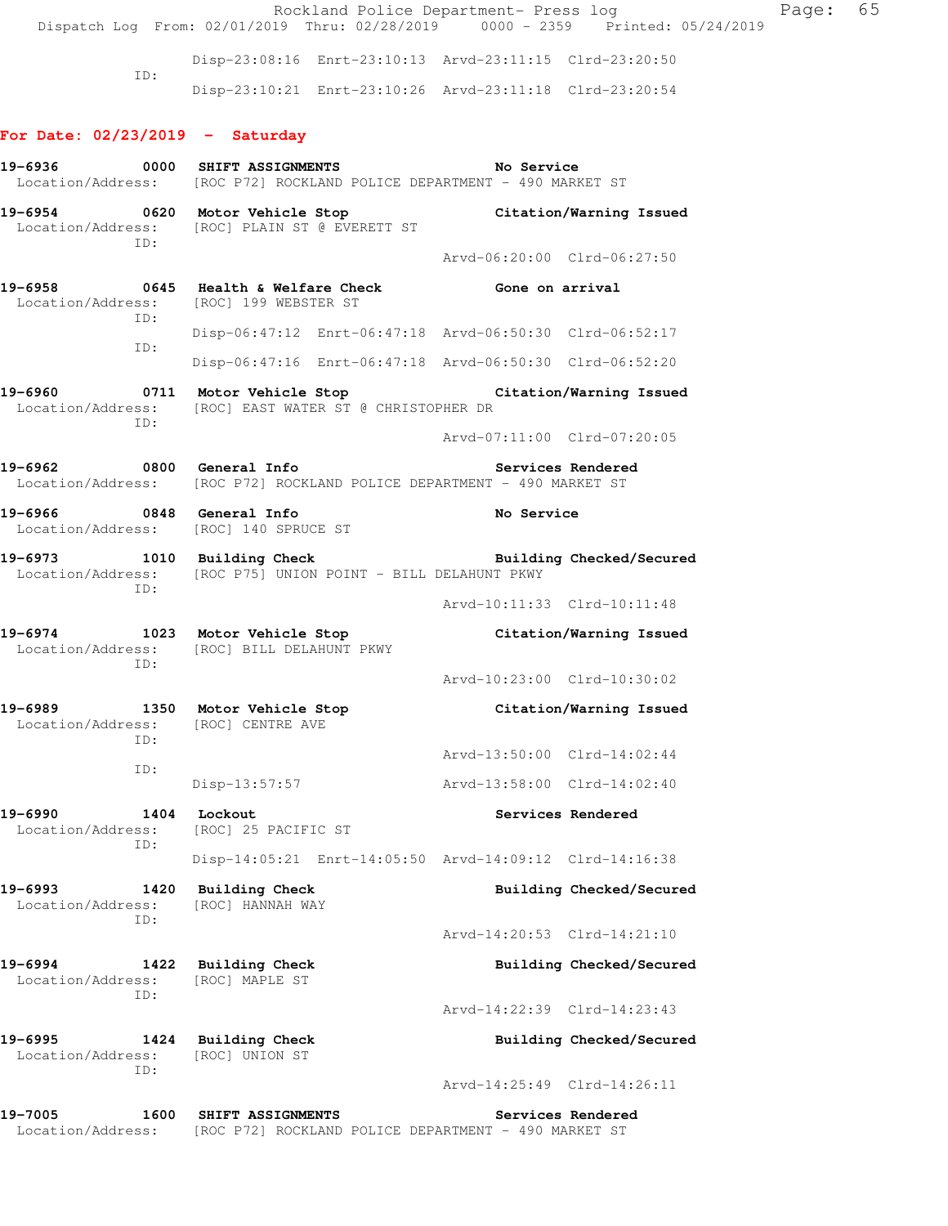Rockland Police Department- Press log Faqe: 65 Dispatch Log From: 02/01/2019 Thru: 02/28/2019 0000 - 2359 Printed: 05/24/2019 Disp-23:08:16 Enrt-23:10:13 Arvd-23:11:15 Clrd-23:20:50 ID: Disp-23:10:21 Enrt-23:10:26 Arvd-23:11:18 Clrd-23:20:54 **For Date: 02/23/2019 - Saturday 19-6936 0000 SHIFT ASSIGNMENTS No Service**  Location/Address: [ROC P72] ROCKLAND POLICE DEPARTMENT - 490 MARKET ST **19-6954 0620 Motor Vehicle Stop Citation/Warning Issued**  Location/Address: [ROC] PLAIN ST @ EVERETT ST ID: Arvd-06:20:00 Clrd-06:27:50 **19-6958 0645 Health & Welfare Check Gone on arrival**  Location/Address: [ROC] 199 WEBSTER ST ID: Disp-06:47:12 Enrt-06:47:18 Arvd-06:50:30 Clrd-06:52:17 ID: Disp-06:47:16 Enrt-06:47:18 Arvd-06:50:30 Clrd-06:52:20 **19-6960 0711 Motor Vehicle Stop Citation/Warning Issued**  Location/Address: [ROC] EAST WATER ST @ CHRISTOPHER DR ID: Arvd-07:11:00 Clrd-07:20:05 19-6962 **0800** General Info **Services Rendered**  Location/Address: [ROC P72] ROCKLAND POLICE DEPARTMENT - 490 MARKET ST **19-6966 0848 General Info No Service**  Location/Address: [ROC] 140 SPRUCE ST **19-6973 1010 Building Check Building Checked/Secured**  Location/Address: [ROC P75] UNION POINT - BILL DELAHUNT PKWY ID: Arvd-10:11:33 Clrd-10:11:48 **19-6974 1023 Motor Vehicle Stop Citation/Warning Issued**  Location/Address: [ROC] BILL DELAHUNT PKWY ID: Arvd-10:23:00 Clrd-10:30:02 **19-6989 1350 Motor Vehicle Stop Citation/Warning Issued**  Location/Address: [ROC] CENTRE AVE ID: Arvd-13:50:00 Clrd-14:02:44 ID: Disp-13:57:57 Arvd-13:58:00 Clrd-14:02:40 **19-6990 1404 Lockout Services Rendered**  Location/Address: [ROC] 25 PACIFIC ST ID: Disp-14:05:21 Enrt-14:05:50 Arvd-14:09:12 Clrd-14:16:38 **19-6993 1420 Building Check Building Checked/Secured**  Location/Address: [ROC] HANNAH WAY ID: Arvd-14:20:53 Clrd-14:21:10 **19-6994 1422 Building Check Building Checked/Secured**  Location/Address: [ROC] MAPLE ST ID: Arvd-14:22:39 Clrd-14:23:43 **19-6995 1424 Building Check Building Checked/Secured**  Location/Address: [ROC] UNION ST

Arvd-14:25:49 Clrd-14:26:11

**19-7005 1600 SHIFT ASSIGNMENTS Services Rendered**  Location/Address: [ROC P72] ROCKLAND POLICE DEPARTMENT - 490 MARKET ST

ID: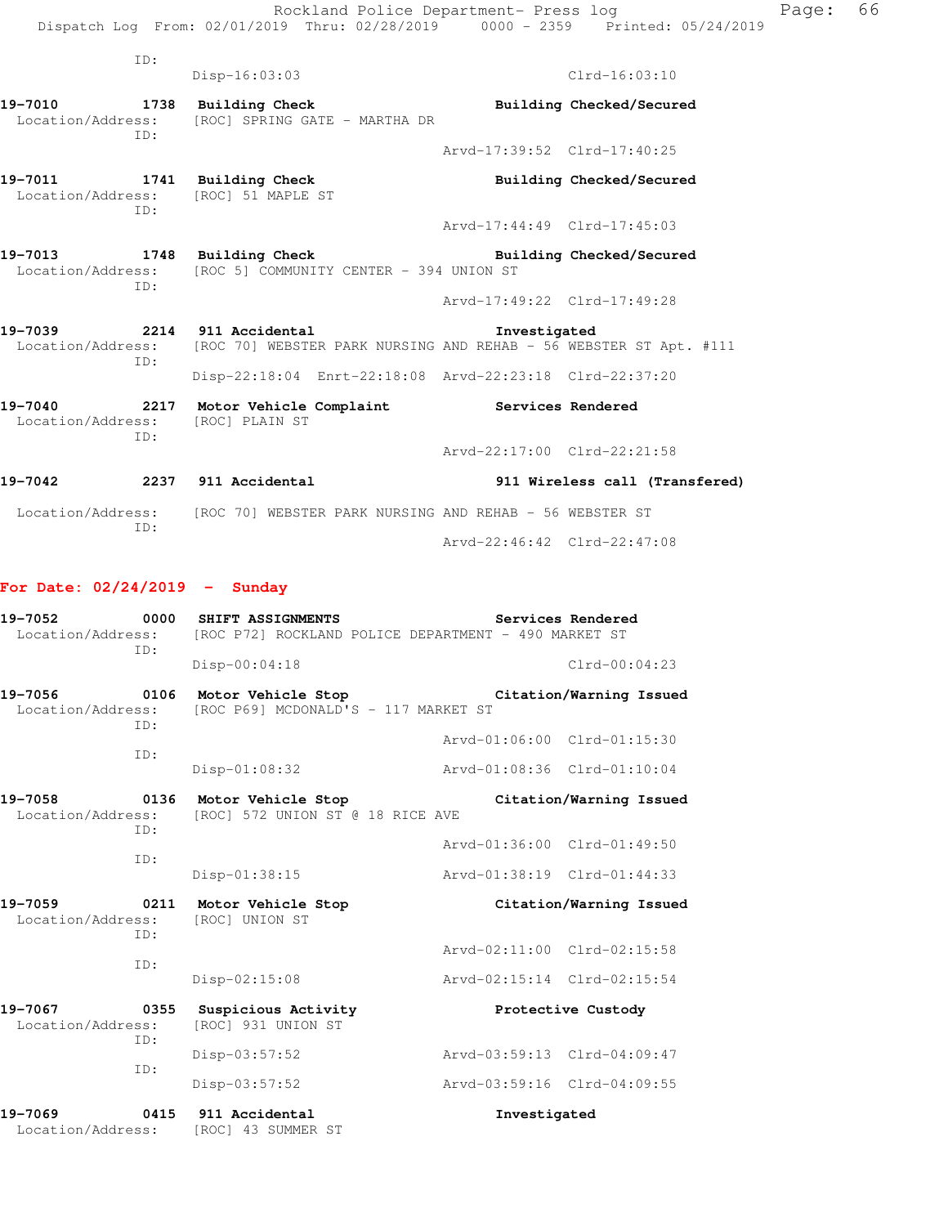ID: Disp-16:03:03 Clrd-16:03:10 **19-7010 1738 Building Check Building Checked/Secured**  Location/Address: [ROC] SPRING GATE - MARTHA DR ID: Arvd-17:39:52 Clrd-17:40:25 19-7011 1741 Building Check **Building Checked/Secured**  Location/Address: [ROC] 51 MAPLE ST ID: Arvd-17:44:49 Clrd-17:45:03 19-7013 1748 Building Check **Building Building Checked/Secured** Location/Address: [ROC 5] COMMUNITY CENTER - 394 UNION ST ID: Arvd-17:49:22 Clrd-17:49:28 **19-7039 2214 911 Accidental Investigated**  Location/Address: [ROC 70] WEBSTER PARK NURSING AND REHAB - 56 WEBSTER ST Apt. #111 ID: Disp-22:18:04 Enrt-22:18:08 Arvd-22:23:18 Clrd-22:37:20 19-7040 **2217** Motor Vehicle Complaint **Services Rendered**  Location/Address: [ROC] PLAIN ST ID: Arvd-22:17:00 Clrd-22:21:58 **19-7042 2237 911 Accidental 911 Wireless call (Transfered)**  Location/Address: [ROC 70] WEBSTER PARK NURSING AND REHAB - 56 WEBSTER ST ID: Arvd-22:46:42 Clrd-22:47:08

### **For Date: 02/24/2019 - Sunday**

| 19-7052<br>Location/Address:<br>TD:                | 0000 | SHIFT ASSIGNMENTS                                          | [ROC P72] ROCKLAND POLICE DEPARTMENT - 490 MARKET ST | Services Rendered           |
|----------------------------------------------------|------|------------------------------------------------------------|------------------------------------------------------|-----------------------------|
|                                                    |      | $Disp-00:04:18$                                            |                                                      | $C1rd-00:04:23$             |
| 19-7056<br>0106<br>Location/Address:<br>TD:        |      | Motor Vehicle Stop<br>[ROC P69] MCDONALD'S - 117 MARKET ST |                                                      | Citation/Warning Issued     |
|                                                    |      |                                                            |                                                      | Arvd-01:06:00 Clrd-01:15:30 |
| TD:                                                |      | Disp-01:08:32                                              | Arvd-01:08:36 Clrd-01:10:04                          |                             |
| 19-7058<br>0136<br>Location/Address:<br>ID:        |      | Motor Vehicle Stop<br>[ROC] 572 UNION ST @ 18 RICE AVE     |                                                      | Citation/Warning Issued     |
|                                                    |      |                                                            |                                                      | Aryd-01:36:00 Clrd-01:49:50 |
| ID:                                                |      | Disp-01:38:15                                              | Arvd-01:38:19 Clrd-01:44:33                          |                             |
| 19-7059<br>$\sim$ 0211<br>Location/Address:<br>TD: |      | Motor Vehicle Stop<br>[ROC] UNION ST                       |                                                      | Citation/Warning Issued     |
|                                                    |      |                                                            | Arvd-02:11:00 Clrd-02:15:58                          |                             |
| TD:                                                |      | Disp-02:15:08                                              | Arvd-02:15:14 Clrd-02:15:54                          |                             |
| 19-7067<br>Location/Address:<br>ID:                | 0355 | Suspicious Activity<br>[ROC] 931 UNION ST                  |                                                      | Protective Custody          |
|                                                    |      | $Disp-03:57:52$                                            | Arvd-03:59:13 Clrd-04:09:47                          |                             |
|                                                    | TD:  | Disp-03:57:52                                              | Arvd-03:59:16 Clrd-04:09:55                          |                             |
| 19-7069<br>0415<br>Location/Address:               |      | 911 Accidental<br>[ROC] 43 SUMMER ST                       | Investigated                                         |                             |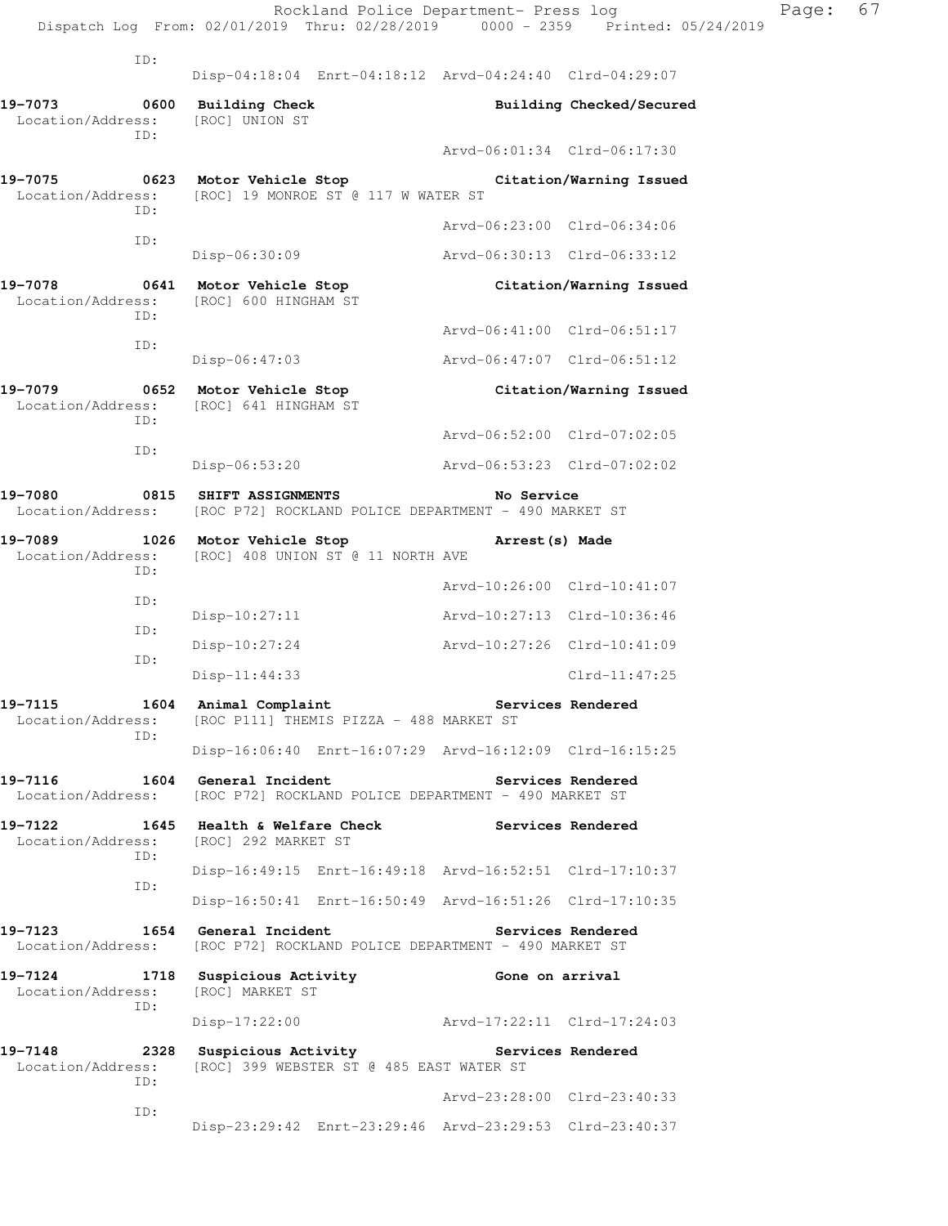|                              |            | Dispatch Log From: 02/01/2019 Thru: 02/28/2019 0000 - 2359 Printed: 05/24/2019                                           | Rockland Police Department- Press log |                          |
|------------------------------|------------|--------------------------------------------------------------------------------------------------------------------------|---------------------------------------|--------------------------|
|                              | ID:        |                                                                                                                          |                                       |                          |
| 19-7073                      | 0600       | Disp-04:18:04 Enrt-04:18:12 Arvd-04:24:40 Clrd-04:29:07<br><b>Building Check</b>                                         |                                       | Building Checked/Secured |
| Location/Address:            | ID:        | [ROC] UNION ST                                                                                                           | Arvd-06:01:34 Clrd-06:17:30           |                          |
|                              |            | 19-7075 0623 Motor Vehicle Stop                                                                                          |                                       | Citation/Warning Issued  |
| Location/Address:            | ID:        | [ROC] 19 MONROE ST @ 117 W WATER ST                                                                                      |                                       |                          |
|                              | ID:        |                                                                                                                          | Arvd-06:23:00 Clrd-06:34:06           |                          |
|                              |            | Disp-06:30:09                                                                                                            | Arvd-06:30:13 Clrd-06:33:12           |                          |
| 19-7078<br>Location/Address: | ID:        | 0641 Motor Vehicle Stop<br>[ROC] 600 HINGHAM ST                                                                          |                                       | Citation/Warning Issued  |
|                              | ID:        |                                                                                                                          | Arvd-06:41:00 Clrd-06:51:17           |                          |
|                              |            | $Disp-06:47:03$                                                                                                          | Arvd-06:47:07 Clrd-06:51:12           |                          |
| 19-7079<br>Location/Address: | ID:        | 0652 Motor Vehicle Stop<br>[ROC] 641 HINGHAM ST                                                                          |                                       | Citation/Warning Issued  |
|                              | ID:        |                                                                                                                          | Arvd-06:52:00 Clrd-07:02:05           |                          |
|                              |            | $Disp-06:53:20$                                                                                                          | Arvd-06:53:23 Clrd-07:02:02           |                          |
| 19-7080<br>Location/Address: | 0815       | <b>SHIFT ASSIGNMENTS</b><br>[ROC P72] ROCKLAND POLICE DEPARTMENT - 490 MARKET ST                                         | No Service                            |                          |
| 19-7089<br>Location/Address: | ID:        | 1026 Motor Vehicle Stop<br>[ROC] 408 UNION ST @ 11 NORTH AVE                                                             | Arrest (s) Made                       |                          |
|                              | ID:        |                                                                                                                          | Arvd-10:26:00 Clrd-10:41:07           |                          |
|                              | ID:        | $Disp-10:27:11$                                                                                                          | Arvd-10:27:13 Clrd-10:36:46           |                          |
|                              | ID:        | Disp-10:27:24                                                                                                            | Arvd-10:27:26 Clrd-10:41:09           |                          |
|                              |            | $Disp-11:44:33$                                                                                                          |                                       | $Clrd-11:47:25$          |
| 19-7115                      | ID:        | 1604 Animal Complaint The Services Rendered<br>Location/Address: [ROC P111] THEMIS PIZZA - 488 MARKET ST                 |                                       |                          |
|                              |            | Disp-16:06:40 Enrt-16:07:29 Arvd-16:12:09 Clrd-16:15:25                                                                  |                                       |                          |
|                              |            | 19-7116 1604 General Incident<br>Location/Address: [ROC P72] ROCKLAND POLICE DEPARTMENT - 490 MARKET ST                  | Services Rendered                     |                          |
| 19-7122                      |            | 1645 Health & Welfare Check<br>Location/Address: [ROC] 292 MARKET ST                                                     | Services Rendered                     |                          |
|                              | ID:<br>ID: | Disp-16:49:15 Enrt-16:49:18 Arvd-16:52:51 Clrd-17:10:37                                                                  |                                       |                          |
|                              |            | Disp-16:50:41 Enrt-16:50:49 Arvd-16:51:26 Clrd-17:10:35                                                                  |                                       |                          |
| Location/Address:            |            | 19-7123 1654 General Incident<br>[ROC P72] ROCKLAND POLICE DEPARTMENT - 490 MARKET ST                                    | Services Rendered                     |                          |
| 19-7124                      | ID:        | 1718 Suspicious Activity<br>Location/Address: [ROC] MARKET ST                                                            | Gone on arrival                       |                          |
|                              |            | Disp-17:22:00 Arvd-17:22:11 Clrd-17:24:03                                                                                |                                       |                          |
|                              | ID:        | 19-7148 2328 Suspicious Activity Correst Services Rendered<br>Location/Address: [ROC] 399 WEBSTER ST @ 485 EAST WATER ST |                                       |                          |
|                              | ID:        |                                                                                                                          | Arvd-23:28:00 Clrd-23:40:33           |                          |
|                              |            | Disp-23:29:42 Enrt-23:29:46 Arvd-23:29:53 Clrd-23:40:37                                                                  |                                       |                          |

Page: 67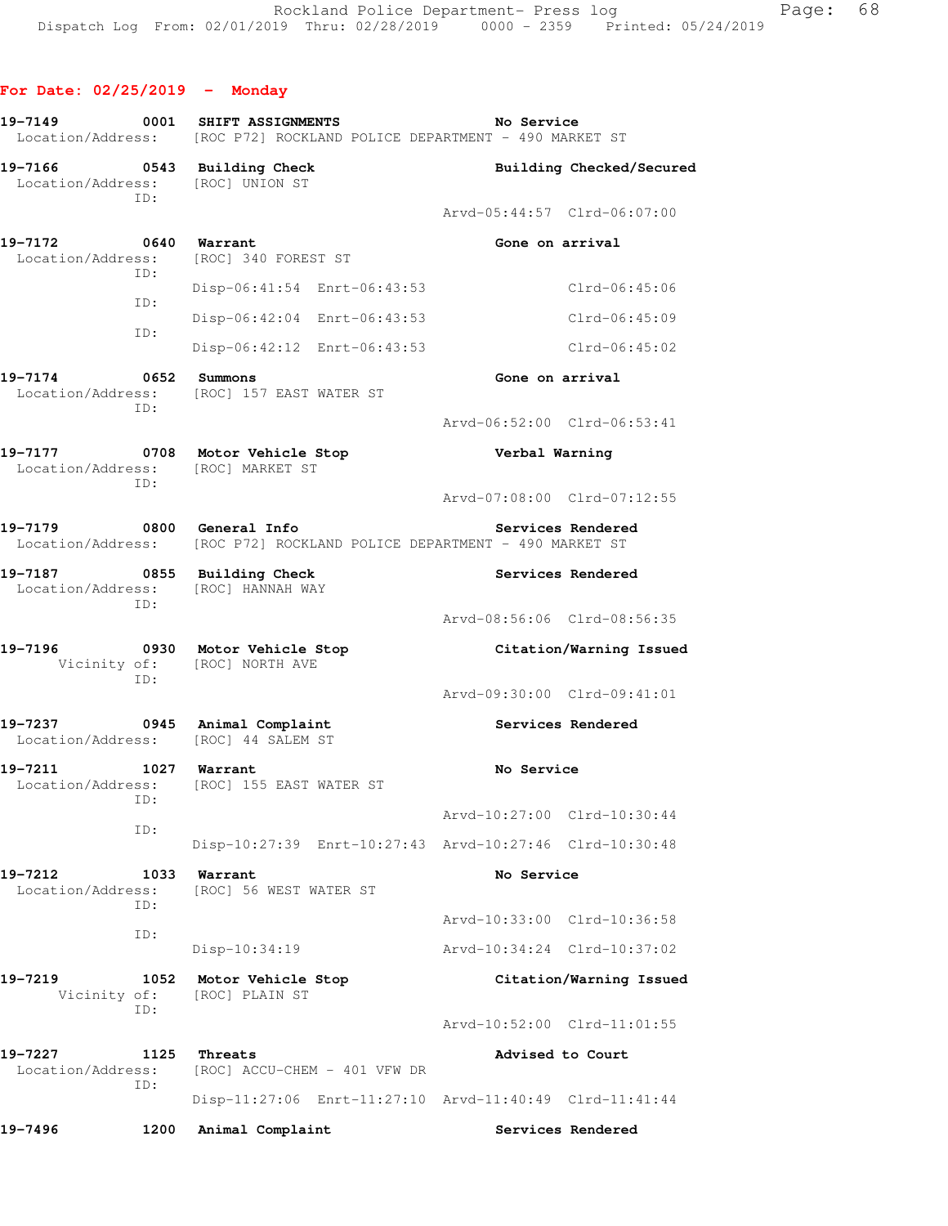**For Date: 02/25/2019 - Monday 19-7149 0001 SHIFT ASSIGNMENTS No Service**  Location/Address: [ROC P72] ROCKLAND POLICE DEPARTMENT - 490 MARKET ST **19-7166 0543 Building Check Building Checked/Secured**  Location/Address: [ROC] UNION ST ID: Arvd-05:44:57 Clrd-06:07:00 **19-7172** 0640 Warrant **Gone on arrival** Location/Address: [ROC] 340 FOREST ST ID: Disp-06:41:54 Enrt-06:43:53 Clrd-06:45:06 ID: Disp-06:42:04 Enrt-06:43:53 Clrd-06:45:09 ID: Disp-06:42:12 Enrt-06:43:53 Clrd-06:45:02 19-7174 0652 Summons **Gone** on arrival Location/Address: [ROC] 157 EAST WATER ST ID: Arvd-06:52:00 Clrd-06:53:41 **19-7177 0708 Motor Vehicle Stop Verbal Warning**  Location/Address: [ROC] MARKET ST ID: Arvd-07:08:00 Clrd-07:12:55 **19-7179 0800 General Info Services Rendered**  Location/Address: [ROC P72] ROCKLAND POLICE DEPARTMENT - 490 MARKET ST 19-7187 **0855 Building Check** Services Rendered Location/Address: [ROC] HANNAH WAY ID: Arvd-08:56:06 Clrd-08:56:35 **19-7196 0930 Motor Vehicle Stop Citation/Warning Issued**  Vicinity of: [ROC] NORTH AVE ID: Arvd-09:30:00 Clrd-09:41:01 **19-7237 0945 Animal Complaint Services Rendered**  Location/Address: [ROC] 44 SALEM ST **19-7211 1027 Warrant No Service**  Location/Address: [ROC] 155 EAST WATER ST ID: Arvd-10:27:00 Clrd-10:30:44 ID: Disp-10:27:39 Enrt-10:27:43 Arvd-10:27:46 Clrd-10:30:48 19-7212 1033 Warrant **No Service**  Location/Address: [ROC] 56 WEST WATER ST ID: Arvd-10:33:00 Clrd-10:36:58 ID: Disp-10:34:19 Arvd-10:34:24 Clrd-10:37:02 **19-7219 1052 Motor Vehicle Stop Citation/Warning Issued**  Vicinity of: [ROC] PLAIN ST ID: Arvd-10:52:00 Clrd-11:01:55 19-7227 1125 Threats **Advised to Court**  Location/Address: [ROC] ACCU-CHEM - 401 VFW DR ID: Disp-11:27:06 Enrt-11:27:10 Arvd-11:40:49 Clrd-11:41:44

19-7496 1200 Animal Complaint **1200 Services Rendered**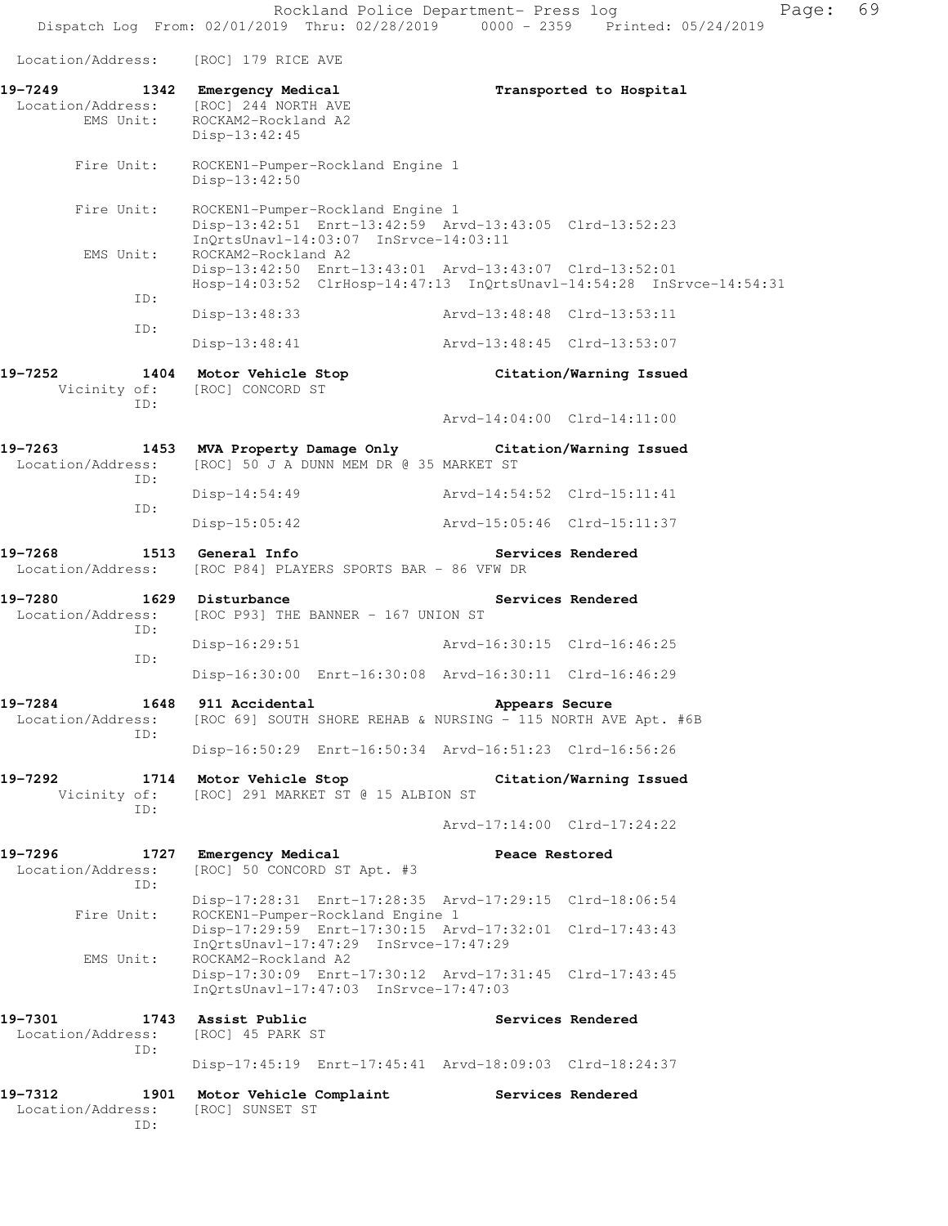Location/Address: [ROC] 179 RICE AVE

| 19-7249 1342 Emergency Medical<br>EMS Unit: | Location/Address: [ROC] 244 NORTH AVE<br>ROCKAM2-Rockland A2<br>Disp-13:42:45                                                        |                             | Transported to Hospital                                              |
|---------------------------------------------|--------------------------------------------------------------------------------------------------------------------------------------|-----------------------------|----------------------------------------------------------------------|
| Fire Unit:                                  | ROCKEN1-Pumper-Rockland Engine 1<br>Disp-13:42:50                                                                                    |                             |                                                                      |
| Fire Unit:                                  | ROCKEN1-Pumper-Rockland Engine 1<br>Disp-13:42:51 Enrt-13:42:59 Arvd-13:43:05 Clrd-13:52:23<br>InQrtsUnavl-14:03:07 InSrvce-14:03:11 |                             |                                                                      |
| EMS Unit:                                   | ROCKAM2-Rockland A2<br>Disp-13:42:50 Enrt-13:43:01 Arvd-13:43:07 Clrd-13:52:01                                                       |                             | Hosp-14:03:52 ClrHosp-14:47:13 InQrtsUnavl-14:54:28 InSrvce-14:54:31 |
| ID:                                         | Disp-13:48:33                                                                                                                        | Arvd-13:48:48 Clrd-13:53:11 |                                                                      |
| ID:                                         |                                                                                                                                      |                             |                                                                      |
|                                             | $Disp-13:48:41$                                                                                                                      | Arvd-13:48:45 Clrd-13:53:07 |                                                                      |
| 19–7252<br>ID:                              | 1404 Motor Vehicle Stop<br>Vicinity of: [ROC] CONCORD ST                                                                             |                             | Citation/Warning Issued                                              |
|                                             |                                                                                                                                      | Arvd-14:04:00 Clrd-14:11:00 |                                                                      |
| Location/Address:<br>ID:                    | 19-7263 1453 MVA Property Damage Only Citation/Warning Issued<br>[ROC] 50 J A DUNN MEM DR @ 35 MARKET ST                             |                             |                                                                      |
|                                             | Disp-14:54:49                                                                                                                        | Arvd-14:54:52 Clrd-15:11:41 |                                                                      |
| ID:                                         | $Disp-15:05:42$                                                                                                                      | Arvd-15:05:46 Clrd-15:11:37 |                                                                      |
| 19-7268                                     | 1513 General Info<br>Location/Address: [ROC P84] PLAYERS SPORTS BAR - 86 VFW DR                                                      | Services Rendered           |                                                                      |
| 19-7280<br>Location/Address:<br>ID:         | 1629 Disturbance<br>[ROC P93] THE BANNER - 167 UNION ST                                                                              |                             | Services Rendered                                                    |
| ID:                                         | Disp-16:29:51 Arvd-16:30:15 Clrd-16:46:25                                                                                            |                             |                                                                      |
|                                             | Disp-16:30:00 Enrt-16:30:08 Arvd-16:30:11 Clrd-16:46:29                                                                              |                             |                                                                      |
| 19-7284<br>Location/Address:<br>ID:         | 1648 911 Accidental<br>[ROC 69] SOUTH SHORE REHAB & NURSING - 115 NORTH AVE Apt. #6B                                                 | Appears Secure              |                                                                      |
|                                             | Disp-16:50:29 Enrt-16:50:34 Arvd-16:51:23 Clrd-16:56:26                                                                              |                             |                                                                      |
| 19-7292<br>Vicinity of:<br>ID:              | 1714 Motor Vehicle Stop<br>[ROC] 291 MARKET ST @ 15 ALBION ST                                                                        |                             | Citation/Warning Issued                                              |
|                                             |                                                                                                                                      | Arvd-17:14:00 Clrd-17:24:22 |                                                                      |
| 19-7296<br>1727<br>Location/Address:<br>ID: | Emergency Medical<br>[ROC] 50 CONCORD ST Apt. #3                                                                                     | Peace Restored              |                                                                      |
|                                             | Disp-17:28:31 Enrt-17:28:35 Arvd-17:29:15 Clrd-18:06:54                                                                              |                             |                                                                      |
| Fire Unit:                                  | ROCKEN1-Pumper-Rockland Engine 1<br>Disp-17:29:59 Enrt-17:30:15 Arvd-17:32:01 Clrd-17:43:43<br>InQrtsUnavl-17:47:29 InSrvce-17:47:29 |                             |                                                                      |
| EMS Unit:                                   | ROCKAM2-Rockland A2<br>Disp-17:30:09 Enrt-17:30:12 Arvd-17:31:45 Clrd-17:43:45<br>InQrtsUnavl-17:47:03 InSrvce-17:47:03              |                             |                                                                      |
| 19-7301<br>1743<br>Location/Address:<br>ID: | Assist Public<br>[ROC] 45 PARK ST                                                                                                    |                             | Services Rendered                                                    |
|                                             | Disp-17:45:19 Enrt-17:45:41 Arvd-18:09:03 Clrd-18:24:37                                                                              |                             |                                                                      |
| 19-7312<br>1901<br>Location/Address:<br>ID: | Motor Vehicle Complaint<br>[ROC] SUNSET ST                                                                                           |                             | Services Rendered                                                    |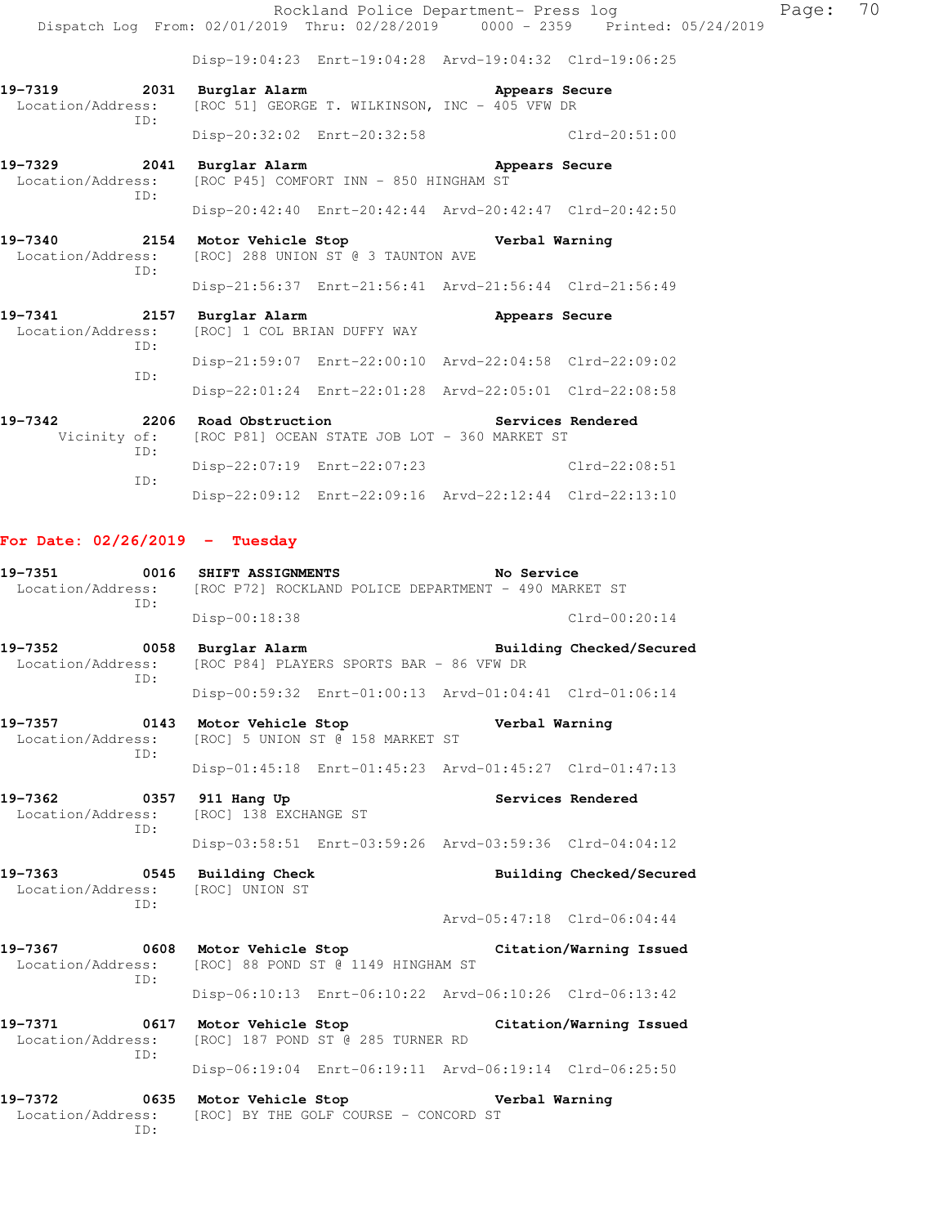Rockland Police Department- Press log Page: 70 Dispatch Log From: 02/01/2019 Thru: 02/28/2019 0000 - 2359 Printed: 05/24/2019

Disp-19:04:23 Enrt-19:04:28 Arvd-19:04:32 Clrd-19:06:25

- **19-7319 2031 Burglar Alarm Appears Secure**  Location/Address: [ROC 51] GEORGE T. WILKINSON, INC - 405 VFW DR ID: Disp-20:32:02 Enrt-20:32:58 Clrd-20:51:00
- **19-7329 2041 Burglar Alarm Appears Secure**  Location/Address: [ROC P45] COMFORT INN - 850 HINGHAM ST ID:
	- Disp-20:42:40 Enrt-20:42:44 Arvd-20:42:47 Clrd-20:42:50
- **19-7340 2154 Motor Vehicle Stop Verbal Warning**  Location/Address: [ROC] 288 UNION ST @ 3 TAUNTON AVE ID:
- Disp-21:56:37 Enrt-21:56:41 Arvd-21:56:44 Clrd-21:56:49 19-7341 2157 Burglar Alarm **19-7341** Appears Secure Location/Address: [ROC] 1 COL BRIAN DUFFY WAY ID: Disp-21:59:07 Enrt-22:00:10 Arvd-22:04:58 Clrd-22:09:02 ID:
- Disp-22:01:24 Enrt-22:01:28 Arvd-22:05:01 Clrd-22:08:58 19-7342 2206 Road Obstruction **Services Rendered**  Vicinity of: [ROC P81] OCEAN STATE JOB LOT - 360 MARKET ST ID:
	- Disp-22:07:19 Enrt-22:07:23 Clrd-22:08:51 ID: Disp-22:09:12 Enrt-22:09:16 Arvd-22:12:44 Clrd-22:13:10

#### **For Date: 02/26/2019 - Tuesday**

| 19-7351<br>ID:                                                         | 0016 SHIFT ASSIGNMENTS<br>Location/Address: [ROC P72] ROCKLAND POLICE DEPARTMENT - 490 MARKET ST    | No Service                                              |  |  |
|------------------------------------------------------------------------|-----------------------------------------------------------------------------------------------------|---------------------------------------------------------|--|--|
|                                                                        | Disp-00:18:38                                                                                       | $Clrd-00:20:14$                                         |  |  |
| 19-7352 0058<br>Location/Address:<br>ID:                               | Burglar Alarm<br>[ROC P84] PLAYERS SPORTS BAR - 86 VFW DR                                           | Building Checked/Secured                                |  |  |
|                                                                        |                                                                                                     | Disp-00:59:32 Enrt-01:00:13 Arvd-01:04:41 Clrd-01:06:14 |  |  |
| Location/Address:<br>TD:                                               | 19-7357 		 0143 Motor Vehicle Stop 		 Verbal Warning<br>[ROC] 5 UNION ST @ 158 MARKET ST            |                                                         |  |  |
|                                                                        |                                                                                                     | Disp-01:45:18 Enrt-01:45:23 Arvd-01:45:27 Clrd-01:47:13 |  |  |
| 19-7362 0357 911 Hang Up<br>Location/Address:<br>TD:                   | [ROC] 138 EXCHANGE ST                                                                               | Services Rendered                                       |  |  |
|                                                                        |                                                                                                     | Disp-03:58:51 Enrt-03:59:26 Arvd-03:59:36 Clrd-04:04:12 |  |  |
| 19-7363 0545 Building Check<br>Location/Address: [ROC] UNION ST<br>ID: |                                                                                                     | Building Checked/Secured                                |  |  |
|                                                                        |                                                                                                     | Arvd-05:47:18 Clrd-06:04:44                             |  |  |
| Location/Address:<br>ID:                                               | 19-7367 		 0608 Motor Vehicle Stop 		 Citation/Warning Issued<br>[ROC] 88 POND ST @ 1149 HINGHAM ST |                                                         |  |  |
|                                                                        |                                                                                                     | Disp-06:10:13 Enrt-06:10:22 Arvd-06:10:26 Clrd-06:13:42 |  |  |
| Location/Address:<br>ID:                                               | 19-7371 0617 Motor Vehicle Stop Citation/Warning Issued<br>[ROC] 187 POND ST @ 285 TURNER RD        |                                                         |  |  |
|                                                                        |                                                                                                     | Disp-06:19:04 Enrt-06:19:11 Arvd-06:19:14 Clrd-06:25:50 |  |  |
| Location/Address:<br>ID:                                               | 19-7372 0635 Motor Vehicle Stop Nerbal Warning<br>[ROC] BY THE GOLF COURSE - CONCORD ST             |                                                         |  |  |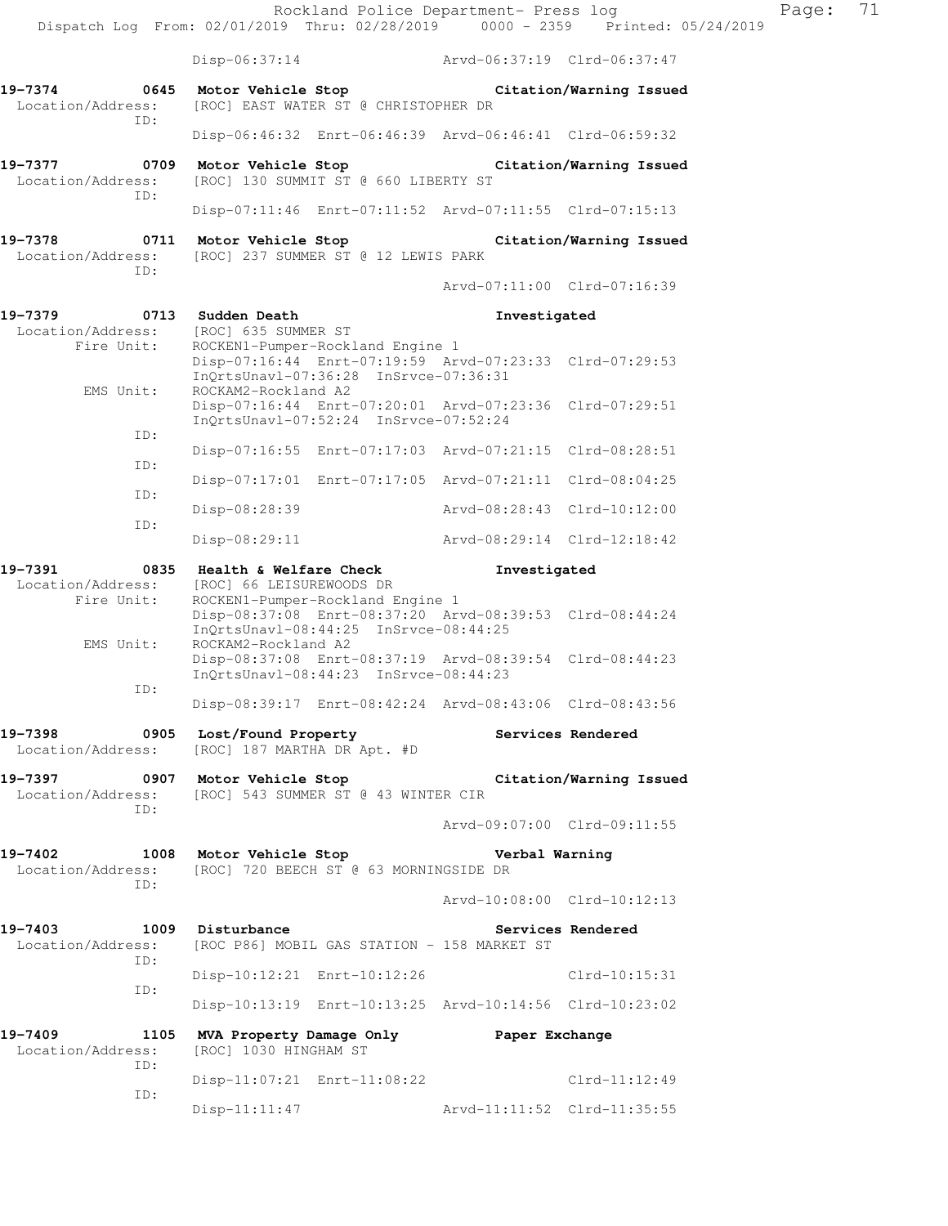|                                                                                |                                                                                                           |  | Rockland Police Department- Press log                   |                         |  |
|--------------------------------------------------------------------------------|-----------------------------------------------------------------------------------------------------------|--|---------------------------------------------------------|-------------------------|--|
| Dispatch Log From: 02/01/2019 Thru: 02/28/2019 0000 - 2359 Printed: 05/24/2019 |                                                                                                           |  |                                                         |                         |  |
|                                                                                | $Disp-06:37:14$                                                                                           |  | Arvd-06:37:19 Clrd-06:37:47                             |                         |  |
| 19-7374<br>Location/Address:<br>ID:                                            | 0645 Motor Vehicle Stop Citation/Warning Issued<br>[ROC] EAST WATER ST @ CHRISTOPHER DR                   |  |                                                         |                         |  |
|                                                                                |                                                                                                           |  | Disp-06:46:32 Enrt-06:46:39 Arvd-06:46:41 Clrd-06:59:32 |                         |  |
| 19–7377<br>Location/Address:<br>ID:                                            | 0709 Motor Vehicle Stop                   Citation/Warning Issued<br>[ROC] 130 SUMMIT ST @ 660 LIBERTY ST |  |                                                         |                         |  |
|                                                                                |                                                                                                           |  | Disp-07:11:46 Enrt-07:11:52 Arvd-07:11:55 Clrd-07:15:13 |                         |  |
| 19-7378<br>Location/Address:<br>ID:                                            | 0711 Motor Vehicle Stop<br>[ROC] 237 SUMMER ST @ 12 LEWIS PARK                                            |  |                                                         | Citation/Warning Issued |  |
|                                                                                |                                                                                                           |  | Arvd-07:11:00 Clrd-07:16:39                             |                         |  |
| 19-7379 0713 Sudden Death<br>Location/Address:<br>Fire Unit:<br>EMS Unit:      | Investigated<br>[ROC] 635 SUMMER ST<br>ROCKEN1-Pumper-Rockland Engine 1                                   |  |                                                         |                         |  |
|                                                                                | InOrtsUnavl-07:36:28 InSrvce-07:36:31<br>ROCKAM2-Rockland A2                                              |  | Disp-07:16:44 Enrt-07:19:59 Arvd-07:23:33 Clrd-07:29:53 |                         |  |
| ID:                                                                            | InQrtsUnavl-07:52:24 InSrvce-07:52:24                                                                     |  | Disp-07:16:44 Enrt-07:20:01 Arvd-07:23:36 Clrd-07:29:51 |                         |  |
|                                                                                |                                                                                                           |  | Disp-07:16:55 Enrt-07:17:03 Arvd-07:21:15 Clrd-08:28:51 |                         |  |
| ID:                                                                            |                                                                                                           |  | Disp-07:17:01 Enrt-07:17:05 Arvd-07:21:11 Clrd-08:04:25 |                         |  |
| ID:                                                                            | Disp-08:28:39                                                                                             |  | Arvd-08:28:43 Clrd-10:12:00                             |                         |  |
| ID:                                                                            | Disp-08:29:11                                                                                             |  | Arvd-08:29:14 Clrd-12:18:42                             |                         |  |
|                                                                                |                                                                                                           |  |                                                         |                         |  |
| 19-7391<br>Location/Address:                                                   | 0835 Health & Welfare Check<br>[ROC] 66 LEISUREWOODS DR                                                   |  | Investigated                                            |                         |  |
| Fire Unit:                                                                     | ROCKEN1-Pumper-Rockland Engine 1<br>InQrtsUnavl-08:44:25 InSrvce-08:44:25                                 |  | Disp-08:37:08 Enrt-08:37:20 Arvd-08:39:53 Clrd-08:44:24 |                         |  |
| EMS Unit:                                                                      | ROCKAM2-Rockland A2<br>InQrtsUnavl-08:44:23 InSrvce-08:44:23                                              |  | Disp-08:37:08 Enrt-08:37:19 Arvd-08:39:54 Clrd-08:44:23 |                         |  |
| ID:                                                                            |                                                                                                           |  | Disp-08:39:17 Enrt-08:42:24 Arvd-08:43:06 Clrd-08:43:56 |                         |  |
| 19-7398<br>Location/Address:                                                   | 0905 Lost/Found Property<br>[ROC] 187 MARTHA DR Apt. #D                                                   |  |                                                         | Services Rendered       |  |
| 19–7397<br>Location/Address:                                                   | 0907 Motor Vehicle Stop<br>[ROC] 543 SUMMER ST @ 43 WINTER CIR                                            |  |                                                         | Citation/Warning Issued |  |
| ID:                                                                            |                                                                                                           |  | Arvd-09:07:00 Clrd-09:11:55                             |                         |  |
| 19-7402<br>Location/Address:                                                   | 1008 Motor Vehicle Stop<br>[ROC] 720 BEECH ST @ 63 MORNINGSIDE DR                                         |  | Verbal Warning                                          |                         |  |
| ID:                                                                            |                                                                                                           |  | Arvd-10:08:00 Clrd-10:12:13                             |                         |  |
| 19-7403<br>Location/Address:                                                   | 1009 Disturbance<br>[ROC P86] MOBIL GAS STATION - 158 MARKET ST                                           |  |                                                         | Services Rendered       |  |
| ID:                                                                            | Disp-10:12:21 Enrt-10:12:26                                                                               |  |                                                         | $Clrd-10:15:31$         |  |
| ID:                                                                            |                                                                                                           |  | Disp-10:13:19 Enrt-10:13:25 Arvd-10:14:56 Clrd-10:23:02 |                         |  |
| 19-7409<br>Location/Address:                                                   | 1105 MVA Property Damage Only Paper Exchange<br>[ROC] 1030 HINGHAM ST                                     |  |                                                         |                         |  |
| ID:<br>ID:                                                                     | Disp-11:07:21 Enrt-11:08:22                                                                               |  |                                                         | $Clrd-11:12:49$         |  |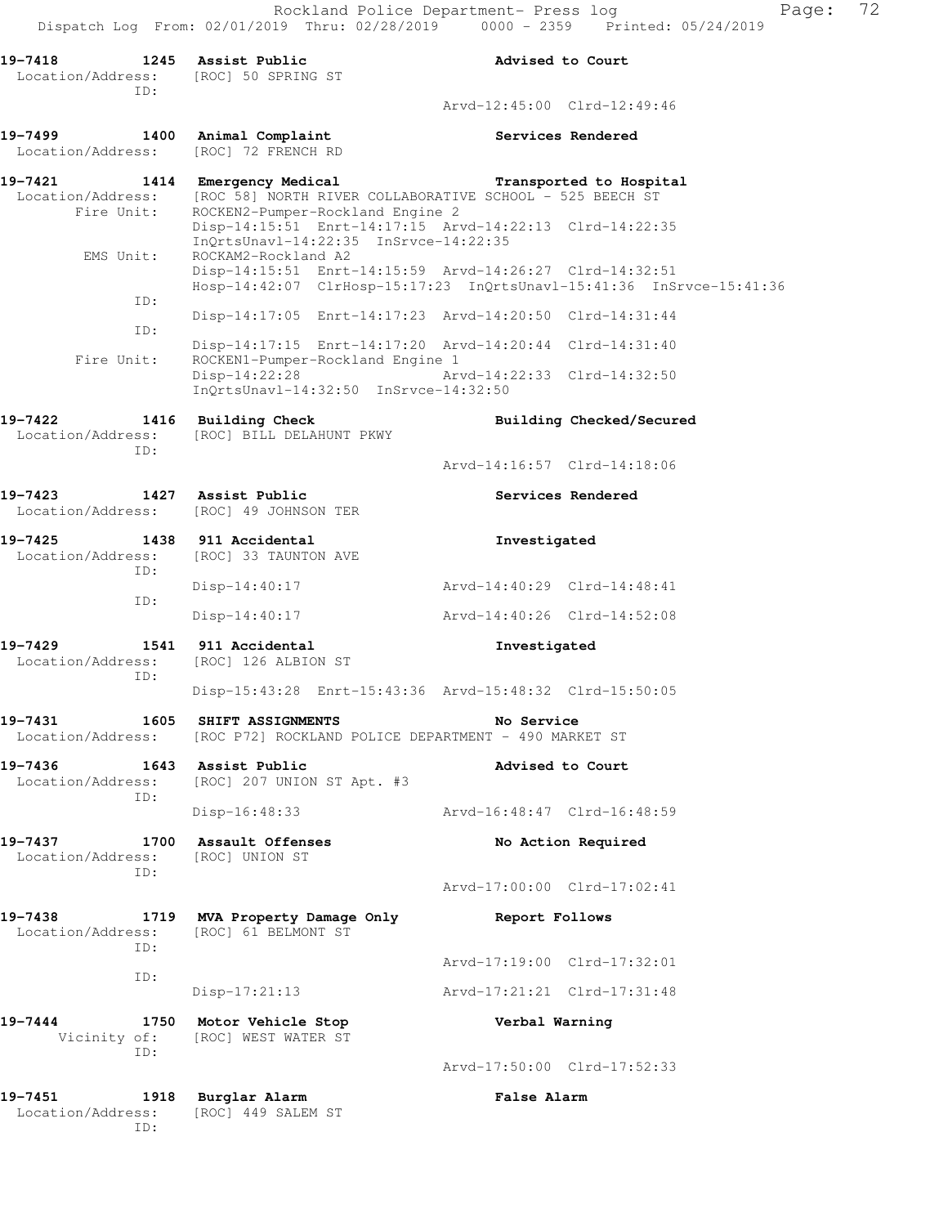|                                                        |                                                                                              | Rockland Police Department- Press log<br>Dispatch Log From: 02/01/2019 Thru: 02/28/2019 0000 - 2359 Printed: 05/24/2019         |  |
|--------------------------------------------------------|----------------------------------------------------------------------------------------------|---------------------------------------------------------------------------------------------------------------------------------|--|
| 19-7418<br>Location/Address: [ROC] 50 SPRING ST<br>ID: | 1245 Assist Public                                                                           | Advised to Court                                                                                                                |  |
|                                                        |                                                                                              | Arvd-12:45:00 Clrd-12:49:46                                                                                                     |  |
| 19-7499<br>Location/Address:                           | 1400 Animal Complaint<br>[ROC] 72 FRENCH RD                                                  | <b>Services Rendered</b>                                                                                                        |  |
| 19-7421                                                | 1414 Emergency Medical                                                                       | Transported to Hospital                                                                                                         |  |
| Location/Address:<br>Fire Unit:                        | [ROC 58] NORTH RIVER COLLABORATIVE SCHOOL - 525 BEECH ST<br>ROCKEN2-Pumper-Rockland Engine 2 | Disp-14:15:51 Enrt-14:17:15 Arvd-14:22:13 Clrd-14:22:35                                                                         |  |
| EMS Unit:                                              | InQrtsUnavl-14:22:35 InSrvce-14:22:35<br>ROCKAM2-Rockland A2                                 |                                                                                                                                 |  |
|                                                        |                                                                                              | Disp-14:15:51 Enrt-14:15:59 Arvd-14:26:27 Clrd-14:32:51<br>Hosp-14:42:07 ClrHosp-15:17:23 InQrtsUnavl-15:41:36 InSrvce-15:41:36 |  |
| ID:                                                    |                                                                                              | Disp-14:17:05 Enrt-14:17:23 Arvd-14:20:50 Clrd-14:31:44                                                                         |  |
| ID:                                                    |                                                                                              | Disp-14:17:15 Enrt-14:17:20 Arvd-14:20:44 Clrd-14:31:40                                                                         |  |
| Fire Unit:                                             | ROCKEN1-Pumper-Rockland Engine 1<br>Disp-14:22:28<br>InQrtsUnavl-14:32:50 InSrvce-14:32:50   | Arvd-14:22:33 Clrd-14:32:50                                                                                                     |  |
| 19-7422<br>Location/Address:<br>ID:                    | 1416 Building Check<br>[ROC] BILL DELAHUNT PKWY                                              | Building Checked/Secured                                                                                                        |  |
|                                                        |                                                                                              | Arvd-14:16:57 Clrd-14:18:06                                                                                                     |  |
| 19-7423                                                | 1427 Assist Public<br>Location/Address: [ROC] 49 JOHNSON TER                                 | Services Rendered                                                                                                               |  |
| 19-7425<br>TD:<br>ID:                                  | 1438 911 Accidental<br>Location/Address: [ROC] 33 TAUNTON AVE                                | Investigated                                                                                                                    |  |
|                                                        | $Disp-14:40:17$                                                                              | Arvd-14:40:29 Clrd-14:48:41                                                                                                     |  |
|                                                        | $Disp-14:40:17$                                                                              | Arvd-14:40:26 Clrd-14:52:08                                                                                                     |  |
| 19-7429<br>Location/Address:<br>ID:                    | 1541 911 Accidental<br>[ROC] 126 ALBION ST                                                   | Investigated                                                                                                                    |  |
|                                                        |                                                                                              | Disp-15:43:28 Enrt-15:43:36 Arvd-15:48:32 Clrd-15:50:05                                                                         |  |
| 19-7431<br>Location/Address:                           | 1605 SHIFT ASSIGNMENTS<br>[ROC P72] ROCKLAND POLICE DEPARTMENT - 490 MARKET ST               | No Service                                                                                                                      |  |
| 19-7436<br>Location/Address:                           | 1643 Assist Public<br>[ROC] 207 UNION ST Apt. #3                                             | Advised to Court                                                                                                                |  |

 ID: Disp-16:48:33 Arvd-16:48:47 Clrd-16:48:59 19-7437 1700 Assault Offenses **No Action Required** 

 Location/Address: [ROC] UNION ST ID:

**19-7438 1719 MVA Property Damage Only Report Follows**  Location/Address: [ROC] 61 BELMONT ST ID: ID:

Disp-17:21:13 Arvd-17:21:21 Clrd-17:31:48

**19-7444 1750 Motor Vehicle Stop Verbal Warning**  Vicinity of: [ROC] WEST WATER ST ID:

**19-7451 1918 Burglar Alarm False Alarm**  Location/Address: [ROC] 449 SALEM ST ID:

Arvd-17:00:00 Clrd-17:02:41

Arvd-17:19:00 Clrd-17:32:01

Arvd-17:50:00 Clrd-17:52:33

Page: 72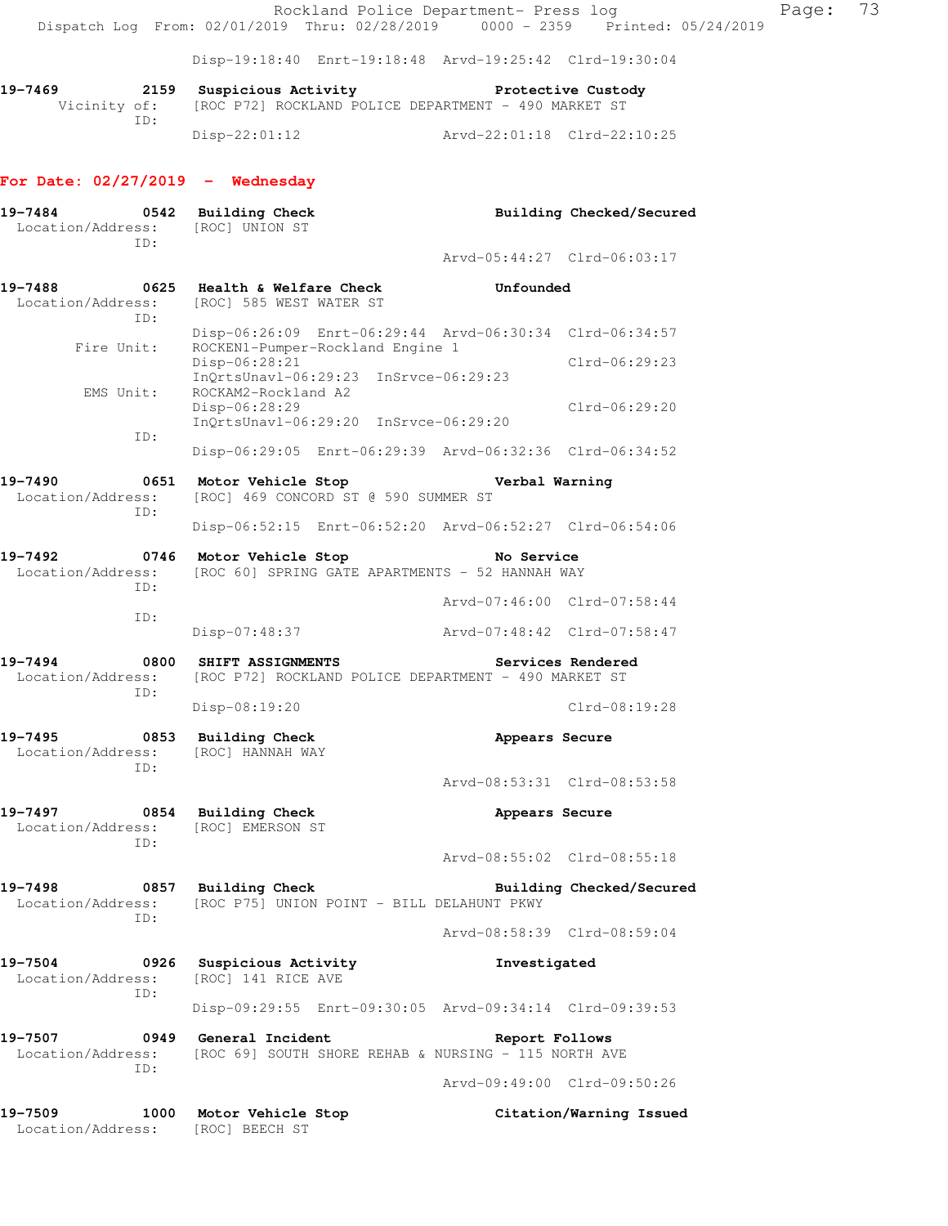Rockland Police Department- Press log Fage: 73 Dispatch Log From: 02/01/2019 Thru: 02/28/2019 0000 - 2359 Printed: 05/24/2019 Disp-19:18:40 Enrt-19:18:48 Arvd-19:25:42 Clrd-19:30:04 **19-7469 2159 Suspicious Activity Protective Custody**  Vicinity of: [ROC P72] ROCKLAND POLICE DEPARTMENT - 490 MARKET ST ID: Disp-22:01:12 Arvd-22:01:18 Clrd-22:10:25 **For Date: 02/27/2019 - Wednesday** 19-7484 **0542** Building Check **Building Checked/Secured**  Location/Address: [ROC] UNION ST ID: Arvd-05:44:27 Clrd-06:03:17 **19-7488 0625 Health & Welfare Check Unfounded**  Location/Address: [ROC] 585 WEST WATER ST ID: Disp-06:26:09 Enrt-06:29:44 Arvd-06:30:34 Clrd-06:34:57 Fire Unit: ROCKEN1-Pumper-Rockland Engine 1 Disp-06:28:21 Clrd-06:29:23 InQrtsUnavl-06:29:23 InSrvce-06:29:23<br>EMS Unit: ROCKAM2-Rockland A2 ROCKAM2-Rockland A2 Disp-06:28:29 Clrd-06:29:20 InQrtsUnavl-06:29:20 InSrvce-06:29:20 ID: Disp-06:29:05 Enrt-06:29:39 Arvd-06:32:36 Clrd-06:34:52 **19-7490 0651 Motor Vehicle Stop Verbal Warning**  Location/Address: [ROC] 469 CONCORD ST @ 590 SUMMER ST ID: Disp-06:52:15 Enrt-06:52:20 Arvd-06:52:27 Clrd-06:54:06 **19-7492 0746 Motor Vehicle Stop No Service**  Location/Address: [ROC 60] SPRING GATE APARTMENTS - 52 HANNAH WAY ID: Arvd-07:46:00 Clrd-07:58:44 ID: Disp-07:48:37 Arvd-07:48:42 Clrd-07:58:47 **19-7494 0800 SHIFT ASSIGNMENTS Services Rendered**  Location/Address: [ROC P72] ROCKLAND POLICE DEPARTMENT - 490 MARKET ST ID: Disp-08:19:20 Clrd-08:19:28 **19-7495 0853 Building Check Appears Secure**  Location/Address: [ROC] HANNAH WAY ID: Arvd-08:53:31 Clrd-08:53:58 **19-7497 0854 Building Check Appears Secure**  Location/Address: [ROC] EMERSON ST ID: Arvd-08:55:02 Clrd-08:55:18 **19-7498 0857 Building Check Building Checked/Secured**  Location/Address: [ROC P75] UNION POINT - BILL DELAHUNT PKWY ID: Arvd-08:58:39 Clrd-08:59:04 **19-7504 0926 Suspicious Activity Investigated**  Location/Address: [ROC] 141 RICE AVE ID: Disp-09:29:55 Enrt-09:30:05 Arvd-09:34:14 Clrd-09:39:53 **19-7507 0949 General Incident Report Follows**  Location/Address: [ROC 69] SOUTH SHORE REHAB & NURSING - 115 NORTH AVE ID: Arvd-09:49:00 Clrd-09:50:26 **19-7509 1000 Motor Vehicle Stop Citation/Warning Issued** 

Location/Address: [ROC] BEECH ST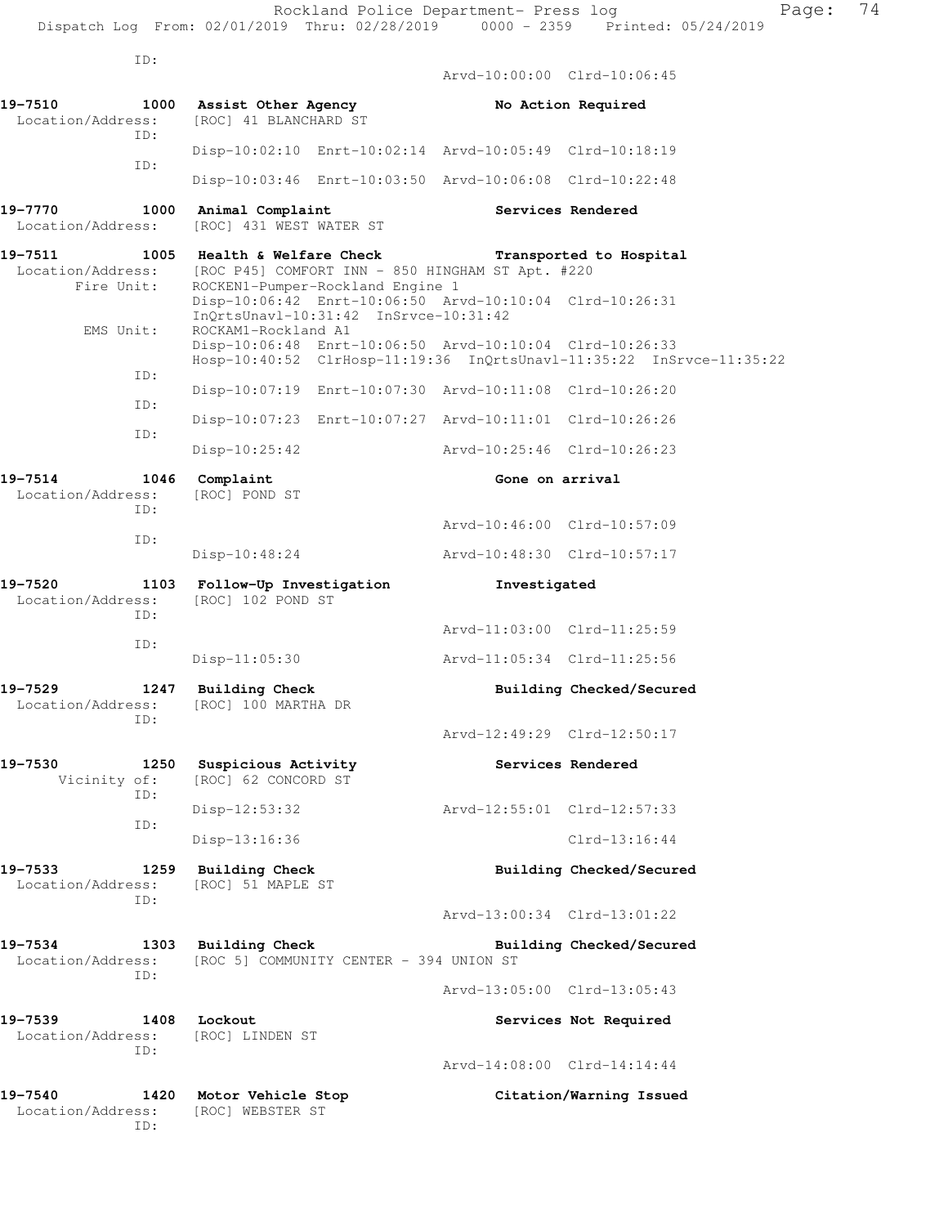ID:

ID:

 Arvd-10:00:00 Clrd-10:06:45 19-7510 1000 Assist Other Agency **No Action Required**  Location/Address: [ROC] 41 BLANCHARD ST ID: Disp-10:02:10 Enrt-10:02:14 Arvd-10:05:49 Clrd-10:18:19 ID: Disp-10:03:46 Enrt-10:03:50 Arvd-10:06:08 Clrd-10:22:48 19-7770 1000 Animal Complaint **19-7770** Services Rendered Location/Address: [ROC] 431 WEST WATER ST **19-7511 1005 Health & Welfare Check Transported to Hospital**  Location/Address: [ROC P45] COMFORT INN - 850 HINGHAM ST Apt. #220 Fire Unit: ROCKEN1-Pumper-Rockland Engine 1 Disp-10:06:42 Enrt-10:06:50 Arvd-10:10:04 Clrd-10:26:31 InQrtsUnavl-10:31:42 InSrvce-10:31:42<br>EMS Unit: ROCKAM1-Rockland A1 ROCKAM1-Rockland A1 Disp-10:06:48 Enrt-10:06:50 Arvd-10:10:04 Clrd-10:26:33 Hosp-10:40:52 ClrHosp-11:19:36 InQrtsUnavl-11:35:22 InSrvce-11:35:22 ID: Disp-10:07:19 Enrt-10:07:30 Arvd-10:11:08 Clrd-10:26:20 ID: Disp-10:07:23 Enrt-10:07:27 Arvd-10:11:01 Clrd-10:26:26 ID: Disp-10:25:42 Arvd-10:25:46 Clrd-10:26:23 **19-7514 1046 Complaint Gone on arrival**  Location/Address: [ROC] POND ST ID: Arvd-10:46:00 Clrd-10:57:09 ID: Disp-10:48:24 Arvd-10:48:30 Clrd-10:57:17 **19-7520 1103 Follow-Up Investigation Investigated**  Location/Address: [ROC] 102 POND ST ID: Arvd-11:03:00 Clrd-11:25:59 ID: Disp-11:05:30 Arvd-11:05:34 Clrd-11:25:56 **19-7529 1247 Building Check Building Checked/Secured**  Location/Address: [ROC] 100 MARTHA DR ID: Arvd-12:49:29 Clrd-12:50:17 19-7530 1250 Suspicious Activity **1250 Services Rendered** Vicinity of: [ROC] 62 CONCORD ST ID: Disp-12:53:32 Arvd-12:55:01 Clrd-12:57:33 ID: Disp-13:16:36 Clrd-13:16:44 **19-7533 1259 Building Check Building Checked/Secured**  Location/Address: [ROC] 51 MAPLE ST ID: Arvd-13:00:34 Clrd-13:01:22 **19-7534 1303 Building Check Building Checked/Secured**  Location/Address: [ROC 5] COMMUNITY CENTER - 394 UNION ST ID: Arvd-13:05:00 Clrd-13:05:43 19-7539 1408 Lockout **19-7539** 1408 Lockout Location/Address: [ROC] LINDEN ST ID: Arvd-14:08:00 Clrd-14:14:44 **19-7540 1420 Motor Vehicle Stop Citation/Warning Issued**  Location/Address: [ROC] WEBSTER ST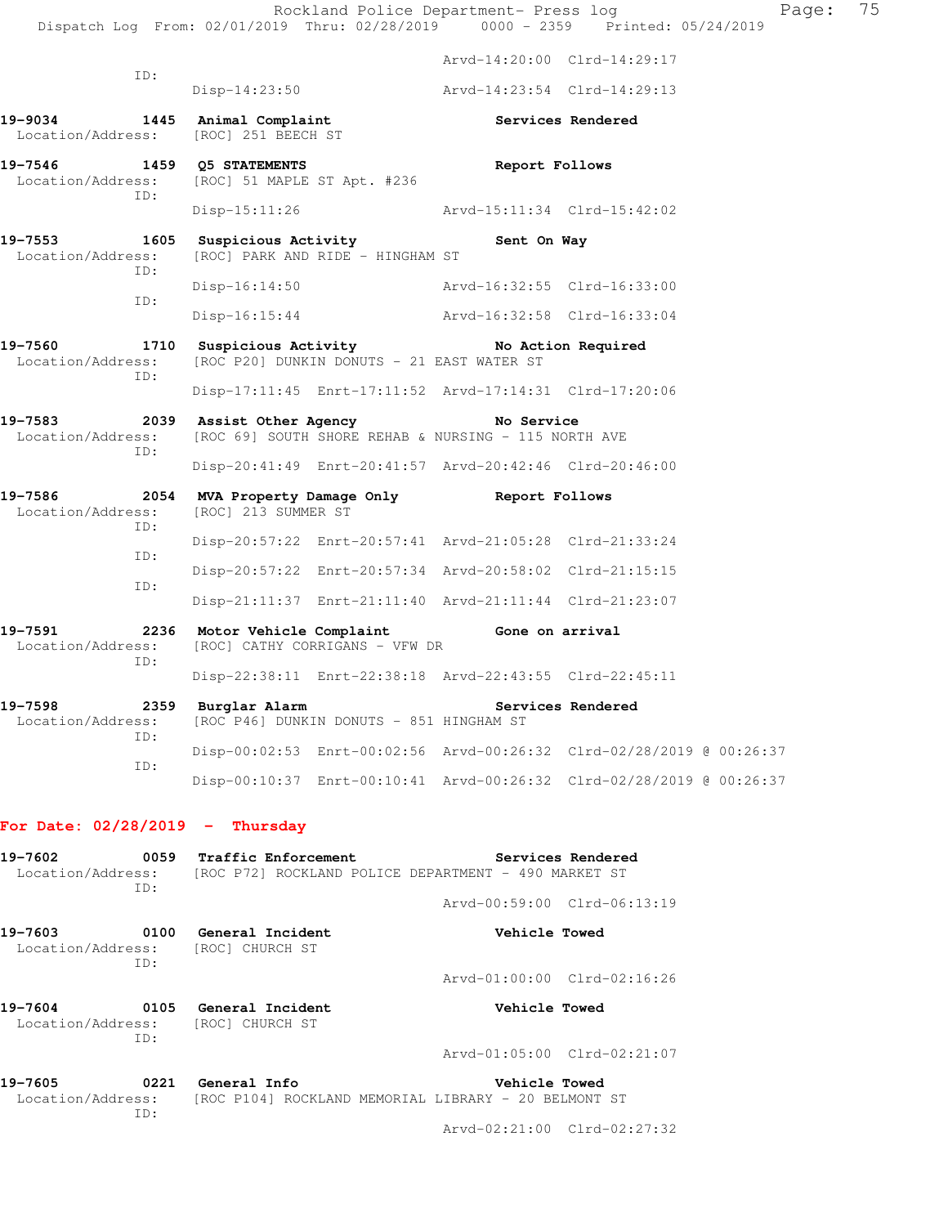| 19-7598<br>Location/Address:                                        |            | 2359 Burglar Alarm                                                          | [ROC P46] DUNKIN DONUTS - 851 HINGHAM ST | Services Rendered                                                                                       |                             |  |  |
|---------------------------------------------------------------------|------------|-----------------------------------------------------------------------------|------------------------------------------|---------------------------------------------------------------------------------------------------------|-----------------------------|--|--|
| 19-7591<br>Location/Address:                                        | ID:        |                                                                             | [ROC] CATHY CORRIGANS - VFW DR           | 2236 Motor Vehicle Complaint Gone on arrival<br>Disp-22:38:11 Enrt-22:38:18 Arvd-22:43:55 Clrd-22:45:11 |                             |  |  |
|                                                                     |            |                                                                             |                                          | Disp-21:11:37 Enrt-21:11:40 Arvd-21:11:44 Clrd-21:23:07                                                 |                             |  |  |
|                                                                     | ID:<br>ID: |                                                                             |                                          | Disp-20:57:22 Enrt-20:57:34 Arvd-20:58:02 Clrd-21:15:15                                                 |                             |  |  |
|                                                                     | ID:        |                                                                             |                                          | Disp-20:57:22 Enrt-20:57:41 Arvd-21:05:28 Clrd-21:33:24                                                 |                             |  |  |
| 19-7586<br>Location/Address:                                        |            | [ROC] 213 SUMMER ST                                                         |                                          | 2054 MVA Property Damage Only Beport Follows                                                            |                             |  |  |
|                                                                     |            |                                                                             |                                          | Disp-20:41:49 Enrt-20:41:57 Arvd-20:42:46 Clrd-20:46:00                                                 |                             |  |  |
|                                                                     | ID:        |                                                                             |                                          | Location/Address: [ROC 69] SOUTH SHORE REHAB & NURSING - 115 NORTH AVE                                  |                             |  |  |
|                                                                     |            |                                                                             |                                          | Disp-17:11:45 Enrt-17:11:52 Arvd-17:14:31 Clrd-17:20:06<br>19-7583 2039 Assist Other Agency No Service  |                             |  |  |
| Location/Address: [ROC P20] DUNKIN DONUTS - 21 EAST WATER ST<br>ID: |            |                                                                             |                                          |                                                                                                         |                             |  |  |
| 19-7560                                                             |            |                                                                             |                                          | 1710 Suspicious Activity 10 No Action Required                                                          |                             |  |  |
|                                                                     | ID:        | Disp-16:15:44                                                               |                                          | Arvd-16:32:58 Clrd-16:33:04                                                                             |                             |  |  |
|                                                                     | ID:        |                                                                             |                                          | Disp-16:14:50 Arvd-16:32:55 Clrd-16:33:00                                                               |                             |  |  |
| 19-7553<br>Location/Address:                                        | ID:        |                                                                             | [ROC] PARK AND RIDE - HINGHAM ST         | 1605 Suspicious Activity 1605 Sent On Way                                                               |                             |  |  |
|                                                                     |            |                                                                             |                                          | $Disp-15:11:26$ $Arvd-15:11:34$ $Clrd-15:42:02$                                                         |                             |  |  |
|                                                                     |            | 19-7546 1459 Q5 STATEMENTS<br>Location/Address: [ROC] 51 MAPLE ST Apt. #236 |                                          | Report Follows                                                                                          |                             |  |  |
| Location/Address:                                                   |            | 19-9034 1445 Animal Complaint<br>[ROC] 251 BEECH ST                         |                                          |                                                                                                         | Services Rendered           |  |  |
|                                                                     |            | Disp-14:23:50                                                               |                                          | Arvd-14:23:54 Clrd-14:29:13                                                                             |                             |  |  |
| ID:                                                                 |            |                                                                             |                                          |                                                                                                         | Arvd-14:20:00 Clrd-14:29:17 |  |  |

| Location/Address:<br>ID:                    |                                     | [ROC P72] ROCKLAND POLICE DEPARTMENT - 490 MARKET ST                  |  |  |
|---------------------------------------------|-------------------------------------|-----------------------------------------------------------------------|--|--|
|                                             |                                     | Arvd-00:59:00 Clrd-06:13:19                                           |  |  |
| 0100<br>19–7603<br>Location/Address:<br>TD: | General Incident<br>[ROC] CHURCH ST | Vehicle Towed                                                         |  |  |
|                                             |                                     | Arvd-01:00:00 Clrd-02:16:26                                           |  |  |
| 0105<br>19–7604<br>Location/Address:<br>TD: | General Incident<br>[ROC] CHURCH ST | Vehicle Towed                                                         |  |  |
|                                             |                                     | Arvd-01:05:00 Clrd-02:21:07                                           |  |  |
| 0221<br>19-7605<br>Location/Address:<br>TD: | General Info                        | Vehicle Towed<br>(ROC P1041 ROCKLAND MEMORIAL LIBRARY - 20 BELMONT ST |  |  |

Arvd-02:21:00 Clrd-02:27:32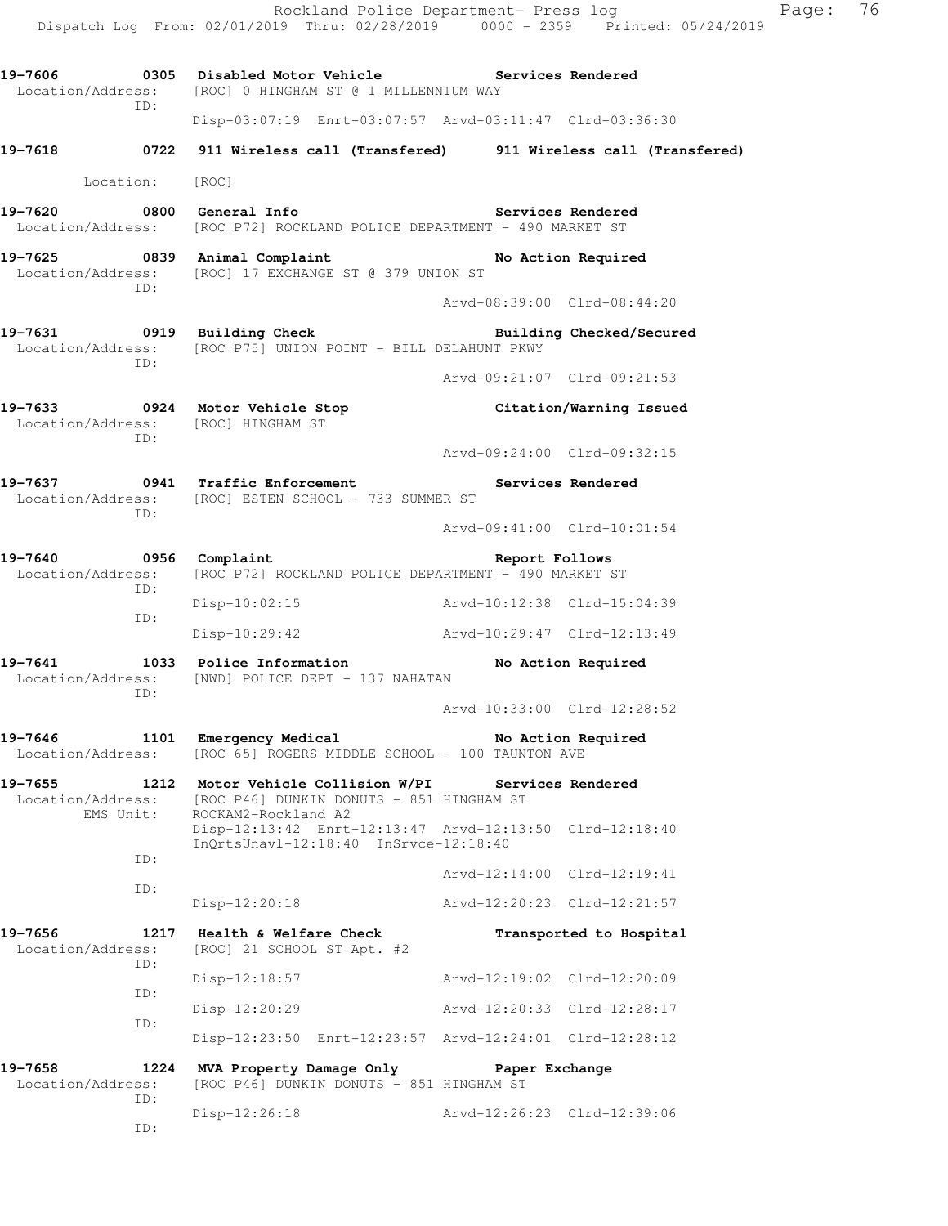Rockland Police Department- Press log Page: 76 Dispatch Log From: 02/01/2019 Thru: 02/28/2019 0000 - 2359 Printed: 05/24/2019 19-7606 **0305** Disabled Motor Vehicle **Services Rendered**  Location/Address: [ROC] 0 HINGHAM ST @ 1 MILLENNIUM WAY ID: Disp-03:07:19 Enrt-03:07:57 Arvd-03:11:47 Clrd-03:36:30 **19-7618 0722 911 Wireless call (Transfered) 911 Wireless call (Transfered)**  Location: [ROC] **19-7620 0800 General Info Services Rendered**  Location/Address: [ROC P72] ROCKLAND POLICE DEPARTMENT - 490 MARKET ST **19-7625 0839 Animal Complaint No Action Required**  Location/Address: [ROC] 17 EXCHANGE ST @ 379 UNION ST ID: Arvd-08:39:00 Clrd-08:44:20 **19-7631 0919 Building Check Building Checked/Secured**  Location/Address: [ROC P75] UNION POINT - BILL DELAHUNT PKWY ID: Arvd-09:21:07 Clrd-09:21:53 **19-7633 0924 Motor Vehicle Stop Citation/Warning Issued**  Location/Address: [ROC] HINGHAM ST ID: Arvd-09:24:00 Clrd-09:32:15 19-7637 **0941** Traffic Enforcement **Services Rendered** Location/Address: [ROC] ESTEN SCHOOL - 733 SUMMER ST ID: Arvd-09:41:00 Clrd-10:01:54 **19-7640 0956 Complaint Report Follows**  Location/Address: [ROC P72] ROCKLAND POLICE DEPARTMENT - 490 MARKET ST ID: Disp-10:02:15 Arvd-10:12:38 Clrd-15:04:39 ID: Disp-10:29:42 Arvd-10:29:47 Clrd-12:13:49 **19-7641 1033 Police Information No Action Required**  Location/Address: [NWD] POLICE DEPT - 137 NAHATAN ID: Arvd-10:33:00 Clrd-12:28:52 19-7646 1101 Emergency Medical **No Action Required** Location/Address: [ROC 65] ROGERS MIDDLE SCHOOL - 100 TAUNTON AVE **19-7655 1212 Motor Vehicle Collision W/PI Services Rendered**  Location/Address: [ROC P46] DUNKIN DONUTS - 851 HINGHAM ST EMS Unit: ROCKAM2-Rockland A2 Disp-12:13:42 Enrt-12:13:47 Arvd-12:13:50 Clrd-12:18:40 InQrtsUnavl-12:18:40 InSrvce-12:18:40 ID: Arvd-12:14:00 Clrd-12:19:41 ID: Disp-12:20:18 Arvd-12:20:23 Clrd-12:21:57 **19-7656 1217 Health & Welfare Check Transported to Hospital**  Location/Address: [ROC] 21 SCHOOL ST Apt. #2 ID: Disp-12:18:57 Arvd-12:19:02 Clrd-12:20:09 ID: Disp-12:20:29 Arvd-12:20:33 Clrd-12:28:17 ID: Disp-12:23:50 Enrt-12:23:57 Arvd-12:24:01 Clrd-12:28:12 **19-7658 1224 MVA Property Damage Only Paper Exchange**  Location/Address: [ROC P46] DUNKIN DONUTS - 851 HINGHAM ST ID: Disp-12:26:18 Arvd-12:26:23 Clrd-12:39:06 ID: